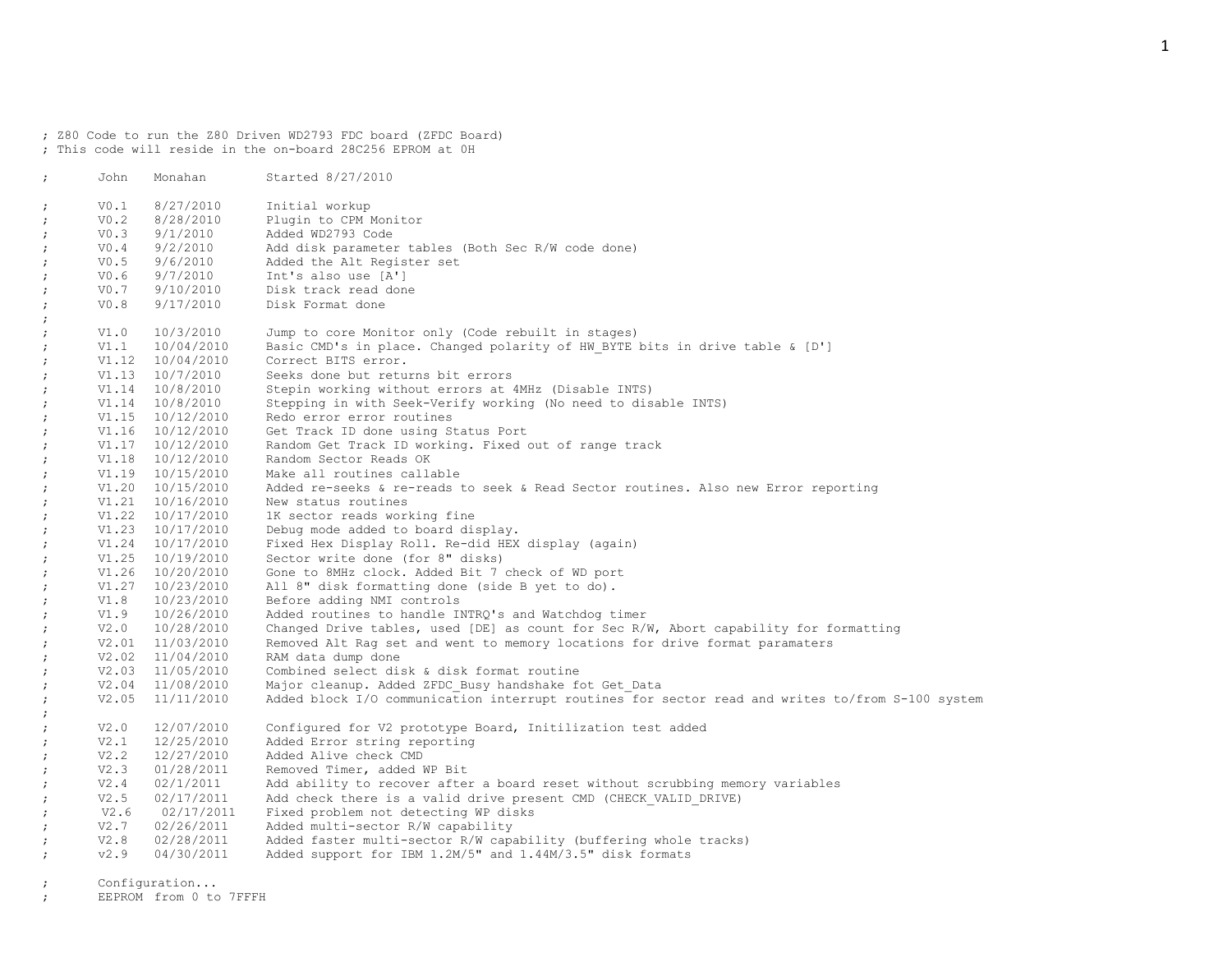; Z80 Code to run the Z80 Driven WD2793 FDC board (ZFDC Board) ; This code will reside in the on-board 28C256 EPROM at 0H

| $\ddot{ }$ | John | Monahan              | Started 8/27/2010                                                                                |
|------------|------|----------------------|--------------------------------------------------------------------------------------------------|
| $\ddot{ }$ | V0.1 | 8/27/2010            | Initial workup                                                                                   |
| $\cdot$    | V0.2 | 8/28/2010            | Plugin to CPM Monitor                                                                            |
| $\ddot{ }$ | V0.3 | 9/1/2010             | Added WD2793 Code                                                                                |
| $\ddot{ }$ |      | $V0.4$ 9/2/2010      | Add disk parameter tables (Both Sec R/W code done)                                               |
| $\ddot{r}$ | V0.5 | 9/6/2010             | Added the Alt Register set                                                                       |
| $\ddot{ }$ |      | V0.6 9/7/2010        | Int's also use [A']                                                                              |
| $\ddot{i}$ |      | $V0.7$ $9/10/2010$   | Disk track read done                                                                             |
| $\cdot$    | V0.8 | 9/17/2010            | Disk Format done                                                                                 |
| $\ddot{ }$ |      |                      |                                                                                                  |
| $\ddot{r}$ | V1.0 | 10/3/2010            | Jump to core Monitor only (Code rebuilt in stages)                                               |
| $\ddot{ }$ |      | $V1.1$ $10/04/2010$  | Basic CMD's in place. Changed polarity of HW BYTE bits in drive table & [D']                     |
| $\ddot{ }$ |      | V1.12 10/04/2010     | Correct BITS error.                                                                              |
| $\cdot$    |      | $V1.13 \t10/7/2010$  | Seeks done but returns bit errors                                                                |
| $\ddot{ }$ |      | V1.14 10/8/2010      | Stepin working without errors at 4MHz (Disable INTS)                                             |
| $\ddot{ }$ |      | V1.14 10/8/2010      | Stepping in with Seek-Verify working (No need to disable INTS)                                   |
| $\cdot$    |      | V1.15 10/12/2010     | Redo error error routines                                                                        |
| $\ddot{ }$ |      | $V1.16$ $10/12/2010$ | Get Track ID done using Status Port                                                              |
| $\ddot{ }$ |      | V1.17 10/12/2010     | Random Get Track ID working. Fixed out of range track                                            |
| $\ddot{ }$ |      | V1.18 10/12/2010     | Random Sector Reads OK                                                                           |
| $\ddot{ }$ |      | V1.19 10/15/2010     | Make all routines callable                                                                       |
| $\ddot{ }$ |      | V1.20 10/15/2010     | Added re-seeks & re-reads to seek & Read Sector routines. Also new Error reporting               |
| $\cdot$    |      | V1.21 10/16/2010     | New status routines                                                                              |
| $\ddot{ }$ |      | V1.22 10/17/2010     | 1K sector reads working fine                                                                     |
| $\cdot$    |      | $V1.23 \t10/17/2010$ | Debug mode added to board display.                                                               |
| $\ddot{ }$ |      | V1.24 10/17/2010     | Fixed Hex Display Roll. Re-did HEX display (again)                                               |
| $\ddot{ }$ |      | V1.25 10/19/2010     | Sector write done (for 8" disks)                                                                 |
| $\ddot{ }$ |      | V1.26 10/20/2010     | Gone to 8MHz clock. Added Bit 7 check of WD port                                                 |
| $\ddot{ }$ |      | V1.27 10/23/2010     | All 8" disk formatting done (side B yet to do).                                                  |
| $\ddot{ }$ |      | V1.8 10/23/2010      | Before adding NMI controls                                                                       |
| $\ddot{ }$ |      | $V1.9$ $10/26/2010$  | Added routines to handle INTRQ's and Watchdog timer                                              |
| $\ddot{ }$ |      | $V2.0$ $10/28/2010$  | Changed Drive tables, used [DE] as count for Sec R/W, Abort capability for formatting            |
| $\ddot{ }$ |      | V2.01 11/03/2010     | Removed Alt Rag set and went to memory locations for drive format paramaters                     |
| $\cdot$    |      | V2.02 11/04/2010     | RAM data dump done                                                                               |
| $\ddot{ }$ |      | V2.03 11/05/2010     | Combined select disk & disk format routine                                                       |
| $\ddot{ }$ |      | V2.04 11/08/2010     | Major cleanup. Added ZFDC Busy handshake fot Get Data                                            |
| $\ddot{r}$ |      | V2.05 11/11/2010     | Added block I/O communication interrupt routines for sector read and writes to/from S-100 system |
| $\ddot{r}$ |      |                      |                                                                                                  |
| $\cdot$    | V2.0 | 12/07/2010           | Configured for V2 prototype Board, Initilization test added                                      |
| $\cdot$    | V2.1 | 12/25/2010           | Added Error string reporting                                                                     |
| $\ddot{ }$ | V2.2 | 12/27/2010           | Added Alive check CMD                                                                            |
| $\ddot{ }$ | V2.3 | 01/28/2011           | Removed Timer, added WP Bit                                                                      |
| $\ddot{ }$ | V2.4 | 02/1/2011            | Add ability to recover after a board reset without scrubbing memory variables                    |
| $\ddot{r}$ | V2.5 | 02/17/2011           | Add check there is a valid drive present CMD (CHECK VALID DRIVE)                                 |
| $\cdot$    |      | $V2.6$ 02/17/2011    | Fixed problem not detecting WP disks                                                             |
| $\ddot{ }$ |      | $V2.7$ 02/26/2011    | Added multi-sector R/W capability                                                                |
| $\ddot{ }$ |      | $V2.8$ 02/28/2011    | Added faster multi-sector R/W capability (buffering whole tracks)                                |
| $\cdot$    | v2.9 | 04/30/2011           | Added support for IBM 1.2M/5" and 1.44M/3.5" disk formats                                        |
|            |      |                      |                                                                                                  |
|            |      | Configuration        |                                                                                                  |

; EEPROM from 0 to 7FFFH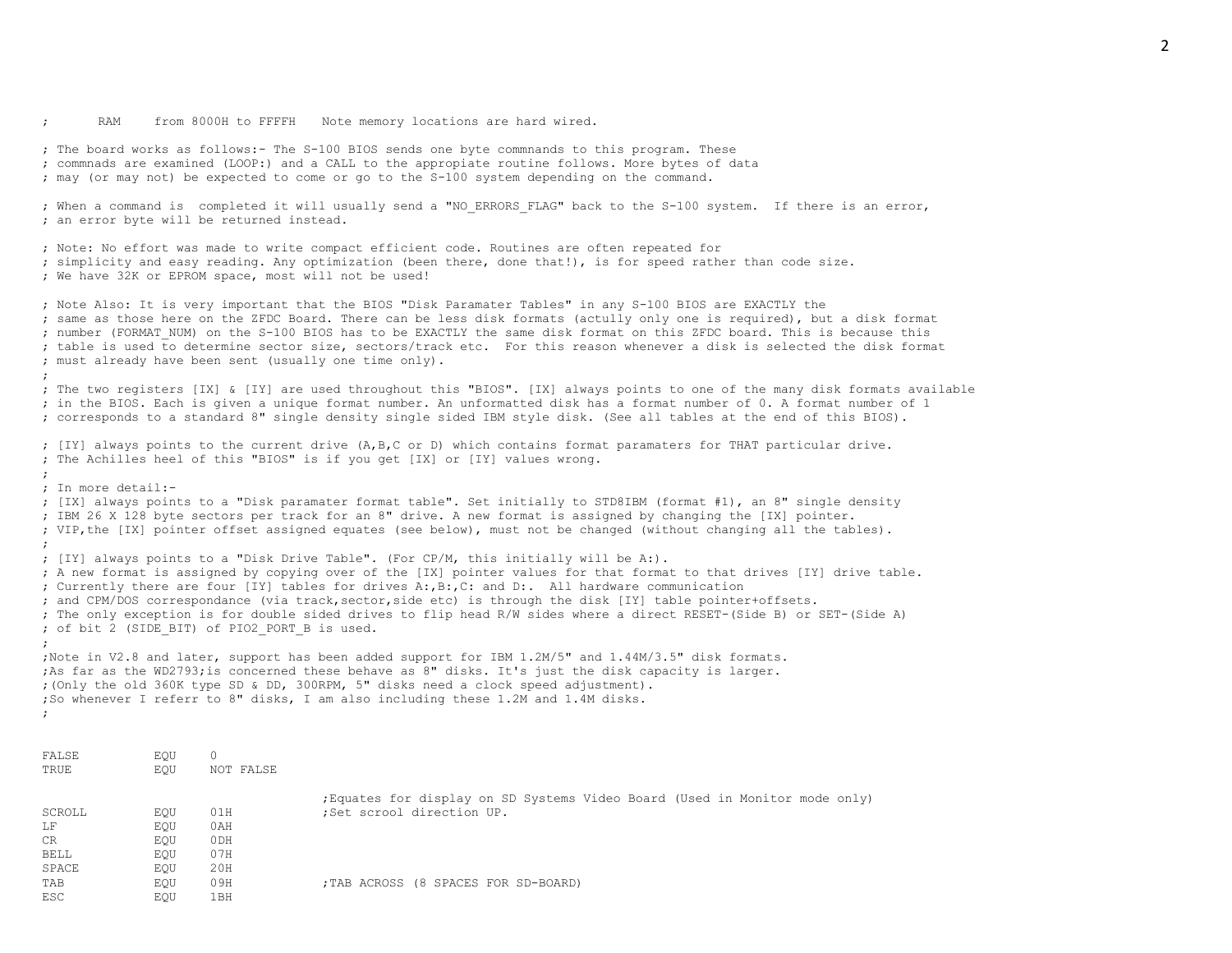RAM from 8000H to FFFFH Note memory locations are hard wired.

TAB EQU 09H ;TAB ACROSS (8 SPACES FOR SD-BOARD)

SPACE EQU 20H

ESC EQU 1BH

; The board works as follows:- The S-100 BIOS sends one byte commnands to this program. These ; commnads are examined (LOOP:) and a CALL to the appropiate routine follows. More bytes of data ; may (or may not) be expected to come or go to the S-100 system depending on the command. ; When a command is completed it will usually send a "NO ERRORS FLAG" back to the S-100 system. If there is an error, ; an error byte will be returned instead. ; Note: No effort was made to write compact efficient code. Routines are often repeated for ; simplicity and easy reading. Any optimization (been there, done that!), is for speed rather than code size. ; We have 32K or EPROM space, most will not be used! ; Note Also: It is very important that the BIOS "Disk Paramater Tables" in any S-100 BIOS are EXACTLY the ; same as those here on the ZFDC Board. There can be less disk formats (actully only one is required), but a disk format ; number (FORMAT\_NUM) on the S-100 BIOS has to be EXACTLY the same disk format on this ZFDC board. This is because this ; table is used to determine sector size, sectors/track etc. For this reason whenever a disk is selected the disk format ; must already have been sent (usually one time only). ; ; The two registers [IX] & [IY] are used throughout this "BIOS". [IX] always points to one of the many disk formats available ; in the BIOS. Each is given a unique format number. An unformatted disk has a format number of 0. A format number of 1 ; corresponds to a standard 8" single density single sided IBM style disk. (See all tables at the end of this BIOS). ; [IY] always points to the current drive (A,B,C or D) which contains format paramaters for THAT particular drive. ; The Achilles heel of this "BIOS" is if you get [IX] or [IY] values wrong. ; ; In more detail:- ; [IX] always points to a "Disk paramater format table". Set initially to STD8IBM (format #1), an 8" single density ; IBM 26 X 128 byte sectors per track for an 8" drive. A new format is assigned by changing the [IX] pointer. ; VIP,the [IX] pointer offset assigned equates (see below), must not be changed (without changing all the tables). ; ; [IY] always points to a "Disk Drive Table". (For CP/M, this initially will be A:). ; A new format is assigned by copying over of the [IX] pointer values for that format to that drives [IY] drive table. ; Currently there are four [IY] tables for drives A:,B:,C: and D:. All hardware communication ; and CPM/DOS correspondance (via track,sector,side etc) is through the disk [IY] table pointer+offsets. ; The only exception is for double sided drives to flip head R/W sides where a direct RESET-(Side B) or SET-(Side A) ; of bit 2 (SIDE BIT) of PIO2 PORT B is used. ; ;Note in V2.8 and later, support has been added support for IBM 1.2M/5" and 1.44M/3.5" disk formats. ;As far as the WD2793;is concerned these behave as 8" disks. It's just the disk capacity is larger. ;(Only the old 360K type SD & DD, 300RPM, 5" disks need a clock speed adjustment). ;So whenever I referr to 8" disks, I am also including these 1.2M and 1.4M disks. ; FALSE EQU 0 TRUE **EQU** NOT FALSE ;Equates for display on SD Systems Video Board (Used in Monitor mode only) SCROLL EQU 01H ;Set scrool direction UP. LF EQU 0AH CR EQU 0DH BELL **EQU** 07H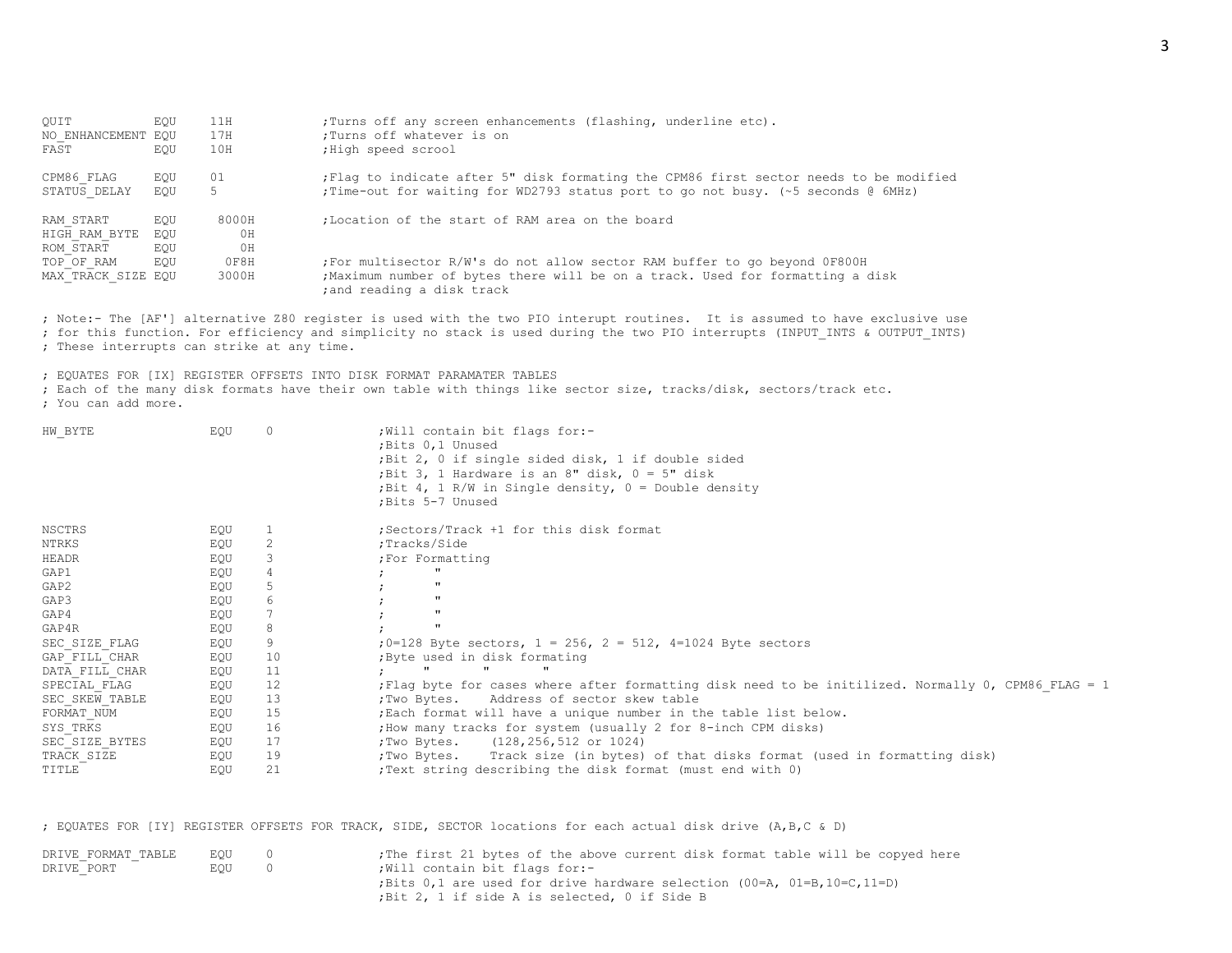| OUIT               | EOU | 11H            | ; Turns off any screen enhancements (flashing, underline etc).                                               |
|--------------------|-----|----------------|--------------------------------------------------------------------------------------------------------------|
| NO ENHANCEMENT EOU |     | 17H            | :Turns off whatever is on                                                                                    |
| FAST               | EOU | 10H            | ; High speed scrool                                                                                          |
| CPM86 FLAG         | EOU | 01             | Flaq to indicate after 5" disk formating the CPM86 first sector needs to be modified                         |
| STATUS DELAY       | EOU | 5              | ; Time-out for waiting for WD2793 status port to go not busy. (~5 seconds @ 6MHz)                            |
| RAM START          | EOU | 8000H          | :Location of the start of RAM area on the board                                                              |
| HIGH RAM BYTE      | EOU | 0 <sub>H</sub> |                                                                                                              |
| ROM START          | EOU | ΟH             |                                                                                                              |
| TOP OF RAM         | EOU | 0F8H           | For multisector R/W's do not allow sector RAM buffer to go beyond OF800H                                     |
| MAX TRACK SIZE EQU |     | 3000H          | ; Maximum number of bytes there will be on a track. Used for formatting a disk<br>; and reading a disk track |

; Note:- The [AF'] alternative Z80 register is used with the two PIO interupt routines. It is assumed to have exclusive use ; for this function. For efficiency and simplicity no stack is used during the two PIO interrupts (INPUT\_INTS & OUTPUT\_INTS) ; These interrupts can strike at any time.

; EQUATES FOR [IX] REGISTER OFFSETS INTO DISK FORMAT PARAMATER TABLES

; Each of the many disk formats have their own table with things like sector size, tracks/disk, sectors/track etc. ; You can add more.

| HW BYTE        | EQU |    | ; Will contain bit flags for:-<br>; Bits 0,1 Unused<br>; Bit 2, 0 if single sided disk, 1 if double sided<br>; Bit 3, 1 Hardware is an 8" disk, $0 = 5$ " disk<br>; Bit 4, 1 R/W in Single density, $0 =$ Double density<br>; Bits 5-7 Unused |
|----------------|-----|----|-----------------------------------------------------------------------------------------------------------------------------------------------------------------------------------------------------------------------------------------------|
| <b>NSCTRS</b>  | EQU |    | ; Sectors/Track +1 for this disk format                                                                                                                                                                                                       |
| NTRKS          | EQU |    | ;Tracks/Side                                                                                                                                                                                                                                  |
| HEADR          | EQU |    | ; For Formatting                                                                                                                                                                                                                              |
| GAP1           | EQU | 4  | $\mathbf{H}$                                                                                                                                                                                                                                  |
| GAP2           | EQU | 5  | $\mathbf{u}$                                                                                                                                                                                                                                  |
| GAP3           | EQU | 6  | $\mathbf{u}$                                                                                                                                                                                                                                  |
| GAP4           | EQU |    | $\mathbf{u}$                                                                                                                                                                                                                                  |
| GAP4R          | EQU | 8  | $\mathbf{u}$                                                                                                                                                                                                                                  |
| SEC SIZE FLAG  | EQU |    | ; $0=128$ Byte sectors, $1 = 256$ , $2 = 512$ , $4=1024$ Byte sectors                                                                                                                                                                         |
| GAP FILL CHAR  | EQU | 10 | ; Byte used in disk formating                                                                                                                                                                                                                 |
| DATA FILL CHAR | EQU | 11 |                                                                                                                                                                                                                                               |
| SPECIAL FLAG   | EQU | 12 | Flag byte for cases where after formatting disk need to be initilized. Normally 0, CPM86 FLAG = 1;                                                                                                                                            |
| SEC SKEW TABLE | EQU | 13 | :Two Bytes. Address of sector skew table                                                                                                                                                                                                      |
| FORMAT NUM     | EQU | 15 | ; Each format will have a unique number in the table list below.                                                                                                                                                                              |
| SYS TRKS       | EQU | 16 | ; How many tracks for system (usually 2 for 8-inch CPM disks)                                                                                                                                                                                 |
| SEC SIZE BYTES | EQU | 17 | ;Two Bytes. (128, 256, 512 or 1024)                                                                                                                                                                                                           |
| TRACK SIZE     | EQU | 19 | ; Two Bytes. Track size (in bytes) of that disks format (used in formatting disk)                                                                                                                                                             |
| TITLE          | EQU | 21 | ; Text string describing the disk format (must end with 0)                                                                                                                                                                                    |

; EQUATES FOR [IY] REGISTER OFFSETS FOR TRACK, SIDE, SECTOR locations for each actual disk drive (A,B,C & D)

| DRIVE FORMAT TABLE | EOU |                | ; The first 21 bytes of the above current disk format table will be copyed here |
|--------------------|-----|----------------|---------------------------------------------------------------------------------|
| DRIVE PORT         | EOU | $\overline{0}$ | Will contain bit flags for:-                                                    |
|                    |     |                | ; Bits 0,1 are used for drive hardware selection $(00=A, 01=B, 10=C, 11=D)$     |
|                    |     |                | ; Bit 2, 1 if side A is selected, 0 if Side B                                   |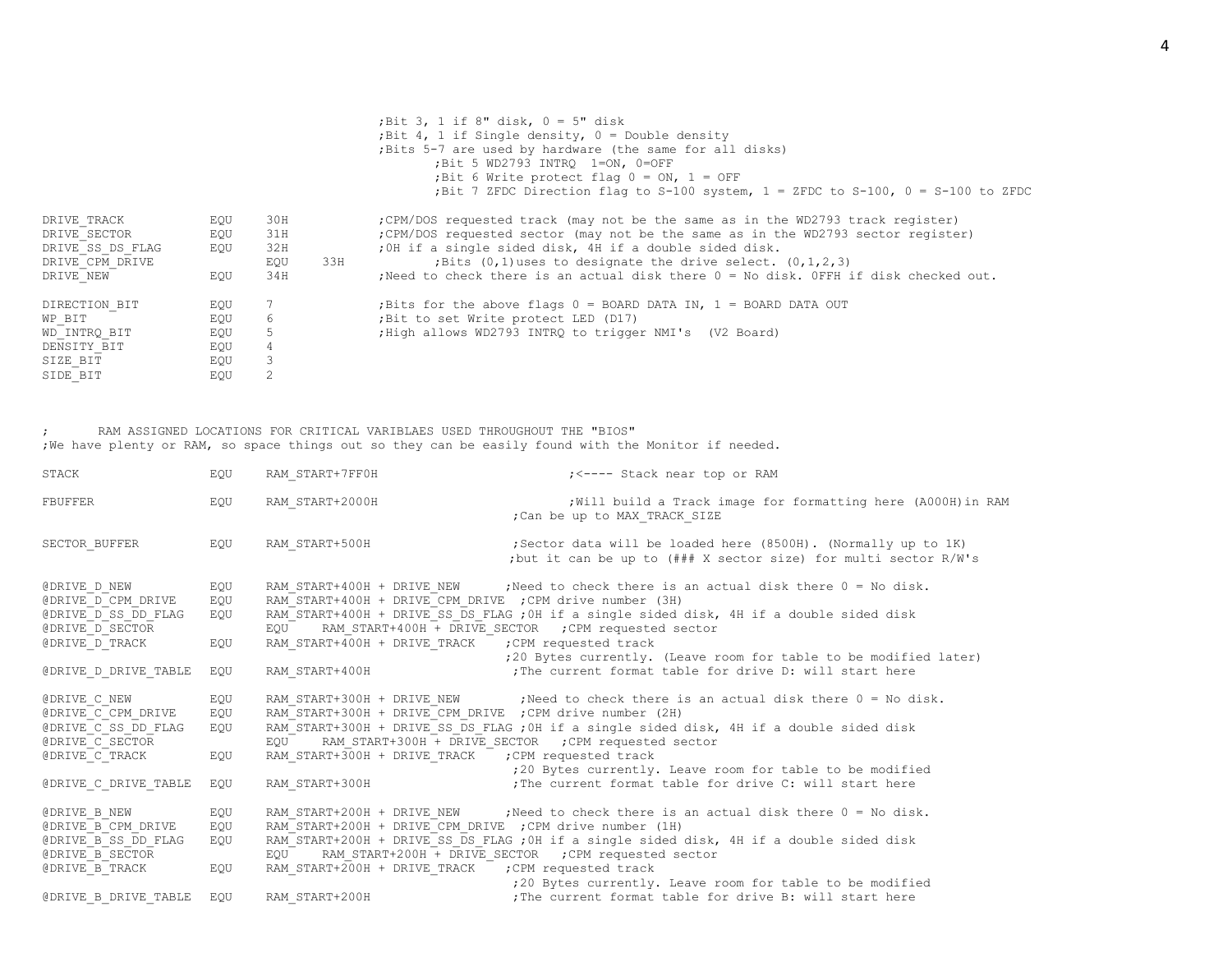|                  |     |                             |     | ; Bit 3, 1 if 8" disk, $0 = 5$ " disk                                                  |
|------------------|-----|-----------------------------|-----|----------------------------------------------------------------------------------------|
|                  |     |                             |     | ; Bit 4, 1 if Single density, $0 =$ Double density                                     |
|                  |     |                             |     | ; Bits 5-7 are used by hardware (the same for all disks)                               |
|                  |     |                             |     | ; Bit 5 WD2793 INTRQ 1=ON, 0=OFF                                                       |
|                  |     |                             |     | ; Bit 6 Write protect flag $0 = ON$ , $1 = OFF$                                        |
|                  |     |                             |     | ;Bit 7 ZFDC Direction flag to S-100 system, 1 = ZFDC to S-100, 0 = S-100 to ZFDC       |
| DRIVE TRACK      | EOU | 30H                         |     | ; CPM/DOS requested track (may not be the same as in the WD2793 track register)        |
| DRIVE SECTOR     | EQU | 31H                         |     | ; CPM/DOS requested sector (may not be the same as in the WD2793 sector register)      |
| DRIVE SS DS FLAG | EQU | 32H                         |     | ; OH if a single sided disk, 4H if a double sided disk.                                |
| DRIVE CPM DRIVE  |     | EQU                         | 33H | ; Bits $(0,1)$ uses to designate the drive select. $(0,1,2,3)$                         |
| DRIVE NEW        | EOU | 34H                         |     | : Need to check there is an actual disk there $0 = No$ disk. OFFH if disk checked out. |
| DIRECTION BIT    | EOU |                             |     | ;Bits for the above flags $0 =$ BOARD DATA IN, $1 =$ BOARD DATA OUT                    |
| WP BIT           | EQU | 6                           |     | ; Bit to set Write protect LED (D17)                                                   |
| WD INTRQ BIT     | EQU | 5                           |     | ; High allows WD2793 INTRQ to trigger NMI's (V2 Board)                                 |
| DENSITY BIT      | EQU |                             |     |                                                                                        |
| SIZE BIT         | EQU | 3                           |     |                                                                                        |
| SIDE BIT         | EQU | $\mathcal{D}_{\mathcal{L}}$ |     |                                                                                        |
|                  |     |                             |     |                                                                                        |

; RAM ASSIGNED LOCATIONS FOR CRITICAL VARIBLAES USED THROUGHOUT THE "BIOS" ;We have plenty or RAM, so space things out so they can be easily found with the Monitor if needed.

| STACK                                                                                                                         | EQU                             | RAM START+7FF0H                                                                                                                         | ; <---- Stack near top or RAM                                                                                                                                                                                                                                                                                                                                                             |
|-------------------------------------------------------------------------------------------------------------------------------|---------------------------------|-----------------------------------------------------------------------------------------------------------------------------------------|-------------------------------------------------------------------------------------------------------------------------------------------------------------------------------------------------------------------------------------------------------------------------------------------------------------------------------------------------------------------------------------------|
| FBUFFER                                                                                                                       | EQU                             | RAM START+2000H                                                                                                                         | ; Will build a Track image for formatting here (A000H) in RAM<br>; Can be up to MAX TRACK SIZE                                                                                                                                                                                                                                                                                            |
| SECTOR BUFFER                                                                                                                 | EOU                             | RAM START+500H                                                                                                                          | ; Sector data will be loaded here (8500H). (Normally up to 1K)<br>;but it can be up to (### X sector size) for multi sector R/W's                                                                                                                                                                                                                                                         |
| @DRIVE D NEW<br>@DRIVE D CPM DRIVE<br>@DRIVE D SS DD FLAG<br>@DRIVE D SECTOR<br>@DRIVE D TRACK                                | EOU<br>EOU<br>EOU<br>EQU        | RAM START+400H + DRIVE CPM DRIVE ; CPM drive number (3H)<br>EOU<br>RAM START+400H + DRIVE TRACK ; CPM requested track                   | RAM START+400H + DRIVE NEW ; Need to check there is an actual disk there 0 = No disk.<br>RAM START+400H + DRIVE SS DS FLAG ; OH if a single sided disk, 4H if a double sided disk<br>RAM START+400H + DRIVE SECTOR ; CPM requested sector<br>;20 Bytes currently. (Leave room for table to be modified later)                                                                             |
| @DRIVE D DRIVE TABLE                                                                                                          | EOU                             | RAM START+400H                                                                                                                          | : The current format table for drive D: will start here                                                                                                                                                                                                                                                                                                                                   |
| <b>@DRIVE C NEW</b><br>@DRIVE C CPM DRIVE<br>@DRIVE C SS DD FLAG<br>@DRIVE C SECTOR<br>@DRIVE C TRACK<br>@DRIVE C DRIVE TABLE | EQU<br>EQU<br>EQU<br>EOU<br>EOU | RAM START+300H + DRIVE CPM DRIVE ; CPM drive number (2H)<br>EOU<br>RAM START+300H + DRIVE TRACK<br>RAM START+300H                       | RAM START+300H + DRIVE NEW ; Need to check there is an actual disk there 0 = No disk.<br>RAM START+300H + DRIVE SS DS FLAG ; OH if a single sided disk, 4H if a double sided disk<br>RAM START+300H + DRIVE SECTOR ; CPM requested sector<br>; CPM requested track<br>;20 Bytes currently. Leave room for table to be modified<br>; The current format table for drive C: will start here |
| @DRIVE B NEW<br><b>@DRIVE B CPM DRIVE</b><br>@DRIVE B SS DD FLAG<br>@DRIVE B SECTOR<br>@DRIVE B TRACK<br>@DRIVE B DRIVE TABLE | EOU<br>EQU<br>EOU<br>EQU<br>EOU | RAM START+200H + DRIVE CPM DRIVE ; CPM drive number (1H)<br>EOU<br>RAM START+200H + DRIVE TRACK ; CPM requested track<br>RAM START+200H | RAM START+200H + DRIVE NEW ; Need to check there is an actual disk there $0 = No$ disk.<br>RAM START+200H + DRIVE SS DS FLAG ; OH if a single sided disk, 4H if a double sided disk<br>RAM START+200H + DRIVE SECTOR ; CPM requested sector<br>;20 Bytes currently. Leave room for table to be modified<br>; The current format table for drive B: will start here                        |
|                                                                                                                               |                                 |                                                                                                                                         |                                                                                                                                                                                                                                                                                                                                                                                           |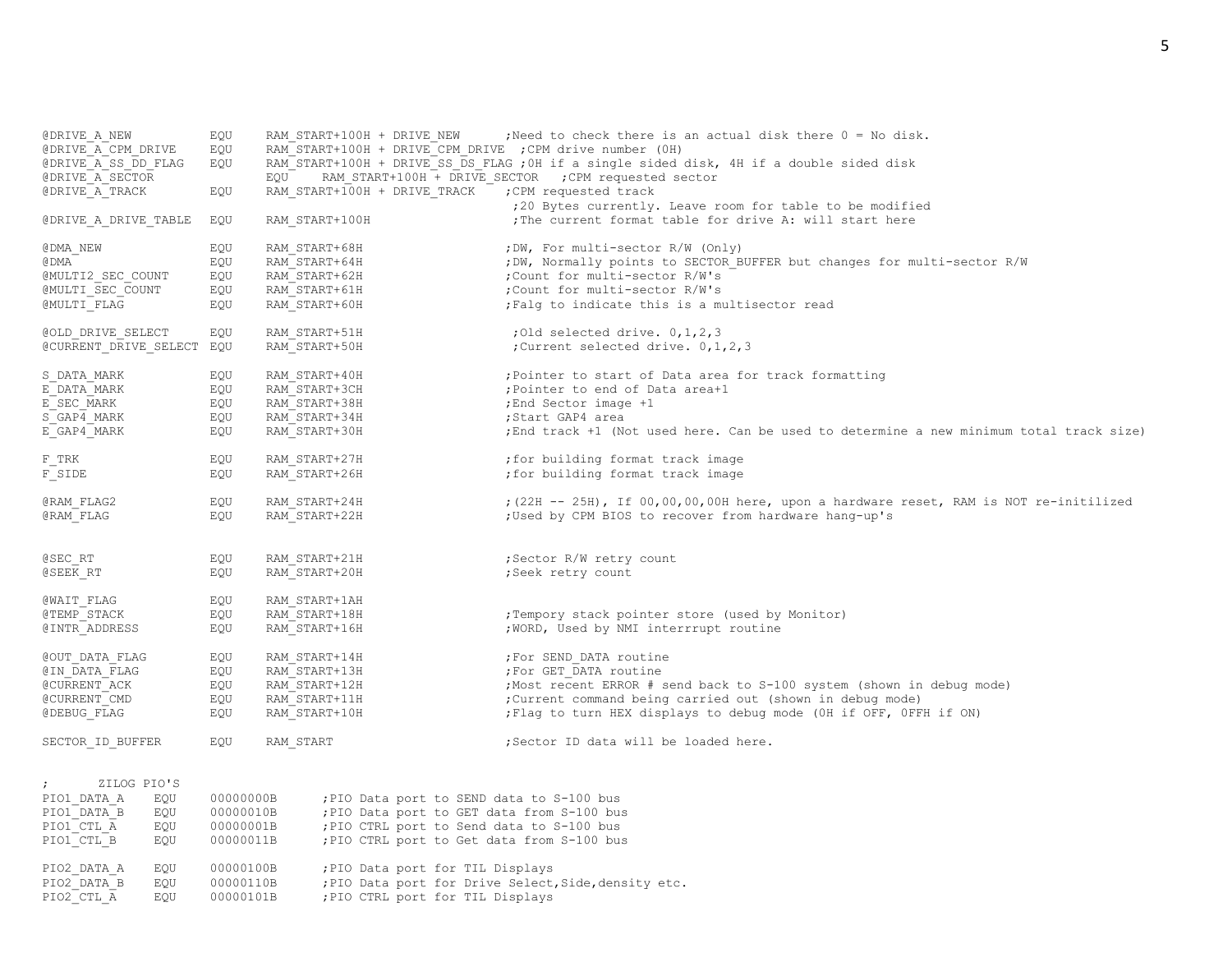| @DRIVE A NEW              | EQU       | RAM START+100H + DRIVE NEW                               | ; Need to check there is an actual disk there $0 = No$ disk.                             |
|---------------------------|-----------|----------------------------------------------------------|------------------------------------------------------------------------------------------|
| @DRIVE A CPM DRIVE        | EQU       | RAM START+100H + DRIVE CPM DRIVE ; CPM drive number (OH) |                                                                                          |
| @DRIVE A SS DD FLAG       | EQU       |                                                          | RAM START+100H + DRIVE SS DS FLAG ; 0H if a single sided disk, 4H if a double sided disk |
| @DRIVE A SECTOR           |           | EQU                                                      | RAM START+100H + DRIVE SECTOR ; CPM requested sector                                     |
|                           |           |                                                          |                                                                                          |
| @DRIVE A TRACK            | EQU       | RAM START+100H + DRIVE TRACK                             | ; CPM requested track                                                                    |
|                           |           |                                                          | ;20 Bytes currently. Leave room for table to be modified                                 |
| @DRIVE A DRIVE TABLE      | EQU       | RAM START+100H                                           | The current format table for drive A: will start here                                    |
| @DMA NEW                  | EQU       | RAM START+68H                                            | ; DW, For multi-sector R/W (Only)                                                        |
| @ DMA                     | EQU       | RAM START+64H                                            | ; DW, Normally points to SECTOR BUFFER but changes for multi-sector R/W                  |
| @MULTI2 SEC COUNT         | EQU       | RAM START+62H                                            | ; Count for multi-sector R/W's                                                           |
| @MULTI SEC COUNT          | EQU       | RAM START+61H                                            | ; Count for multi-sector R/W's                                                           |
| @MULTI FLAG               | EQU       | RAM START+60H                                            | ; Falq to indicate this is a multisector read                                            |
| @OLD DRIVE SELECT         | EQU       | RAM START+51H                                            | ; Old selected drive. $0, 1, 2, 3$                                                       |
|                           |           | RAM START+50H                                            | ; Current selected drive. 0, 1, 2, 3                                                     |
| @CURRENT DRIVE SELECT EQU |           |                                                          |                                                                                          |
| S DATA MARK               | EQU       | RAM START+40H                                            | ; Pointer to start of Data area for track formatting                                     |
| E DATA MARK               | EQU       | RAM START+3CH                                            | ; Pointer to end of Data area+1                                                          |
| E SEC MARK                | EQU       | RAM START+38H                                            | ; End Sector image +1                                                                    |
| S GAP4 MARK               | EQU       | RAM START+34H                                            | ;Start GAP4 area                                                                         |
| E GAP4 MARK               | EQU       | RAM START+30H                                            | ; End track +1 (Not used here. Can be used to determine a new minimum total track size)  |
| F TRK                     | EQU       | RAM START+27H                                            | ; for building format track image                                                        |
| $\mathbb F$ SIDE          | EQU       | RAM START+26H                                            | ; for building format track image                                                        |
|                           |           |                                                          |                                                                                          |
| @RAM FLAG2                | EQU       | RAM START+24H                                            | ; (22H -- 25H), If 00,00,00,00H here, upon a hardware reset, RAM is NOT re-initilized    |
| @RAM FLAG                 | EQU       | RAM START+22H                                            | ; Used by CPM BIOS to recover from hardware hang-up's                                    |
|                           |           |                                                          |                                                                                          |
| @SEC RT                   | EQU       | RAM START+21H                                            | ; Sector R/W retry count                                                                 |
| @SEEK RT                  |           |                                                          |                                                                                          |
|                           | EQU       | RAM START+20H                                            | ; Seek retry count                                                                       |
| @WAIT FLAG                | EQU       | RAM START+1AH                                            |                                                                                          |
| @TEMP STACK               | EQU       | RAM START+18H                                            | ; Tempory stack pointer store (used by Monitor)                                          |
| @INTR ADDRESS             | EQU       | RAM START+16H                                            | ; WORD, Used by NMI interrrupt routine                                                   |
| @OUT DATA FLAG            | EQU       | RAM START+14H                                            | ; For SEND DATA routine                                                                  |
| @IN DATA FLAG             | EQU       | RAM START+13H                                            | ; For GET DATA routine                                                                   |
| @CURRENT ACK              | EQU       | RAM START+12H                                            | ; Most recent ERROR # send back to S-100 system (shown in debug mode)                    |
| @CURRENT CMD              | EQU       | RAM START+11H                                            | ; Current command being carried out (shown in debug mode)                                |
|                           |           |                                                          |                                                                                          |
| @DEBUG FLAG               | EQU       | RAM START+10H                                            | ; Flag to turn HEX displays to debug mode (OH if OFF, OFFH if ON)                        |
| SECTOR ID BUFFER          | EQU       | RAM START                                                | ;Sector ID data will be loaded here.                                                     |
|                           |           |                                                          |                                                                                          |
| $\ddot{ }$<br>ZILOG PIO'S |           |                                                          |                                                                                          |
| PIO1 DATA A<br>EQU        | 00000000B | ; PIO Data port to SEND data to S-100 bus                |                                                                                          |
| PIO1 DATA B<br>EQU        | 00000010B | ; PIO Data port to GET data from S-100 bus               |                                                                                          |
| PIO1 CTL A<br>EQU         | 00000001B | ; PIO CTRL port to Send data to S-100 bus                |                                                                                          |
| PIO1 CTL B<br>EQU         | 00000011B | ; PIO CTRL port to Get data from S-100 bus               |                                                                                          |
| PIO2 DATA A<br>EOU        | 00000100B | ; PIO Data port for TIL Displays                         |                                                                                          |
|                           |           |                                                          |                                                                                          |

PIO2 DATA B EQU 00000110B ;PIO Data port for Drive Select, Side, density etc.

PIO2 CTL A EQU 00000101B ;PIO CTRL port for TIL Displays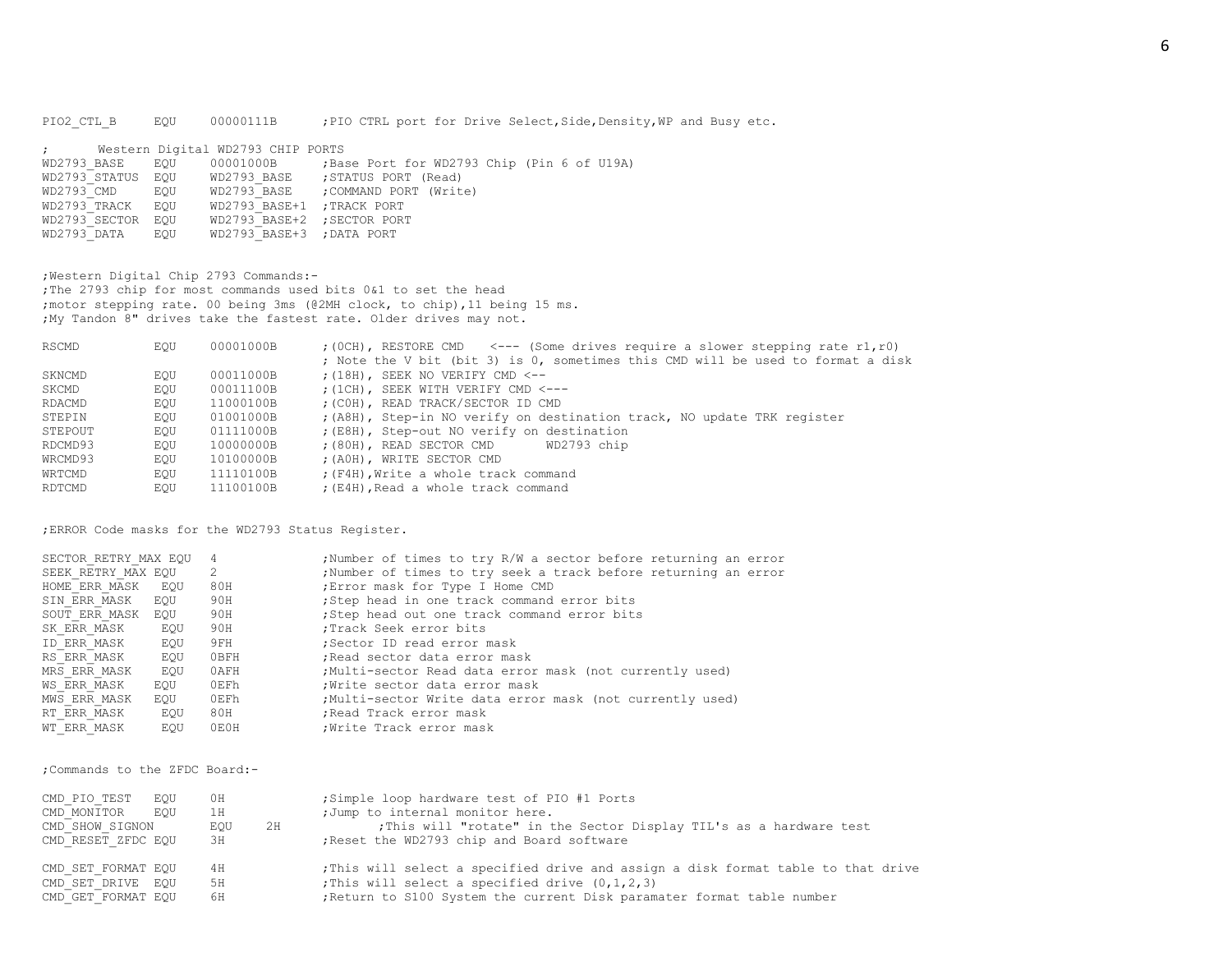PIO2\_CTL\_B EQU 00000111B ;PIO CTRL port for Drive Select, Side, Density, WP and Busy etc.

|                   | ; Western Digital WD2793 CHIP PORTS |                                                                      |
|-------------------|-------------------------------------|----------------------------------------------------------------------|
|                   |                                     | WD2793 BASE EQU 00001000B ;Base Port for WD2793 Chip (Pin 6 of U19A) |
|                   |                                     | WD2793 STATUS EOU WD2793 BASE ; STATUS PORT (Read)                   |
| WD2793 CMD EOU    |                                     | WD2793 BASE ; COMMAND PORT (Write)                                   |
| WD2793 TRACK EQU  | WD2793 BASE+1 ; TRACK PORT          |                                                                      |
| WD2793 SECTOR EQU | WD2793 BASE+2 ; SECTOR PORT         |                                                                      |
| WD2793 DATA EOU   | WD2793 BASE+3 ; DATA PORT           |                                                                      |

;Western Digital Chip 2793 Commands:- ;The 2793 chip for most commands used bits 0&1 to set the head ;motor stepping rate. 00 being 3ms (@2MH clock, to chip),11 being 15 ms. ;My Tandon 8" drives take the fastest rate. Older drives may not.

| RSCMD   | EOU | 00001000B | $(0CH)$ , RESTORE CMD <--- (Some drives require a slower stepping rate r1, r0)  |
|---------|-----|-----------|---------------------------------------------------------------------------------|
|         |     |           | ; Note the V bit (bit 3) is 0, sometimes this CMD will be used to format a disk |
| SKNCMD  | EOU | 00011000B | $(18H)$ , SEEK NO VERIFY CMD $\leq -$                                           |
| SKCMD   | EOU | 00011100B | : (1CH), SEEK WITH VERIFY CMD <---                                              |
| RDACMD  | EOU | 11000100B | ; (COH), READ TRACK/SECTOR ID CMD                                               |
| STEPIN  | EOU | 01001000B | ; (A8H), Step-in NO verify on destination track, NO update TRK register         |
| STEPOUT | EOU | 01111000B | ; (E8H), Step-out NO verify on destination                                      |
| RDCMD93 | EOU | 10000000B | $(80H)$ , READ SECTOR CMD<br>WD2793 chip                                        |
| WRCMD93 | EOU | 10100000B | ; (AOH), WRITE SECTOR CMD                                                       |
| WRTCMD  | EOU | 11110100B | ; (F4H), Write a whole track command                                            |
| RDTCMD  | EOU | 11100100B | ; (E4H), Read a whole track command                                             |

;ERROR Code masks for the WD2793 Status Register.

| SECTOR RETRY MAX EOU |     | $\overline{4}$ | ; Number of times to try R/W a sector before returning an error |
|----------------------|-----|----------------|-----------------------------------------------------------------|
| SEEK RETRY MAX EOU   |     | 2              | ; Number of times to try seek a track before returning an error |
| HOME ERR MASK        | EOU | 80H            | ; Error mask for Type I Home CMD                                |
| SIN ERR MASK         | EOU | 90H            | ;Step head in one track command error bits                      |
| SOUT ERR MASK EOU    |     | 90H            | ;Step head out one track command error bits                     |
| SK ERR MASK          | EOU | 90H            | :Track Seek error bits                                          |
| ID ERR MASK          | EOU | 9FH            | :Sector ID read error mask                                      |
| RS ERR MASK          | EOU | OBFH           | Read sector data error mask                                     |
| MRS ERR MASK         | EOU | 0AFH           | ;Multi-sector Read data error mask (not currently used)         |
| WS ERR MASK          | EOU | 0EFh           | ; Write sector data error mask                                  |
| MWS ERR MASK         | EOU | 0EFh           | Multi-sector Write data error mask (not currently used)         |
| RT ERR MASK          | EOU | 80H            | ; Read Track error mask                                         |
| WT ERR MASK          | EOU | 0E0H           | ; Write Track error mask                                        |

;Commands to the ZFDC Board:-

| CMD PIO TEST       | EOU | 0H  |    | ;Simple loop hardware test of PIO #1 Ports                                      |
|--------------------|-----|-----|----|---------------------------------------------------------------------------------|
| CMD MONITOR        | EOU | 1H  |    | ; Jump to internal monitor here.                                                |
| CMD SHOW SIGNON    |     | EOU | 2H | ; This will "rotate" in the Sector Display TIL's as a hardware test             |
| CMD RESET ZFDC EQU |     | ЗН  |    | Reset the WD2793 chip and Board software                                        |
| CMD SET FORMAT EOU |     | 4 H |    | This will select a specified drive and assign a disk format table to that drive |
| CMD SET DRIVE EOU  |     | 5H  |    | ; This will select a specified drive $(0, 1, 2, 3)$                             |
| CMD GET FORMAT EOU |     | 6H  |    | ; Return to S100 System the current Disk paramater format table number          |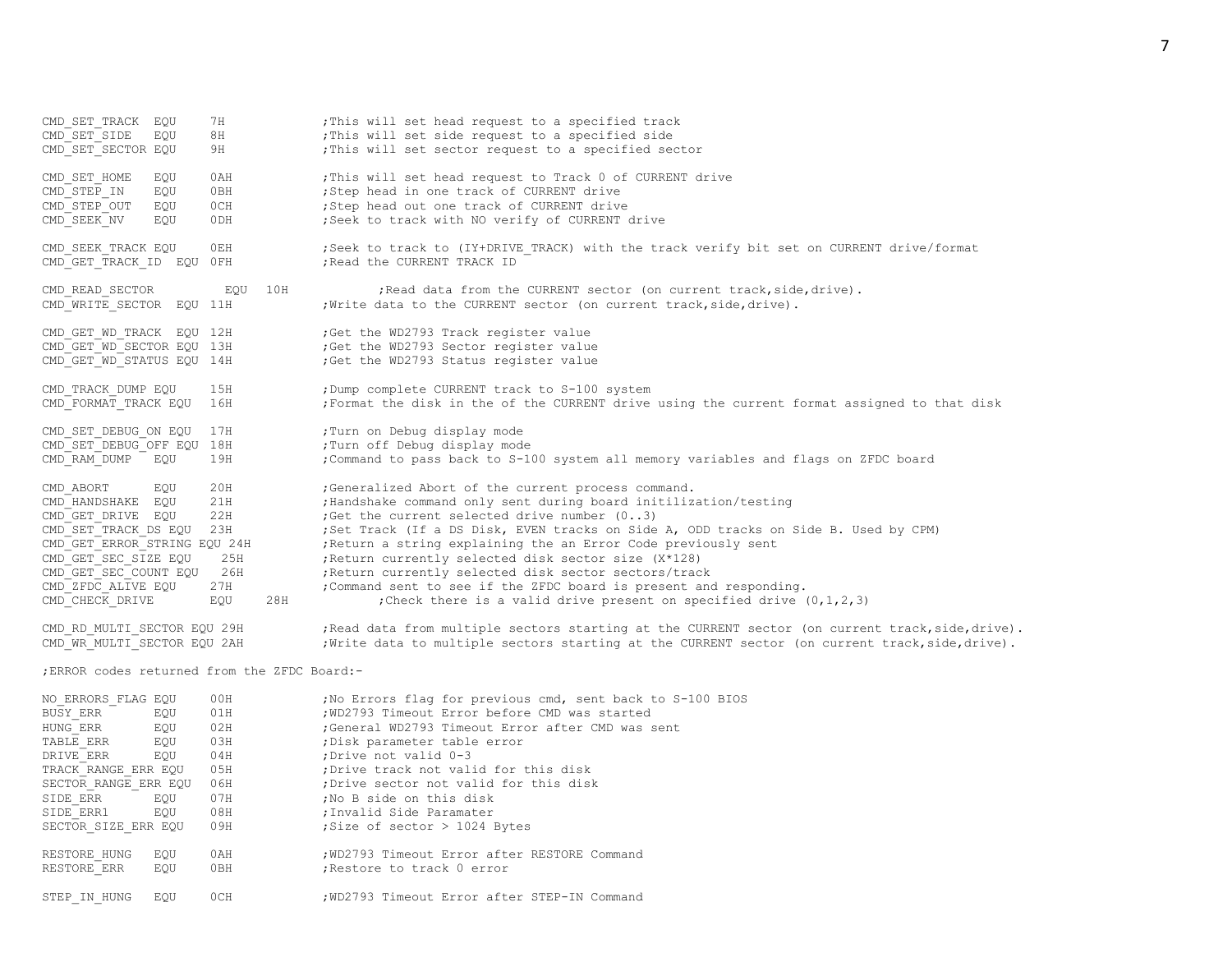CMD SET TRACK EQU 7H ;This will set head request to a specified track CMD<sup>-</sup>SET<sup>SIDE</sup> EQU 8H ;This will set side request to a specified side CMD SET SECTOR EQU 9H ;This will set sector request to a specified sector CMD\_SET\_HOME EQU 0AH ;This will set head request to Track 0 of CURRENT drive  $\frac{1}{2}$  CMD STEP IN EQU 0BH  $\frac{1}{2}$  ; Step head in one track of CURRENT drive CMD\_STEP\_OUT EQU 0CH ;Step head out one track of CURRENT drive CMD SEEK NV EQU 0DH ;Seek to track with NO verify of CURRENT drive CMD SEEK TRACK EQU 0EH ;Seek to track to (IY+DRIVE TRACK) with the track verify bit set on CURRENT drive/format CMD\_GET\_TRACK\_ID EQU\_0FH ;Read the CURRENT TRACK\_ID CMD READ SECTOR EQU 10H ;Read data from the CURRENT sector (on current track,side,drive). CMD WRITE SECTOR EQU 11H ; Write data to the CURRENT sector (on current track, side, drive). CMD\_GET\_WD\_TRACK EQU\_12H ;Get the WD2793 Track register value CMD\_GET\_WD\_SECTOR EQU 13H ;Get the WD2793 Sector register value<br>CMD\_GET\_WD\_STATUS EOU 14H ;Get the WD2793 Status register value Get the WD2793 Status register value CMD TRACK DUMP EQU 15H ;Dump complete CURRENT track to S-100 system CMD\_FORMAT\_TRACK EQU 16H ;Format the disk in the of the CURRENT drive using the current format assigned to that disk CMD\_SET\_DEBUG\_ON EQU 17H ;Turn on Debug display mode CMD\_SET\_DEBUG\_OFF EQU 18H ;Turn off Debug display mode 19H ;Command to pass back to S-100 system all memory variables and flags on ZFDC board CMD ABORT EQU 20H ;Generalized Abort of the current process command. CMD\_HANDSHAKE EQU 21H ; Handshake command only sent during board initilization/testing<br>CMD GET DRIVE EQU 22H ; Get the current selected drive number (0..3)  $22H$  ;Get the current selected drive number  $(0..3)$ CMD<sup>-</sup>SET<sup>-</sup>TRACK DS EQU 23H ;Set Track (If a DS Disk, EVEN tracks on Side A, ODD tracks on Side B. Used by CPM) CMD GET ERROR STRING EQU 24H ;Return a string explaining the an Error Code previously sent CMD GET SEC SIZE EQU 25H ;Return currently selected disk sector size (X\*128) CMD GET SEC COUNT EQU 26H ;Return currently selected disk sector sectors/track CMD\_ZFDC\_ALIVE EQU 27H ;Command sent to see if the ZFDC board is present and responding. CMD CHECK DRIVE EQU 28H ;Check there is a valid drive present on specified drive  $(0,1,2,3)$ CMD\_RD\_MULTI\_SECTOR EQU 29H ;Read data from multiple sectors starting at the CURRENT sector (on current track,side,drive). CMD WR MULTI SECTOR EQU 2AH ; Write data to multiple sectors starting at the CURRENT sector (on current track,side,drive). ;ERROR codes returned from the ZFDC Board:- NO ERRORS FLAG EQU 00H ;No Errors flag for previous cmd, sent back to S-100 BIOS BUSY ERR EQU 01H ; WD2793 Timeout Error before CMD was started HUNG ERR EQU 02H ;General WD2793 Timeout Error after CMD was sent TABLE ERR EQU 03H ;Disk parameter table error DRIVE ERR EQU 04H ;Drive not valid 0-3 TRACK RANGE ERR EQU 05H ;Drive track not valid for this disk SECTOR RANGE ERR EQU 06H ;Drive sector not valid for this disk SIDE ERR EQU 07H ;No B side on this disk SIDE ERR1 EQU 08H ; Invalid Side Paramater SECTOR SIZE ERR EQU 09H ;Size of sector > 1024 Bytes RESTORE\_HUNG EQU 0AH : WD2793 Timeout Error after RESTORE Command RESTORE ERR EQU 0BH ; Restore to track 0 error

STEP IN HUNG EQU 0CH ; WD2793 Timeout Error after STEP-IN Command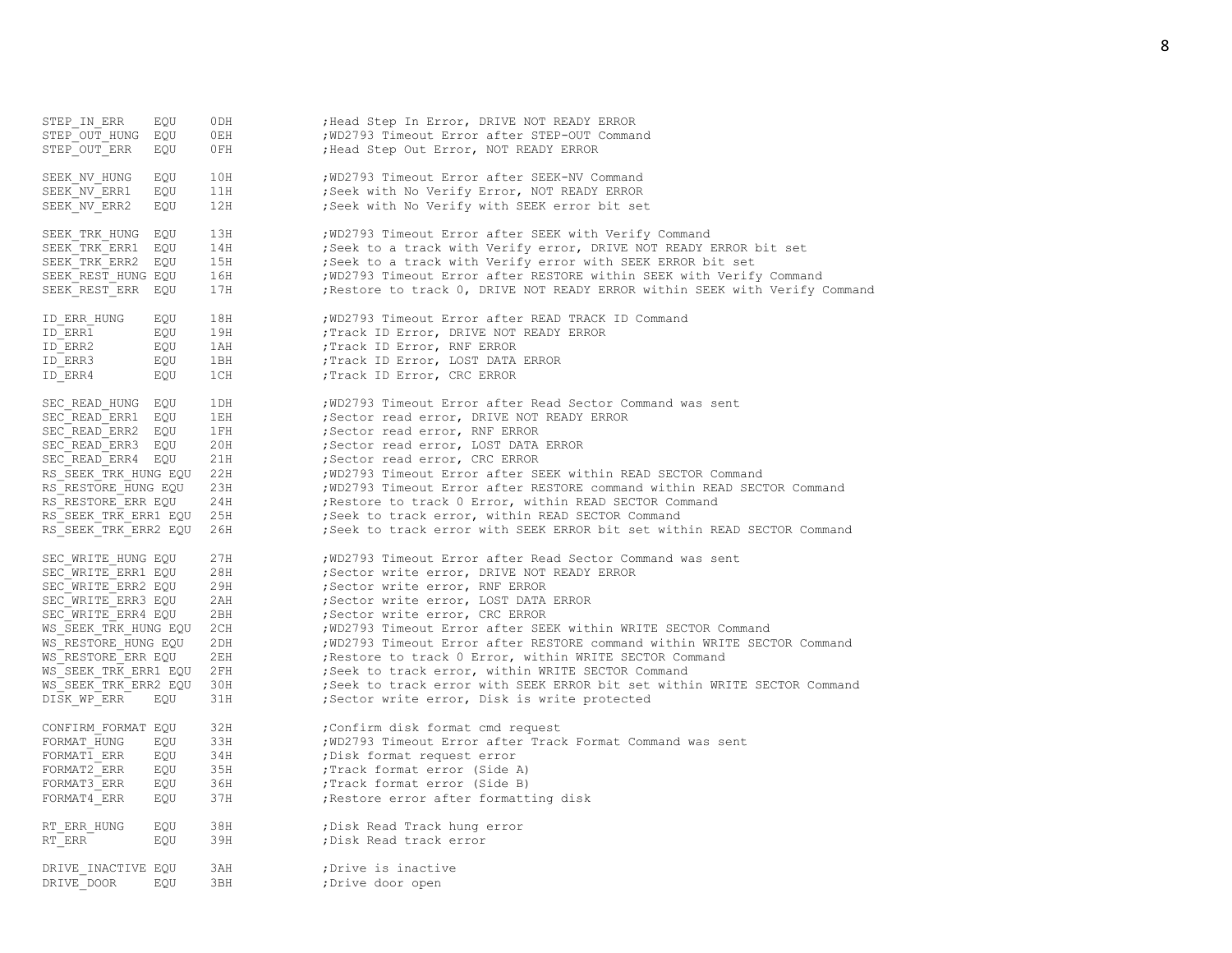| STEP IN ERR<br>STEP OUT HUNG<br>STEP OUT ERR | EQU<br>EQU<br>EQU | 0DH<br>0EH<br>0FH | ; Head Step In Error, DRIVE NOT READY ERROR<br>; WD2793 Timeout Error after STEP-OUT Command<br>; Head Step Out Error, NOT READY ERROR |
|----------------------------------------------|-------------------|-------------------|----------------------------------------------------------------------------------------------------------------------------------------|
| SEEK NV HUNG                                 | EQU               | 10H               | ; WD2793 Timeout Error after SEEK-NV Command                                                                                           |
|                                              |                   |                   |                                                                                                                                        |
| SEEK NV ERR1                                 | EQU               | 11H               | ; Seek with No Verify Error, NOT READY ERROR                                                                                           |
| SEEK NV ERR2                                 | EQU               | 12H               | ; Seek with No Verify with SEEK error bit set                                                                                          |
| SEEK TRK HUNG                                | EQU               | 13H               | ; WD2793 Timeout Error after SEEK with Verify Command                                                                                  |
| SEEK TRK ERR1                                | EQU               | 14H               | ; Seek to a track with Verify error, DRIVE NOT READY ERROR bit set                                                                     |
| SEEK TRK ERR2                                | EQU               | 15H               | ; Seek to a track with Verify error with SEEK ERROR bit set                                                                            |
| SEEK REST HUNG EQU                           |                   | 16H               | ; WD2793 Timeout Error after RESTORE within SEEK with Verify Command                                                                   |
| SEEK REST ERR                                | EQU               | 17H               | ; Restore to track 0, DRIVE NOT READY ERROR within SEEK with Verify Command                                                            |
| ID ERR HUNG                                  | EQU               | 18H               | ; WD2793 Timeout Error after READ TRACK ID Command                                                                                     |
| ID ERR1                                      | EQU               | 19H               | ; Track ID Error, DRIVE NOT READY ERROR                                                                                                |
| ID ERR2                                      | EQU               | 1AH               | ; Track ID Error, RNF ERROR                                                                                                            |
| ID ERR3                                      | EQU               | 1BH               | ; Track ID Error, LOST DATA ERROR                                                                                                      |
| ID ERR4                                      | EQU               | 1CH               | ; Track ID Error, CRC ERROR                                                                                                            |
|                                              |                   |                   |                                                                                                                                        |
| SEC READ HUNG                                | EQU               | 1DH               | ; WD2793 Timeout Error after Read Sector Command was sent                                                                              |
| SEC READ ERR1                                | EQU               | 1EH               | ; Sector read error, DRIVE NOT READY ERROR                                                                                             |
| SEC READ ERR2                                | EQU               | 1FH               | ; Sector read error, RNF ERROR                                                                                                         |
| SEC READ ERR3                                | EQU               | 20H               | ; Sector read error, LOST DATA ERROR                                                                                                   |
| SEC READ ERR4 EQU                            |                   | 21H               | ; Sector read error, CRC ERROR                                                                                                         |
| RS SEEK TRK HUNG EQU                         |                   | 22H               | ; WD2793 Timeout Error after SEEK within READ SECTOR Command                                                                           |
| RS RESTORE HUNG EQU                          |                   | 23H               | ; WD2793 Timeout Error after RESTORE command within READ SECTOR Command                                                                |
| RS RESTORE_ERR EQU                           |                   | 24H               | ; Restore to track 0 Error, within READ SECTOR Command                                                                                 |
| RS SEEK TRK ERR1 EQU                         |                   | 25H               | ; Seek to track error, within READ SECTOR Command                                                                                      |
| RS SEEK TRK ERR2 EQU                         |                   | 26H               | ; Seek to track error with SEEK ERROR bit set within READ SECTOR Command                                                               |
| SEC WRITE HUNG EQU                           |                   | 27H               | ; WD2793 Timeout Error after Read Sector Command was sent                                                                              |
| SEC WRITE ERR1 EQU                           |                   | 28H               | ; Sector write error, DRIVE NOT READY ERROR                                                                                            |
| SEC WRITE ERR2 EQU                           |                   | 29H               | ; Sector write error, RNF ERROR                                                                                                        |
| SEC WRITE ERR3 EQU                           |                   | 2AH               | ; Sector write error, LOST DATA ERROR                                                                                                  |
| SEC WRITE_ERR4 EQU                           |                   | 2BH               | ; Sector write error, CRC ERROR                                                                                                        |
| WS SEEK TRK HUNG EQU                         |                   | 2CH               | ; WD2793 Timeout Error after SEEK within WRITE SECTOR Command                                                                          |
| WS RESTORE HUNG EQU                          |                   | 2DH               | ; WD2793 Timeout Error after RESTORE command within WRITE SECTOR Command                                                               |
| WS RESTORE ERR EQU                           |                   | 2EH               | ; Restore to track 0 Error, within WRITE SECTOR Command                                                                                |
| WS SEEK TRK ERR1 EQU                         |                   | 2FH               | ; Seek to track error, within WRITE SECTOR Command                                                                                     |
| WS SEEK TRK ERR2 EQU                         |                   | 30H               | ; Seek to track error with SEEK ERROR bit set within WRITE SECTOR Command                                                              |
| DISK WP ERR                                  | EQU               | 31H               | ;Sector write error, Disk is write protected                                                                                           |
|                                              |                   | 32H               |                                                                                                                                        |
| CONFIRM FORMAT EQU                           |                   |                   | ; Confirm disk format cmd request                                                                                                      |
| FORMAT HUNG                                  | EQU               | 33H               | ; WD2793 Timeout Error after Track Format Command was sent                                                                             |
| FORMAT1 ERR                                  | EQU               | 34H               | ; Disk format request error                                                                                                            |
| FORMAT2 ERR                                  | EQU               | 35H               | ; Track format error (Side A)                                                                                                          |
| FORMAT3 ERR                                  | EQU               | 36H               | ; Track format error (Side B)                                                                                                          |
| FORMAT4 ERR                                  | EQU               | 37H               | ; Restore error after formatting disk                                                                                                  |
| RT ERR HUNG                                  | EQU               | 38H               | ; Disk Read Track hung error                                                                                                           |
| RT ERR                                       | EQU               | 39H               | ; Disk Read track error                                                                                                                |
| DRIVE INACTIVE EQU                           |                   | 3AH               | ;Drive is inactive                                                                                                                     |
| DRIVE DOOR                                   | EQU               | 3BH               | ;Drive door open                                                                                                                       |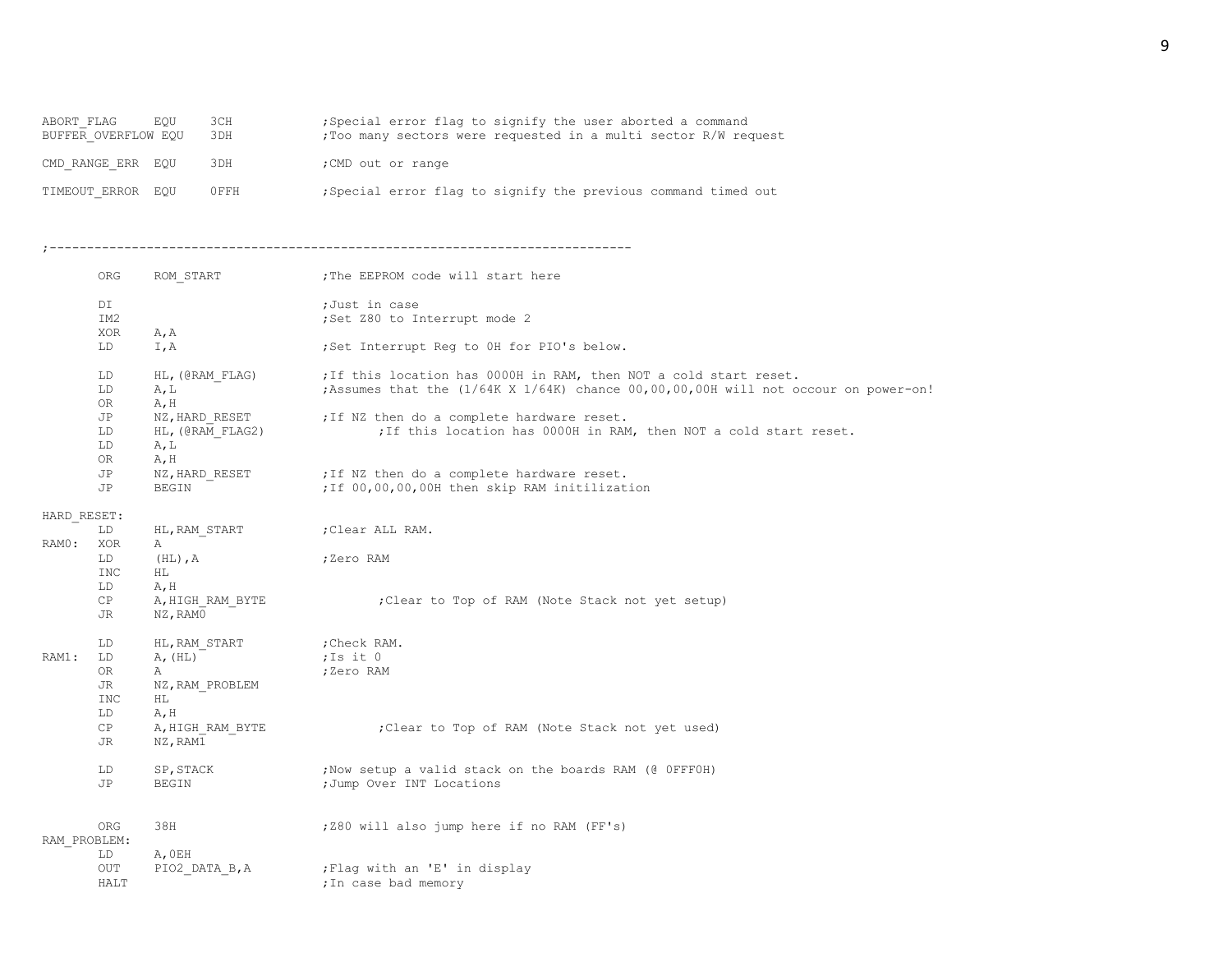| ABORT FLAG          | <b>EOU</b> | 3CH  | Special error flag to signify the user aborted a command        |
|---------------------|------------|------|-----------------------------------------------------------------|
| BUFFER OVERFLOW EOU |            | 3DH  | : Too many sectors were requested in a multi sector R/W request |
|                     |            |      |                                                                 |
|                     |            | 3DH  |                                                                 |
| CMD RANGE ERR EQU   |            |      | ; CMD out or range                                              |
|                     |            |      |                                                                 |
| TIMEOUT ERROR EQU   |            | OFFH | ; Special error flag to signify the previous command timed out  |
|                     |            |      |                                                                 |

;------------------------------------------------------------------------------

|             | ORG             | ROM START        | ; The EEPROM code will start here                                                            |
|-------------|-----------------|------------------|----------------------------------------------------------------------------------------------|
|             | DI              |                  | ;Just in case                                                                                |
|             | IM <sub>2</sub> |                  | ;Set Z80 to Interrupt mode 2                                                                 |
|             | XOR             | A, A             |                                                                                              |
|             | LD              | I, A             | ;Set Interrupt Req to OH for PIO's below.                                                    |
|             | LD              | HL, (@RAM FLAG)  | ; If this location has 0000H in RAM, then NOT a cold start reset.                            |
|             | LD              | A, L             | ; Assumes that the $(1/64K \times 1/64K)$ chance $00,00,00,00H$ will not occour on power-on! |
|             | OR.             | A, H             |                                                                                              |
|             | JP              |                  | NZ, HARD RESET : If NZ then do a complete hardware reset.                                    |
|             | LD              | HL, (@RAM FLAG2) | ; If this location has 0000H in RAM, then NOT a cold start reset.                            |
|             | LD              | A, L             |                                                                                              |
|             | OR              | A, H             |                                                                                              |
|             | JP              | NZ, HARD RESET   | ; If NZ then do a complete hardware reset.                                                   |
|             | JP              | BEGIN            | ; If 00,00,00,00H then skip RAM initilization                                                |
| HARD RESET: |                 |                  |                                                                                              |
|             | LD              | HL, RAM START    | ;Clear ALL RAM.                                                                              |
| RAMO:       | XOR             | Α                |                                                                                              |
|             | LD              | $(HL)$ , A       | ;Zero RAM                                                                                    |
|             | INC             | ΗL               |                                                                                              |
|             | LD              | A, H             |                                                                                              |
|             | CP              | A, HIGH RAM BYTE | ; Clear to Top of RAM (Note Stack not yet setup)                                             |
|             | JR              | NZ, RAMO         |                                                                                              |
|             | LD              | HL, RAM START    | ;Check RAM.                                                                                  |
| RAM1:       | LD              | A, (HL)          | ;Is it 0                                                                                     |
|             | OR.             | Α                | ;Zero RAM                                                                                    |
|             | JR              | NZ, RAM PROBLEM  |                                                                                              |
|             | INC             | ΗL               |                                                                                              |
|             | LD              | A, H             |                                                                                              |
|             | CP              | A, HIGH RAM BYTE | ;Clear to Top of RAM (Note Stack not yet used)                                               |
|             | JR              | NZ, RAM1         |                                                                                              |
|             | LD              | SP, STACK        | ; Now setup a valid stack on the boards RAM (@ OFFFOH)                                       |
|             | JP              | BEGIN            | ; Jump Over INT Locations                                                                    |
|             |                 |                  |                                                                                              |
|             | ORG             | 38H              | ; Z80 will also jump here if no RAM (FF's)                                                   |
|             | RAM PROBLEM:    |                  |                                                                                              |
|             | LD              | A, OEH           |                                                                                              |
|             | OUT             | PIO2 DATA B, A   | ; Flag with an 'E' in display                                                                |
|             | HALT            |                  | ; In case bad memory                                                                         |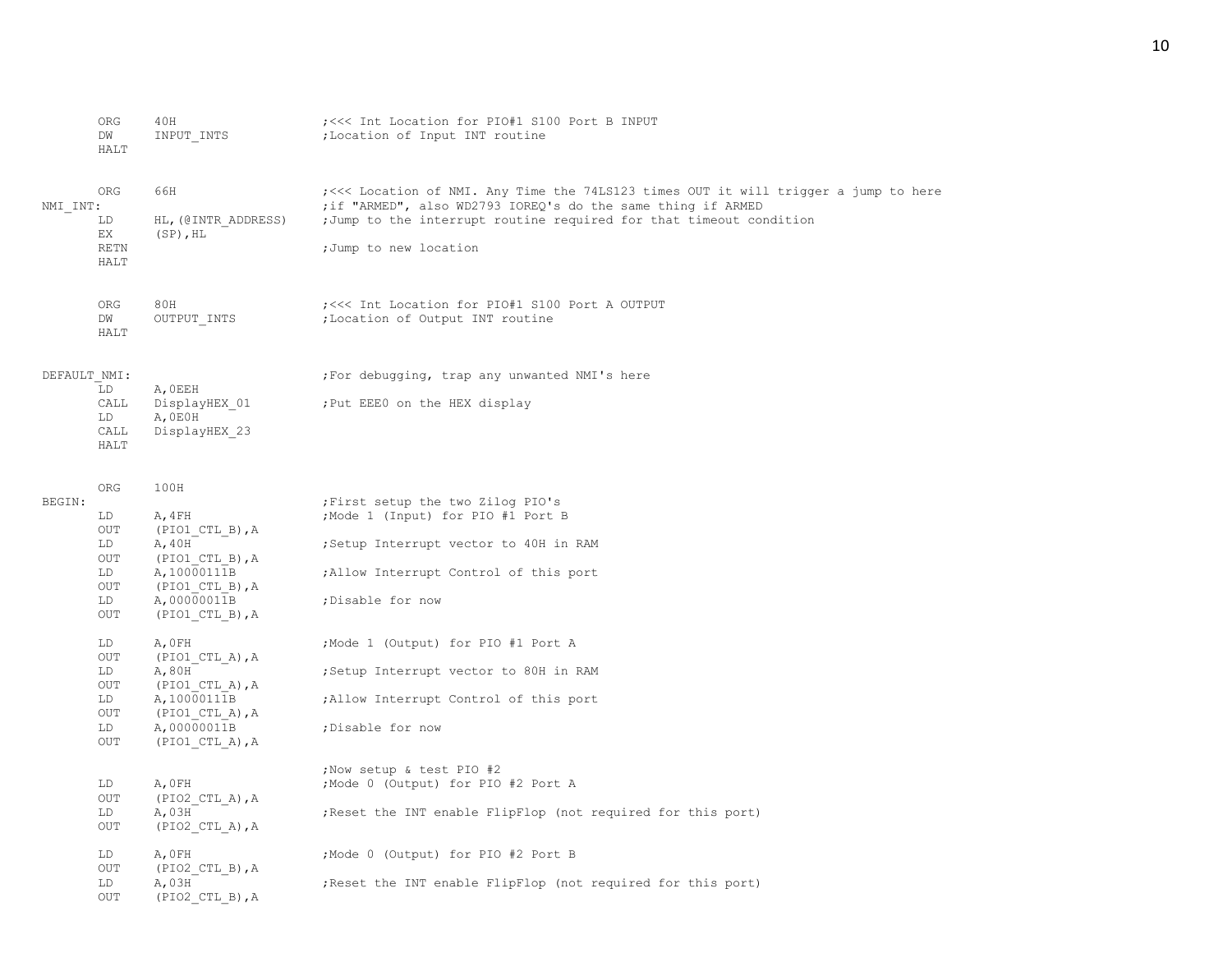|              | ORG<br>DW<br>HALT       | 40H<br>INPUT INTS                  | ; <<< Int Location for PIO#1 S100 Port B INPUT<br>; Location of Input INT routine                                                                   |
|--------------|-------------------------|------------------------------------|-----------------------------------------------------------------------------------------------------------------------------------------------------|
| NMI INT:     | ORG                     | 66H                                | ;<<< Location of NMI. Any Time the 74LS123 times OUT it will trigger a jump to here<br>; if "ARMED", also WD2793 IOREQ's do the same thing if ARMED |
|              | LD<br>ЕX                | HL, (@INTR ADDRESS)<br>$(SP)$ , HL | ; Jump to the interrupt routine required for that timeout condition                                                                                 |
|              | RETN<br>HALT            |                                    | ;Jump to new location                                                                                                                               |
|              | ORG<br>DW               | 80H                                | ; <<< Int Location for PIO#1 S100 Port A OUTPUT<br>; Location of Output INT routine                                                                 |
|              | HALT                    | OUTPUT_INTS                        |                                                                                                                                                     |
| DEFAULT NMI: | LD                      | A, OEEH                            | ; For debugging, trap any unwanted NMI's here                                                                                                       |
|              | CALL                    | DisplayHEX 01                      | ; Put EEEO on the HEX display                                                                                                                       |
|              | LD<br>CALL              | A, OEOH<br>DisplayHEX 23           |                                                                                                                                                     |
|              | HALT                    |                                    |                                                                                                                                                     |
|              | ORG                     | 100H                               |                                                                                                                                                     |
| BEGIN:       | LD                      | A, 4FH                             | ; First setup the two Zilog PIO's<br>; Mode 1 (Input) for PIO #1 Port B                                                                             |
|              | OUT                     | (PIO1 CTL B), A                    |                                                                                                                                                     |
|              | LD<br>OUT               | A, 40H<br>$(PIO1_CTL_B)$ , A       | Setup Interrupt vector to 40H in RAM                                                                                                                |
|              | LD<br><b>OUT</b>        | A, 10000111B                       | ; Allow Interrupt Control of this port                                                                                                              |
|              | LD                      | $(PIO1 CTL B)$ , A<br>A,00000011B  | ; Disable for now                                                                                                                                   |
|              | OUT                     | $(PIO1$ CTL B), A                  |                                                                                                                                                     |
|              | LD<br>OUT               | A, OFH<br>$(PIO1$ CTL A), A        | ;Mode 1 (Output) for PIO #1 Port A                                                                                                                  |
|              | LD                      | A,80H                              | ; Setup Interrupt vector to 80H in RAM                                                                                                              |
|              | OUT<br>LD               | $(PIO1 CTL A)$ , A<br>A, 10000111B | ; Allow Interrupt Control of this port                                                                                                              |
|              | OUT                     | $(PIO1$ CTL A), A                  |                                                                                                                                                     |
|              | LD<br>$_{\mathrm{OUT}}$ | A,00000011B<br>$(PIO1$ CTL A), A   | ; Disable for now                                                                                                                                   |
|              |                         |                                    |                                                                                                                                                     |
|              | LD                      | A, OFH                             | ; Now setup & test PIO #2<br>; Mode 0 (Output) for PIO #2 Port A                                                                                    |
|              | OUT                     | $(PIO2$ CTL A), A                  |                                                                                                                                                     |
|              | LD<br>OUT               | A,03H<br>$(PIO2$ CTL A), A         | ; Reset the INT enable FlipFlop (not required for this port)                                                                                        |
|              | LD                      | A, OFH                             | ; Mode 0 (Output) for PIO #2 Port B                                                                                                                 |
|              | OUT<br>LD               | $(PIO2_CTL_B)$ , A<br>A,03H        |                                                                                                                                                     |
|              | <b>OUT</b>              | $(PIO2_CTL_B)$ , A                 | Reset the INT enable FlipFlop (not required for this port)                                                                                          |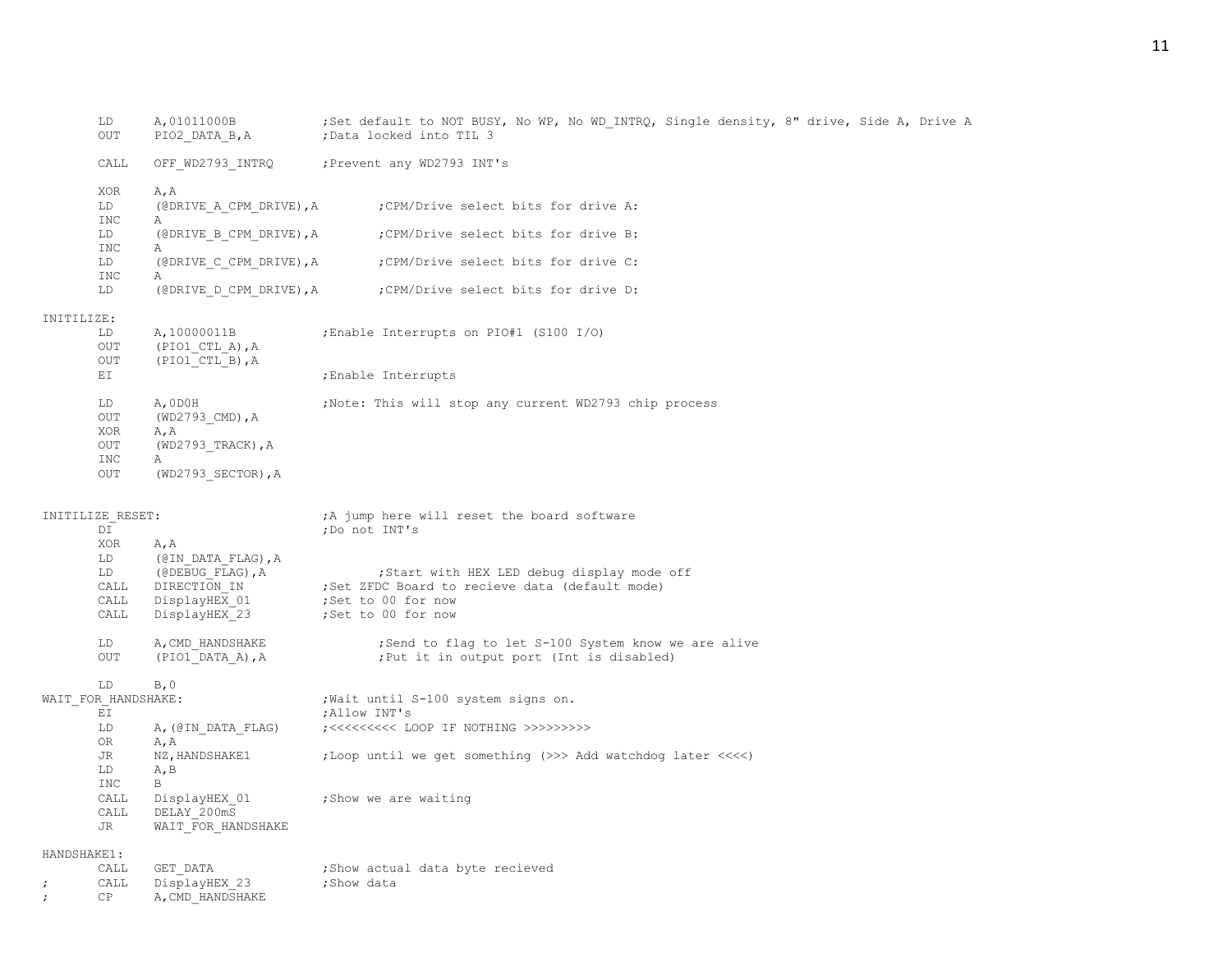|             | LD<br>OUT                | A, 01011000B<br>PIO2_DATA_B, A                         | ; Set default to NOT BUSY, No WP, No WD INTRQ, Single density, 8" drive, Side A, Drive A<br>;Data locked into TIL 3 |
|-------------|--------------------------|--------------------------------------------------------|---------------------------------------------------------------------------------------------------------------------|
|             | CALL                     | OFF WD2793 INTRQ                                       | ; Prevent any WD2793 INT's                                                                                          |
|             | XOR<br>LD                | A, A<br>(@DRIVE A CPM DRIVE), A                        | ; CPM/Drive select bits for drive A:                                                                                |
|             | INC<br>LD                | Α<br>(@DRIVE B CPM DRIVE), A                           | ; CPM/Drive select bits for drive B:                                                                                |
|             | INC<br>LD<br><b>INC</b>  | Α<br>(@DRIVE C CPM DRIVE), A<br>Α                      | ; CPM/Drive select bits for drive C:                                                                                |
|             | LD                       | (@DRIVE D CPM DRIVE), A                                | ;CPM/Drive select bits for drive D:                                                                                 |
| INITILIZE:  |                          |                                                        |                                                                                                                     |
|             | LD<br>OUT<br>OUT         | A, 10000011B<br>$(PIO1$ CTL A), A<br>$(PIO1$ CTL B), A | Enable Interrupts on PIO#1 (S100 I/O)                                                                               |
|             | ΕI                       |                                                        | ;Enable Interrupts                                                                                                  |
|             | LD<br>OUT                | A, ODOH<br>$(WD2793$ CMD), A                           | ; Note: This will stop any current WD2793 chip process                                                              |
|             | XOR                      | A, A                                                   |                                                                                                                     |
|             | OUT                      | (WD2793 TRACK), A                                      |                                                                                                                     |
|             | INC<br>$_{\mathrm{OUT}}$ | Α                                                      |                                                                                                                     |
|             |                          | (WD2793 SECTOR), A                                     |                                                                                                                     |
|             | INITILIZE RESET:<br>DI   |                                                        | ;A jump here will reset the board software                                                                          |
|             | XOR                      | A, A                                                   | ;Do not INT's                                                                                                       |
|             | LD                       | (@IN DATA FLAG), A                                     |                                                                                                                     |
|             | LD                       | (@DEBUG FLAG), A                                       | ; Start with HEX LED debug display mode off                                                                         |
|             | CALL                     | DIRECTION IN                                           | ;Set ZFDC Board to recieve data (default mode)                                                                      |
|             | CALL                     | DisplayHEX 01                                          | ;Set to 00 for now                                                                                                  |
|             | CALL                     | DisplayHEX 23                                          | ;Set to 00 for now                                                                                                  |
|             | LD<br>$_{\rm OUT}$       | A, CMD HANDSHAKE<br>(PIO1 DATA A), A                   | ;Send to flag to let S-100 System know we are alive<br>; Put it in output port (Int is disabled)                    |
|             | LD                       | B, 0                                                   |                                                                                                                     |
|             | WAIT FOR HANDSHAKE:      |                                                        | ; Wait until S-100 system signs on.                                                                                 |
|             | ΕI                       |                                                        | ; Allow INT's                                                                                                       |
|             | LD<br>OR                 | A, (@IN DATA FLAG)<br>A, A                             |                                                                                                                     |
|             | JR                       | NZ, HANDSHAKE1                                         | ;Loop until we get something (>>> Add watchdog later <<<<)                                                          |
|             | LD                       | A, B                                                   |                                                                                                                     |
|             | INC<br>CALL              | B<br>DisplayHEX 01                                     | ; Show we are waiting                                                                                               |
|             | CALL                     | DELAY 200mS                                            |                                                                                                                     |
|             | JR                       | WAIT FOR HANDSHAKE                                     |                                                                                                                     |
| HANDSHAKE1: |                          |                                                        |                                                                                                                     |
|             | CALL                     | GET DATA                                               | ; Show actual data byte recieved                                                                                    |
| $\ddot{ }$  | CALL                     | DisplayHEX 23                                          | ;Show data                                                                                                          |
|             | CP                       | A, CMD HANDSHAKE                                       |                                                                                                                     |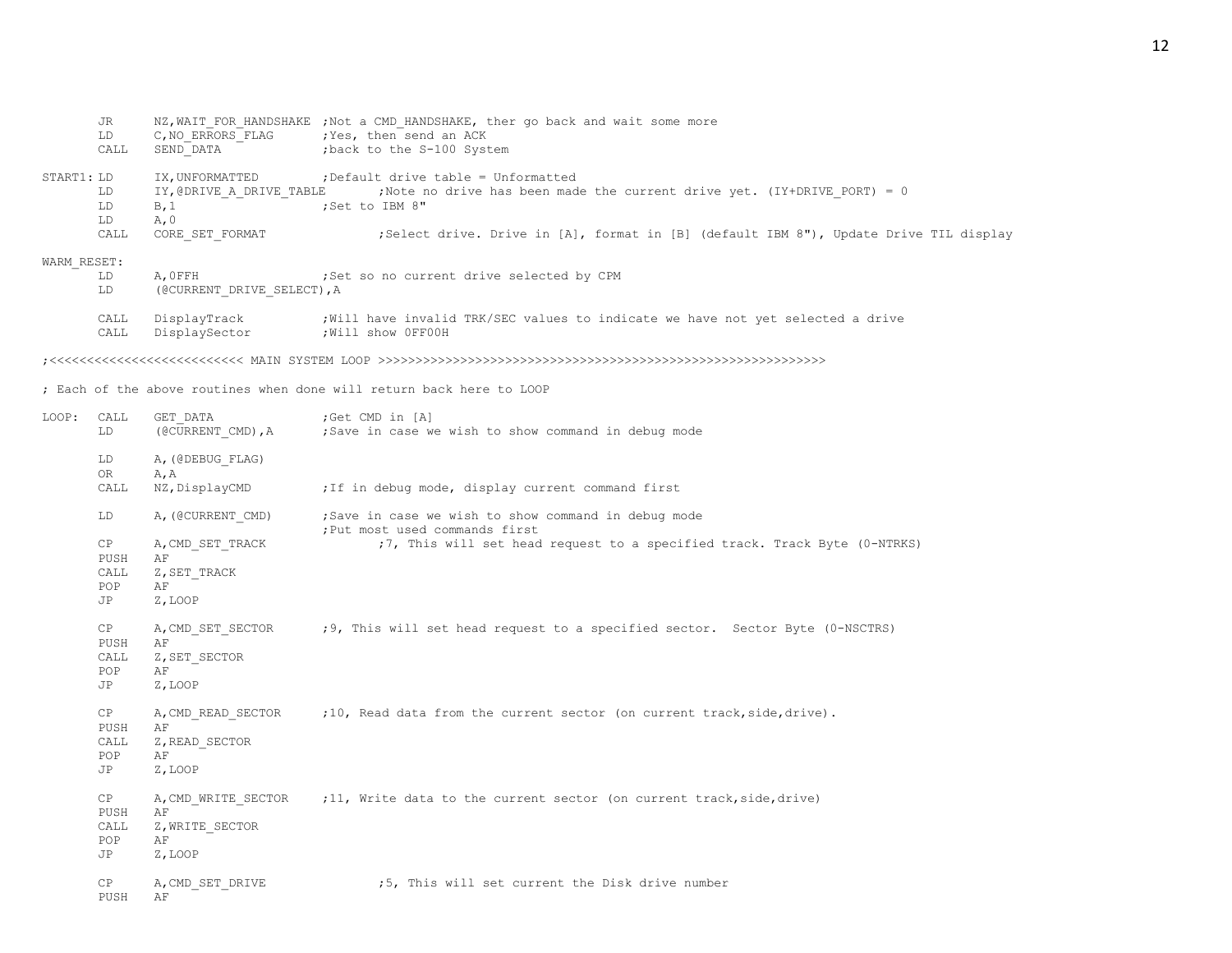|             | JR<br>LD<br>CALL | SEND_DATA                                | NZ, WAIT FOR HANDSHAKE ; Not a CMD HANDSHAKE, ther go back and wait some more<br>C, NO ERRORS FLAG ; Yes, then send an ACK<br>; back to the S-100 System |
|-------------|------------------|------------------------------------------|----------------------------------------------------------------------------------------------------------------------------------------------------------|
| START1: LD  | LD<br>LD<br>LD   | IY, @DRIVE A DRIVE TABLE<br>B, 1<br>A, 0 | IX, UNFORMATTED : Default drive table = Unformatted<br>Note no drive has been made the current drive yet. (IY+DRIVE PORT) = 0;<br>;Set to IBM 8"         |
|             | CALL             | CORE SET FORMAT                          | ;Select drive. Drive in [A], format in [B] (default IBM 8"), Update Drive TIL display                                                                    |
| WARM RESET: | LD<br>LD         | A, OFFH<br>(@CURRENT DRIVE SELECT), A    | ; Set so no current drive selected by CPM                                                                                                                |
|             | CALL<br>CALL     | DisplayTrack<br>DisplaySector            | ; Will have invalid TRK/SEC values to indicate we have not yet selected a drive<br>; Will show OFFOOH                                                    |
|             |                  |                                          |                                                                                                                                                          |
|             |                  |                                          | ; Each of the above routines when done will return back here to LOOP                                                                                     |
| LOOP:       | CALL<br>LD       | GET DATA                                 | ;Get CMD in [A]<br>(CCURRENT CMD), A ; Save in case we wish to show command in debug mode                                                                |
|             | LD               | A, (@DEBUG FLAG)                         |                                                                                                                                                          |
|             | OR<br>CALL       | A, A<br>NZ, DisplayCMD                   | ; If in debug mode, display current command first                                                                                                        |
|             | LD               | A, (@CURRENT CMD)                        | ;Save in case we wish to show command in debug mode<br>; Put most used commands first                                                                    |
|             | CP<br>PUSH       | A, CMD SET TRACK<br>AF                   | ;7, This will set head request to a specified track. Track Byte (0-NTRKS)                                                                                |
|             | CALL<br>POP      | Z, SET TRACK<br>AF                       |                                                                                                                                                          |
|             | JP               | Z, LOOP                                  |                                                                                                                                                          |
|             | CP               | A, CMD SET SECTOR                        | ;9, This will set head request to a specified sector. Sector Byte (0-NSCTRS)                                                                             |
|             | PUSH<br>CALL     | AF<br>Z, SET SECTOR                      |                                                                                                                                                          |
|             | POP              | AF                                       |                                                                                                                                                          |
|             | JP               | Z, LOOP                                  |                                                                                                                                                          |
|             | CP<br>PUSH       | A, CMD READ SECTOR<br>AF                 | ;10, Read data from the current sector (on current track, side, drive).                                                                                  |
|             | CALL             | Z, READ SECTOR                           |                                                                                                                                                          |
|             | POP              | AF                                       |                                                                                                                                                          |
|             | JP               | Z, LOOP                                  |                                                                                                                                                          |
|             | CP               | A, CMD WRITE SECTOR                      | ;11, Write data to the current sector (on current track, side, drive)                                                                                    |
|             | PUSH<br>CALL     | AF<br>Z, WRITE SECTOR                    |                                                                                                                                                          |
|             | POP              | AF                                       |                                                                                                                                                          |
|             | JP               | Z, LOOP                                  |                                                                                                                                                          |
|             | СP<br>PUSH       | A, CMD SET DRIVE<br>ΑF                   | ;5, This will set current the Disk drive number                                                                                                          |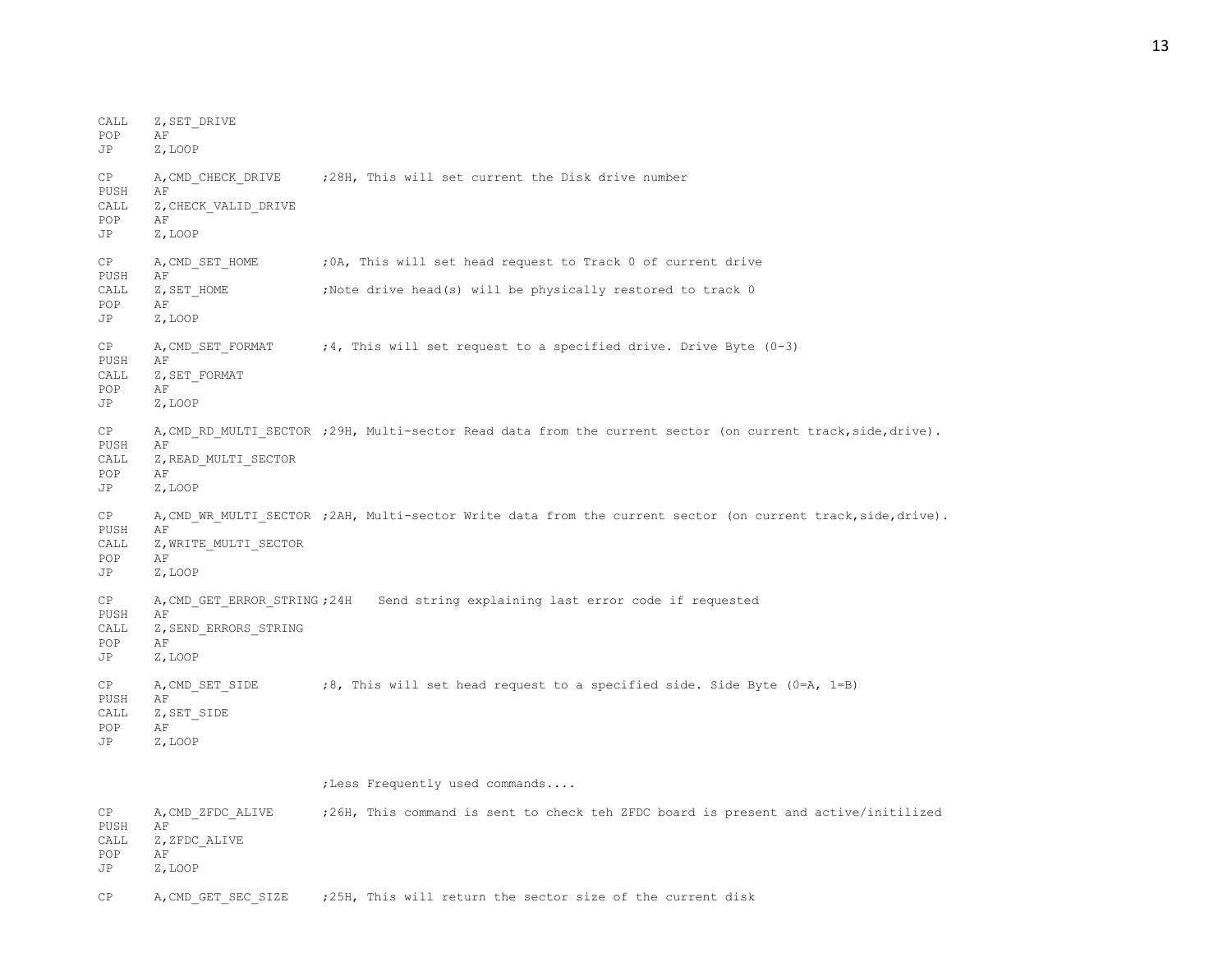CALL Z, SET DRIVE POP AF JP Z,LOOP CP A, CMD CHECK DRIVE ; 28H, This will set current the Disk drive number PUSH AF CALL Z, CHECK VALID DRIVE POP AF JP Z,LOOP CP A, CMD SET HOME ; 0A, This will set head request to Track 0 of current drive PUSH AF CALL Z, SET HOME ;Note drive head(s) will be physically restored to track 0 POP AF JP Z,LOOP CP  $A$ , CMD SET FORMAT  $:$  4, This will set request to a specified drive. Drive Byte (0-3) PUSH AF CALL Z, SET\_FORMAT POP AF JP Z,LOOP CP A, CMD\_RD\_MULTI\_SECTOR ;29H, Multi-sector Read data from the current sector (on current track,side,drive). PUSH AF CALL Z, READ MULTI SECTOR POP AF JP Z,LOOP CP A, CMD WR MULTI SECTOR ;2AH, Multi-sector Write data from the current sector (on current track,side,drive). PUSH AF CALL Z, WRITE MULTI SECTOR POP AF JP Z,LOOP CP A,CMD\_GET\_ERROR\_STRING ;24H Send string explaining last error code if requested PUSH AF CALL Z, SEND ERRORS STRING POP AF JP Z,LOOP CP  $A$ , CMD SET SIDE ;8, This will set head request to a specified side. Side Byte (0=A, 1=B) PUSH AF CALL Z, SET SIDE POP AF JP Z,LOOP ;Less Frequently used commands.... CP A,CMD\_ZFDC\_ALIVE ;26H, This command is sent to check teh ZFDC board is present and active/initilized PUSH AF CALL Z, ZFDC ALIVE POP AF

JP Z,LOOP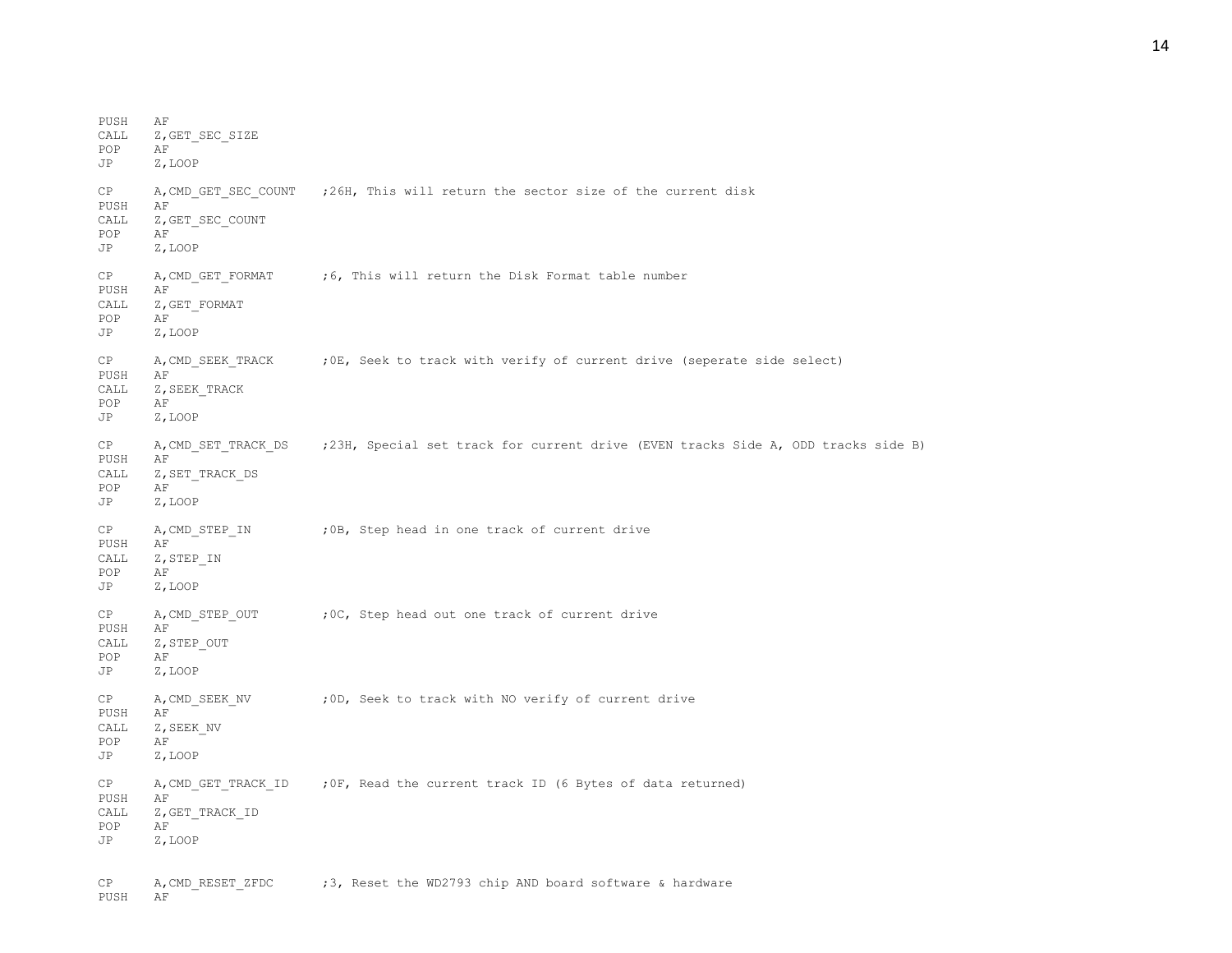PUSH AF CALL Z, GET SEC SIZE POP AF JP Z,LOOP CP A, CMD GET SEC COUNT ;26H, This will return the sector size of the current disk PUSH AF CALL Z, GET SEC COUNT POP AF JP Z,LOOP CP A, CMD GET FORMAT ;6, This will return the Disk Format table number PUSH AF CALL Z, GET\_FORMAT<br>POP AF POP JP Z,LOOP CP A, CMD SEEK TRACK ; OE, Seek to track with verify of current drive (seperate side select) PUSH AF CALL Z, SEEK TRACK POP AF JP Z,LOOP CP A, CMD SET TRACK DS ; 23H, Special set track for current drive (EVEN tracks Side A, ODD tracks side B) PUSH AF CALL Z, SET\_TRACK\_DS POP AF JP Z,LOOP CP A, CMD STEP IN ; OB, Step head in one track of current drive PUSH AF CALL Z, STEP IN POP AF JP Z,LOOP CP A, CMD STEP OUT ; OC, Step head out one track of current drive PUSH AF CALL Z, STEP OUT POP AF JP Z,LOOP CP A, CMD SEEK NV ;0D, Seek to track with NO verify of current drive PUSH AF CALL Z, SEEK NV POP AF JP Z,LOOP CP A, CMD GET TRACK ID ; OF, Read the current track ID (6 Bytes of data returned) PUSH AF CALL Z, GET TRACK ID POP AF JP Z,LOOP

CP A, CMD RESET ZFDC ; 3, Reset the WD2793 chip AND board software & hardware PUSH AF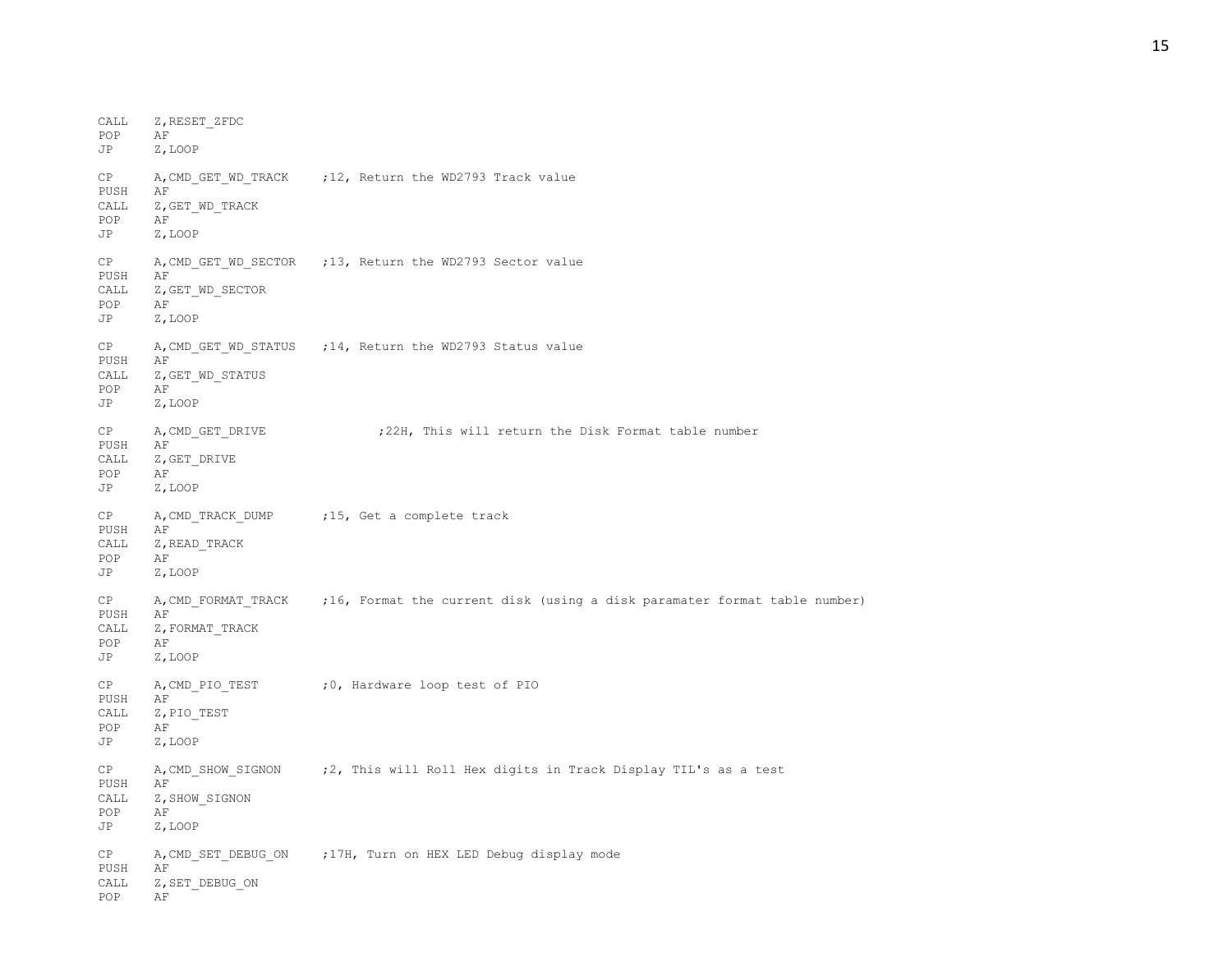CALL Z, RESET\_ZFDC<br>POP AF POP JP Z,LOOP CP A, CMD GET WD TRACK ;12, Return the WD2793 Track value PUSH AF CALL Z, GET WD TRACK POP AF JP Z,LOOP CP A, CMD GET WD SECTOR ;13, Return the WD2793 Sector value PUSH AF CALL Z, GET WD SECTOR POP AF<br>JP Z.I Z,LOOP CP A, CMD GET WD STATUS ; 14, Return the WD2793 Status value PUSH AF CALL Z, GET WD STATUS POP AF JP Z,LOOP CP A, CMD GET DRIVE : 22H, This will return the Disk Format table number PUSH AF CALL Z, GET DRIVE POP AF JP Z,LOOP CP A, CMD TRACK DUMP ;15, Get a complete track PUSH AF CALL Z, READ TRACK POP AF JP Z,LOOP CP A, CMD FORMAT TRACK ;16, Format the current disk (using a disk paramater format table number) PUSH AF CALL Z, FORMAT\_TRACK POP AF JP Z,LOOP CP A, CMD PIO TEST : 0, Hardware loop test of PIO PUSH AF CALL Z, PIO TEST POP AF JP Z,LOOP CP A,CMD\_SHOW\_SIGNON ;2, This will Roll Hex digits in Track Display TIL's as a test PUSH AF CALL Z, SHOW SIGNON POP AF JP Z,LOOP CP A, CMD SET DEBUG ON ; 17H, Turn on HEX LED Debug display mode PUSH AF CALL Z, SET DEBUG ON POP AF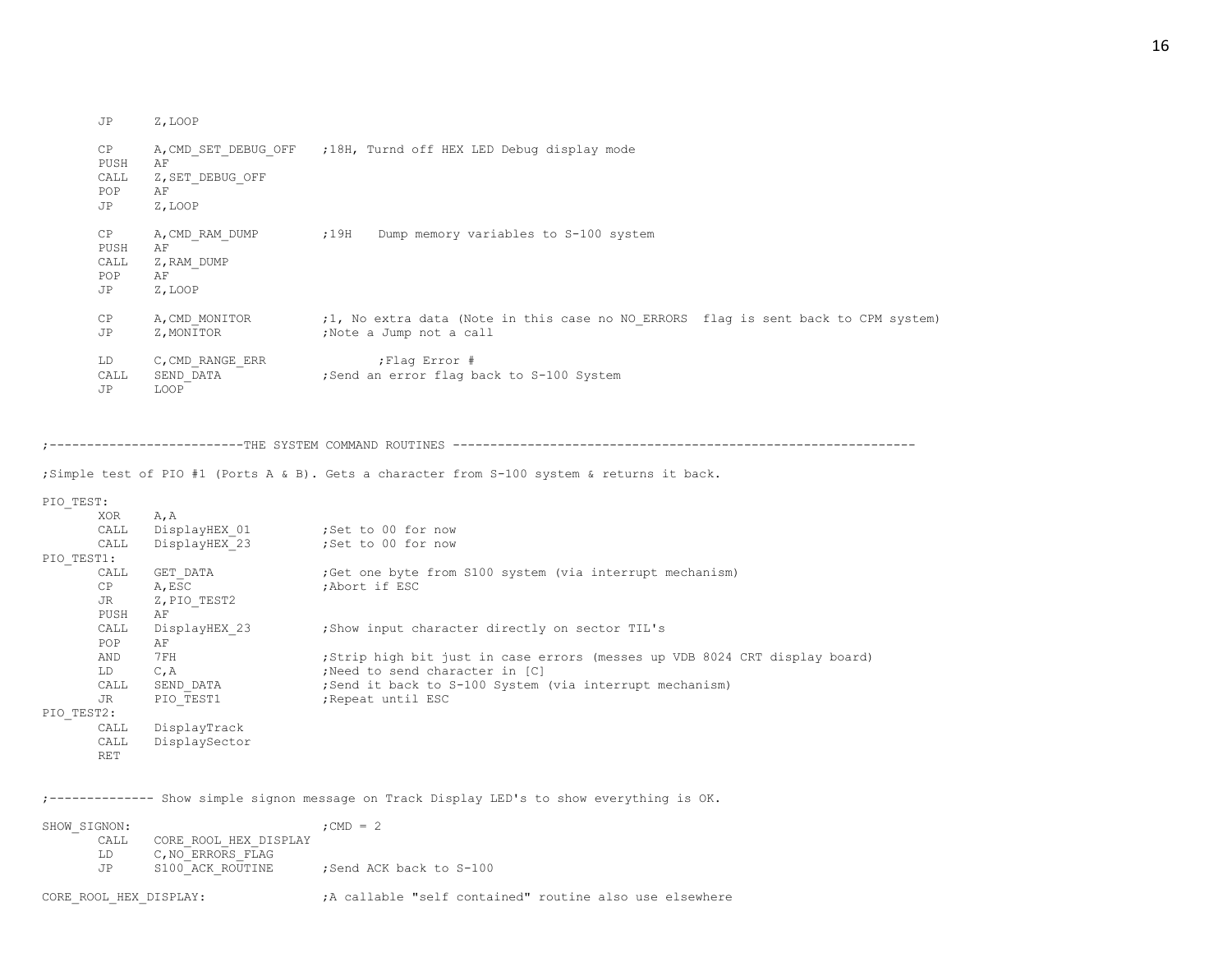| Z,LOOP |
|--------|
|        |

| CP<br>PUSH<br>CALL<br>POP<br>JP   | A, CMD SET DEBUG OFF<br>AF<br>Z, SET DEBUG OFF<br>AF<br>Z, LOOP | ;18H, Turnd off HEX LED Debug display mode                                                                    |
|-----------------------------------|-----------------------------------------------------------------|---------------------------------------------------------------------------------------------------------------|
| CP.<br>PUSH<br>CALL<br>POP<br>JP. | A, CMD RAM DUMP<br>AF<br>Z, RAM DUMP<br>AF<br>Z, LOOP           | ;19H<br>Dump memory variables to S-100 system                                                                 |
| CP<br>JP                          | A, CMD MONITOR<br>Z, MONITOR                                    | ;1, No extra data (Note in this case no NO ERRORS flag is sent back to CPM system)<br>;Note a Jump not a call |
| LD<br>CALL<br>JP                  | C, CMD RANGE ERR<br>SEND DATA<br>LOOP                           | ; Flaq Error #<br>;Send an error flag back to S-100 System                                                    |

;--------------------------THE SYSTEM COMMAND ROUTINES --------------------------------------------------------------

;Simple test of PIO #1 (Ports A & B). Gets a character from S-100 system & returns it back.

PIO\_TEST:

|            | XOR        | A, A          |                                                                             |
|------------|------------|---------------|-----------------------------------------------------------------------------|
|            | CALL       | DisplayHEX 01 | ;Set to 00 for now                                                          |
|            | CALL       | DisplayHEX 23 | ;Set to 00 for now                                                          |
| PIO TEST1: |            |               |                                                                             |
|            | CALL       | GET DATA      | Get one byte from S100 system (via interrupt mechanism)                     |
|            | CP         | A, ESC        | :Abort if ESC                                                               |
|            | JR         | Z, PIO TEST2  |                                                                             |
|            | PUSH       | AF            |                                                                             |
|            | CALL       | DisplayHEX 23 | ; Show input character directly on sector TIL's                             |
|            | POP        | AF            |                                                                             |
|            | AND        | 7 FH          | ; Strip high bit just in case errors (messes up VDB 8024 CRT display board) |
|            | LD         | $C$ , $A$     | ; Need to send character in [C]                                             |
|            | CALL       | SEND DATA     | ; Send it back to S-100 System (via interrupt mechanism)                    |
|            | JR         | PIO TEST1     | ; Repeat until ESC                                                          |
| PIO TEST2: |            |               |                                                                             |
|            | CALL       | DisplayTrack  |                                                                             |
|            | CALL       | DisplaySector |                                                                             |
|            | <b>RET</b> |               |                                                                             |

;-------------- Show simple signon message on Track Display LED's to show everything is OK.

| SHOW SIGNON: |                       | $:$ CMD $=$ 2          |
|--------------|-----------------------|------------------------|
| CALL.        | CORE ROOL HEX DISPLAY |                        |
| T.D.         | C, NO ERRORS FLAG     |                        |
| .TP          | S100 ACK ROUTINE      | Send ACK back to S-100 |
|              |                       |                        |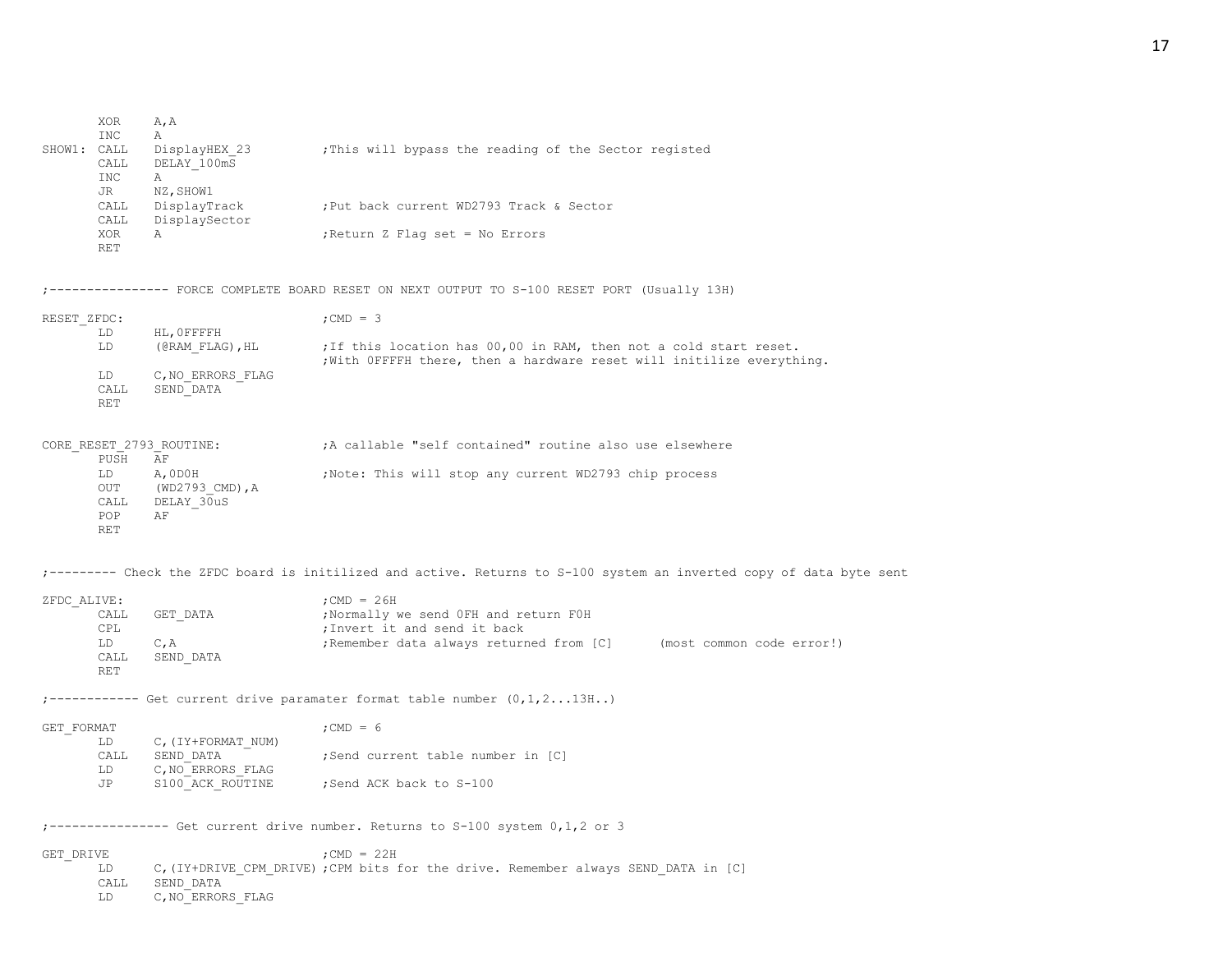| SHOW1: CALL | XOR<br><b>INC</b>                              | A, A<br>Α<br>DisplayHEX 23                       | ; This will bypass the reading of the Sector registed                                                                                      |
|-------------|------------------------------------------------|--------------------------------------------------|--------------------------------------------------------------------------------------------------------------------------------------------|
|             | CALL<br>INC                                    | DELAY 100mS<br>A                                 |                                                                                                                                            |
|             | JR<br>CALL<br>CALL                             | NZ, SHOW1<br>DisplayTrack<br>DisplaySector       | ; Put back current WD2793 Track & Sector                                                                                                   |
|             | XOR<br><b>RET</b>                              | Α                                                | ; Return Z Flag set = No Errors                                                                                                            |
|             |                                                |                                                  | --------- FORCE COMPLETE BOARD RESET ON NEXT OUTPUT TO S-100 RESET PORT (Usually 13H)                                                      |
| RESET ZFDC: | LD                                             | HL, OFFFFH                                       | ; CMD = $3$                                                                                                                                |
|             | LD                                             | (@RAM FLAG), HL                                  | ; If this location has 00,00 in RAM, then not a cold start reset.<br>; With OFFFFH there, then a hardware reset will initilize everything. |
|             | LD<br>CALL<br><b>RET</b>                       | C, NO ERRORS FLAG<br>SEND DATA                   |                                                                                                                                            |
|             | PUSH                                           | CORE RESET 2793 ROUTINE:<br>AF                   | A callable "self contained" routine also use elsewhere                                                                                     |
|             | LD<br>OUT<br>${\tt CALL}$<br>POP<br><b>RET</b> | A, ODOH<br>$(WD2793$ CMD), A<br>DELAY 30uS<br>AF | ;Note: This will stop any current WD2793 chip process                                                                                      |
|             |                                                |                                                  | ;--------- Check the ZFDC board is initilized and active. Returns to S-100 system an inverted copy of data byte sent                       |
| ZFDC ALIVE: |                                                |                                                  | ; CMD = $26H$                                                                                                                              |
|             | CALL<br>CPL                                    | GET DATA                                         | ;Normally we send OFH and return FOH<br>; Invert it and send it back                                                                       |
|             | LD<br>CALL<br><b>RET</b>                       | C, A<br>SEND DATA                                | ; Remember data always returned from [C] (most common code error!)                                                                         |
|             |                                                |                                                  | ;------------ Get current drive paramater format table number $(0,1,2\ldots 13H\ldots)$                                                    |
| GET FORMAT  | LD                                             | C, (IY+FORMAT NUM)                               | ; CMD = $6$                                                                                                                                |
|             | CALL<br>LD                                     | SEND DATA<br>C, NO ERRORS FLAG                   | ;Send current table number in [C]                                                                                                          |
|             | JP                                             | S100 ACK ROUTINE                                 | Send ACK back to S-100;                                                                                                                    |
|             |                                                |                                                  | ;--------------- Get current drive number. Returns to S-100 system 0,1,2 or 3                                                              |
| GET DRIVE   | LD<br>CALL<br>LD                               | SEND DATA<br>C, NO ERRORS FLAG                   | ; CMD = $22H$<br>C, (IY+DRIVE CPM DRIVE) ; CPM bits for the drive. Remember always SEND DATA in [C]                                        |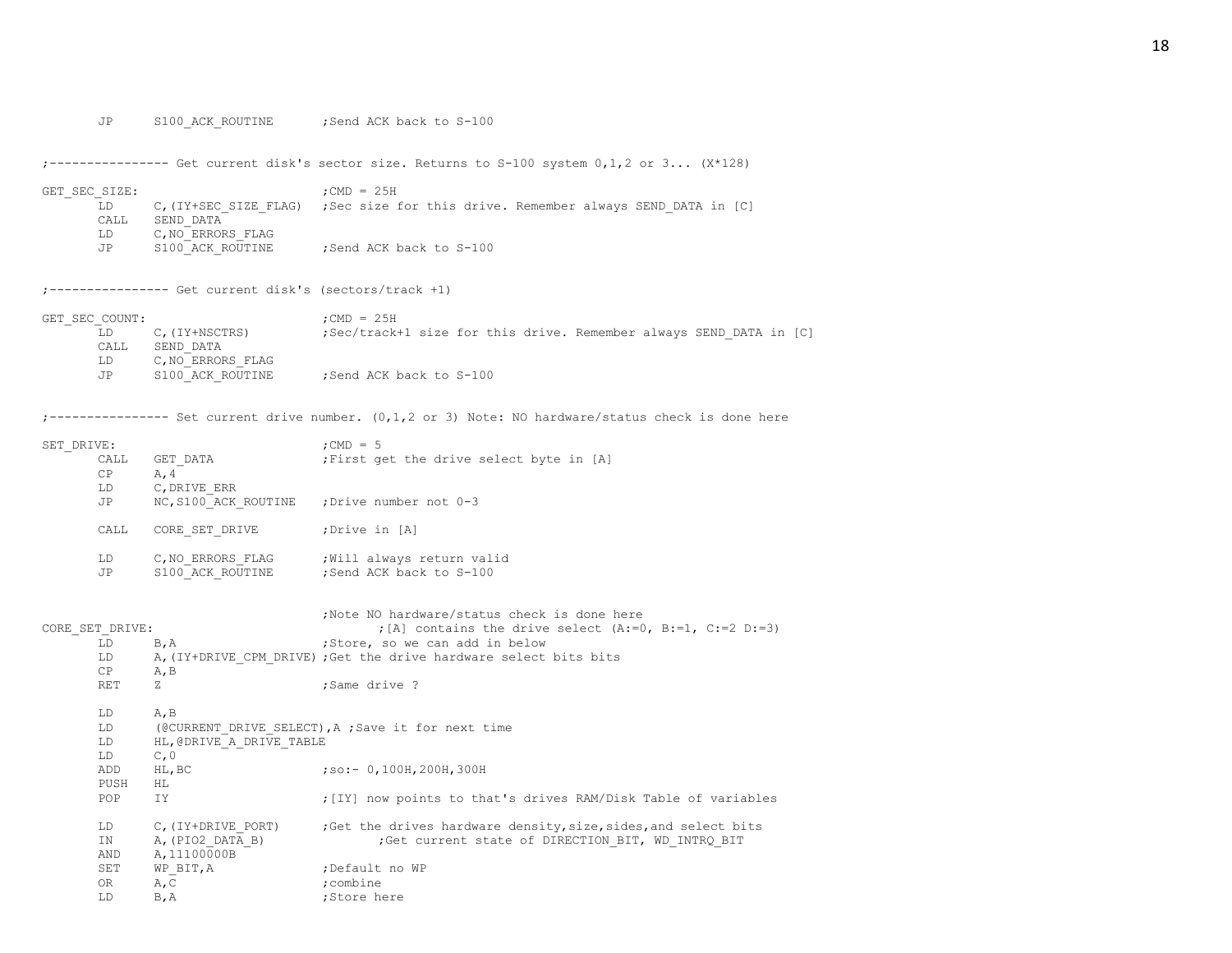JP S100\_ACK\_ROUTINE ; Send ACK back to S-100

;---------------- Get current disk's sector size. Returns to S-100 system 0,1,2 or 3... (X\*128)

| GET SEC SIZE: |                       | $:$ CMD = 25H                                               |  |
|---------------|-----------------------|-------------------------------------------------------------|--|
| LD.           | C, (IY+SEC SIZE FLAG) | ; Sec size for this drive. Remember always SEND DATA in [C] |  |
| CALL.         | SEND DATA             |                                                             |  |
| LD.           | C, NO ERRORS FLAG     |                                                             |  |
| JP            | S100 ACK ROUTINE      | Send ACK back to S-100:                                     |  |

;---------------- Get current disk's (sectors/track +1)

| GET SEC COUNT: |                   | $:$ CMD = 25H                                                      |  |
|----------------|-------------------|--------------------------------------------------------------------|--|
|                | C. (IY+NSCTRS)    | ;Sec/track+1 size for this drive. Remember always SEND DATA in [C] |  |
| CALL           | SEND DATA         |                                                                    |  |
| LD             | C, NO ERRORS FLAG |                                                                    |  |
| JP             | S100 ACK ROUTINE  | Send ACK back to S-100                                             |  |

;---------------- Set current drive number. (0,1,2 or 3) Note: NO hardware/status check is done here

| SET DRIVE: |                      | $:$ CMD = 5                              |
|------------|----------------------|------------------------------------------|
| CALL       | GET DATA             | ; First get the drive select byte in [A] |
| CP         | A, 4                 |                                          |
| LD         | C, DRIVE ERR         |                                          |
| JP         | NC, S100 ACK ROUTINE | :Drive number not 0-3                    |
|            |                      |                                          |
| CALL       | CORE SET DRIVE       | ;Drive in [A]                            |
|            |                      |                                          |
| LD         | C, NO ERRORS FLAG    | ; Will always return valid               |
| JP         | S100 ACK ROUTINE     | :Send ACK back to S-100                  |
|            |                      |                                          |

|                 |                          | Note NO hardware/status check is done here                        |
|-----------------|--------------------------|-------------------------------------------------------------------|
| CORE SET DRIVE: |                          | ; [A] contains the drive select $(A:=0, B:=1, C:=2 D:=3)$         |
| LD.             | B, A                     | ;Store, so we can add in below                                    |
| LD.             |                          | A, (IY+DRIVE CPM DRIVE) ; Get the drive hardware select bits bits |
| CP              | A, B                     |                                                                   |
| RET             | 7.                       | :Same drive ?                                                     |
|                 |                          |                                                                   |
| LD.             | A, B                     |                                                                   |
| LD.             |                          | (@CURRENT DRIVE SELECT), A ; Save it for next time                |
| LD              | HL, @DRIVE A DRIVE TABLE |                                                                   |
| LD              | C, 0                     |                                                                   |
| ADD             | HL, BC                   | $:so:-0,100H,200H,300H$                                           |
| PUSH            | HL.                      |                                                                   |
| POP.            | IY.                      | ; [IY] now points to that's drives RAM/Disk Table of variables    |
|                 |                          |                                                                   |
| LD              | C, (IY+DRIVE PORT)       | ; Get the drives hardware density, size, sides, and select bits   |
| IN              | A, (PIO2 DATA B)         | ;Get current state of DIRECTION BIT, WD INTRQ BIT                 |
| AND             | A, 11100000B             |                                                                   |
| SET             | WP BIT, A                | ;Default no WP                                                    |
| OR              | A, C                     | :combine                                                          |
| LD              | $B$ , $A$                | ;Store here                                                       |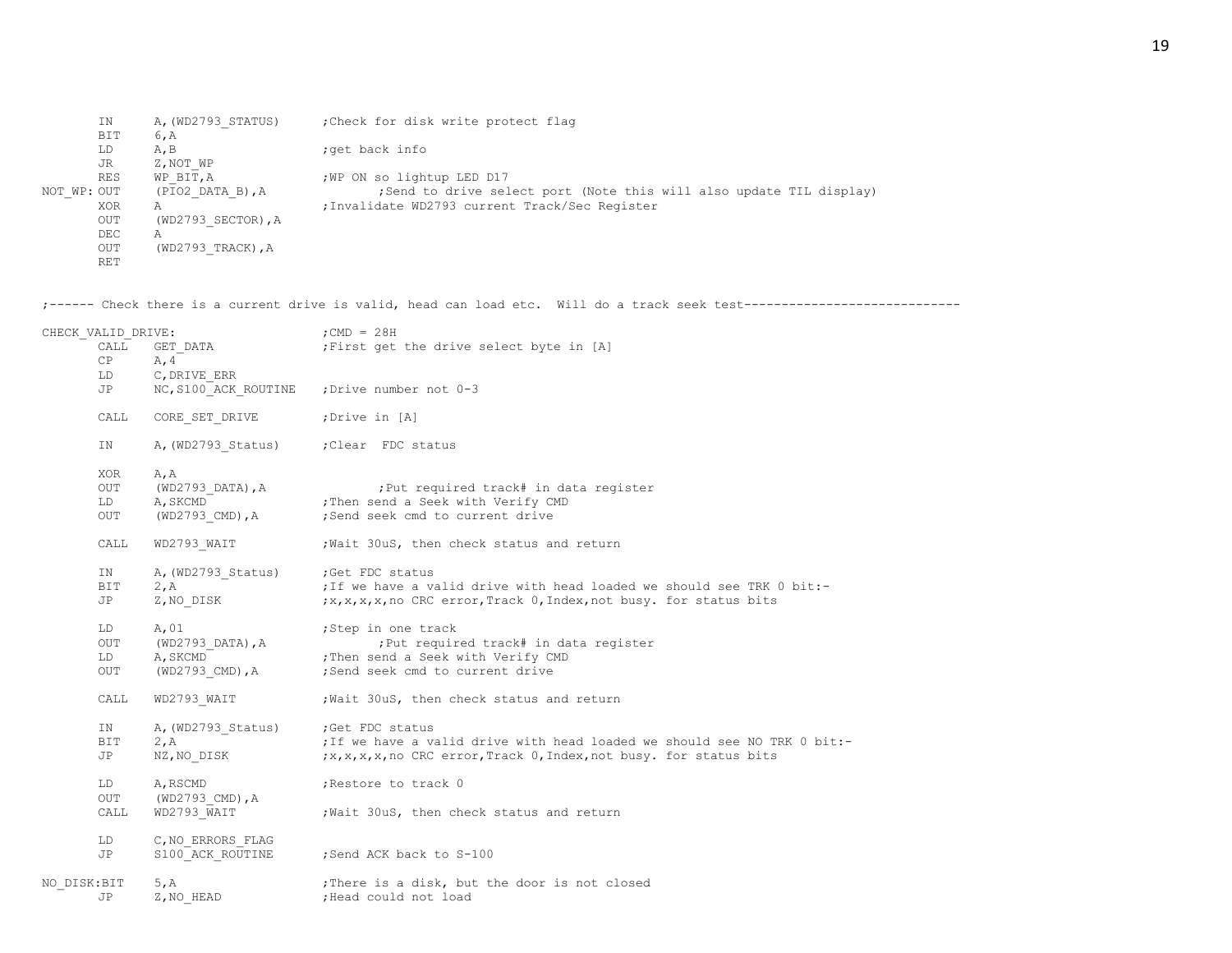|             | ΙN         | A, (WD2793 STATUS)   | : Check for disk write protect flag                                  |
|-------------|------------|----------------------|----------------------------------------------------------------------|
|             | BIT        | 6, A                 |                                                                      |
|             | LD         | A, B                 | ; get back info                                                      |
|             | JR         | Z, NOT WP            |                                                                      |
|             | <b>RES</b> | WP BIT, A            | ; WP ON so lightup LED D17                                           |
| NOT WP: OUT |            | $(PIO2$ DATA B), A   | ; Send to drive select port (Note this will also update TIL display) |
|             | XOR        | A                    | ; Invalidate WD2793 current Track/Sec Register                       |
|             | <b>OUT</b> | $(WD2793$ SECTOR), A |                                                                      |
|             | DEC.       | Α                    |                                                                      |
|             | OUT        | $(WD2793 TRACK)$ , A |                                                                      |
|             | <b>RET</b> |                      |                                                                      |

;------ Check there is a current drive is valid, head can load etc. Will do a track seek test-----------------------------

| CHECK VALID DRIVE: |                               |                                                                                    | $;$ CMD = 28H                                                                                                                                |
|--------------------|-------------------------------|------------------------------------------------------------------------------------|----------------------------------------------------------------------------------------------------------------------------------------------|
|                    | CALL                          | GET DATA<br>A, 4                                                                   | ; First get the drive select byte in [A]                                                                                                     |
|                    | СP<br>LD                      | C, DRIVE ERR                                                                       |                                                                                                                                              |
|                    | JP                            |                                                                                    | NC, S100 ACK ROUTINE ; Drive number not 0-3                                                                                                  |
|                    | CALL                          | CORE SET DRIVE                                                                     | ;Drive in [A]                                                                                                                                |
|                    | IN                            | A, (WD2793 Status) ; Clear FDC status                                              |                                                                                                                                              |
|                    | XOR<br>OUT<br>LD<br>OUT       | A, A<br>$(WD2793_DATA)$ , A<br>A, SKCMD<br>(WD2793 CMD), A                         | ; Put required track# in data register<br>; Then send a Seek with Verify CMD<br>;Send seek cmd to current drive                              |
|                    | CALL                          | WD2793 WAIT                                                                        | ; Wait 30uS, then check status and return                                                                                                    |
|                    | IN<br>BIT<br>JP               | A, (WD2793_Status) ; Get FDC status<br>2.A : If we have a v.<br>2, A<br>Z, NO_DISK | ; If we have a valid drive with head loaded we should see TRK 0 bit:-<br>;x,x,x,x,no CRC error, Track 0, Index, not busy. for status bits    |
|                    | LD<br>OUT<br>LD<br><b>OUT</b> | A, 01<br>(WD2793 DATA), A<br>A, SKCMD<br>(WD2793 CMD), A                           | ;Step in one track<br>; Put required track# in data register<br>; Then send a Seek with Verify CMD<br>;Send seek cmd to current drive        |
|                    | CALL                          | WD2793 WAIT                                                                        | Wait 30uS, then check status and return                                                                                                      |
|                    | ΙN<br><b>BIT</b><br>JP        | A, (WD2793 Status) ; Get FDC status<br>2, A<br>NZ, NO DISK                         | ; If we have a valid drive with head loaded we should see NO TRK 0 bit:-<br>;x,x,x,x,no CRC error, Track 0, Index, not busy. for status bits |
|                    | LD<br>OUT<br>CALL             | A, RSCMD<br>(WD2793 CMD),A<br>WD2793 WAIT                                          | ; Restore to track 0<br>; Wait 30uS, then check status and return                                                                            |
|                    | LD<br>JP                      | C, NO ERRORS FLAG<br>S100 ACK ROUTINE                                              | ; Send ACK back to S-100                                                                                                                     |
| NO DISK: BIT       | JP                            | 5, A<br>Z, NO HEAD                                                                 | ; There is a disk, but the door is not closed<br>;Head could not load                                                                        |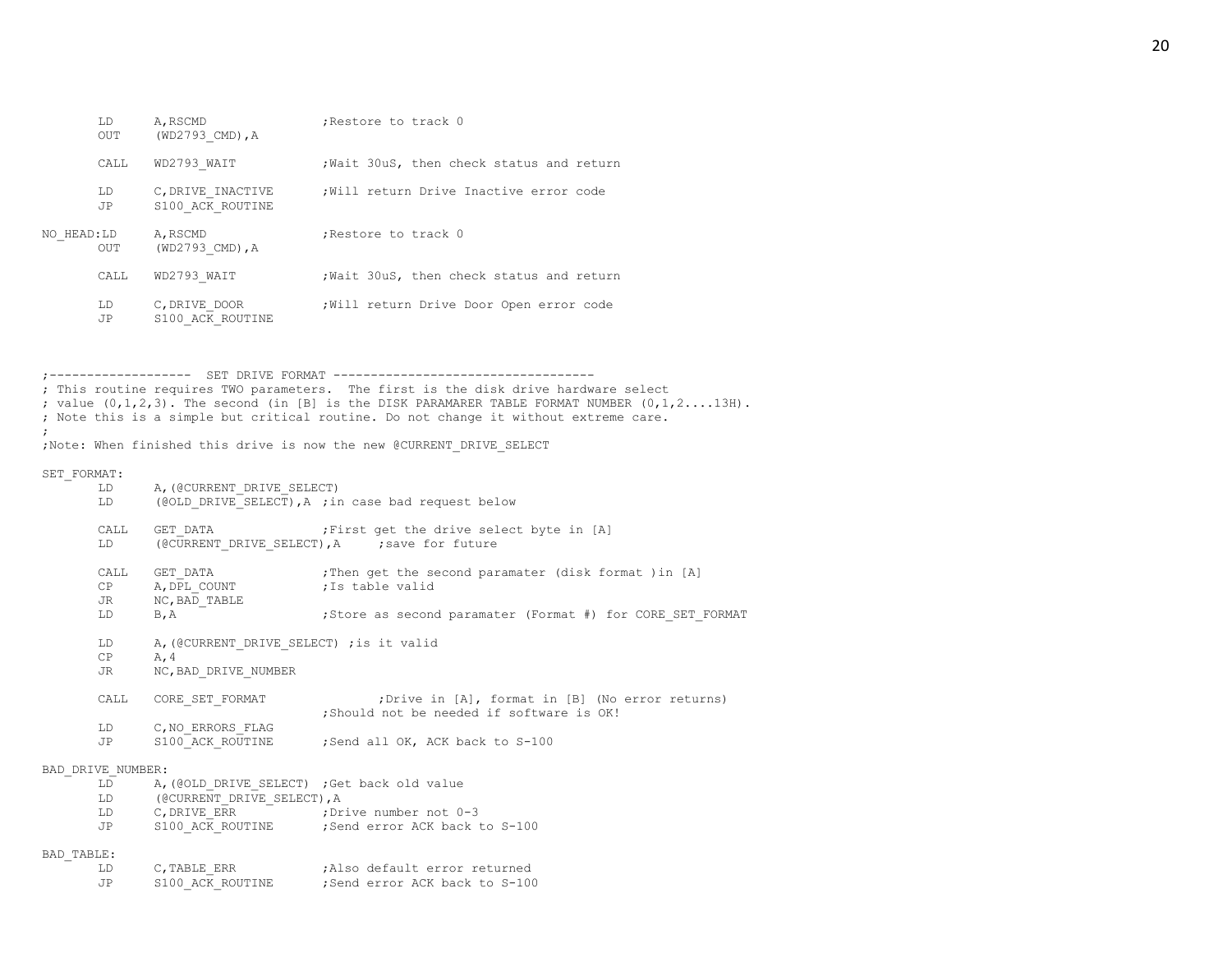|            | LD<br>OUT       | A, RSCMD<br>(WD2793 CMD), A           | ; Restore to track 0                    |
|------------|-----------------|---------------------------------------|-----------------------------------------|
|            | CALL.           | WD2793 WAIT                           | Wait 30uS, then check status and return |
|            | LD<br><b>JP</b> | C, DRIVE INACTIVE<br>S100 ACK ROUTINE | Will return Drive Inactive error code   |
| NO HEAD:LD | <b>OUT</b>      | A, RSCMD<br>(WD2793 CMD), A           | Restore to track 0                      |
|            | CALL.           | WD2793 WAIT                           | Wait 30uS, then check status and return |
|            | LD<br>JP        | C, DRIVE DOOR<br>S100 ACK ROUTINE     | Will return Drive Door Open error code  |

;------------------- SET DRIVE FORMAT ----------------------------------- ; This routine requires TWO parameters. The first is the disk drive hardware select ; value  $(0,1,2,3)$ . The second (in [B] is the DISK PARAMARER TABLE FORMAT NUMBER  $(0,1,2,\ldots,13H)$ . ; Note this is a simple but critical routine. Do not change it without extreme care. ; ;Note: When finished this drive is now the new @CURRENT\_DRIVE\_SELECT SET\_FORMAT: LD A, (@CURRENT\_DRIVE\_SELECT) LD (@OLD\_DRIVE\_SELECT), A ; in case bad request below CALL GET DATA ; First get the drive select byte in [A] LD (@CURRENT\_DRIVE\_SELECT), A ; save for future CALL GET DATA  $;$  ;Then get the second paramater (disk format )in [A] CP A, DPL COUNT ; Is table valid JR NC, BAD TABLE LD B, A  $\qquad$  ; Store as second paramater (Format #) for CORE SET FORMAT LD A, (@CURRENT\_DRIVE\_SELECT) ; is it valid  $CP$   $A, 4$ JR NC, BAD DRIVE NUMBER CALL CORE SET FORMAT ;Drive in [A], format in [B] (No error returns) ;Should not be needed if software is OK! LD C,NO\_ERRORS\_FLAG JP S100 ACK ROUTINE ;Send all OK, ACK back to S-100 BAD\_DRIVE\_NUMBER: LD A, (@OLD\_DRIVE\_SELECT) ;Get back old value LD (@CURRENT\_DRIVE\_SELECT), A LD C, DRIVE ERR ;Drive number not 0-3 JP S100 ACK ROUTINE ; Send error ACK back to S-100 BAD\_TABLE:

| LD  | C. TABLE ERR     | :Also default error returned |
|-----|------------------|------------------------------|
| .JP | S100 ACK ROUTINE | Send error ACK back to S-100 |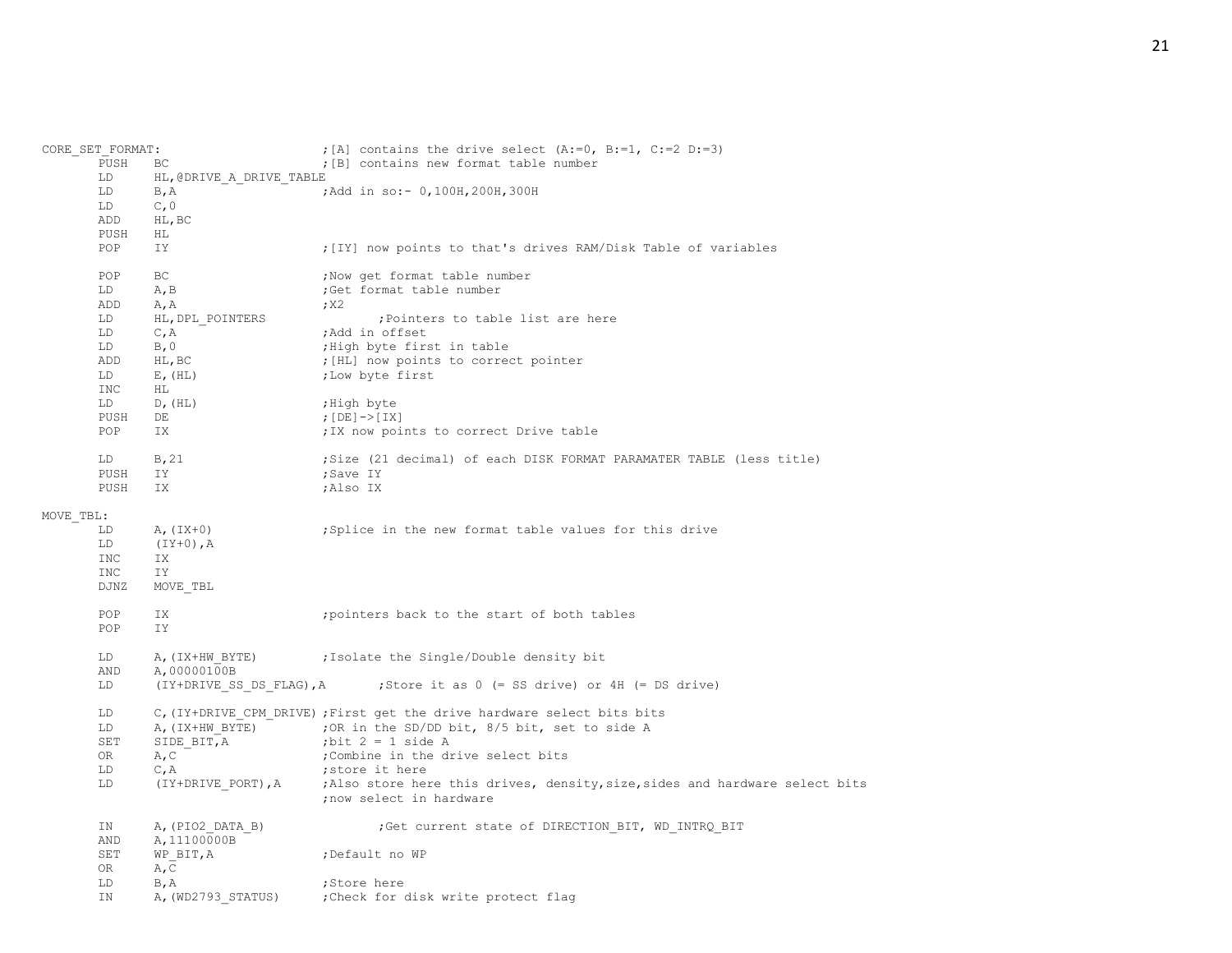|           | CORE SET FORMAT: |                                  | ; [A] contains the drive select $(A:=0, B:=1, C:=2 D:=3)$                   |
|-----------|------------------|----------------------------------|-----------------------------------------------------------------------------|
|           | PUSH             | ВC                               | ; [B] contains new format table number                                      |
|           | LD               | HL, @DRIVE A DRIVE TABLE         |                                                                             |
|           | LD               | B, A                             | ; Add in so: - 0, 100H, 200H, 300H                                          |
|           | LD               | C, 0                             |                                                                             |
|           | ADD              | HL, BC                           |                                                                             |
|           | PUSH             | HL                               |                                                                             |
|           | POP              | IY.                              | ; [IY] now points to that's drives RAM/Disk Table of variables              |
|           |                  |                                  |                                                                             |
|           | POP              | ВC                               | ; Now get format table number                                               |
|           | LD               | A, B                             | ;Get format table number                                                    |
|           | ADD              | A, A                             | ; X2                                                                        |
|           | LD               | HL, DPL POINTERS                 | ; Pointers to table list are here                                           |
|           | LD               | C, A                             | ;Add in offset                                                              |
|           | LD               | B, 0                             | ; High byte first in table                                                  |
|           | ADD              | HL, BC                           | ; [HL] now points to correct pointer                                        |
|           | LD               | $E$ , $(HL)$                     | ; Low byte first                                                            |
|           | INC              | HL                               |                                                                             |
|           | LD               | D, (HL)                          | ;High byte                                                                  |
|           | PUSH             | DE                               | ; $[DE]$ -> $[IX]$                                                          |
|           | POP              | IX                               | ; IX now points to correct Drive table                                      |
|           |                  |                                  |                                                                             |
|           | LD               | B, 21                            | ; Size (21 decimal) of each DISK FORMAT PARAMATER TABLE (less title)        |
|           | PUSH             | IY.                              | ;Save IY                                                                    |
|           | PUSH             | IX.                              | ;Also IX                                                                    |
|           |                  |                                  |                                                                             |
| MOVE TBL: | LD               |                                  |                                                                             |
|           | LD               | $A, (IX+0)$                      | ; Splice in the new format table values for this drive                      |
|           |                  | $(IY+0)$ , A                     |                                                                             |
|           | <b>INC</b>       | IX.                              |                                                                             |
|           | INC              | IΥ                               |                                                                             |
|           | DJNZ             | MOVE TBL                         |                                                                             |
|           | POP              | IX                               | ; pointers back to the start of both tables                                 |
|           | POP              | IY                               |                                                                             |
|           | LD               | A, (IX+HW BYTE)                  | ; Isolate the Single/Double density bit                                     |
|           | AND              | A,00000100B                      |                                                                             |
|           | LD               |                                  | (IY+DRIVE SS DS FLAG), A ; Store it as $0$ (= SS drive) or 4H (= DS drive)  |
|           | LD               |                                  | C, (IY+DRIVE CPM DRIVE) ; First get the drive hardware select bits bits     |
|           | LD               |                                  | A, (IX+HW BYTE) ; OR in the SD/DD bit, 8/5 bit, set to side A               |
|           | SET              | SIDE BIT, A                      | ; bit $2 = 1$ side A                                                        |
|           | 0R               | A, C                             | ; Combine in the drive select bits                                          |
|           | LD               | C, A                             | ; store it here                                                             |
|           | LD               | (IY+DRIVE PORT), A               | ;Also store here this drives, density, size, sides and hardware select bits |
|           |                  |                                  | ; now select in hardware                                                    |
|           | IN<br>AND        | A, (PIO2 DATA B)<br>A, 11100000B | ;Get current state of DIRECTION BIT, WD INTRQ BIT                           |
|           | SET<br>OR        | WP BIT, A<br>A, C                | ;Default no WP                                                              |
|           | LD               | B, A                             | ;Store here                                                                 |
|           | ΙN               | A, (WD2793 STATUS)               | Check for disk write protect flag                                           |
|           |                  |                                  |                                                                             |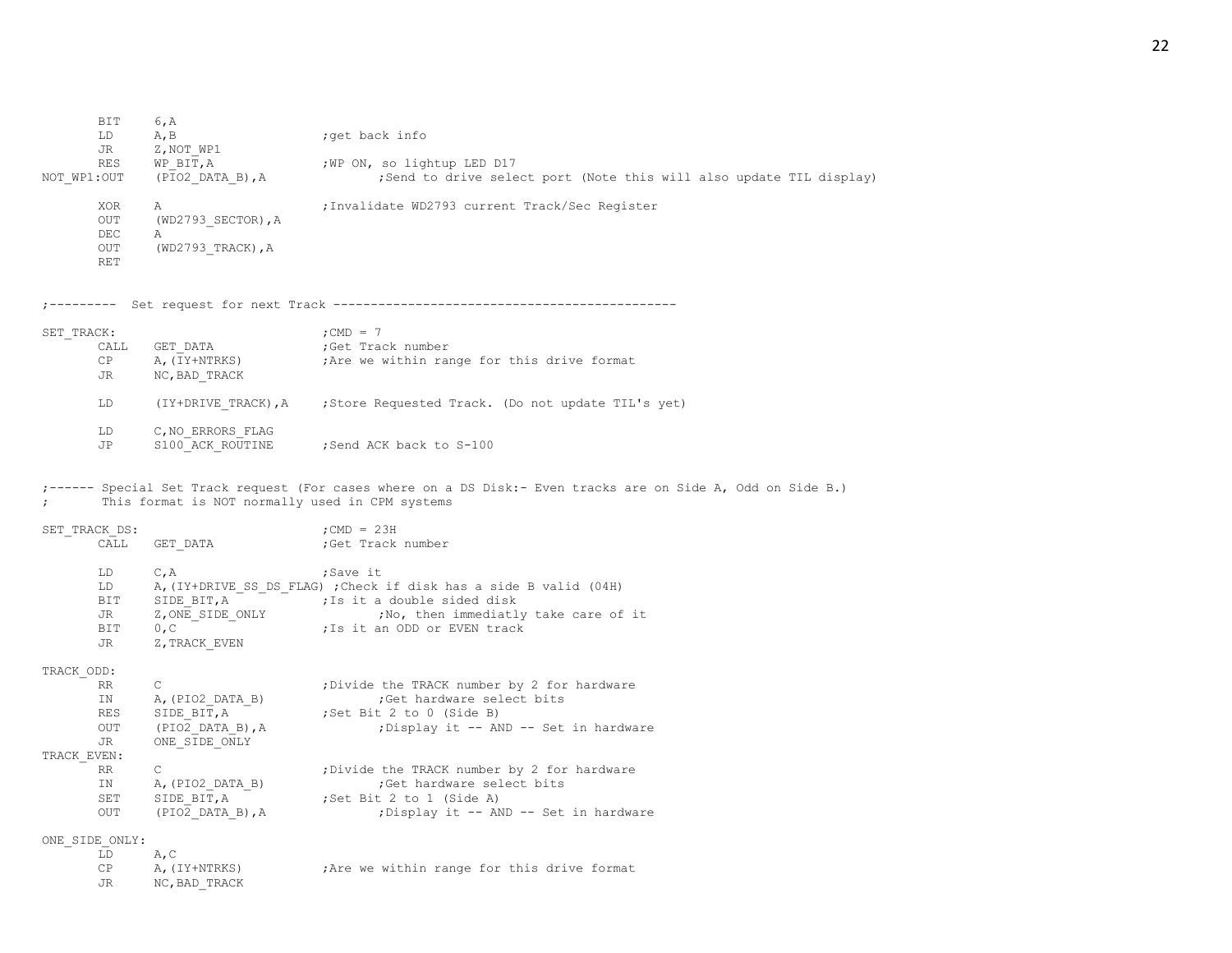BIT 6, A LD A, B ;get back info JR Z, NOT WP1 RES WP\_BIT, A  $;W$ P\_ON, so lightup LED D17 NOT WP1:OUT (PIO2 DATA B), A ;Send to drive select port (Note this will also update TIL display) XOR A ;Invalidate WD2793 current Track/Sec Register OUT (WD2793 SECTOR), A DEC A OUT (WD2793 TRACK), A RET ;--------- Set request for next Track ---------------------------------------------- SET\_TRACK: ;CMD = 7 CALL GET\_DATA **;**Get Track number<br>
CP A, (TY+NTRKS) ;Are we within ra  $CP$  A,  $(TY+NTRKS)$  ; Are we within range for this drive format JR NC,BAD\_TRACK LD (IY+DRIVE TRACK), A ; Store Requested Track. (Do not update TIL's yet) LD C, NO ERRORS FLAG JP S100 ACK ROUTINE ; Send ACK back to S-100 ;------ Special Set Track request (For cases where on a DS Disk:- Even tracks are on Side A, Odd on Side B.) ; This format is NOT normally used in CPM systems SET TRACK DS:  $;CD = 23H$ CALL GET DATA ;Get Track number LD C, A ;Save it LD A, (IY+DRIVE SS DS FLAG) ; Check if disk has a side B valid (04H) BIT SIDE BIT, A ; Is it a double sided disk JR Z, ONE SIDE ONLY ;No, then immediatly take care of it BIT 0,C ; is it an ODD or EVEN track JR Z, TRACK EVEN TRACK\_ODD: RR C : The TRACK number by 2 for hardware IN A, (PIO2 DATA B) ;Get hardware select bits RES SIDE BIT, A ;Set Bit 2 to 0 (Side B) OUT (PIO2 DATA B), A ;Display it -- AND -- Set in hardware JR ONE\_SIDE\_ONLY TRACK\_EVEN: RR C  $\qquad \qquad ; \text{Divide the TRACK number by 2 for hardware}$ IN A, (PIO2 DATA B) ;Get hardware select bits SET SIDE BIT, A ;Set Bit 2 to 1 (Side A) OUT (PIO2 DATA B), A ;Display it -- AND -- Set in hardware ONE\_SIDE\_ONLY: LD A,C CP A, (IY+NTRKS) ;Are we within range for this drive format

JR NC,BAD\_TRACK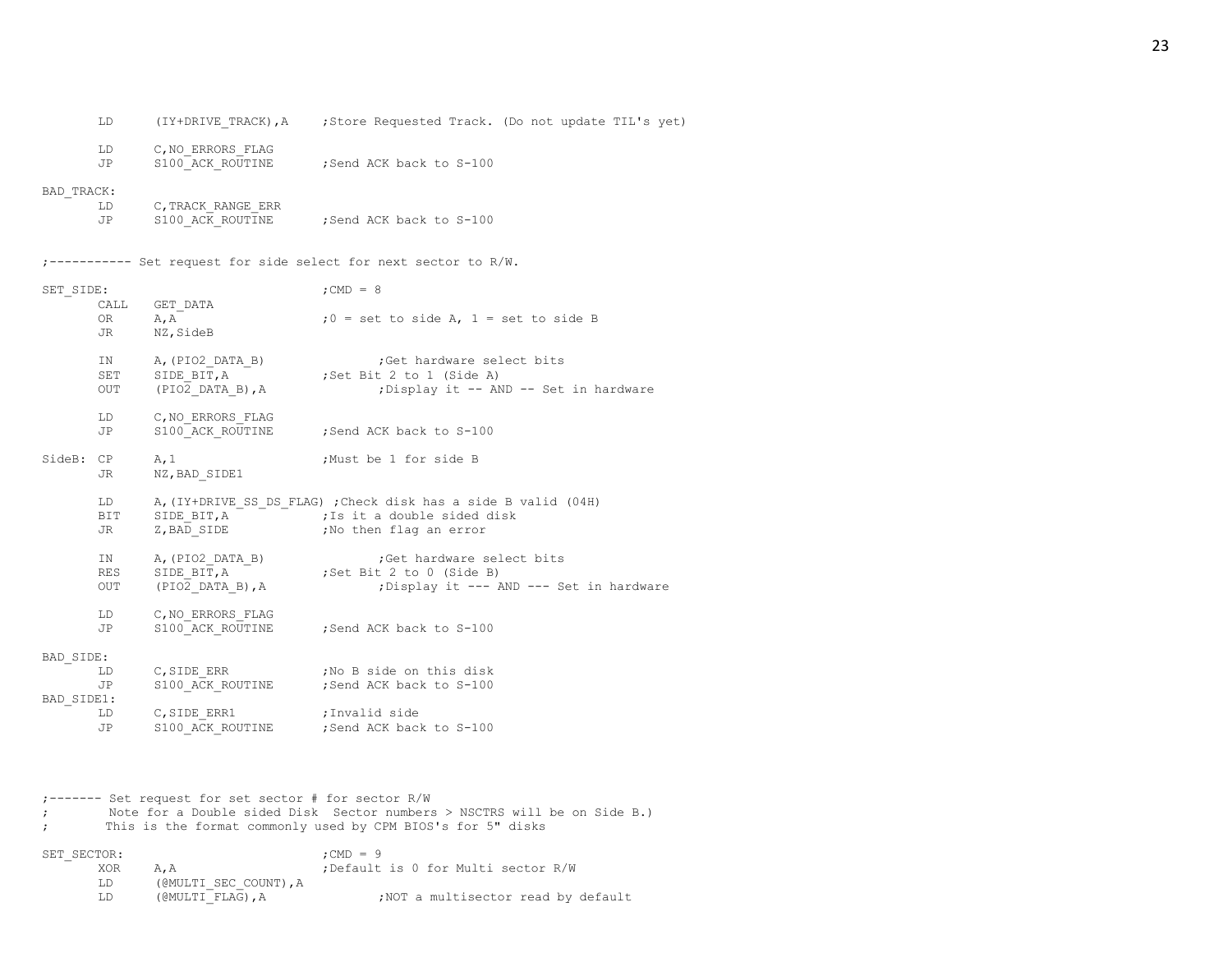|                                                      | LD                 |                                                       | (IY+DRIVE TRACK), A ; Store Requested Track. (Do not update TIL's yet)                                                              |
|------------------------------------------------------|--------------------|-------------------------------------------------------|-------------------------------------------------------------------------------------------------------------------------------------|
|                                                      | LD<br>JP           | C, NO ERRORS FLAG                                     | S100 ACK ROUTINE ; Send ACK back to S-100                                                                                           |
| BAD TRACK:                                           | LD<br>JP           | C, TRACK RANGE ERR                                    | S100 ACK ROUTINE ; Send ACK back to S-100                                                                                           |
|                                                      |                    |                                                       | ;---------- Set request for side select for next sector to R/W.                                                                     |
| SET SIDE:                                            |                    |                                                       | $;$ CMD = 8                                                                                                                         |
|                                                      | CALL<br>OR D<br>JR | GET DATA<br>A, A<br>NZ, SideB                         | $:0 = set to side A, 1 = set to side B$                                                                                             |
|                                                      | IN<br>SET<br>OUT   | A, (PIO2 DATA B)<br>SIDE BIT, A<br>$(PIO2$ DATA B), A | ;Get hardware select bits<br>set naruware ser;<br>Set Bit 2 to 1 (Side A);<br>; Display it -- AND -- Set in hardware                |
|                                                      | LD<br>JP           | C, NO ERRORS FLAG                                     | S100 ACK ROUTINE ; Send ACK back to S-100                                                                                           |
| SideB: CP                                            | JR                 | A, 1<br>NZ, BAD SIDE1                                 | ;Must be 1 for side B                                                                                                               |
|                                                      | LD<br>BIT<br>JR    | SIDE_BIT,A<br>7.BAD SIDE<br>Z, BAD SIDE               | A, (IY+DRIVE SS DS FLAG) ; Check disk has a side B valid (04H)<br>; Is it a double sided disk<br>;No then flag an error             |
|                                                      | IN<br>RES<br>OUT   | $(PIO2$ DATA B), A                                    | A, (PIO2_DATA_B)<br>SIDE_BIT, A<br>Set Bit 2 to 0 (Side B)<br>;Get hardware select bits<br>; Display it --- AND --- Set in hardware |
|                                                      | LD<br>JP           | C, NO ERRORS FLAG                                     | S100 ACK ROUTINE ; Send ACK back to S-100                                                                                           |
| BAD SIDE:                                            |                    |                                                       |                                                                                                                                     |
|                                                      | LD<br>JP           | C, SIDE ERR                                           | ;No B side on this disk<br>S100 ACK ROUTINE ; Send ACK back to S-100                                                                |
| BAD SIDE1:                                           | LD                 | C, SIDE ERR1                                          | ;Invalid side                                                                                                                       |
|                                                      | JP                 |                                                       | S100 ACK ROUTINE ; Send ACK back to S-100                                                                                           |
|                                                      |                    |                                                       |                                                                                                                                     |
| ;------- Set request for set sector # for sector R/W |                    |                                                       |                                                                                                                                     |

- ; Note for a Double sided Disk Sector numbers > NSCTRS will be on Side B.) ; This is the format commonly used by CPM BIOS's for 5" disks
- 

SET\_SECTOR: ;CMD = 9 A, A ;Default is 0 for Multi sector R/W LD (@MULTI\_SEC\_COUNT), A<br>LD (@MULTI\_FLAG), A ; NOT a multisector read by default 23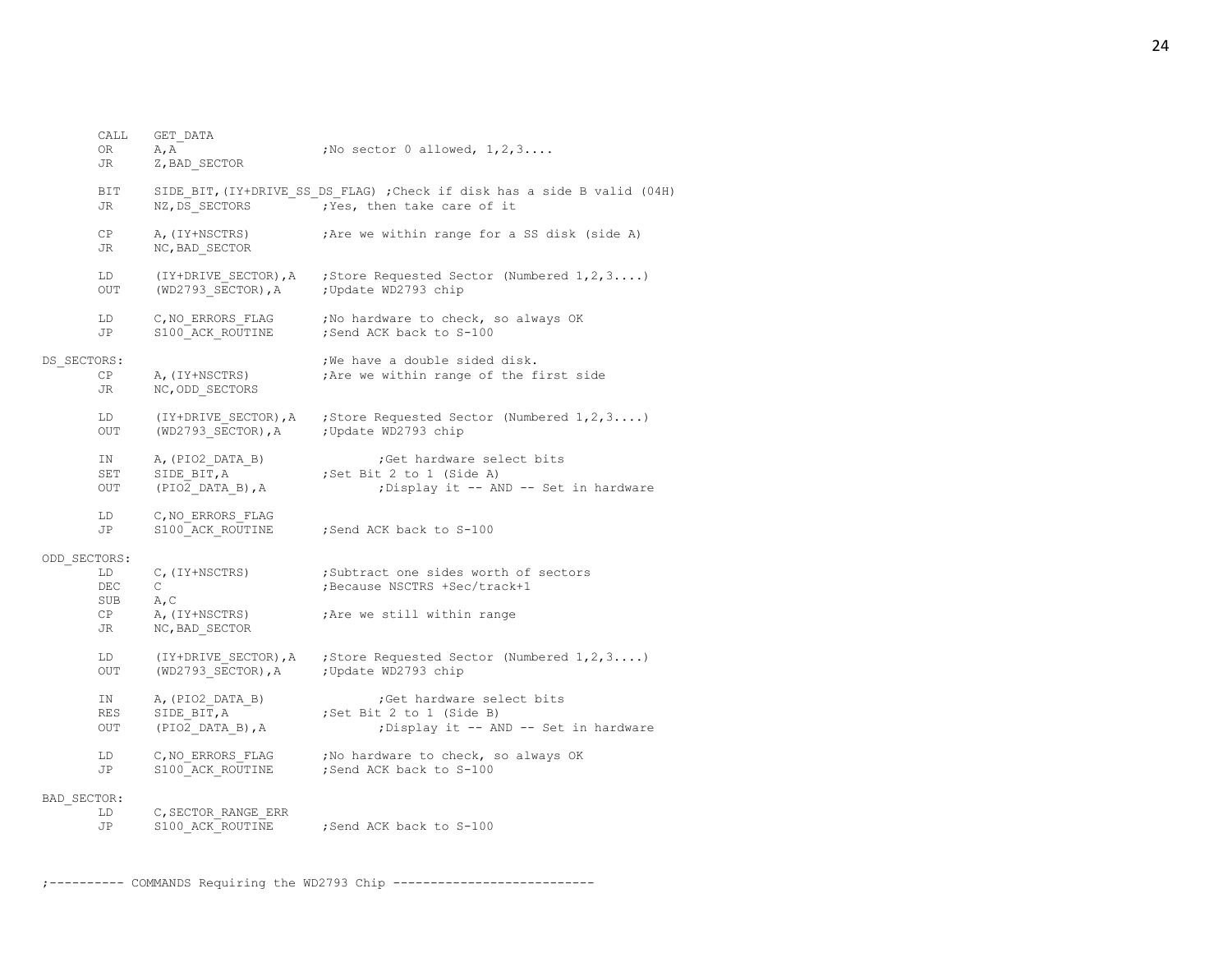|              | CALL<br>ΟR<br>JR        | GET DATA<br>A, A<br>Z, BAD SECTOR                       | ; No sector $0$ allowed, $1, 2, 3, \ldots$                                                              |
|--------------|-------------------------|---------------------------------------------------------|---------------------------------------------------------------------------------------------------------|
|              | BIT<br>JR               | NZ, DS SECTORS                                          | SIDE BIT, (IY+DRIVE SS DS FLAG) ; Check if disk has a side B valid (04H)<br>; Yes, then take care of it |
|              | CP<br>JR                | A, (IY+NSCTRS)<br>NC, BAD SECTOR                        | ; Are we within range for a SS disk (side A)                                                            |
|              | LD<br><b>OUT</b>        | (WD2793 SECTOR), A ; Update WD2793 chip                 | $(IY+DRIVE SECTOR)$ , A ; Store Requested Sector (Numbered $1, 2, 3$ )                                  |
|              | LD<br>JP                | C,NO ERRORS FLAG<br>S100 ACK ROUTINE                    | ; No hardware to check, so always OK<br>; Send ACK back to S-100                                        |
| DS SECTORS:  | СP<br>JR.               | A, (IY+NSCTRS)<br>NC, ODD SECTORS                       | ; We have a double sided disk.<br>; Are we within range of the first side                               |
|              | LD<br>OUT               | $(WD2793 SECTOR)$ , A                                   | (IY+DRIVE SECTOR), A ; Store Requested Sector (Numbered $1, 2, 3$ )<br>; Update WD2793 chip             |
|              | IN<br>SET<br>OUT        | A, (PIO2 DATA B)<br>SIDE BIT, A<br>(PIO2 DATA B), A     | ;Get hardware select bits<br>; Set Bit 2 to 1 (Side A)<br>; Display it -- AND -- Set in hardware        |
|              | LD<br>JP                | C, NO ERRORS FLAG<br>S100 ACK ROUTINE                   | Send ACK back to S-100                                                                                  |
| ODD SECTORS: | LD<br>DEC<br>SUB        | C, (IY+NSCTRS)<br>$\mathsf{C}$<br>A, C                  | ;Subtract one sides worth of sectors<br>; Because NSCTRS +Sec/track+1                                   |
|              | CP<br>JR                | A, (IY+NSCTRS)<br>NC, BAD SECTOR                        | ; Are we still within range                                                                             |
|              | LD<br>OUT               | $(WD2793 SECTOR)$ , A                                   | (IY+DRIVE SECTOR), A ; Store Requested Sector (Numbered $1, 2, 3$ )<br>; Update WD2793 chip             |
|              | IN<br><b>RES</b><br>OUT | A, (PIO2 DATA B)<br>SIDE BIT, A<br>$(PIO2$ DATA B), $A$ | Get hardware select bits<br>;Set Bit 2 to 1 (Side B)<br>; Display it -- AND -- Set in hardware          |
|              | LD<br>JP                | C, NO ERRORS FLAG<br>S100 ACK ROUTINE                   | ; No hardware to check, so always OK<br>; Send ACK back to S-100                                        |
| BAD SECTOR:  | LD<br>JP                | C, SECTOR RANGE ERR<br>S100 ACK ROUTINE                 | Send ACK back to S-100;                                                                                 |

;---------- COMMANDS Requiring the WD2793 Chip ---------------------------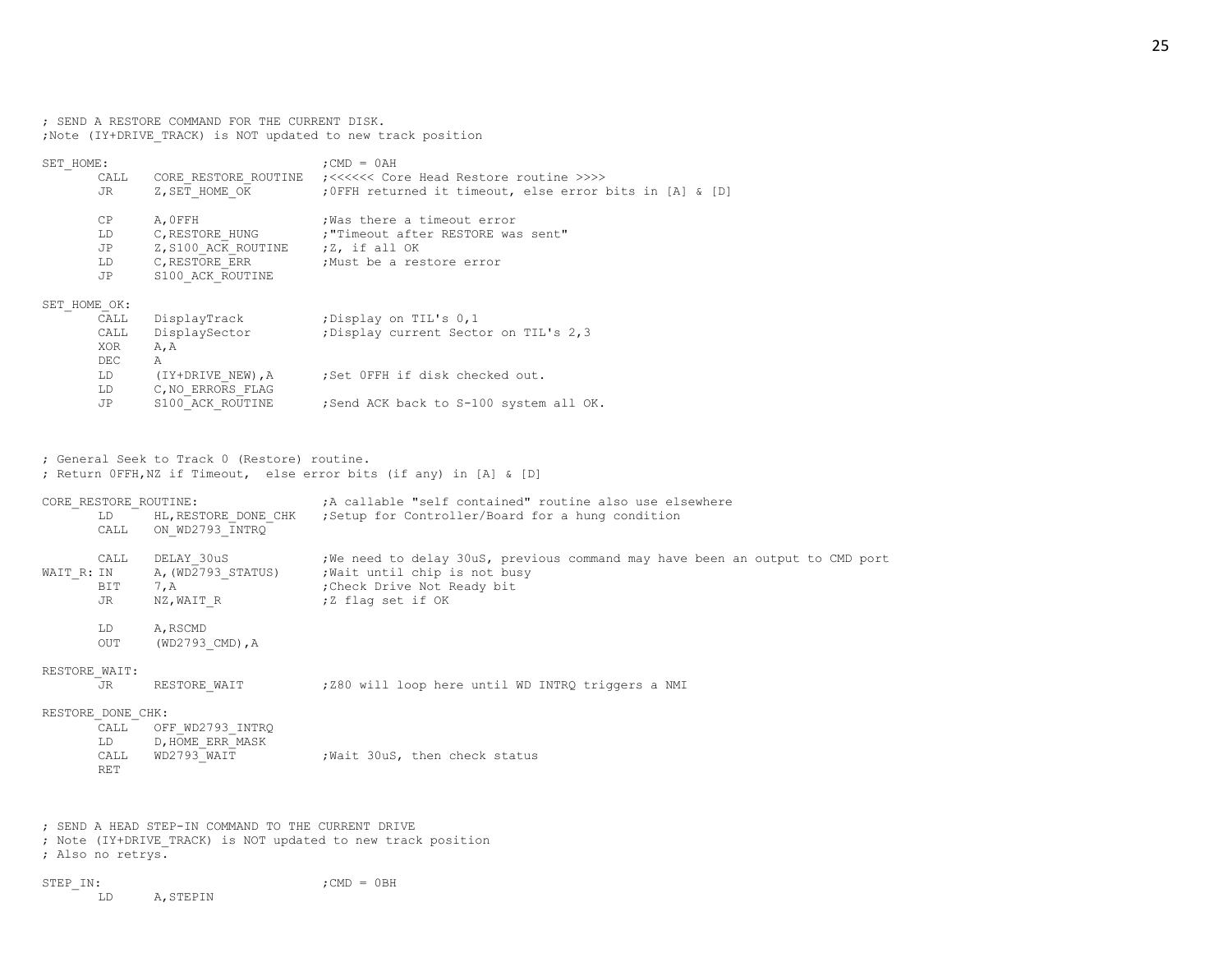; SEND A RESTORE COMMAND FOR THE CURRENT DISK. ;Note (IY+DRIVE\_TRACK) is NOT updated to new track position

| SET HOME:    |      |                                    | $:$ CMD = $0AH$                                               |  |  |
|--------------|------|------------------------------------|---------------------------------------------------------------|--|--|
|              | CALL |                                    | CORE RESTORE ROUTINE :<<<<<<< Core Head Restore routine >>>>> |  |  |
|              | JR   | Z, SET HOME OK                     | ; OFFH returned it timeout, else error bits in [A] & [D]      |  |  |
|              | CP   | A, OFFH                            | Was there a timeout error                                     |  |  |
|              | LD   | C, RESTORE HUNG                    | :"Timeout after RESTORE was sent"                             |  |  |
|              | JP   | Z, S100 ACK ROUTINE ; Z, if all OK |                                                               |  |  |
|              | LD.  | C,RESTORE ERR                      | Must be a restore error,                                      |  |  |
|              | JP.  | S100 ACK ROUTINE                   |                                                               |  |  |
| SET HOME OK: |      |                                    |                                                               |  |  |
|              | CALL | DisplayTrack                       | Display on TIL's 0,1;                                         |  |  |
|              | CALL | DisplaySector                      | ; Display current Sector on TIL's 2,3                         |  |  |
|              | XOR  | A, A                               |                                                               |  |  |
|              | DEC  | A                                  |                                                               |  |  |
|              | LD — |                                    | (IY+DRIVE NEW), A ; Set OFFH if disk checked out.             |  |  |
|              | LD   | C, NO ERRORS FLAG                  |                                                               |  |  |
|              | JP   | S100 ACK ROUTINE                   | ;Send ACK back to S-100 system all OK.                        |  |  |
|              |      |                                    |                                                               |  |  |

; General Seek to Track 0 (Restore) routine. ; Return 0FFH,NZ if Timeout, else error bits (if any) in [A] & [D]

| CORE RESTORE ROUTINE:<br>LD |                    |                                                    | A callable "self contained" routine also use elsewhere<br>HL, RESTORE DONE CHK ; Setup for Controller/Board for a hung condition |
|-----------------------------|--------------------|----------------------------------------------------|----------------------------------------------------------------------------------------------------------------------------------|
|                             | CALL               | ON WD2793 INTRQ                                    |                                                                                                                                  |
| WAIT R: IN                  | CALL               | DELAY 30uS<br>A, (WD2793 STATUS)                   | ; We need to delay 30uS, previous command may have been an output to CMD port<br>, Wait until chip is not busy                   |
| JR.                         | BIT                | 7, A<br>NZ,WAIT R                                  | Check Drive Not Ready bit,<br>;Z flaq set if OK                                                                                  |
|                             | LD<br>OUT          | A, RSCMD<br>(WD2793 CMD), A                        |                                                                                                                                  |
| RESTORE WAIT:<br>JR.        |                    | RESTORE WAIT                                       | ; Z80 will loop here until WD INTRQ triggers a NMI                                                                               |
| RESTORE DONE CHK:           |                    |                                                    |                                                                                                                                  |
|                             | CALL<br>LD         | OFF WD2793 INTRQ<br>D, HOME ERR MASK               |                                                                                                                                  |
|                             | CALL<br><b>RET</b> | WD2793 WAIT                                        | ; Wait 30uS, then check status                                                                                                   |
|                             |                    |                                                    |                                                                                                                                  |
| ; Also no retrys.           |                    | : SEND A HEAD STEP-IN COMMAND TO THE CURRENT DRIVE | ; Note (IY+DRIVE TRACK) is NOT updated to new track position                                                                     |
| STEP IN:<br>LD              |                    | A, STEPIN                                          | $:$ CMD = $0BH$                                                                                                                  |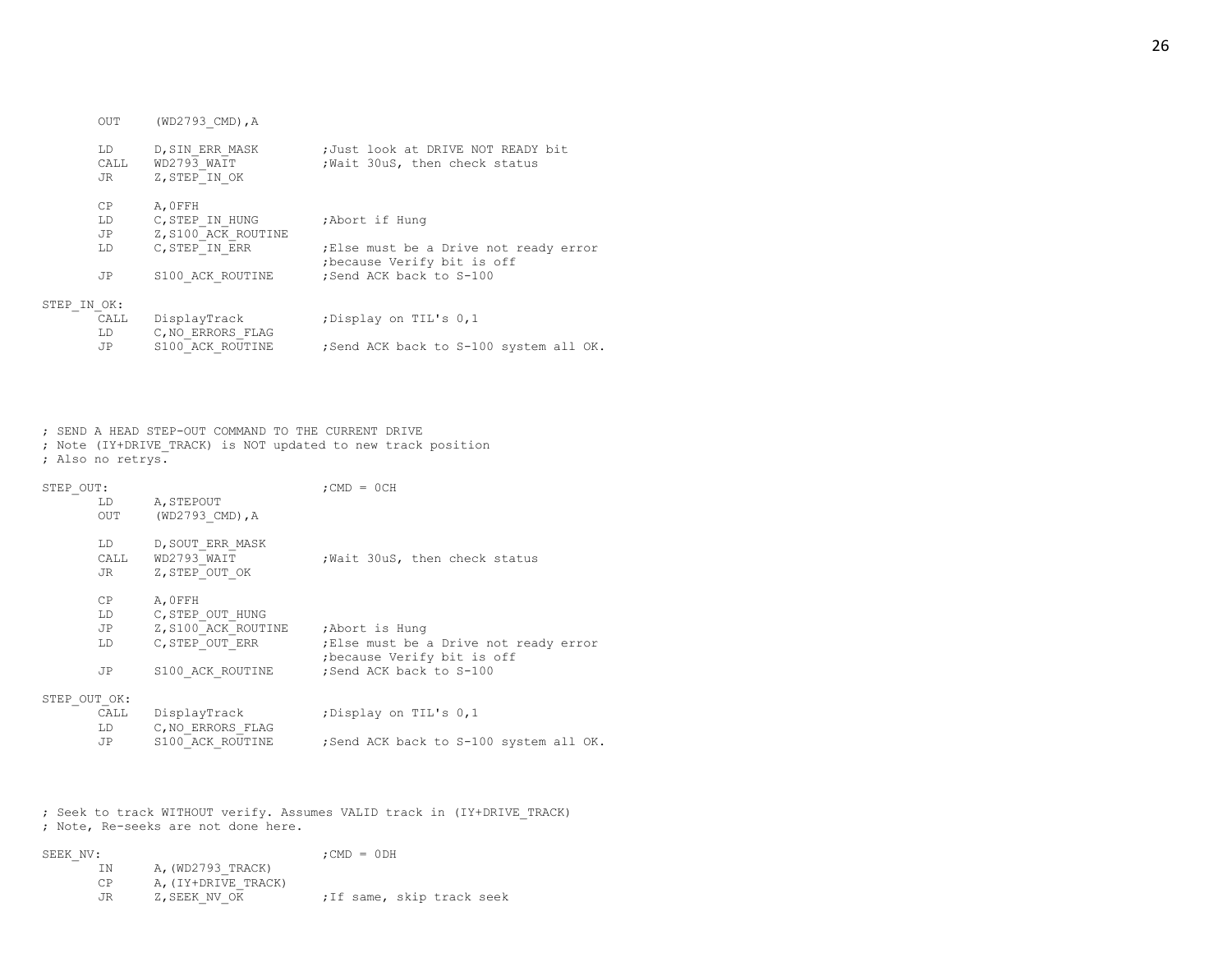|             | <b>OUT</b>       | (WD2793 CMD), A                                  |                                                                     |
|-------------|------------------|--------------------------------------------------|---------------------------------------------------------------------|
|             | LD<br>CALL<br>JR | D, SIN ERR MASK<br>WD2793 WAIT<br>Z, STEP IN OK  | ;Just look at DRIVE NOT READY bit<br>; Wait 30uS, then check status |
|             | CP<br>LD.<br>JP  | A.OFFH<br>C, STEP IN HUNG<br>Z, S100 ACK ROUTINE | ;Abort if Hung                                                      |
|             | LD.              | C, STEP IN ERR                                   | Else must be a Drive not ready error<br>because Verify bit is off   |
|             | JP               | S100 ACK ROUTINE                                 | ;Send ACK back to S-100                                             |
| STEP IN OK: |                  |                                                  |                                                                     |
|             | CALL<br>LD       | DisplayTrack<br>C, NO ERRORS FLAG                | ; Display on TIL's 0,1                                              |
|             | JP               | S100 ACK ROUTINE                                 | ; Send ACK back to S-100 system all OK.                             |

; SEND A HEAD STEP-OUT COMMAND TO THE CURRENT DRIVE

; Note (IY+DRIVE\_TRACK) is NOT updated to new track position

; Also no retrys.

| STEP OUT:    |                                                                                                                                                                                                                                |                                     | $:$ CMD = $0CH$                                                       |  |  |
|--------------|--------------------------------------------------------------------------------------------------------------------------------------------------------------------------------------------------------------------------------|-------------------------------------|-----------------------------------------------------------------------|--|--|
|              | LD                                                                                                                                                                                                                             | A, STEPOUT                          |                                                                       |  |  |
|              | <b>OUT</b>                                                                                                                                                                                                                     | (WD2793 CMD), A                     |                                                                       |  |  |
|              | LD                                                                                                                                                                                                                             | D, SOUT ERR MASK                    |                                                                       |  |  |
|              |                                                                                                                                                                                                                                | CALL WD2793 WAIT                    | Wait 30uS, then check status                                          |  |  |
|              | JR                                                                                                                                                                                                                             | Z, STEP OUT OK                      |                                                                       |  |  |
|              | CP                                                                                                                                                                                                                             | A.OFFH                              |                                                                       |  |  |
|              | LD                                                                                                                                                                                                                             | C, STEP OUT HUNG                    |                                                                       |  |  |
|              | JP D                                                                                                                                                                                                                           | Z, S100 ACK ROUTINE ; Abort is Hung |                                                                       |  |  |
|              | LD                                                                                                                                                                                                                             | C, STEP OUT ERR                     | ; Else must be a Drive not ready error<br>; because Verify bit is off |  |  |
|              | JP                                                                                                                                                                                                                             | S100 ACK ROUTINE                    | :Send ACK back to S-100                                               |  |  |
| STEP OUT OK: |                                                                                                                                                                                                                                |                                     |                                                                       |  |  |
|              | CALL                                                                                                                                                                                                                           | DisplayTrack                        | ;Display on TIL's 0,1                                                 |  |  |
|              | LD and the set of the set of the set of the set of the set of the set of the set of the set of the set of the set of the set of the set of the set of the set of the set of the set of the set of the set of the set of the se | C, NO ERRORS FLAG                   |                                                                       |  |  |
|              | JP                                                                                                                                                                                                                             | S100 ACK ROUTINE                    | ;Send ACK back to S-100 system all OK.                                |  |  |

; Seek to track WITHOUT verify. Assumes VALID track in (IY+DRIVE\_TRACK) ; Note, Re-seeks are not done here.

| SEEK NV: |                     | $:$ CMD = $0$ DH           |
|----------|---------------------|----------------------------|
| ΙN       | A, (WD2793 TRACK)   |                            |
| C.P      | A, (IY+DRIVE TRACK) |                            |
| JR.      | Z, SEEK NV OK       | ; If same, skip track seek |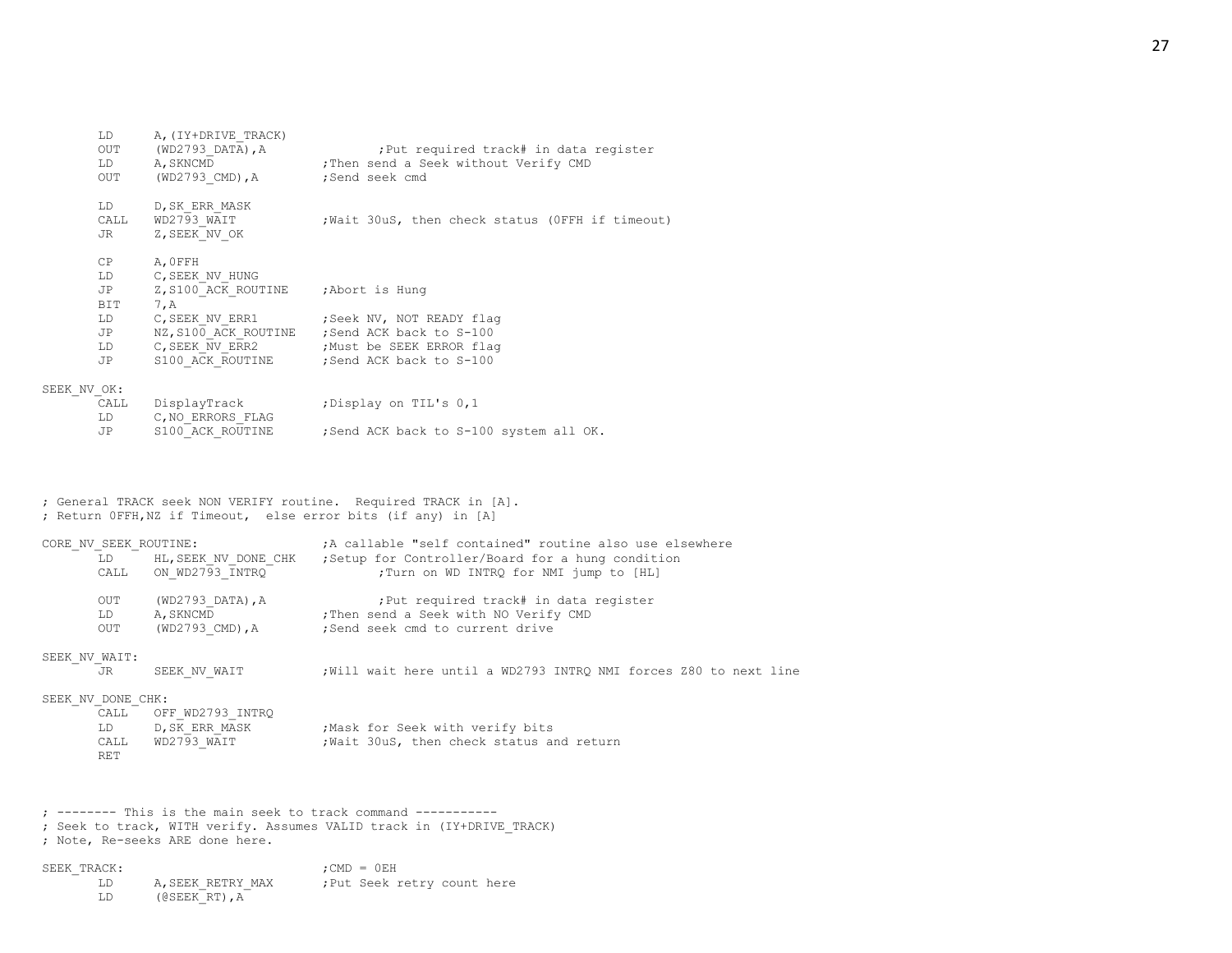| LD —<br>OUT<br>OUT                                                                                                                                                                                                                   | A, (IY+DRIVE TRACK)<br>(WD2793 DATA), A<br>LD A, SKNCMD<br>(WD2793 CMD),A | ; Put required track# in data register<br>Then send a Seek without Verify CMD<br>;Send seek cmd |
|--------------------------------------------------------------------------------------------------------------------------------------------------------------------------------------------------------------------------------------|---------------------------------------------------------------------------|-------------------------------------------------------------------------------------------------|
| LD                                                                                                                                                                                                                                   | D, SK ERR MASK<br>CALL WD2793 WAIT<br>JR Z, SEEK NV OK                    | ; Wait 30uS, then check status (OFFH if timeout)                                                |
| CP<br>LD and the set of the set of the set of the set of the set of the set of the set of the set of the set of the set of the set of the set of the set of the set of the set of the set of the set of the set of the set of the se | A, OFFH<br>C, SEEK NV HUNG                                                |                                                                                                 |
| JP<br>BIT                                                                                                                                                                                                                            | Z, S100 ACK ROUTINE ; Abort is Hung<br>7, A                               |                                                                                                 |
| LD                                                                                                                                                                                                                                   |                                                                           | C, SEEK NV ERR1 ; Seek NV, NOT READY flag                                                       |
| JP                                                                                                                                                                                                                                   |                                                                           | NZ, S100 ACK ROUTINE ; Send ACK back to S-100                                                   |
| LD                                                                                                                                                                                                                                   |                                                                           | C, SEEK NV ERR2 ; Must be SEEK ERROR flag                                                       |
| JP                                                                                                                                                                                                                                   |                                                                           | S100 ACK ROUTINE ; Send ACK back to S-100                                                       |
| NV OK:                                                                                                                                                                                                                               |                                                                           |                                                                                                 |
|                                                                                                                                                                                                                                      | CALL DisplayTrack                                                         | ;Display on TIL's 0,1                                                                           |
| LD                                                                                                                                                                                                                                   | C, NO ERRORS FLAG                                                         |                                                                                                 |

JP S100 ACK ROUTINE ; Send ACK back to S-100 system all OK.

; General TRACK seek NON VERIFY routine. Required TRACK in [A].

; Return 0FFH,NZ if Timeout, else error bits (if any) in [A] CORE\_NV\_SEEK\_ROUTINE: ;A callable "self contained" routine also use elsewhere LD HL, SEEK NV DONE CHK ; Setup for Controller/Board for a hung condition CALL ON WD2793 INTRQ  $\overline{INTRQ}$  ; Turn on WD INTRQ for NMI jump to [HL] OUT (WD2793\_DATA), A ;Put required track# in data register<br>
LD A, SKNCMD ;Then send a Seek with NO Verify CMD LD A, SKNCMD ;Then send a Seek with NO Verify CMD OUT (WD2793 CMD), A ;Send seek cmd to current drive SEEK\_NV\_WAIT:<br>JR SEEK NV WAIT ;Will wait here until a WD2793 INTRQ NMI forces Z80 to next line

## SEEK\_NV\_DONE\_CHK:

 $SEEK$ 

| CALL | OFF WD2793 INTRO |                                         |
|------|------------------|-----------------------------------------|
| LD   | D,SK ERR MASK    | Mask for Seek with verify bits          |
| CALL | WD2793 WAIT      | Wait 30uS, then check status and return |
| RET  |                  |                                         |

; -------- This is the main seek to track command ----------- ; Seek to track, WITH verify. Assumes VALID track in (IY+DRIVE\_TRACK) ; Note, Re-seeks ARE done here.

| SEEK TRACK: |                  |  | $:$ CMD = $0EH$ |                             |  |
|-------------|------------------|--|-----------------|-----------------------------|--|
|             | A.SEEK RETRY MAX |  |                 | : Put Seek retry count here |  |
|             |                  |  |                 |                             |  |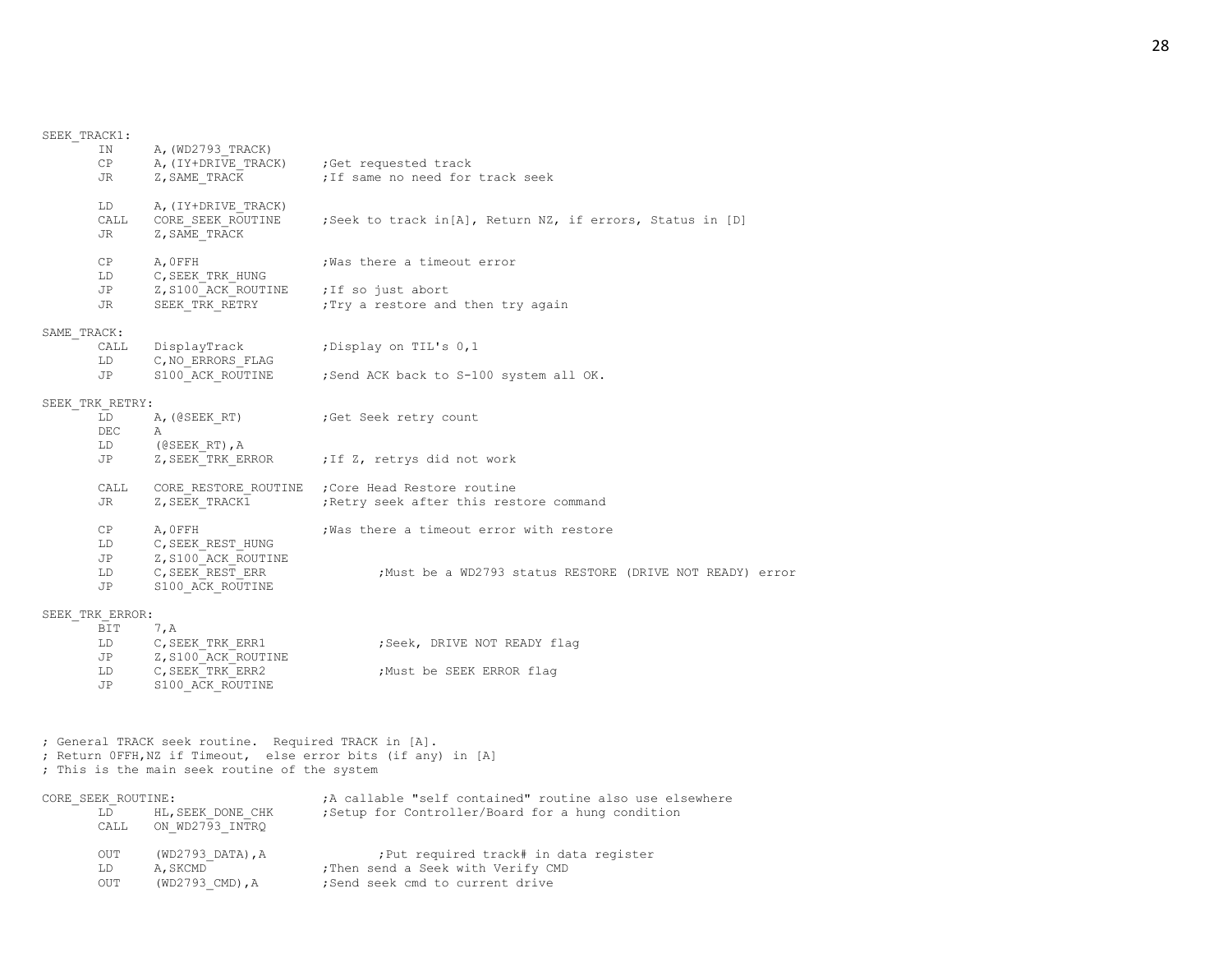## SEEK\_TRACK1:

|             | ΙN<br>СP<br>JR     | A, (WD2793 TRACK)<br>A, (IY+DRIVE TRACK)<br>Z, SAME TRACK                                             | ;Get requested track<br>; If same no need for track seek      |
|-------------|--------------------|-------------------------------------------------------------------------------------------------------|---------------------------------------------------------------|
|             | LD<br>CALL<br>JR.  | A, (IY+DRIVE TRACK)<br>CORE SEEK ROUTINE<br>Z, SAME TRACK                                             | ;Seek to track in[A], Return NZ, if errors, Status in [D]     |
|             | CP                 | A, OFFH                                                                                               | ; Was there a timeout error                                   |
|             | LD<br>JP           | C, SEEK TRK HUNG<br>Z, S100 ACK ROUTINE                                                               | ; If so just abort                                            |
|             | JR                 | SEEK TRK RETRY                                                                                        | : Try a restore and then try again                            |
| SAME TRACK: |                    |                                                                                                       |                                                               |
|             | CALL<br>LD         | DisplayTrack<br>C, NO ERRORS FLAG                                                                     | ;Display on TIL's 0,1                                         |
|             | JP                 | S100 ACK ROUTINE                                                                                      | ; Send ACK back to S-100 system all OK.                       |
|             | SEEK_TRK RETRY:    |                                                                                                       |                                                               |
|             | LD                 | A, (@SEEK RT)                                                                                         | ;Get Seek retry count                                         |
|             | DEC                | Α                                                                                                     |                                                               |
|             | LD                 | $($ (GSEEK RT), $A$                                                                                   |                                                               |
|             | JP                 | Z, SEEK TRK ERROR                                                                                     | ; If Z, retrys did not work                                   |
|             | CALL               | CORE RESTORE ROUTINE                                                                                  | Core Head Restore routine,                                    |
|             | JR                 | Z, SEEK TRACK1                                                                                        | ; Retry seek after this restore command                       |
|             | CP                 | A, OFFH                                                                                               | Was there a timeout error with restore                        |
|             | LD                 | C, SEEK REST HUNG                                                                                     |                                                               |
|             | JP                 | Z, S100 ACK ROUTINE                                                                                   |                                                               |
|             | LD<br>JP           | C, SEEK REST ERR<br>S100 ACK ROUTINE                                                                  | Must be a WD2793 status RESTORE (DRIVE NOT READY) error,      |
|             | SEEK TRK ERROR:    |                                                                                                       |                                                               |
|             | BIT                | 7, A                                                                                                  |                                                               |
|             | LD                 | C, SEEK TRK ERR1                                                                                      | ; Seek, DRIVE NOT READY flag                                  |
|             | JP                 | Z, S100 ACK ROUTINE                                                                                   |                                                               |
|             | LD<br>JP           | C, SEEK TRK ERR2<br>S100 ACK ROUTINE                                                                  | ; Must be SEEK ERROR flag                                     |
|             |                    |                                                                                                       |                                                               |
|             |                    | ; General TRACK seek routine. Required TRACK in [A].<br>; This is the main seek routine of the system | ; Return OFFH, NZ if Timeout, else error bits (if any) in [A] |
|             | CORE SEEK ROUTINE: |                                                                                                       | ;A callable "self contained" routine also use elsewhere       |
|             | LD<br>CALL         | HL, SEEK DONE CHK<br>ON WD2793 INTRQ                                                                  | ;Setup for Controller/Board for a hung condition              |
|             | <b>OUT</b>         | (WD2793 DATA), A                                                                                      | ; Put required track# in data register                        |

LD A, SKCMD ;Then send a Seek with Verify CMD OUT (WD2793\_DATA), A ; Put required track# in<br>
LD A, SKCMD ; Then send a Seek with Verify CN<br>
OUT (WD2793\_CMD), A ; Send seek cmd to current drive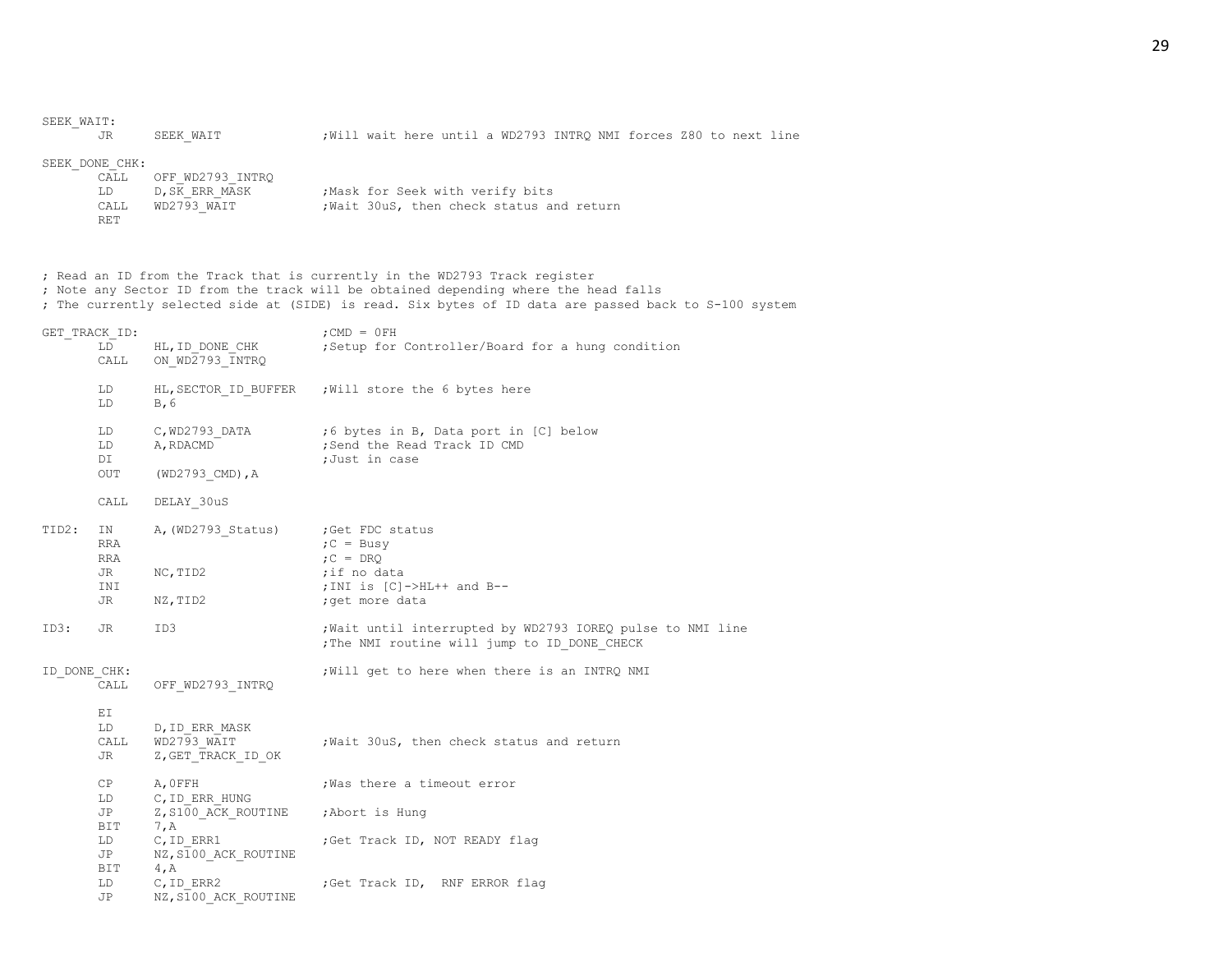| SEEK WAIT:   | JR                                                 | SEEK WAIT                                           | ; Will wait here until a WD2793 INTRQ NMI forces Z80 to next line                                                                                                                                                                                                          |
|--------------|----------------------------------------------------|-----------------------------------------------------|----------------------------------------------------------------------------------------------------------------------------------------------------------------------------------------------------------------------------------------------------------------------------|
|              | SEEK DONE CHK:<br>CALL<br>LD<br>CALL<br><b>RET</b> | OFF WD2793 INTRQ<br>D, SK ERR MASK<br>WD2793_WAIT   | ; Mask for Seek with verify bits<br>; Wait 30uS, then check status and return                                                                                                                                                                                              |
|              |                                                    |                                                     | ; Read an ID from the Track that is currently in the WD2793 Track register<br>; Note any Sector ID from the track will be obtained depending where the head falls<br>; The currently selected side at (SIDE) is read. Six bytes of ID data are passed back to S-100 system |
|              | GET TRACK ID:<br>LD<br>CALL                        | HL, ID DONE CHK<br>ON WD2793 INTRQ                  | $;$ CMD = $0$ FH<br>Setup for Controller/Board for a hung condition                                                                                                                                                                                                        |
|              | LD<br>LD                                           | HL, SECTOR ID BUFFER<br>B, 6                        | Will store the 6 bytes here,                                                                                                                                                                                                                                               |
|              | LD<br>LD<br>DI<br>OUT                              | C, WD2793 DATA<br>A, RDACMD<br>$(WD2793$ CMD), A    | ;6 bytes in B, Data port in [C] below<br>; Send the Read Track ID CMD<br>;Just in case                                                                                                                                                                                     |
|              | CALL                                               | DELAY 30uS                                          |                                                                                                                                                                                                                                                                            |
| TID2:        | ΙN<br>RRA<br><b>RRA</b><br>JR<br>INI<br>JR.        | A, (WD2793 Status)<br>NC, TID2<br>NZ, TID2          | ;Get FDC status<br>$C = BusV$<br>$C = DRQ$<br>;if no data<br>; INI is $[C]$ ->HL++ and B--<br>; get more data                                                                                                                                                              |
| ID3:         | JR                                                 | ID3                                                 | ; Wait until interrupted by WD2793 IOREQ pulse to NMI line<br>; The NMI routine will jump to ID DONE CHECK                                                                                                                                                                 |
| ID DONE CHK: | CALL                                               | OFF WD2793 INTRQ                                    | ; Will get to here when there is an INTRQ NMI                                                                                                                                                                                                                              |
|              | ΕI<br>LD<br>CALL<br>JR                             | D, ID ERR MASK<br>WD2793 WAIT<br>Z, GET TRACK ID OK | ; Wait 30uS, then check status and return                                                                                                                                                                                                                                  |
|              | СP<br>LD<br>JP                                     | A, OFFH<br>C, ID ERR HUNG<br>Z, S100 ACK ROUTINE    | Was there a timeout error,<br>;Abort is Hung                                                                                                                                                                                                                               |
|              | BIT<br>LD<br>JP                                    | 7, A<br>C, ID ERR1<br>NZ, S100 ACK ROUTINE          | ;Get Track ID, NOT READY flag                                                                                                                                                                                                                                              |
|              | BIT<br>LD<br>JP                                    | 4, A<br>$C$ , ID ERR2<br>NZ, S100 ACK ROUTINE       | ;Get Track ID, RNF ERROR flag                                                                                                                                                                                                                                              |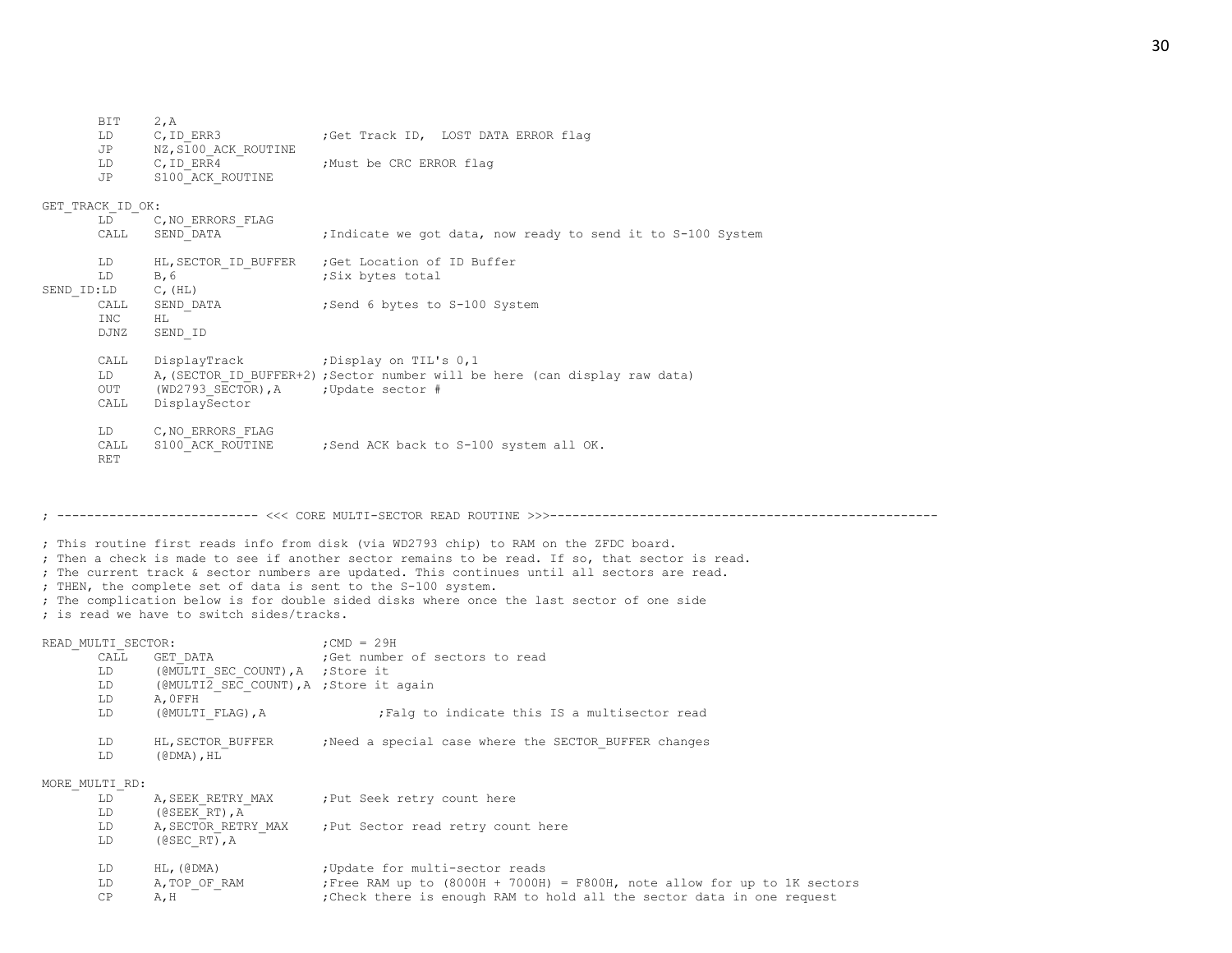LD C, ID ERR3 ;Get Track ID, LOST DATA ERROR flag JP NZ, S100 ACK ROUTINE LD C, ID ERR4 ;Must be CRC ERROR flag JP S100\_ACK\_ROUTINE GET TRACK ID OK: LD C, NO ERRORS FLAG CALL SEND DATA ;Indicate we got data, now ready to send it to S-100 System LD HL, SECTOR ID BUFFER ; Get Location of ID Buffer LD B, 6 ;Six bytes total SEND ID:LD C, (HL) CALL SEND DATA ;Send 6 bytes to S-100 System INC HL DJNZ SEND\_ID CALL DisplayTrack ;Display on TIL's 0,1 LD A, (SECTOR ID BUFFER+2) ; Sector number will be here (can display raw data) OUT (WD2793 SECTOR), A ; Update sector # CALL DisplaySector LD C, NO ERRORS FLAG CALL S100 ACK ROUTINE ;Send ACK back to S-100 system all OK. RET ; --------------------------- <<< CORE MULTI-SECTOR READ ROUTINE >>>---------------------------------------------------- ; This routine first reads info from disk (via WD2793 chip) to RAM on the ZFDC board. ; Then a check is made to see if another sector remains to be read. If so, that sector is read. ; The current track & sector numbers are updated. This continues until all sectors are read. ; THEN, the complete set of data is sent to the S-100 system. ; The complication below is for double sided disks where once the last sector of one side ; is read we have to switch sides/tracks. READ\_MULTI\_SECTOR:  $;$  ;CMD = 29H CALL GET DATA  $;$  Get number of sectors to read LD (@MULTI\_SEC\_COUNT), A ; Store it LD ( $@MULTI\overline{2}$  SEC COUNT), A ; Store it again LD A,0FFH LD (@MULTI\_FLAG), A ;Falg to indicate this IS a multisector read LD HL, SECTOR BUFFER ; Need a special case where the SECTOR BUFFER changes LD (@DMA),HL MORE\_MULTI\_RD: LD A, SEEK RETRY MAX ; Put Seek retry count here LD (@SEEK\_RT),A LD A, SECTOR RETRY MAX ; Put Sector read retry count here LD (@SEC\_RT),A LD HL, (@DMA) ; Update for multi-sector reads LD A, TOP OF RAM ;Free RAM up to (8000H + 7000H) = F800H, note allow for up to 1K sectors CP A, H ;Check there is enough RAM to hold all the sector data in one request

BIT 2,A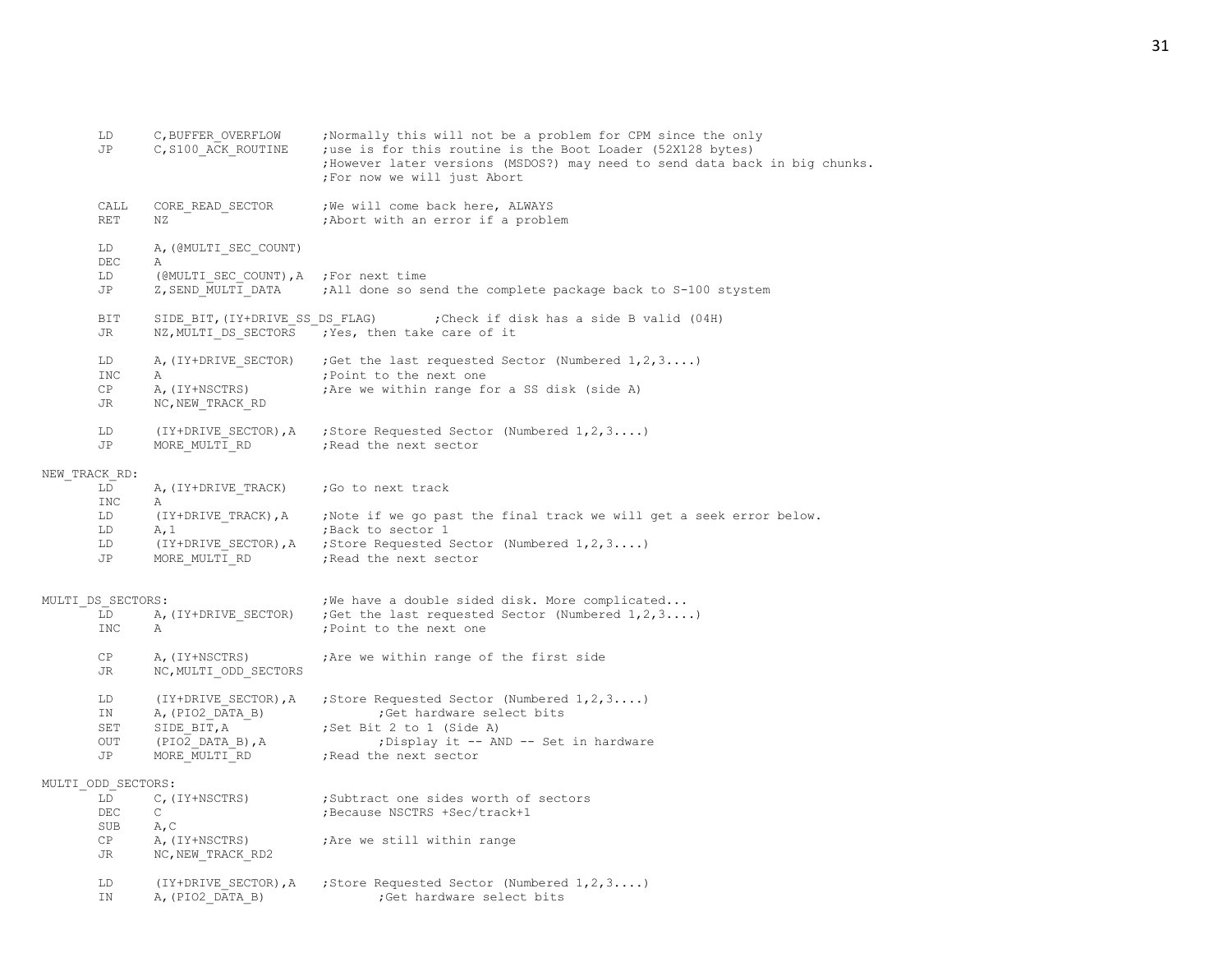|               | LD<br>JP           | C, BUFFER OVERFLOW<br>C, S100 ACK ROUTINE   | ; Normally this will not be a problem for CPM since the only<br>; use is for this routine is the Boot Loader (52X128 bytes)<br>; However later versions (MSDOS?) may need to send data back in big chunks.<br>; For now we will just Abort |
|---------------|--------------------|---------------------------------------------|--------------------------------------------------------------------------------------------------------------------------------------------------------------------------------------------------------------------------------------------|
|               | CALL<br><b>RET</b> | CORE READ SECTOR<br>ΝZ                      | ; We will come back here, ALWAYS<br>; Abort with an error if a problem                                                                                                                                                                     |
|               | LD<br>DEC          | A, (GMULTI SEC COUNT)<br>Α                  |                                                                                                                                                                                                                                            |
|               | LD<br>JP           | (@MULTI SEC COUNT), A<br>Z, SEND MULTI DATA | ;For next time<br>;All done so send the complete package back to S-100 stystem                                                                                                                                                             |
|               | BIT<br>JR          | SIDE BIT, (IY+DRIVE SS DS FLAG)             | Check if disk has a side B valid (04H);<br>NZ, MULTI DS SECTORS ; Yes, then take care of it                                                                                                                                                |
|               | LD<br><b>INC</b>   | A, (IY+DRIVE SECTOR)<br>Α                   | ; Get the last requested Sector (Numbered $1, 2, 3$ )<br>; Point to the next one                                                                                                                                                           |
|               | CP<br>JR           | A, (IY+NSCTRS)<br>NC, NEW TRACK RD          | Are we within range for a SS disk (side A)                                                                                                                                                                                                 |
|               | LD<br>JP           | (IY+DRIVE SECTOR), A<br>MORE MULTI RD       | ; Store Requested Sector (Numbered $1, 2, 3$ )<br>; Read the next sector                                                                                                                                                                   |
| NEW TRACK RD: |                    |                                             |                                                                                                                                                                                                                                            |
|               | LD<br>INC          | A, (IY+DRIVE TRACK)<br>Α                    | ;Go to next track                                                                                                                                                                                                                          |
|               | LD                 | (IY+DRIVE TRACK), A                         | ; Note if we go past the final track we will get a seek error below.                                                                                                                                                                       |
|               | LD                 | A, 1                                        | ; Back to sector 1                                                                                                                                                                                                                         |
|               | LD<br>JP           | (IY+DRIVE SECTOR), A<br>MORE MULTI RD       | ; Store Requested Sector (Numbered $1, 2, 3$ )<br>; Read the next sector                                                                                                                                                                   |
|               | MULTI DS SECTORS:  |                                             | ; We have a double sided disk. More complicated                                                                                                                                                                                            |
|               | LD<br>INC          | A, (IY+DRIVE SECTOR)<br>Α                   | ; Get the last requested Sector (Numbered $1, 2, 3$ )<br>; Point to the next one                                                                                                                                                           |
|               | CP<br>JR           | A, (IY+NSCTRS)<br>NC, MULTI ODD SECTORS     | Are we within range of the first side                                                                                                                                                                                                      |
|               | LD<br>IN           | (IY+DRIVE SECTOR), A<br>A, (PIO2 DATA B)    | ; Store Requested Sector (Numbered $1, 2, 3$ )<br>; Get hardware select bits                                                                                                                                                               |
|               | SET                | SIDE BIT, A                                 | ;Set Bit 2 to 1 (Side A)                                                                                                                                                                                                                   |
|               | OUT<br>JP          | $(PIO2$ DATA B), $A$<br>MORE MULTI RD       | ;Display it -- AND -- Set in hardware<br>; Read the next sector                                                                                                                                                                            |
|               | MULTI ODD SECTORS: |                                             |                                                                                                                                                                                                                                            |
|               | LD<br>DEC          | C, (IY+NSCTRS)<br>C                         | ;Subtract one sides worth of sectors<br>Because NSCTRS +Sec/track+1;                                                                                                                                                                       |
|               | SUB                | A, C                                        |                                                                                                                                                                                                                                            |
|               | CP<br>JR           | A, (IY+NSCTRS)<br>NC, NEW TRACK RD2         | ; Are we still within range                                                                                                                                                                                                                |
|               | LD<br>IN           | (IY+DRIVE SECTOR), A<br>A, (PIO2 DATA B)    | ; Store Requested Sector (Numbered $1, 2, 3$ )<br>;Get hardware select bits                                                                                                                                                                |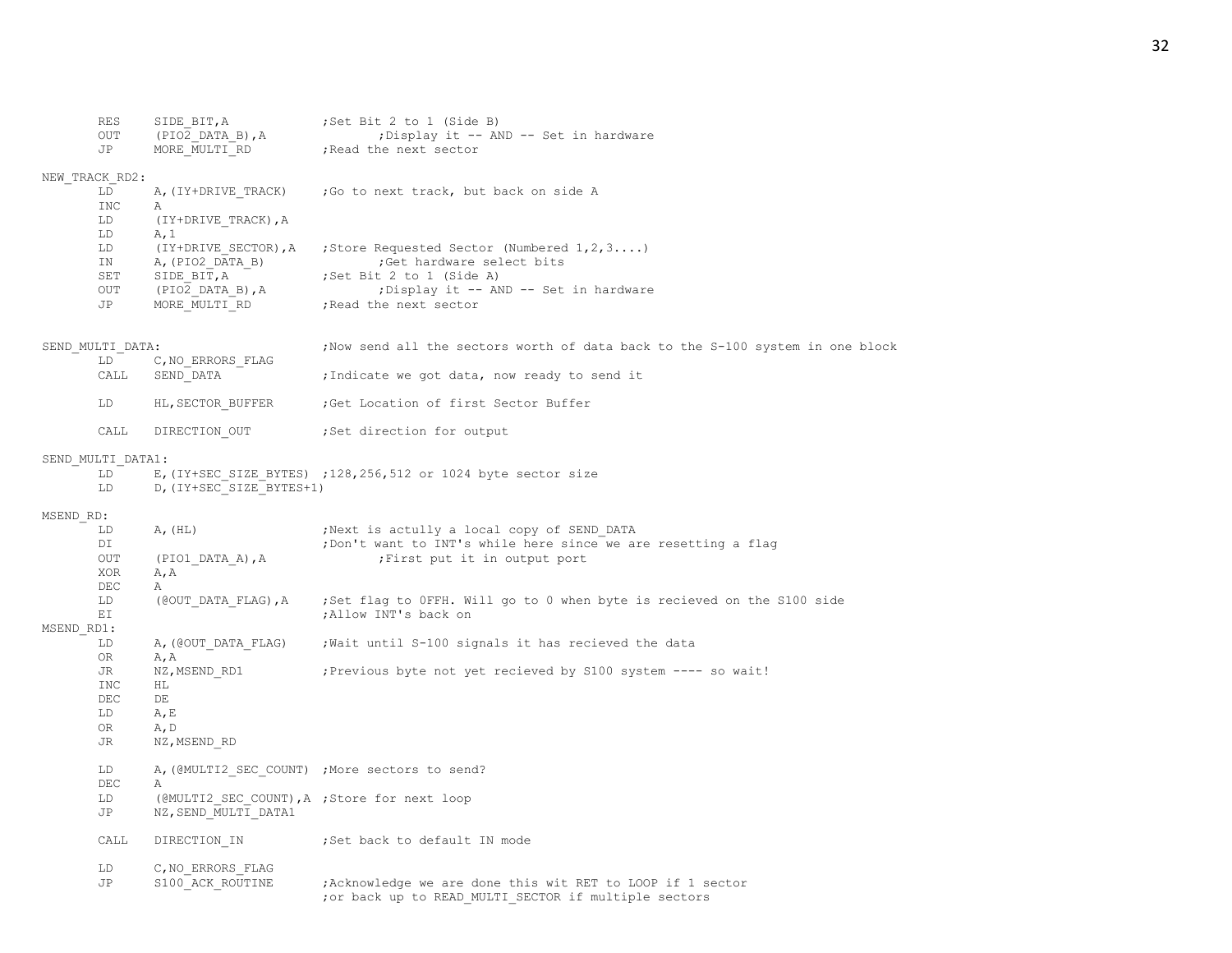|            | RES<br>OUT        | SIDE BIT, A<br>(PIO2 DATA B), A                                      | ;Set Bit 2 to 1 (Side B)<br>; Display it -- AND -- Set in hardware             |
|------------|-------------------|----------------------------------------------------------------------|--------------------------------------------------------------------------------|
|            | JP                | MORE MULTI RD                                                        | ; Read the next sector                                                         |
|            | NEW TRACK RD2:    |                                                                      |                                                                                |
|            | LD                | A, (IY+DRIVE TRACK)                                                  | ; Go to next track, but back on side A                                         |
|            | INC               | Α                                                                    |                                                                                |
|            | LD                | (IY+DRIVE TRACK), A                                                  |                                                                                |
|            | LD                | A, 1                                                                 |                                                                                |
|            | LD<br>ΙN          | (IY+DRIVE SECTOR), A<br>A, (PIO2 DATA B)                             | ; Store Requested Sector (Numbered $1, 2, 3$ )<br>;Get hardware select bits    |
|            | SET               | SIDE BIT, A                                                          | ; Set Bit 2 to 1 (Side A)                                                      |
|            | OUT               | (PIO2 DATA B), A                                                     | ; Display it -- AND -- Set in hardware                                         |
|            | JP                | MORE MULTI RD                                                        | ; Read the next sector                                                         |
|            | SEND MULTI DATA:  |                                                                      | ; Now send all the sectors worth of data back to the S-100 system in one block |
|            | LD                | C, NO ERRORS FLAG                                                    |                                                                                |
|            | CALL              | SEND DATA                                                            | ;Indicate we got data, now ready to send it                                    |
|            | LD                | HL, SECTOR BUFFER                                                    | ;Get Location of first Sector Buffer                                           |
|            | CALL              | DIRECTION OUT                                                        | ;Set direction for output                                                      |
|            | SEND MULTI DATA1: |                                                                      |                                                                                |
|            | LD                |                                                                      | E, (IY+SEC_SIZE_BYTES) ;128,256,512 or 1024 byte sector size                   |
|            | LD                | D, (IY+SEC SIZE BYTES+1)                                             |                                                                                |
| MSEND RD:  |                   |                                                                      |                                                                                |
|            | LD                | A, (HL)                                                              | ; Next is actully a local copy of SEND DATA                                    |
|            | DI                |                                                                      | ; Don't want to INT's while here since we are resetting a flag                 |
|            | OUT<br>XOR        | (PIO1 DATA A), A                                                     | ; First put it in output port                                                  |
|            | DEC               | A, A<br>Α                                                            |                                                                                |
|            | LD                | (@OUT DATA FLAG), A                                                  | ;Set flag to OFFH. Will go to 0 when byte is recieved on the S100 side         |
|            | ΕI                |                                                                      | ; Allow INT's back on                                                          |
| MSEND RD1: |                   |                                                                      |                                                                                |
|            | LD                | A, (@OUT DATA FLAG)                                                  | ; Wait until S-100 signals it has recieved the data                            |
|            | 0R                | A, A                                                                 |                                                                                |
|            | JR<br><b>INC</b>  | NZ, MSEND RD1<br>HL.                                                 | ; Previous byte not yet recieved by S100 system ---- so wait!                  |
|            | DEC               | DE                                                                   |                                                                                |
|            | LD                | A, E                                                                 |                                                                                |
|            | OR.               | A, D                                                                 |                                                                                |
|            | JR                | NZ, MSEND_RD                                                         |                                                                                |
|            | LD                |                                                                      | A, (@MULTI2 SEC COUNT) ; More sectors to send?                                 |
|            | DEC<br>LD         | Α                                                                    |                                                                                |
|            | JP                | (@MULTI2 SEC COUNT), A ; Store for next loop<br>NZ, SEND_MULTI_DATA1 |                                                                                |
|            | CALL              | DIRECTION IN                                                         | ;Set back to default IN mode                                                   |
|            | LD                | C, NO ERRORS FLAG                                                    |                                                                                |
|            | JP                | S100 ACK ROUTINE                                                     | Acknowledge we are done this wit RET to LOOP if 1 sector                       |
|            |                   |                                                                      | ; or back up to READ MULTI SECTOR if multiple sectors                          |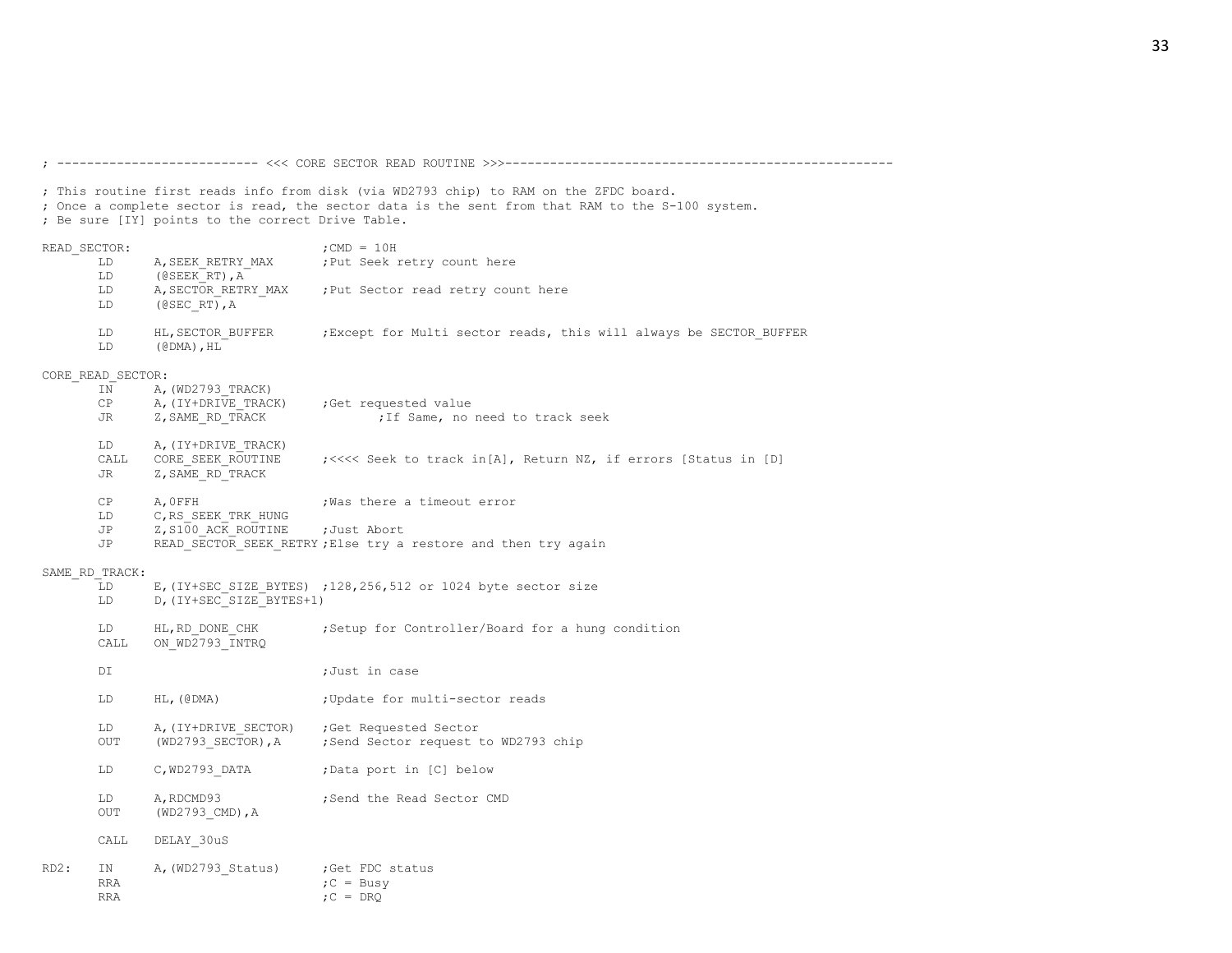; Once a complete sector is read, the sector data is the sent from that RAM to the S-100 system. ; Be sure [IY] points to the correct Drive Table. READ SECTOR:  $;$  ; CMD = 10H LD A, SEEK RETRY MAX ; Put Seek retry count here LD (@SEEK\_RT),A LD A, SECTOR RETRY MAX ; Put Sector read retry count here LD (@SEC\_RT),A LD HL, SECTOR BUFFER ;Except for Multi sector reads, this will always be SECTOR BUFFER LD (@DMA),HL CORE\_READ\_SECTOR: IN A, (WD2793 TRACK) CP A, (IY+DRIVE TRACK) ;Get requested value JR Z, SAME RD TRACK  $\qquad \qquad ;$  If Same, no need to track seek LD A, (IY+DRIVE TRACK) CALL CORE SEEK ROUTINE ; <<<< Seek to track in[A], Return NZ, if errors [Status in [D] JR Z, SAME RD TRACK CP A, OFFH ; Was there a timeout error LD C, RS SEEK TRK HUNG JP Z, S100 ACK ROUTINE ; Just Abort JP READ SECTOR SEEK RETRY; Else try a restore and then try again SAME\_RD\_TRACK: LD E, (IY+SEC SIZE BYTES) ;128,256,512 or 1024 byte sector size LD D, (IY+SEC SIZE BYTES+1) LD HL, RD DONE CHK ; Setup for Controller/Board for a hung condition CALL ON\_WD2793\_INTRQ DI ;Just in case LD HL, (@DMA) ; Update for multi-sector reads LD A, (IY+DRIVE SECTOR) ;Get Requested Sector OUT (WD2793 SECTOR), A ;Send Sector request to WD2793 chip LD C, WD2793 DATA ;Data port in [C] below LD A, RDCMD93 ;Send the Read Sector CMD OUT (WD2793 CMD), A CALL DELAY\_30uS RD2: IN A, (WD2793 Status) ;Get FDC status RRA  $C = Busy$ 

; --------------------------- <<< CORE SECTOR READ ROUTINE >>>----------------------------------------------------

; This routine first reads info from disk (via WD2793 chip) to RAM on the ZFDC board.

 $\mathsf{RRA} \qquad \qquad \mathsf{RRA}$ 

33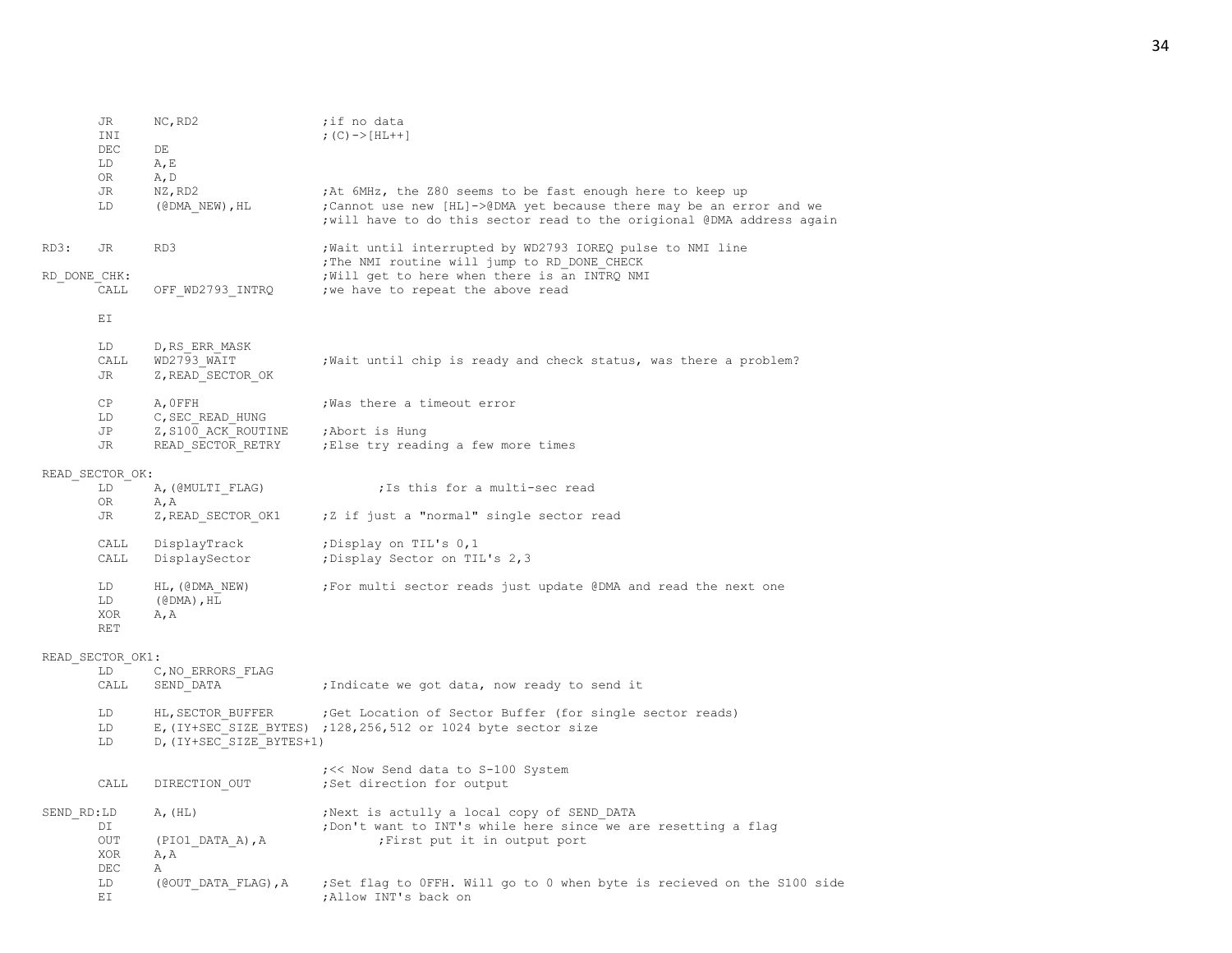|              | JR<br>INI                      | NC, RD2                                                  | ;if no data<br>; $(C)$ -> [HL++]                                                                                                                                                                            |
|--------------|--------------------------------|----------------------------------------------------------|-------------------------------------------------------------------------------------------------------------------------------------------------------------------------------------------------------------|
|              | DEC<br>LD<br>OR.               | DE<br>A, E<br>A, D                                       |                                                                                                                                                                                                             |
|              | JR<br>LD                       | NZ, RD2<br>$(CDMA NEW)$ , HL                             | ;At 6MHz, the 280 seems to be fast enough here to keep up<br>; Cannot use new [HL]->@DMA yet because there may be an error and we<br>; will have to do this sector read to the origional @DMA address again |
| RD3:         | JR                             | RD3                                                      | ; Wait until interrupted by WD2793 IOREQ pulse to NMI line<br>; The NMI routine will jump to RD DONE CHECK                                                                                                  |
| RD DONE CHK: | CALL                           | OFF WD2793 INTRQ                                         | ; Will get to here when there is an INTRQ NMI<br>; we have to repeat the above read                                                                                                                         |
|              | ΕI                             |                                                          |                                                                                                                                                                                                             |
|              | LD<br>CALL<br>JR               | D, RS ERR MASK<br>WD2793 WAIT<br>Z, READ_SECTOR OK       | ; Wait until chip is ready and check status, was there a problem?                                                                                                                                           |
|              | CP<br>LD                       | A, OFFH<br>C, SEC READ HUNG                              | ; Was there a timeout error                                                                                                                                                                                 |
|              | JP<br>JR                       | Z, S100 ACK ROUTINE<br>READ SECTOR RETRY                 | ;Abort is Hung<br>; Else try reading a few more times                                                                                                                                                       |
|              | READ SECTOR OK:                |                                                          |                                                                                                                                                                                                             |
|              | LD<br>0R                       | A, (@MULTI FLAG)<br>A, A                                 | ; Is this for a multi-sec read                                                                                                                                                                              |
|              | JR                             | Z, READ SECTOR OK1                                       | ;Z if just a "normal" single sector read                                                                                                                                                                    |
|              | CALL<br>CALL                   | DisplayTrack<br>DisplaySector                            | ; Display on TIL's 0,1<br>; Display Sector on TIL's 2,3                                                                                                                                                     |
|              | LD<br>LD.<br>XOR<br><b>RET</b> | HL, (@DMA NEW)<br>$(\text{\texttt{\&}DMA})$ , HL<br>A, A | ; For multi sector reads just update @DMA and read the next one                                                                                                                                             |
|              | READ SECTOR OK1:               |                                                          |                                                                                                                                                                                                             |
|              | LD<br>CALL                     | C, NO ERRORS FLAG<br>SEND DATA                           | ;Indicate we got data, now ready to send it                                                                                                                                                                 |
|              | LD<br>LD<br>LD                 | HL, SECTOR BUFFER<br>D, (IY+SEC SIZE BYTES+1)            | ; Get Location of Sector Buffer (for single sector reads)<br>E, (IY+SEC SIZE BYTES) ; 128, 256, 512 or 1024 byte sector size                                                                                |
|              | CALL                           | DIRECTION OUT                                            | ; << Now Send data to S-100 System<br>;Set direction for output                                                                                                                                             |
| SEND RD:LD   | DI<br>OUT<br>XOR<br>DEC        | A, (HL)<br>(PIO1 DATA A), A<br>A, A<br>Α                 | ; Next is actully a local copy of SEND DATA<br>; Don't want to INT's while here since we are resetting a flag<br>; First put it in output port                                                              |
|              | LD<br>ΕI                       | (@OUT DATA FLAG), A                                      | ;Set flag to OFFH. Will go to 0 when byte is recieved on the S100 side<br>; Allow INT's back on                                                                                                             |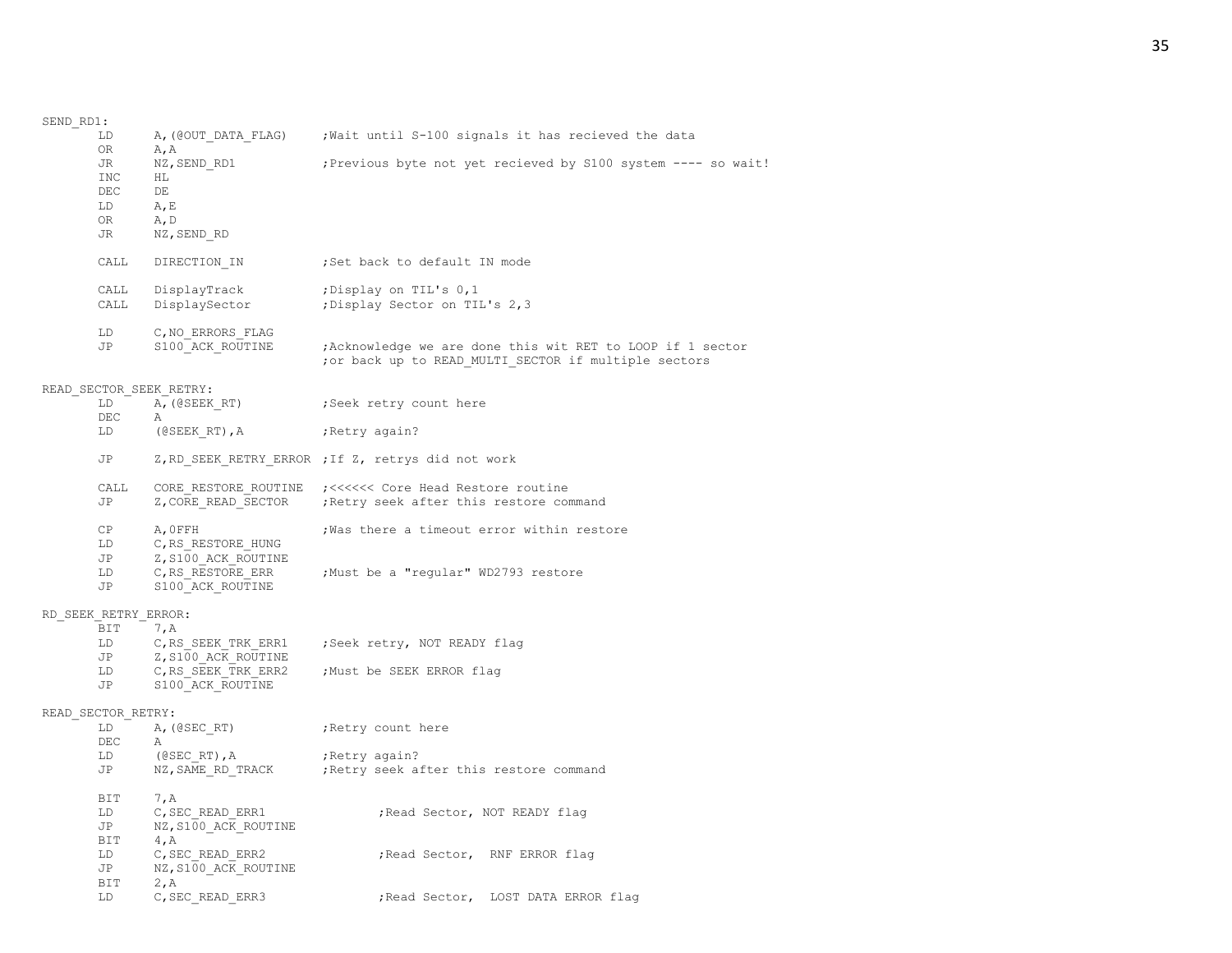| SEND RD1:<br>LD         |                                                              | A, (@OUT DATA FLAG) ; Wait until S-100 signals it has recieved the data                                             |
|-------------------------|--------------------------------------------------------------|---------------------------------------------------------------------------------------------------------------------|
| OR<br>JR<br>INC<br>DEC  | A, A<br>NZ, SEND RD1<br>HL<br>DE                             | ; Previous byte not yet recieved by S100 system ---- so wait!                                                       |
| LD                      | A, E                                                         |                                                                                                                     |
| OR<br>JR                | A, D<br>NZ, SEND RD                                          |                                                                                                                     |
| CALL                    | DIRECTION IN                                                 | ;Set back to default IN mode                                                                                        |
| CALL<br>CALL            | DisplayTrack<br>DisplaySector                                | Display on TIL's 0,1;<br>; Display Sector on TIL's 2,3                                                              |
| LD<br>JP                | C, NO ERRORS FLAG<br>S100 ACK ROUTINE                        | ; Acknowledge we are done this wit RET to LOOP if 1 sector<br>; or back up to READ MULTI SECTOR if multiple sectors |
| READ SECTOR SEEK RETRY: |                                                              |                                                                                                                     |
| LD<br>DEC               | A, (@SEEK RT)<br>Α                                           | Seek retry count here;                                                                                              |
| LD                      | (@SEEK RT),A                                                 | Retry again?;                                                                                                       |
| JP                      |                                                              | Z, RD SEEK RETRY ERROR ; If Z, retrys did not work                                                                  |
| CALL<br>JP              | Z, CORE READ SECTOR                                          | CORE RESTORE ROUTINE ; <<<<<<< Core Head Restore routine<br>; Retry seek after this restore command                 |
| CP<br>LD                | A, OFFH<br>C, RS RESTORE HUNG                                | Was there a timeout error within restore                                                                            |
| JP<br>LD<br>JP          | Z, S100 ACK ROUTINE<br>C, RS RESTORE ERR<br>S100 ACK ROUTINE | ;Must be a "regular" WD2793 restore                                                                                 |
| RD SEEK RETRY ERROR:    |                                                              |                                                                                                                     |
| BIT                     | 7, A                                                         |                                                                                                                     |
| LD<br>JP                | C, RS SEEK TRK ERR1<br>Z, S100 ACK ROUTINE                   | ;Seek retry, NOT READY flag                                                                                         |
| LD<br>JP                | C, RS SEEK TRK ERR2<br>S100 ACK ROUTINE                      | ;Must be SEEK ERROR flag                                                                                            |
| READ SECTOR RETRY:      |                                                              |                                                                                                                     |
| LD                      | A, (@SEC RT)                                                 | ; Retry count here                                                                                                  |
| DEC<br>LD               | Α<br>$($ @SEC RT $)$ , A                                     | Retry again?                                                                                                        |
| JP                      | NZ, SAME RD TRACK                                            | Retry seek after this restore command;                                                                              |
| BIT                     | 7, A                                                         |                                                                                                                     |
| LD                      | C, SEC READ ERR1                                             | ; Read Sector, NOT READY flag                                                                                       |
| JP<br>BIT               | NZ, S100 ACK ROUTINE<br>4, A                                 |                                                                                                                     |
| LD                      | C, SEC READ ERR2                                             | ; Read Sector, RNF ERROR flag                                                                                       |
| JP                      | NZ, S100 ACK_ROUTINE                                         |                                                                                                                     |
| BIT<br>LD.              | 2, A<br>C, SEC READ ERR3                                     | ; Read Sector, LOST DATA ERROR flag                                                                                 |
|                         |                                                              |                                                                                                                     |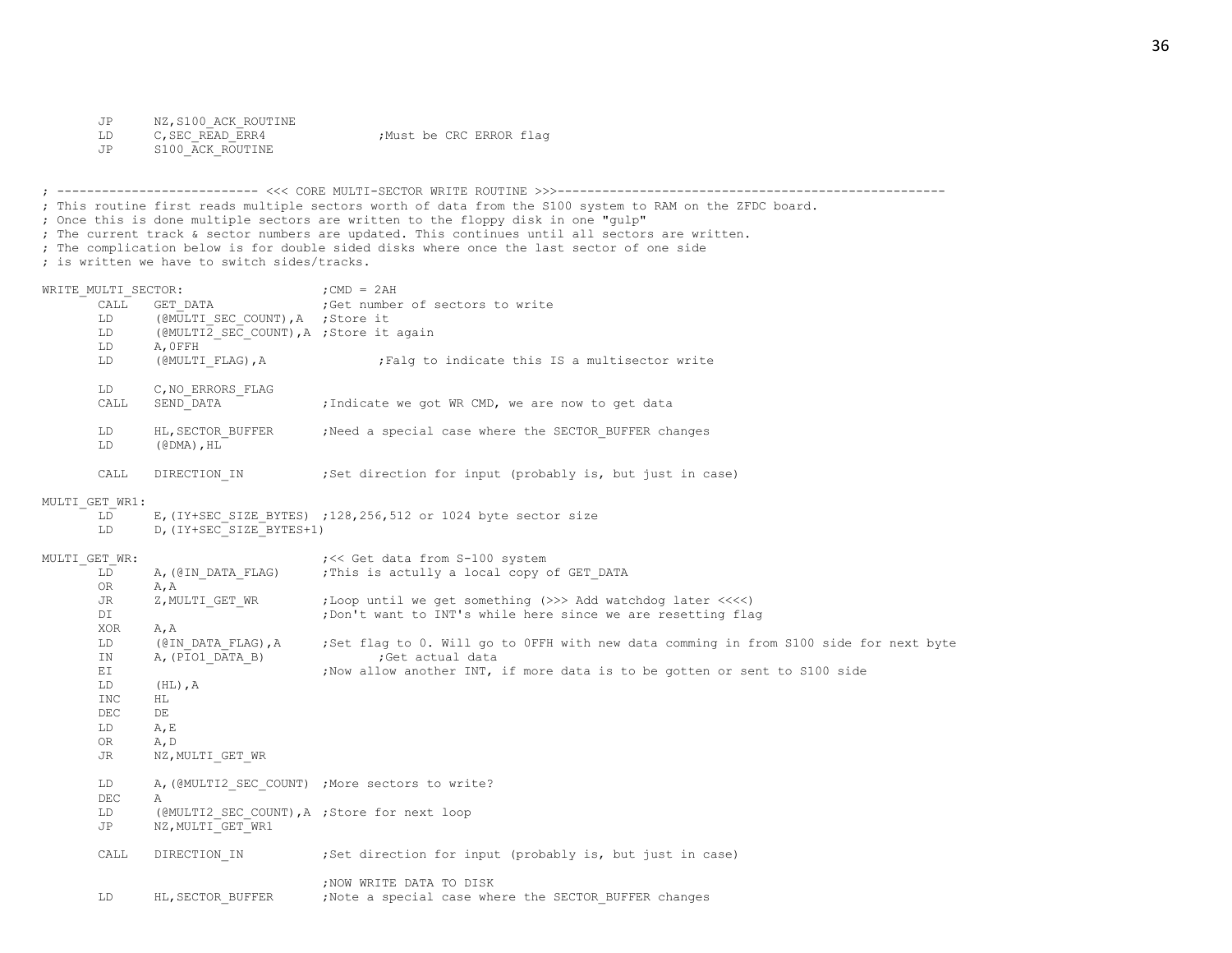JP NZ, S100\_ACK\_ROUTINE<br>LD C, SEC READ ERR4

LD C, SEC READ ERR4 ;Must be CRC ERROR flag

JP S100 ACK ROUTINE

; --------------------------- <<< CORE MULTI-SECTOR WRITE ROUTINE >>>---------------------------------------------------- ; This routine first reads multiple sectors worth of data from the S100 system to RAM on the ZFDC board. ; Once this is done multiple sectors are written to the floppy disk in one "gulp" ; The current track & sector numbers are updated. This continues until all sectors are written. ; The complication below is for double sided disks where once the last sector of one side ; is written we have to switch sides/tracks. WRITE MULTI SECTOR:  $;$  ;CMD = 2AH CALL GET\_DATA ;Get number of sectors to write<br>
LD (@MULTI SEC COUNT), A ;Store it (@MULTI\_SEC\_COUNT), A ; Store it LD (@MULTI2 SEC COUNT), A ; Store it again LD A, OFFH<br>LD (@MULTIFLAG), A LD (@MULTI\_FLAG), A ;Falg to indicate this IS a multisector write LD C, NO ERRORS FLAG CALL SEND DATA ;Indicate we got WR CMD, we are now to get data LD HL, SECTOR BUFFER ;Need a special case where the SECTOR BUFFER changes LD (@DMA),HL CALL DIRECTION IN ;Set direction for input (probably is, but just in case) MULTI\_GET\_WR1:  $LD$  E, (IY+SEC SIZE BYTES) ;128,256,512 or 1024 byte sector size LD D, (IY+SEC SIZE BYTES+1) MULTI GET WR:  $\frac{1}{100}$  is the set data from S-100 system

| JLTI GET WR: |                                              | ; << Get data from S-100 system                                                       |
|--------------|----------------------------------------------|---------------------------------------------------------------------------------------|
| LD           | A, (@IN DATA FLAG)                           | ; This is actully a local copy of GET DATA                                            |
| OR.          | A, A                                         |                                                                                       |
| JR.          | Z, MULTI GET WR                              | ;Loop until we get something (>>> Add watchdog later <<<<)                            |
| DI           |                                              | ; Don't want to INT's while here since we are resetting flag                          |
| XOR          | A, A                                         |                                                                                       |
| LD           | (@IN DATA FLAG), A                           | ;Set flag to 0. Will go to OFFH with new data comming in from S100 side for next byte |
| IN           | A, (PIO1 DATA B)                             | ;Get actual data                                                                      |
| ΕI           |                                              | ; Now allow another INT, if more data is to be gotten or sent to S100 side            |
| LD.          | $(HL)$ , A                                   |                                                                                       |
| <b>INC</b>   | HL                                           |                                                                                       |
| DEC          | DE                                           |                                                                                       |
| LD           | A, E                                         |                                                                                       |
| OR.          | A, D                                         |                                                                                       |
| JR           | NZ, MULTI GET WR                             |                                                                                       |
| LD           |                                              | A, (@MULTI2 SEC COUNT) ; More sectors to write?                                       |
| <b>DEC</b>   | $\mathcal{A}$                                |                                                                                       |
| LD           | (@MULTI2 SEC COUNT), A ; Store for next loop |                                                                                       |
| JP           | NZ, MULTI GET WR1                            |                                                                                       |
| CALL         | DIRECTION IN                                 | ; Set direction for input (probably is, but just in case)                             |
|              |                                              | ; NOW WRITE DATA TO DISK                                                              |
| LD.          | HL, SECTOR BUFFER                            | ; Note a special case where the SECTOR BUFFER changes                                 |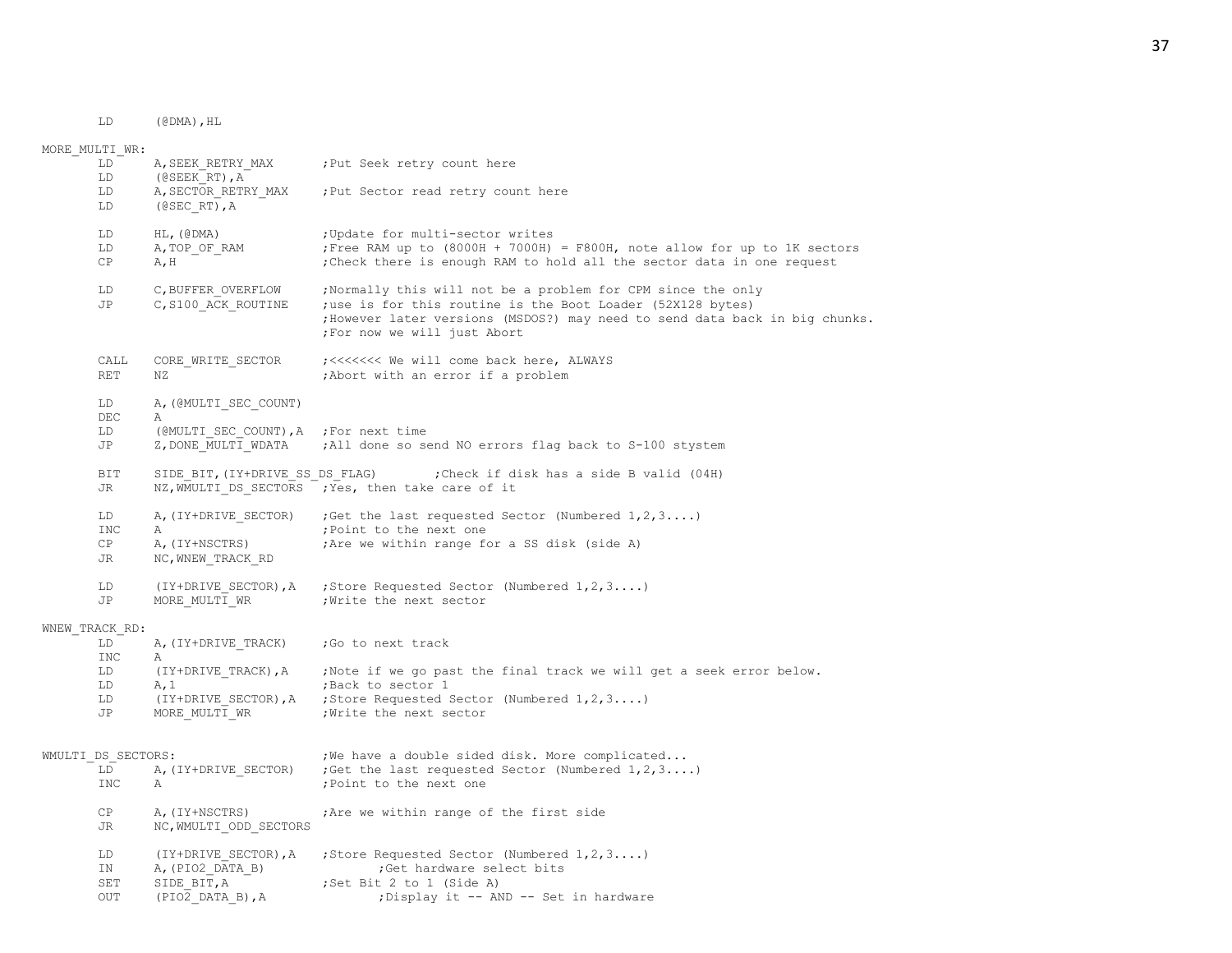LD (@DMA),HL

MORE\_MULTI\_WR: LD A, SEEK RETRY MAX ; Put Seek retry count here LD (@SEEK\_RT),A LD A, SECTOR RETRY MAX ; Put Sector read retry count here LD (@SEC\_RT),A LD HL, (@DMA) ; Update for multi-sector writes LD A, TOP OF RAM  $;$  Free RAM up to (8000H + 7000H) = F800H, note allow for up to 1K sectors CP A, H ;Check there is enough RAM to hold all the sector data in one request LD C, BUFFER OVERFLOW ;Normally this will not be a problem for CPM since the only JP C, S100 ACK ROUTINE ;use is for this routine is the Boot Loader (52X128 bytes) ;However later versions (MSDOS?) may need to send data back in big chunks. ;For now we will just Abort CALL CORE\_WRITE\_SECTOR ;<<<<<<< We will come back here, ALWAYS RET NZ  $\overline{\phantom{a}}$  , Abort with an error if a problem LD A, (@MULTI\_SEC\_COUNT) DEC A LD (@MULTI\_SEC\_COUNT), A ; For next time JP Z, DONE MULTI WDATA ;All done so send NO errors flag back to S-100 stystem BIT SIDE BIT, (IY+DRIVE SS DS FLAG) ;Check if disk has a side B valid (04H) JR NZ, WMULTI DS SECTORS ; Yes, then take care of it LD A, (IY+DRIVE SECTOR) ;Get the last requested Sector (Numbered  $1, 2, 3...$ ) INC A ;Point to the next one CP A, (IY+NSCTRS) ;Are we within range for a SS disk (side A) JR NC, WNEW TRACK RD LD (IY+DRIVE SECTOR),A ;Store Requested Sector (Numbered 1,2,3....) JP MORE MULTI WR ; Write the next sector WNEW\_TRACK\_RD: LD A, (IY+DRIVE TRACK) ; Go to next track INC A LD (IY+DRIVE TRACK), A ;Note if we go past the final track we will get a seek error below. LD A.1 <sup>-</sup> :Back to sector 1 LD (IY+DRIVE SECTOR),A ;Store Requested Sector (Numbered 1,2,3....) JP MORE MULTI WR ; Write the next sector WMULTI DS SECTORS:  $i^{\text{We have a double side}}$  disk. More complicated... LD A, (IY+DRIVE SECTOR) ;Get the last requested Sector (Numbered  $1,2,3...$ ) INC A ;Point to the next one CP A, (IY+NSCTRS) ;Are we within range of the first side JR NC, WMULTI ODD SECTORS LD (IY+DRIVE SECTOR),A ;Store Requested Sector (Numbered 1,2,3....) IN A, (PIO2 DATA B) ;Get hardware select bits SET SIDE BIT, A ;Set Bit 2 to 1 (Side A) OUT (PIO2 DATA B), A ;Display it -- AND -- Set in hardware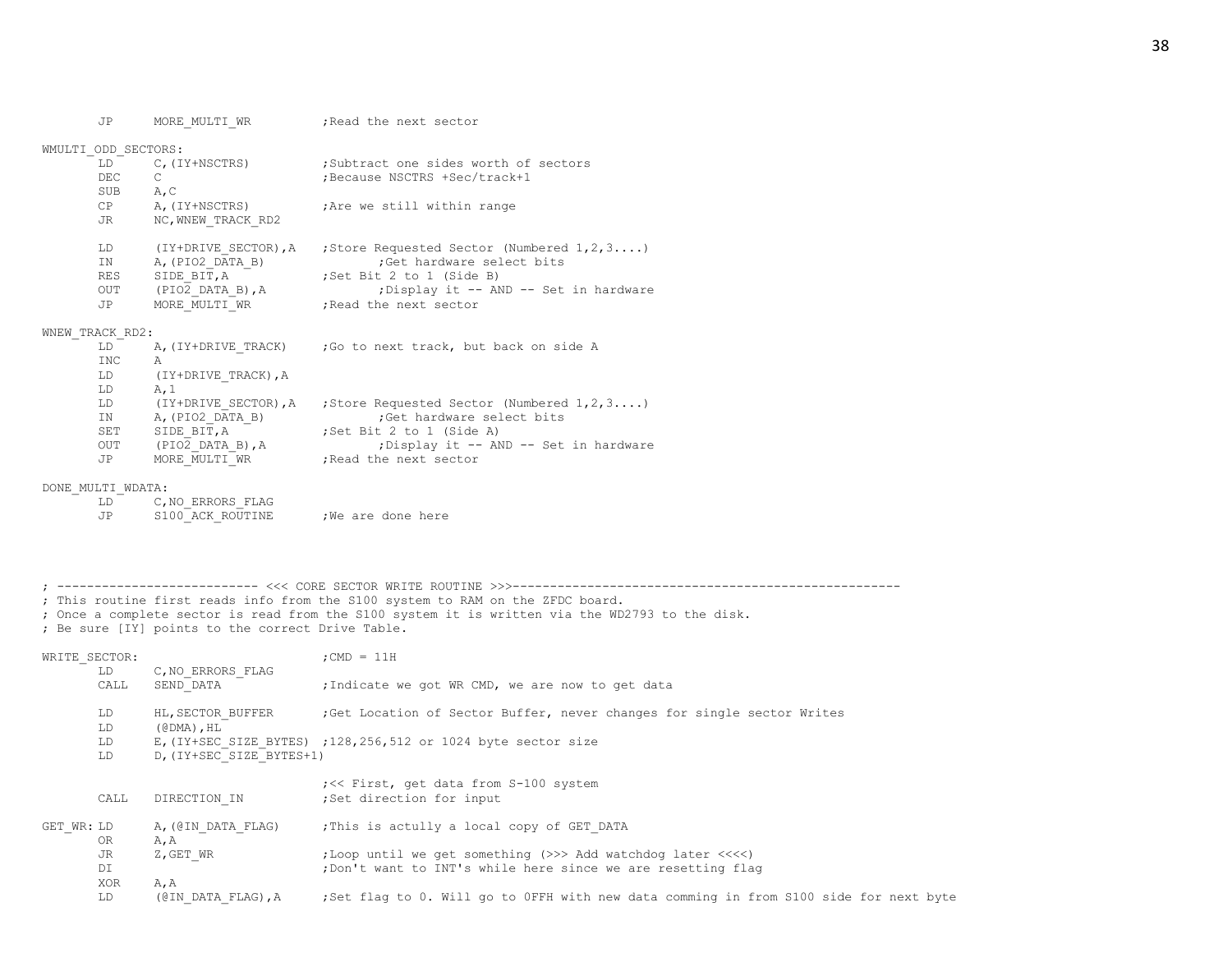JP MORE\_MULTI\_WR ;Read the next sector

| WMULTI ODD SECTORS: |                      |                                                        |
|---------------------|----------------------|--------------------------------------------------------|
| LD                  | C, (IY+NSCTRS)       | :Subtract one sides worth of sectors                   |
| DEC.                | C                    | Because NSCTRS +Sec/track+1;                           |
| <b>SUB</b>          | A, C                 |                                                        |
| CP.                 | A, (IY+NSCTRS)       | ; Are we still within range                            |
| JR.                 | NC, WNEW TRACK RD2   |                                                        |
| LD                  | (IY+DRIVE SECTOR), A | ; Store Requested Sector (Numbered $1, 2, 3, \ldots$ ) |
| TN.                 | A, (PIO2 DATA B)     | ;Get hardware select bits                              |
| <b>RES</b>          | SIDE BIT, A          | Set Bit 2 to 1 (Side B)                                |
| OUT                 | (PIO2 DATA B), A     | ; Display it -- AND -- Set in hardware                 |
| JP                  | MORE MULTI WR        | Read the next sector                                   |
|                     |                      |                                                        |

## WNEW\_TRACK\_RD2:

| LD         | A, (IY+DRIVE TRACK)  | ; Go to next track, but back on side A                 |
|------------|----------------------|--------------------------------------------------------|
| INC        | A                    |                                                        |
| LD         | (IY+DRIVE TRACK), A  |                                                        |
| LD         | A.1                  |                                                        |
| LD         | (IY+DRIVE SECTOR), A | ; Store Requested Sector (Numbered $1, 2, 3, \ldots$ ) |
| IN         | A, (PIO2 DATA B)     | ;Get hardware select bits                              |
| <b>SET</b> | SIDE BIT, A          | Set Bit 2 to 1 (Side A)                                |
| OUT        | (PIO2 DATA B), A     | ; Display it -- AND -- Set in hardware                 |
| <b>JP</b>  | MORE MULTI WR        | Read the next sector                                   |

#### DONE\_MULTI\_WDATA:

| LD. | C.NO ERRORS FLAG |                  |
|-----|------------------|------------------|
| .JP | S100 ACK ROUTINE | We are done here |

; --------------------------- <<< CORE SECTOR WRITE ROUTINE >>>---------------------------------------------------- ; This routine first reads info from the S100 system to RAM on the ZFDC board.

; Once a complete sector is read from the S100 system it is written via the WD2793 to the disk.

; Be sure [IY] points to the correct Drive Table.

| WRITE SECTOR: |           |                                                  | $:$ CMD = 11H                                                                         |
|---------------|-----------|--------------------------------------------------|---------------------------------------------------------------------------------------|
|               | LD        | C, NO ERRORS FLAG                                |                                                                                       |
|               | CALL      | SEND DATA                                        | ;Indicate we got WR CMD, we are now to get data                                       |
|               | LD        | HL, SECTOR BUFFER                                | Get Location of Sector Buffer, never changes for single sector Writes                 |
|               | LD        | $(\text{\texttt{\&}DMA})$ , $\text{\texttt{HL}}$ |                                                                                       |
|               | LD        |                                                  | E, (IY+SEC SIZE BYTES) ; 128, 256, 512 or 1024 byte sector size                       |
|               | LD.       | D, (IY+SEC SIZE BYTES+1)                         |                                                                                       |
|               | CALL      | DIRECTION IN                                     | ; << First, get data from S-100 system<br>;Set direction for input                    |
| GET WR: LD    | <b>OR</b> | A, (@IN DATA FLAG)<br>A, A                       | ; This is actully a local copy of GET DATA                                            |
|               | JR        | Z, GET WR                                        | ;Loop until we get something (>>> Add watchdog later <<<<)                            |
|               | DI        |                                                  | ; Don't want to INT's while here since we are resetting flag                          |
|               | XOR       | A, A                                             |                                                                                       |
|               | LD        | (@IN DATA FLAG), A                               | ;Set flag to 0. Will go to OFFH with new data comming in from S100 side for next byte |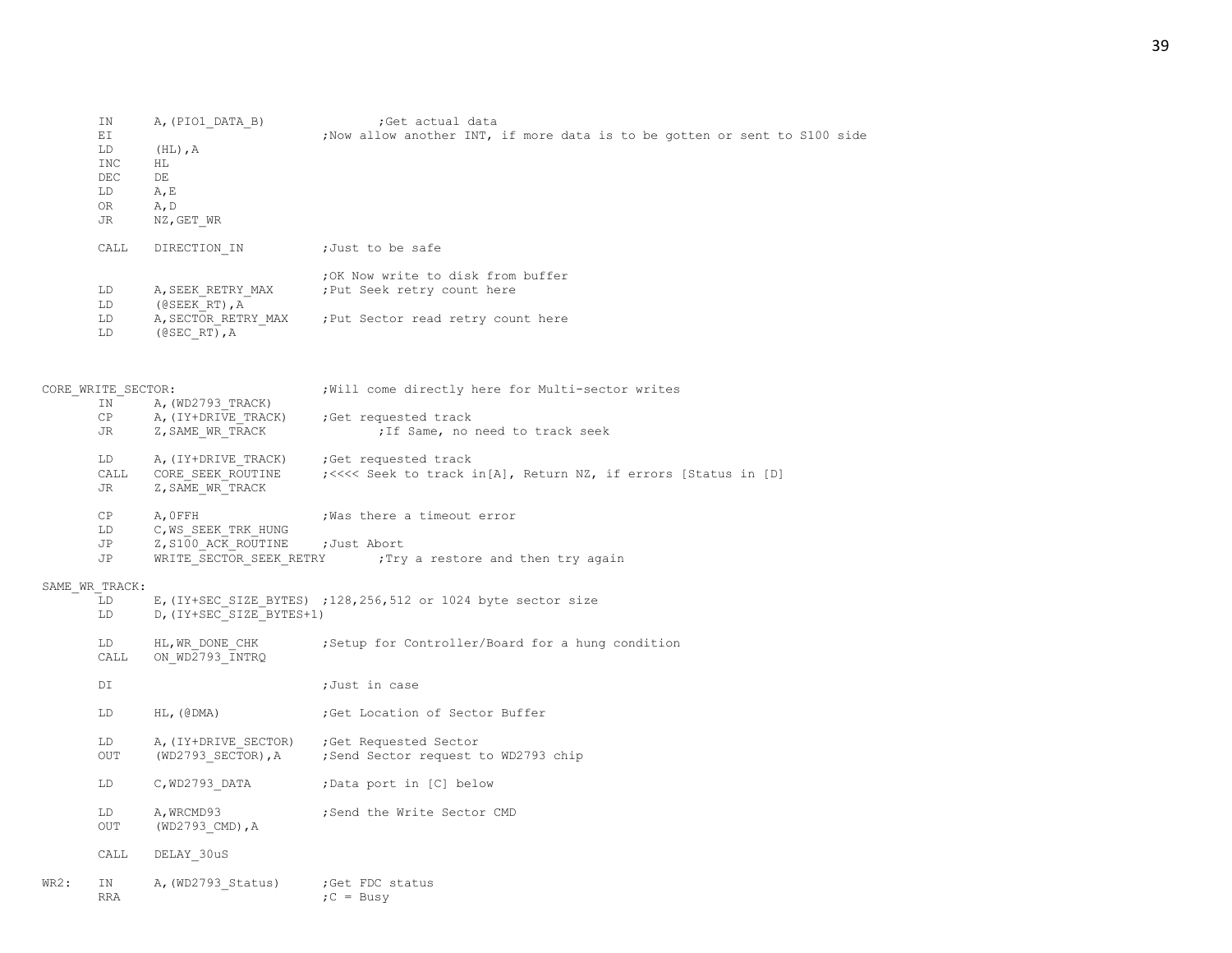|      | ΙN                 | A, (PIO1 DATA B)         | ;Get actual data                                                           |
|------|--------------------|--------------------------|----------------------------------------------------------------------------|
|      | ΕI                 |                          | ; Now allow another INT, if more data is to be gotten or sent to S100 side |
|      | LD                 | $(HL)$ , $A$             |                                                                            |
|      | INC                | ΗL                       |                                                                            |
|      | DEC                | DE                       |                                                                            |
|      | LD                 | A, E                     |                                                                            |
|      | 0R                 | A, D                     |                                                                            |
|      | JR                 | NZ, GET WR               |                                                                            |
|      |                    |                          |                                                                            |
|      | CALL               | DIRECTION IN             | ;Just to be safe                                                           |
|      |                    |                          | ; OK Now write to disk from buffer                                         |
|      |                    |                          |                                                                            |
|      | LD                 | A, SEEK RETRY MAX        | ; Put Seek retry count here                                                |
|      | LD                 | (@SEEK RT), A            |                                                                            |
|      | LD                 | A, SECTOR RETRY MAX      | ; Put Sector read retry count here                                         |
|      | LD                 | $($ @SEC RT $)$ , A      |                                                                            |
|      |                    |                          |                                                                            |
|      | CORE WRITE SECTOR: |                          | ; Will come directly here for Multi-sector writes                          |
|      | IN                 | A, (WD2793 TRACK)        |                                                                            |
|      | СP                 | A, (IY+DRIVE TRACK)      | ;Get requested track                                                       |
|      | JR                 | Z, SAME WR TRACK         | ; If Same, no need to track seek                                           |
|      |                    |                          |                                                                            |
|      | LD                 | A, (IY+DRIVE TRACK)      | ;Get requested track                                                       |
|      | CALL               | CORE SEEK ROUTINE        | ; <<<< Seek to track in[A], Return NZ, if errors [Status in [D]            |
|      | JR                 | Z, SAME WR TRACK         |                                                                            |
|      |                    |                          |                                                                            |
|      | СP                 | A, OFFH                  | ; Was there a timeout error                                                |
|      | LD                 | C, WS SEEK TRK HUNG      |                                                                            |
|      | JP                 | Z, S100 ACK ROUTINE      | ;Just Abort                                                                |
|      | JP                 | WRITE SECTOR SEEK RETRY  | ; Try a restore and then try again                                         |
|      |                    |                          |                                                                            |
|      | SAME WR TRACK:     |                          |                                                                            |
|      | LD                 |                          | E, (IY+SEC SIZE BYTES) ; 128, 256, 512 or 1024 byte sector size            |
|      | LD                 | D, (IY+SEC SIZE BYTES+1) |                                                                            |
|      |                    |                          |                                                                            |
|      | LD                 | HL, WR DONE CHK          | ; Setup for Controller/Board for a hung condition                          |
|      | CALL               | ON WD2793 INTRQ          |                                                                            |
|      |                    |                          |                                                                            |
|      | DI                 |                          | ;Just in case                                                              |
|      |                    |                          |                                                                            |
|      | LD                 | $HL$ , ( $\theta$ DMA)   | ;Get Location of Sector Buffer                                             |
|      |                    |                          |                                                                            |
|      | LD                 | A, (IY+DRIVE_SECTOR)     | Get Requested Sector;                                                      |
|      | OUT                | (WD2793 SECTOR), A       | Send Sector request to WD2793 chip;                                        |
|      |                    |                          |                                                                            |
|      | LD                 | C, WD2793 DATA           | ;Data port in [C] below                                                    |
|      |                    |                          |                                                                            |
|      | LD                 | A, WRCMD93               | ; Send the Write Sector CMD                                                |
|      |                    |                          |                                                                            |
|      | OUT                | $(WD2793$ CMD), A        |                                                                            |
|      |                    |                          |                                                                            |
|      | CALL               | DELAY 30uS               |                                                                            |
| WR2: | ΙN                 | A, (WD2793 Status)       | ;Get FDC status                                                            |
|      | <b>RRA</b>         |                          | $;C = BusV$                                                                |
|      |                    |                          |                                                                            |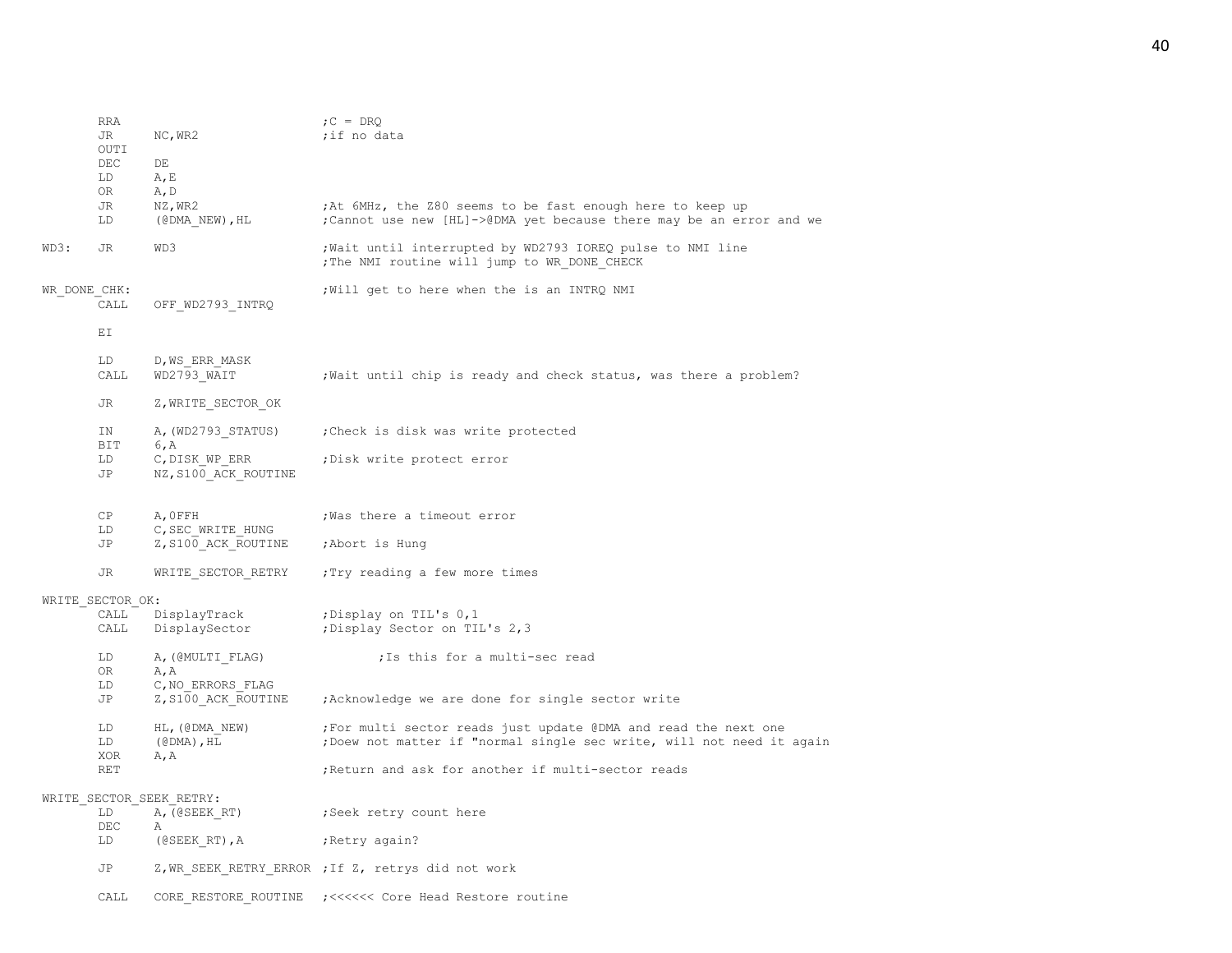|              | <b>RRA</b><br>JR<br>OUTI | NC, WR2                                                           | $C = DRQ$<br>;if no data                                                                                                                 |
|--------------|--------------------------|-------------------------------------------------------------------|------------------------------------------------------------------------------------------------------------------------------------------|
|              | DEC<br>LD                | DE<br>A, E                                                        |                                                                                                                                          |
|              | OR                       | A, D                                                              |                                                                                                                                          |
|              | JR<br>LD                 | NZ, WR2<br>$(\texttt{QDMA NEW}), \texttt{HL}$                     | ;At 6MHz, the Z80 seems to be fast enough here to keep up<br>; Cannot use new [HL]->@DMA yet because there may be an error and we        |
| WD3:         | JR                       | WD3                                                               | ; Wait until interrupted by WD2793 IOREQ pulse to NMI line<br>; The NMI routine will jump to WR DONE CHECK                               |
| WR DONE CHK: | CALL                     | OFF WD2793 INTRQ                                                  | ; Will get to here when the is an INTRQ NMI                                                                                              |
|              | ΕI                       |                                                                   |                                                                                                                                          |
|              | LD<br>CALL               | D, WS ERR MASK<br>WD2793 WAIT                                     | ; Wait until chip is ready and check status, was there a problem?                                                                        |
|              | JR.                      | Z, WRITE SECTOR OK                                                |                                                                                                                                          |
|              | ΙN<br>BIT                | A, (WD2793 STATUS)<br>6, A                                        | ; Check is disk was write protected                                                                                                      |
|              | LD<br>JP                 | C, DISK WP ERR<br>NZ, S100 ACK_ROUTINE                            | ; Disk write protect error                                                                                                               |
|              | СP<br>LD                 | A, OFFH<br>C, SEC WRITE HUNG                                      | ; Was there a timeout error                                                                                                              |
|              | JP                       | Z, S100 ACK ROUTINE                                               | ;Abort is Hung                                                                                                                           |
|              | JR                       | WRITE SECTOR RETRY                                                | :Try reading a few more times                                                                                                            |
|              | WRITE SECTOR OK:         |                                                                   |                                                                                                                                          |
|              | CALL<br>CALL             | DisplayTrack<br>DisplaySector                                     | ;Display on TIL's 0,1<br>; Display Sector on TIL's 2,3                                                                                   |
|              | LD<br>0R                 | A, (@MULTI FLAG)<br>A, A                                          | ; Is this for a multi-sec read                                                                                                           |
|              | LD                       | C, NO ERRORS FLAG                                                 |                                                                                                                                          |
|              | JP                       | Z, S100 ACK ROUTINE                                               | ; Acknowledge we are done for single sector write                                                                                        |
|              | LD<br>LD                 | HL, (@DMA NEW)<br>$(\text{\texttt{CDMA}})$ , $\text{\texttt{HL}}$ | ; For multi sector reads just update @DMA and read the next one<br>; Doew not matter if "normal single sec write, will not need it again |
|              | <b>XOR</b><br><b>RET</b> | A, A                                                              | ; Return and ask for another if multi-sector reads                                                                                       |
|              |                          | WRITE_SECTOR_SEEK_RETRY:                                          |                                                                                                                                          |
|              | LD<br>DEC                | A, (@SEEK RT)<br>Α                                                | ;Seek retry count here                                                                                                                   |
|              | LD                       | $($ @SEEK RT $)$ , A                                              | ; Retry again?                                                                                                                           |
|              | JP                       |                                                                   | Z, WR SEEK RETRY ERROR ; If Z, retrys did not work                                                                                       |
|              | CALL                     | CORE RESTORE ROUTINE                                              |                                                                                                                                          |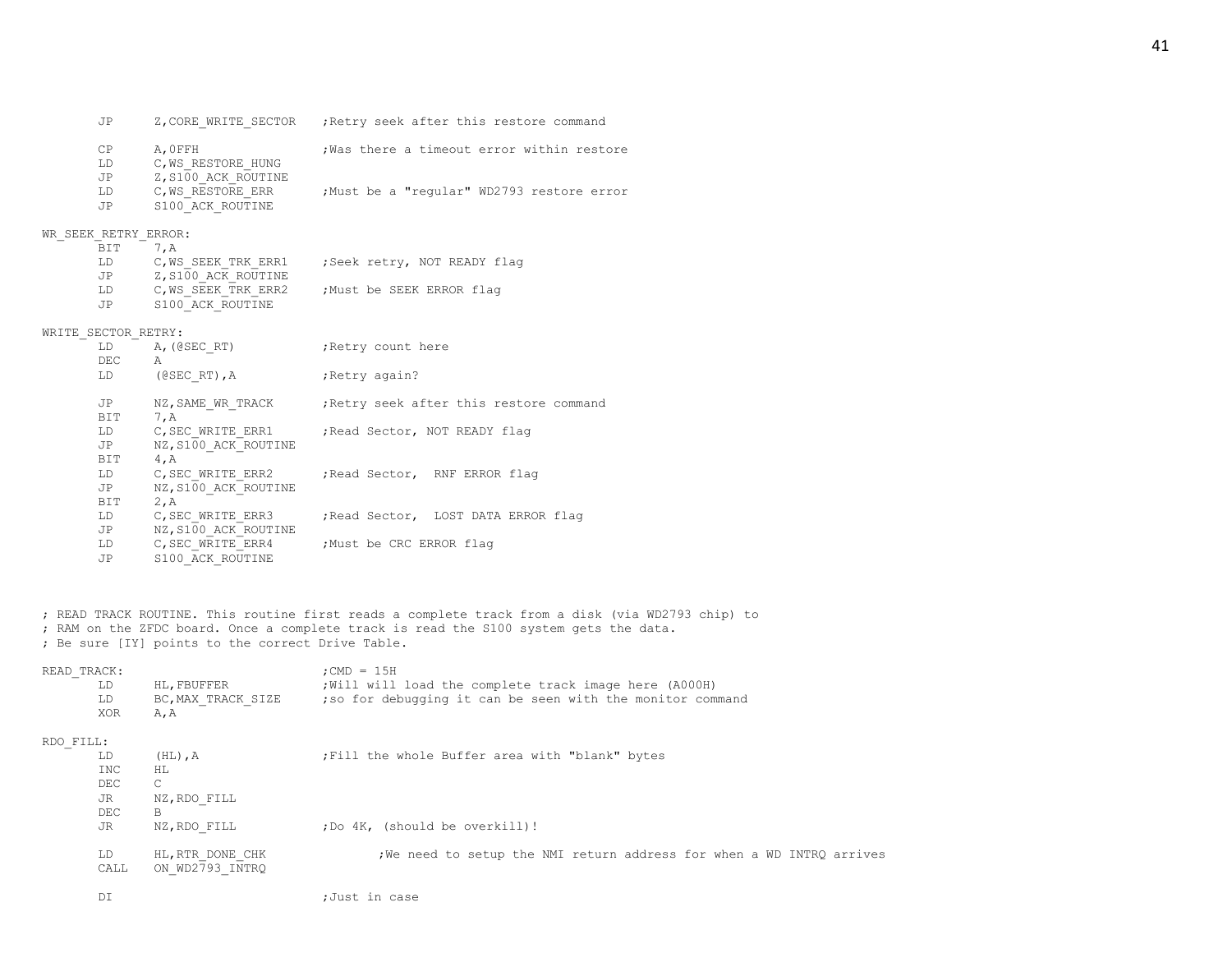|                      |                                               | JP Z, CORE WRITE SECTOR ; Retry seek after this restore command                            |
|----------------------|-----------------------------------------------|--------------------------------------------------------------------------------------------|
| LD                   | CP A, OFFH<br>C, WS RESTORE HUNG              | ; Was there a timeout error within restore                                                 |
|                      | JP Z, S100_ACK_ROUTINE<br>JP S100 ACK ROUTINE | LD C, WS RESTORE ERR ; Must be a "regular" WD2793 restore error                            |
|                      |                                               |                                                                                            |
| WR SEEK RETRY ERROR: |                                               |                                                                                            |
| BIT 7, A             |                                               |                                                                                            |
|                      |                                               | LD C, WS_SEEK_TRK_ERR1 : Seek retry, NOT READY flag                                        |
|                      | JP Z, S100 ACK ROUTINE                        |                                                                                            |
|                      |                                               | LD C, WS SEEK TRK ERR2 ; Must be SEEK ERROR flag                                           |
|                      | JP S100 ACK ROUTINE                           |                                                                                            |
| WRITE SECTOR RETRY:  |                                               |                                                                                            |
|                      | LD A, (@SECRT) ; Retry count here             |                                                                                            |
| DEC A                |                                               |                                                                                            |
|                      | LD (@SECRT), A                                | Retry again?                                                                               |
|                      |                                               | JP NZ, SAME WR TRACK ; Retry seek after this restore command                               |
| BIT 7, A             |                                               |                                                                                            |
|                      |                                               |                                                                                            |
|                      |                                               | LD C, SEC_WRITE_ERR1       ; Read Sector, NOT READY flag<br>JP        NZ, S100 ACK ROUTINE |
| BIT 4, A             |                                               |                                                                                            |
|                      |                                               | LD C, SEC WRITE ERR2 ; Read Sector, RNF ERROR flaq                                         |
|                      | JP NZ, S100 ACK ROUTINE                       |                                                                                            |
| BIT 2, A             |                                               |                                                                                            |
|                      |                                               | LD C, SEC WRITE ERR3 ; Read Sector, LOST DATA ERROR flag                                   |
|                      | JP NZ, S100_ACK_ROUTINE                       |                                                                                            |
|                      |                                               | LD C, SEC WRITE ERR4 ; Must be CRC ERROR flag                                              |
| JP D                 | S100 ACK ROUTINE                              |                                                                                            |

; READ TRACK ROUTINE. This routine first reads a complete track from a disk (via WD2793 chip) to ; RAM on the ZFDC board. Once a complete track is read the S100 system gets the data. ; Be sure [IY] points to the correct Drive Table.

| READ TRACK:<br>LD<br>LD<br>XOR | HL, FBUFFER<br>BC, MAX TRACK SIZE<br>A, A | ; CMD = $15H$<br>; Will will load the complete track image here (A000H)<br>; so for debugging it can be seen with the monitor command |
|--------------------------------|-------------------------------------------|---------------------------------------------------------------------------------------------------------------------------------------|
| RDO FILL:                      |                                           |                                                                                                                                       |
| LD                             | $(HL)$ , $A$                              | ; Fill the whole Buffer area with "blank" bytes                                                                                       |
| <b>INC</b>                     | HL.                                       |                                                                                                                                       |
| DEC                            | $\mathsf{C}$                              |                                                                                                                                       |
| JR                             | NZ, RDO FILL                              |                                                                                                                                       |
| DEC                            | B                                         |                                                                                                                                       |
| JR                             | NZ, RDO FILL                              | ; Do 4K, (should be overkill)!                                                                                                        |
| LD.<br>CALL                    | HL, RTR DONE CHK<br>ON WD2793 INTRO       | ; We need to setup the NMI return address for when a WD INTRQ arrives                                                                 |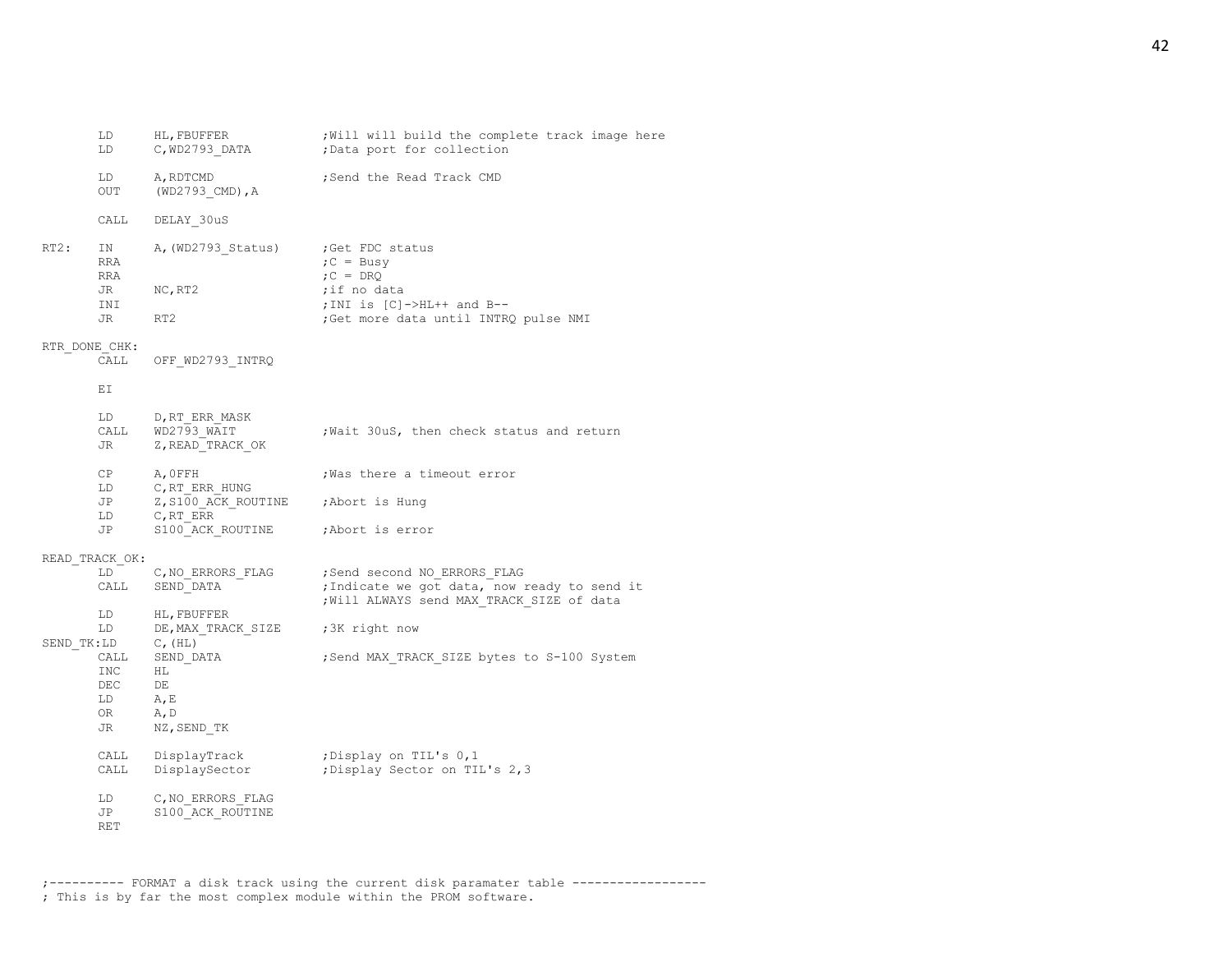|               | LD                                   | C, WD2793_DATA                                        | ;Data port for collection                                                                                                                   |
|---------------|--------------------------------------|-------------------------------------------------------|---------------------------------------------------------------------------------------------------------------------------------------------|
|               | LD<br>OUT                            | A, RDTCMD<br>$(WD2793$ CMD), A                        | ;Send the Read Track CMD                                                                                                                    |
|               | CALL                                 | DELAY 30uS                                            |                                                                                                                                             |
| RT2:          | IN<br>RRA<br>RRA<br>JR<br>INI<br>JR  | A, (WD2793 Status)<br>NC, RT2<br>RT2                  | ;Get FDC status<br>$C = BusV$<br>$C = D R Q$<br>;if no data<br>;INI is [C]->HL++ and B--<br>; Get more data until INTRQ pulse NMI           |
| RTR DONE CHK: |                                      |                                                       |                                                                                                                                             |
|               | CALL                                 | OFF WD2793 INTRQ                                      |                                                                                                                                             |
|               | ЕI                                   |                                                       |                                                                                                                                             |
|               | LD<br>JR                             | D,RT ERR MASK<br>CALL WD2793 WAIT<br>Z, READ TRACK OK | ; Wait 30uS, then check status and return                                                                                                   |
|               | CP<br>LD                             | A, OFFH<br>$C$ , $RT$ $ERR$ $HUNG$                    | Was there a timeout error,                                                                                                                  |
|               | JP<br>LD                             | Z, S100 ACK ROUTINE ; Abort is Hung<br>C, RT ERR      |                                                                                                                                             |
|               | JP                                   | S100 ACK ROUTINE                                      | ;Abort is error                                                                                                                             |
|               | READ TRACK OK:                       |                                                       |                                                                                                                                             |
|               | LD<br>CALL                           | SEND DATA                                             | C, NO ERRORS FLAG : Send second NO ERRORS FLAG<br>; Indicate we got data, now ready to send it<br>; Will ALWAYS send MAX TRACK SIZE of data |
|               | LD<br>LD<br>SEND TK:LD               | HL, FBUFFER<br>DE, MAX TRACK SIZE<br>$C$ , $(HL)$     | ;3K right now                                                                                                                               |
|               | CALL<br>INC<br>DEC<br>LD<br>OR<br>JR | SEND DATA<br>HL.<br>DE<br>A, E<br>A, D<br>NZ, SEND TK | ; Send MAX TRACK SIZE bytes to S-100 System                                                                                                 |
|               | CALL                                 | CALL DisplayTrack<br>DisplaySector                    | ;Display on TIL's 0,1<br>: Display Sector on TIL's 2,3                                                                                      |
|               | LD<br>JP<br>RET                      | C, NO ERRORS FLAG<br>S100 ACK ROUTINE                 |                                                                                                                                             |

LD HL, FBUFFER ; Will will build the complete track image here

;---------- FORMAT a disk track using the current disk paramater table ------------------ ; This is by far the most complex module within the PROM software.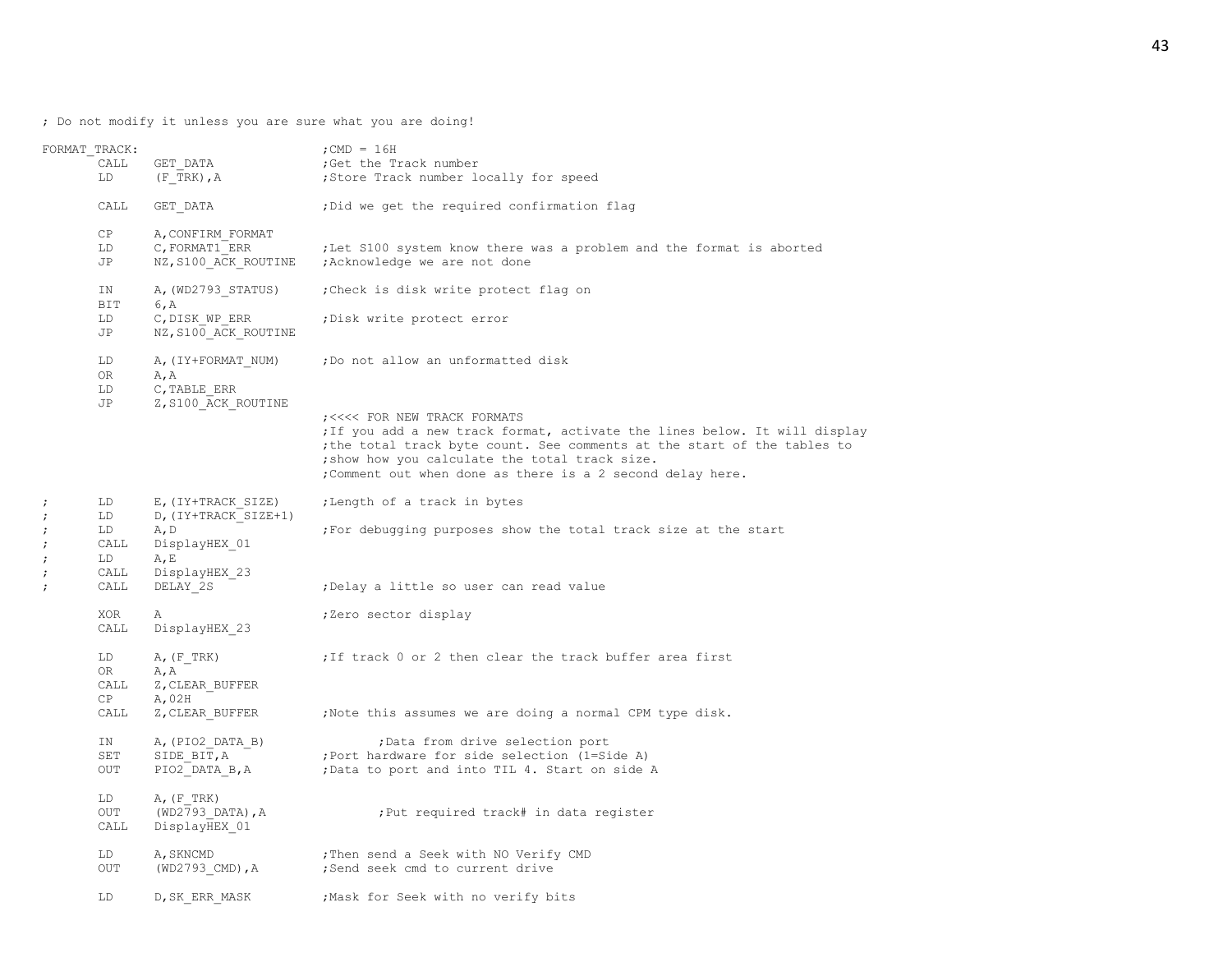; Do not modify it unless you are sure what you are doing!

|                                                      | FORMAT TRACK:<br>CALL<br>LD  | GET DATA<br>$(F$ TRK), $A$                                                  | ; CMD = $16H$<br>;Get the Track number<br>;Store Track number locally for speed                                                                                                                                                                                                                                                              |
|------------------------------------------------------|------------------------------|-----------------------------------------------------------------------------|----------------------------------------------------------------------------------------------------------------------------------------------------------------------------------------------------------------------------------------------------------------------------------------------------------------------------------------------|
|                                                      | CALL                         | GET DATA                                                                    | ; Did we get the required confirmation flag                                                                                                                                                                                                                                                                                                  |
|                                                      | CP<br>LD<br>JP               | A, CONFIRM FORMAT<br>C, FORMAT1 ERR                                         | ; Let S100 system know there was a problem and the format is aborted<br>NZ, S100 ACK ROUTINE ; Acknowledge we are not done                                                                                                                                                                                                                   |
|                                                      | ΙN                           | A, (WD2793 STATUS)                                                          | ; Check is disk write protect flag on                                                                                                                                                                                                                                                                                                        |
|                                                      | BIT<br>LD<br>JP              | 6, A<br>C, DISK WP ERR<br>NZ, S100 ACK ROUTINE                              | ; Disk write protect error                                                                                                                                                                                                                                                                                                                   |
|                                                      | LD<br>OR<br>LD<br>JP         | A, (IY+FORMAT NUM)<br>A, A<br>C, TABLE ERR<br>Z, S100_ACK_ROUTINE           | ; Do not allow an unformatted disk<br>; <<<< FOR NEW TRACK FORMATS<br>; If you add a new track format, activate the lines below. It will display<br>; the total track byte count. See comments at the start of the tables to<br>; show how you calculate the total track size.<br>; Comment out when done as there is a 2 second delay here. |
| $\ddot{ }$<br>$\ddot{ }$<br>$\ddot{ }$<br>$\ddot{ }$ | LD<br>LD<br>LD<br>CALL<br>LD | E, (IY+TRACK SIZE)<br>D, (IY+TRACK SIZE+1)<br>A, D<br>DisplayHEX 01<br>A, E | ; Length of a track in bytes<br>; For debugging purposes show the total track size at the start                                                                                                                                                                                                                                              |
| $\ddot{ }$<br>$\ddot{ }$                             | CALL<br>CALL                 | DisplayHEX 23<br>DELAY 2S                                                   | ; Delay a little so user can read value                                                                                                                                                                                                                                                                                                      |
|                                                      | XOR<br>CALL                  | Α<br>DisplayHEX 23                                                          | ;Zero sector display                                                                                                                                                                                                                                                                                                                         |
|                                                      | LD<br>OR<br>CALL<br>CP       | A, (F, TRK)<br>A, A<br>Z, CLEAR BUFFER<br>A,02H                             | ; If track 0 or 2 then clear the track buffer area first                                                                                                                                                                                                                                                                                     |
|                                                      | CALL                         |                                                                             | Z, CLEAR BUFFER : Note this assumes we are doing a normal CPM type disk.                                                                                                                                                                                                                                                                     |
|                                                      | IN<br>SET<br>OUT             | A, (PIO2 DATA B)<br>SIDE BIT, A<br>PIO2 DATA B, A                           | ; Data from drive selection port<br>; Port hardware for side selection (1=Side A)<br>;Data to port and into TIL 4. Start on side A                                                                                                                                                                                                           |
|                                                      | LD<br>OUT<br>CALL            | $A$ , $(F$ TRK)<br>(WD2793 DATA), A<br>DisplayHEX 01                        | :Put required track# in data register                                                                                                                                                                                                                                                                                                        |
|                                                      | LD<br>OUT                    | A, SKNCMD<br>(WD2793 CMD), A                                                | ; Then send a Seek with NO Verify CMD<br>;Send seek cmd to current drive                                                                                                                                                                                                                                                                     |
|                                                      | LD                           | D, SK ERR MASK                                                              | Mask for Seek with no verify bits,                                                                                                                                                                                                                                                                                                           |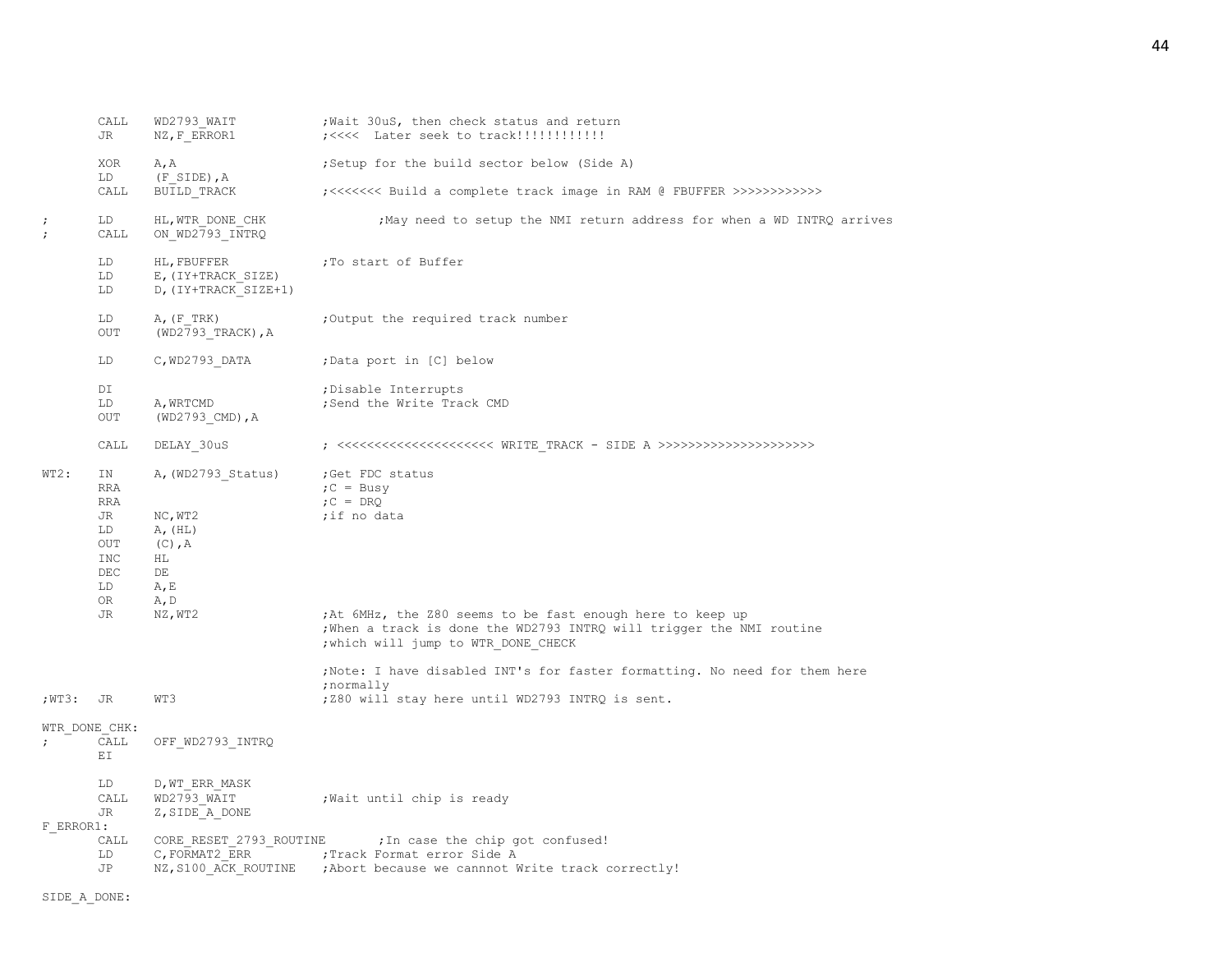|            | CALL<br>JR                                                     | WD2793 WAIT<br>NZ, F ERROR1                                                       | Wait 30uS, then check status and return                                                                                                                                  |
|------------|----------------------------------------------------------------|-----------------------------------------------------------------------------------|--------------------------------------------------------------------------------------------------------------------------------------------------------------------------|
|            | XOR<br>LD                                                      | A, A<br>$(F$ SIDE), $A$                                                           | ; Setup for the build sector below (Side A)                                                                                                                              |
|            | CALL                                                           | BUILD TRACK                                                                       | ;<<<<<<< Build a complete track image in RAM @ FBUFFER >>>>>>>>>>>>>                                                                                                     |
| $\ddot{ }$ | LD<br>CALL                                                     | HL, WTR DONE CHK<br>ON WD2793 INTRQ                                               | ; May need to setup the NMI return address for when a WD INTRQ arrives                                                                                                   |
|            | LD<br>LD<br>LD                                                 | HL, FBUFFER<br>E, (IY+TRACK SIZE)<br>D, (IY+TRACK SIZE+1)                         | ;To start of Buffer                                                                                                                                                      |
|            | LD<br>OUT                                                      | $A$ , $(F$ TRK)<br>$(WD2793 TRACK)$ , A                                           | ;Output the required track number                                                                                                                                        |
|            | LD                                                             | C, WD2793 DATA                                                                    | ;Data port in [C] below                                                                                                                                                  |
|            | DI<br>LD<br><b>OUT</b>                                         | A, WRTCMD<br>$(WD2793$ <sup>CMD</sup> ), A                                        | ; Disable Interrupts<br>;Send the Write Track CMD                                                                                                                        |
|            | CALL                                                           | DELAY 30uS                                                                        |                                                                                                                                                                          |
| WT2:       | ΙN<br>RRA<br>RRA<br>JR<br>LD<br>OUT<br>INC<br>DEC<br>LD<br>OR. | A, (WD2793 Status)<br>NC, WT2<br>A, (HL)<br>$(C)$ , A<br>HL<br>DE<br>A, E<br>A, D | ;Get FDC status<br>$C = Busy$<br>$C = D R Q$<br>;if no data                                                                                                              |
|            | JR                                                             | NZ, WT2                                                                           | ;At 6MHz, the Z80 seems to be fast enough here to keep up<br>; When a track is done the WD2793 INTRQ will trigger the NMI routine<br>; which will jump to WTR DONE CHECK |
| ;WT3:      | JR                                                             | WT3                                                                               | ; Note: I have disabled INT's for faster formatting. No need for them here<br>; normally<br>;Z80 will stay here until WD2793 INTRQ is sent.                              |
| $\ddot{ }$ | WTR DONE CHK:<br>CALL<br>ΕI                                    | OFF WD2793 INTRQ                                                                  |                                                                                                                                                                          |
|            | LD<br>CALL<br>JR                                               | D, WT ERR MASK<br>WD2793 WAIT<br>Z, SIDE A DONE                                   | Wait until chip is ready,                                                                                                                                                |
| F ERROR1:  | CALL<br>LD<br>JP                                               | C, FORMAT2 ERR                                                                    | CORE RESET 2793 ROUTINE ; In case the chip got confused!<br>;Track Format error Side A<br>NZ, S100 ACK ROUTINE ; Abort because we cannnot Write track correctly!         |

SIDE\_A\_DONE: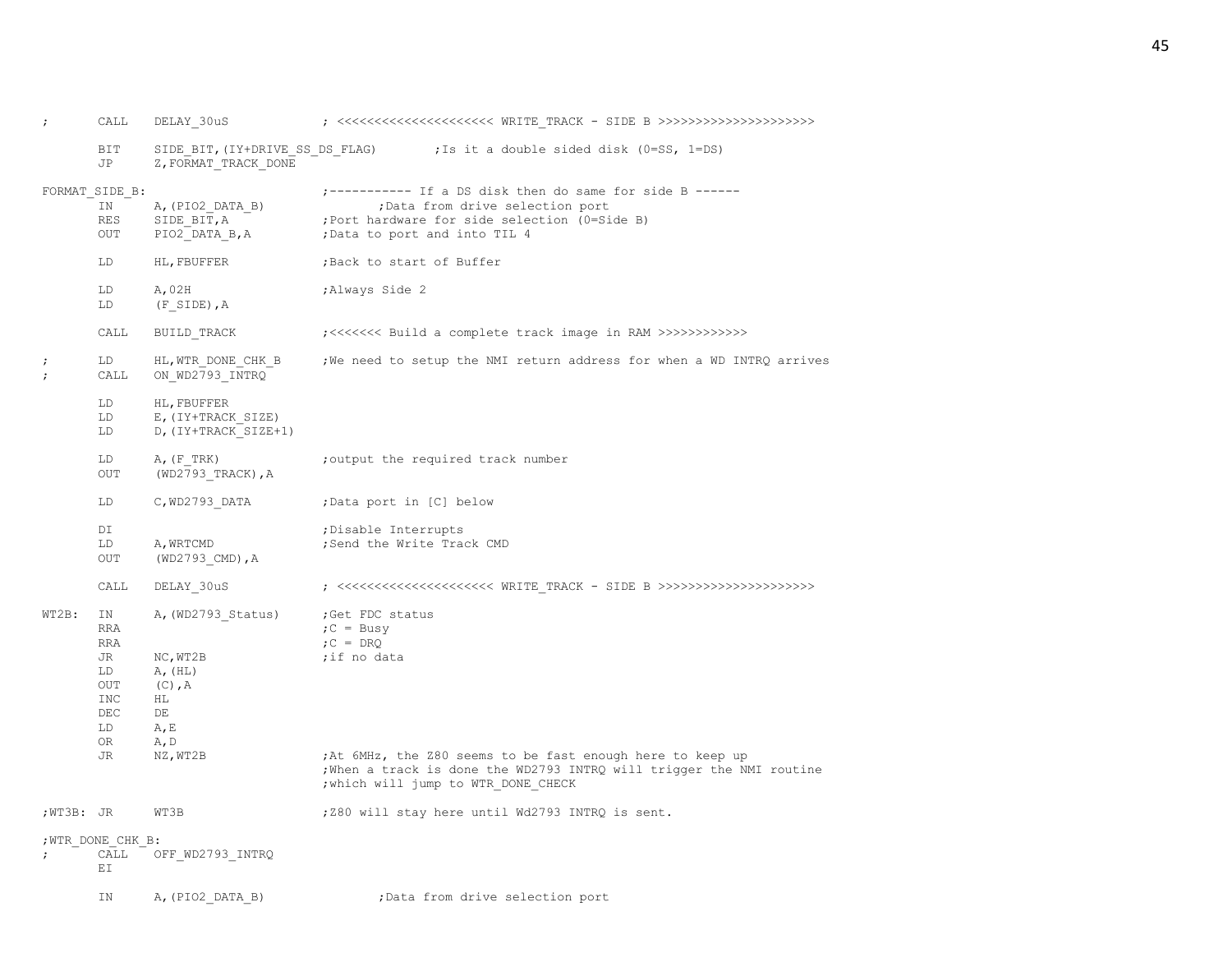| $\ddot{ }$               | CALL                                                                       | DELAY 30uS                                                                                     |                                                                                                                                                                                                                                          |
|--------------------------|----------------------------------------------------------------------------|------------------------------------------------------------------------------------------------|------------------------------------------------------------------------------------------------------------------------------------------------------------------------------------------------------------------------------------------|
|                          | BIT<br>JP                                                                  | SIDE BIT, (IY+DRIVE SS DS FLAG)<br>Z, FORMAT TRACK DONE                                        | ;Is it a double sided disk (0=SS, 1=DS)                                                                                                                                                                                                  |
|                          | FORMAT SIDE B:<br>IN<br><b>RES</b><br>OUT                                  | A, (PIO2 DATA B)<br>SIDE BIT, A<br>PIO2 DATA B, A                                              | ;----------- If a DS disk then do same for side B ------<br>; Data from drive selection port<br>; Port hardware for side selection (0=Side B)<br>; Data to port and into TIL 4                                                           |
|                          | LD                                                                         | HL, FBUFFER                                                                                    | ;Back to start of Buffer                                                                                                                                                                                                                 |
|                          | LD<br>LD                                                                   | A, 02H<br>$(F$ SIDE), $A$                                                                      | ;Always Side 2                                                                                                                                                                                                                           |
|                          | CALL                                                                       | BUILD TRACK                                                                                    | ;<<<<<<< Build a complete track image in RAM >>>>>>>>>>>>>                                                                                                                                                                               |
| $\ddot{ }$<br>$\ddot{ }$ | LD<br>CALL                                                                 | HL, WTR DONE CHK B<br>ON_WD2793_INTRQ                                                          | ; We need to setup the NMI return address for when a WD INTRQ arrives                                                                                                                                                                    |
|                          | LD<br>LD<br>LD                                                             | HL, FBUFFER<br>E, (IY+TRACK SIZE)<br>D, (IY+TRACK SIZE+1)                                      |                                                                                                                                                                                                                                          |
|                          | LD<br>OUT                                                                  | A, (F, TRK)<br>(WD2793 TRACK), A                                                               | ; output the required track number                                                                                                                                                                                                       |
|                          | LD                                                                         | C, WD2793 DATA                                                                                 | ;Data port in [C] below                                                                                                                                                                                                                  |
|                          | DI<br>LD<br>OUT                                                            | A, WRTCMD<br>$(WD2793$ CMD), A                                                                 | ; Disable Interrupts<br>; Send the Write Track CMD                                                                                                                                                                                       |
|                          | CALL                                                                       | DELAY 30uS                                                                                     |                                                                                                                                                                                                                                          |
| WT2B:                    | ΙN<br>RRA<br>RRA<br>JR<br>LD<br>OUT<br><b>INC</b><br>DEC<br>LD<br>OR<br>JR | A, (WD2793 Status)<br>NC, WTZB<br>A, (HL)<br>$(C)$ , A<br>ΗL<br>DE<br>A, E<br>A, D<br>NZ, WT2B | ;Get FDC status<br>$C = Busy$<br>$C = D R Q$<br>;if no data<br>; At 6MHz, the Z80 seems to be fast enough here to keep up<br>; When a track is done the WD2793 INTRQ will trigger the NMI routine<br>; which will jump to WTR DONE CHECK |
| ;WT3B: JR                |                                                                            | WT3B                                                                                           | ;Z80 will stay here until Wd2793 INTRQ is sent.                                                                                                                                                                                          |
|                          | ; WTR DONE CHK B:                                                          |                                                                                                |                                                                                                                                                                                                                                          |
|                          | CALL<br>ΕI                                                                 | OFF WD2793 INTRQ                                                                               |                                                                                                                                                                                                                                          |
|                          | ΙN                                                                         | A, (PIO2 DATA B)                                                                               | ; Data from drive selection port                                                                                                                                                                                                         |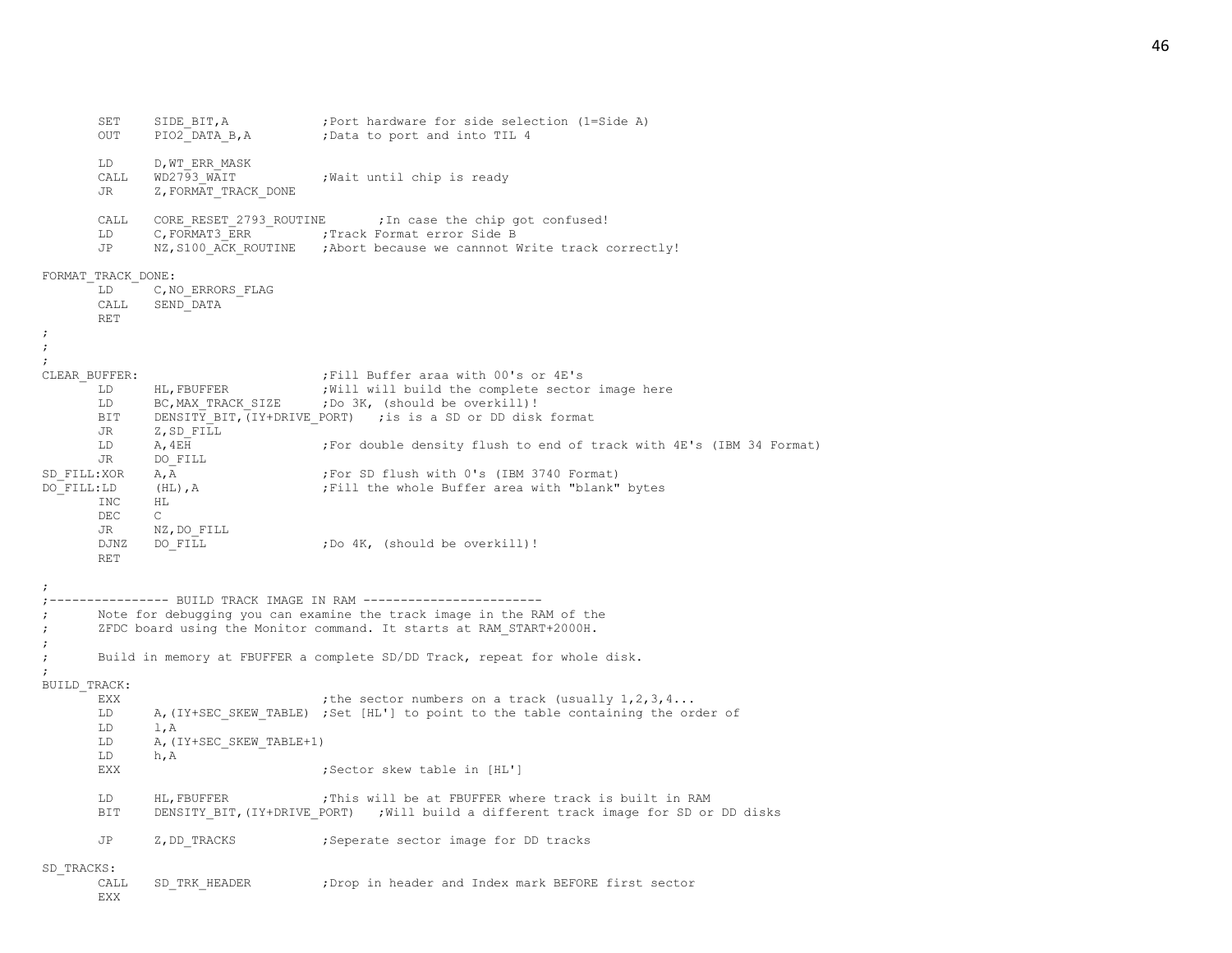SET SIDE\_BIT, A ;Port hardware for side selection (1=Side A)<br>OUT PIO2 DATA B.A ;Data to port and into TIL 4 PIO2 DATA B, A ;Data to port and into TIL 4 LD D,WT\_ERR\_MASK CALL WD2793 WAIT ;Wait until chip is ready JR Z, FORMAT\_TRACK\_DONE CALL CORE RESET 2793 ROUTINE ; In case the chip got confused! LD C, FORMAT3 ERR ;Track Format error Side B JP NZ, S100 ACK ROUTINE ; Abort because we cannnot Write track correctly! FORMAT\_TRACK\_DONE: LD C, NO ERRORS FLAG CALL SEND\_DATA RET ; ; ; CLEAR BUFFER:  $\qquad \qquad ;$  Fill Buffer araa with 00's or 4E's LD HL, FBUFFER ; Will will build the complete sector image here LD BC, MAX TRACK SIZE ;Do 3K, (should be overkill)! BIT DENSITY BIT,  $IY+DRIVE$  PORT) ; is is a SD or DD disk format JR Z, SD FILL LD A, 4EH ;For double density flush to end of track with 4E's (IBM 34 Format) JR DO\_FILL SD\_FILL:XOR A,A ;For SD flush with 0's (IBM 3740 Format)<br>DO FILL:LD (HL),A ;Fill the whole Buffer area with "blank" (HL), A  $\qquad \qquad$  ; Fill the whole Buffer area with "blank" bytes TNC HL DEC C JR NZ,DO\_FILL DJNZ DO FILL  $\qquad \qquad$  ;Do 4K, (should be overkill)! RET ; ;---------------- BUILD TRACK IMAGE IN RAM ------------------------ Note for debugging you can examine the track image in the RAM of the ; ZFDC board using the Monitor command. It starts at RAM\_START+2000H. ; ; Build in memory at FBUFFER a complete SD/DD Track, repeat for whole disk. ; BUILD\_TRACK: EXX  $\qquad \qquad$  ; the sector numbers on a track (usually  $1, 2, 3, 4...$ LD A, (IY+SEC SKEW TABLE) ;Set [HL'] to point to the table containing the order of LD l,A LD A, (IY+SEC SKEW TABLE+1) LD h,A EXX **EXX** ;Sector skew table in [HL'] LD HL, FBUFFER  $\qquad \qquad$  ; This will be at FBUFFER where track is built in RAM BIT DENSITY\_BIT,(IY+DRIVE\_PORT) ;Will build a different track image for SD or DD disks JP Z, DD TRACKS ; Seperate sector image for DD tracks SD\_TRACKS: CALL SD\_TRK\_HEADER ;Drop in header and Index mark BEFORE first sector EXX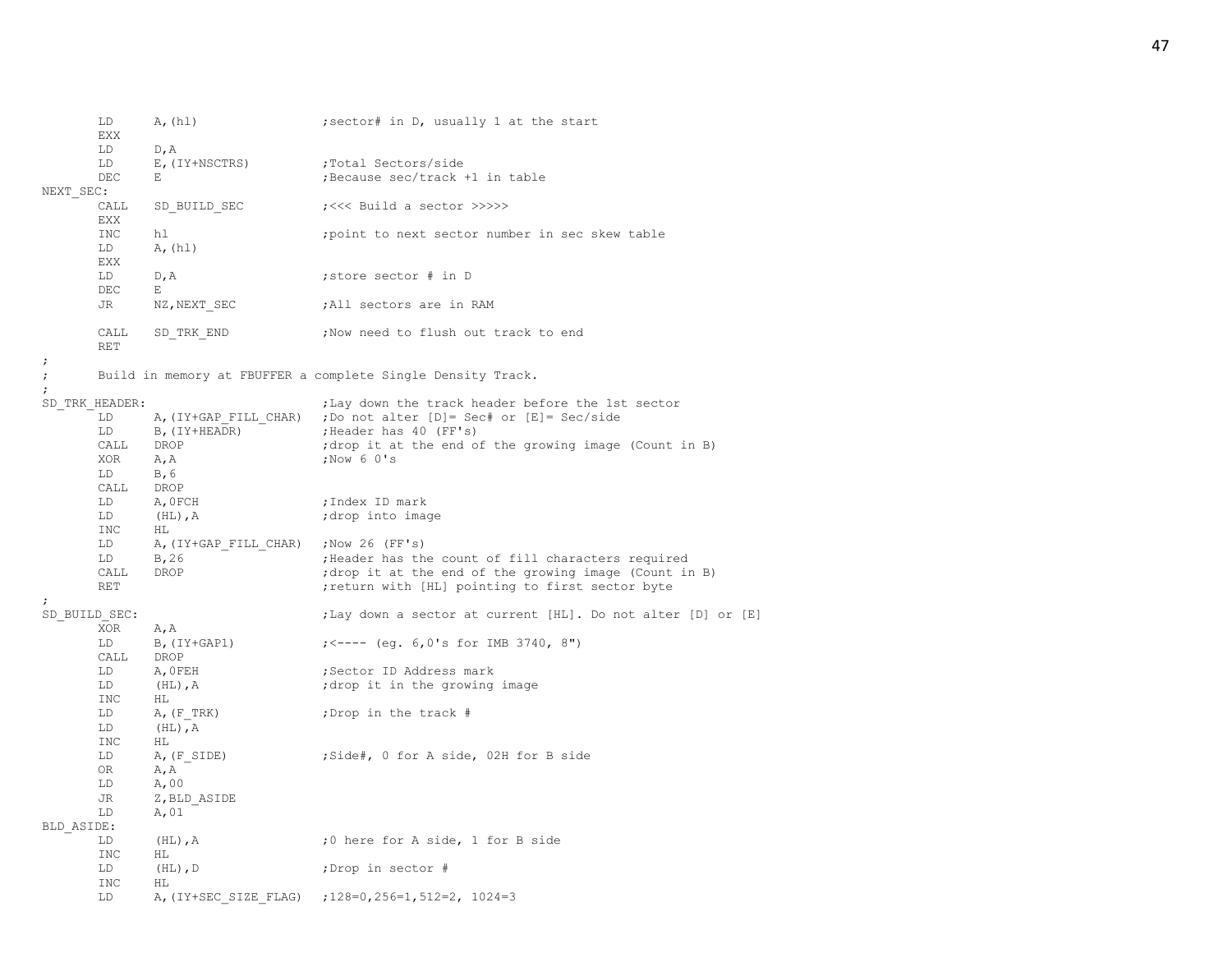|                                        | LD<br>EXX            | A, (h1)                               | ; sector# in D, usually 1 at the start                          |
|----------------------------------------|----------------------|---------------------------------------|-----------------------------------------------------------------|
|                                        | LD                   | D, A                                  |                                                                 |
|                                        | LD                   | E, (IY+NSCTRS)                        | :Total Sectors/side                                             |
|                                        | DEC                  | E                                     | ; Because sec/track +1 in table                                 |
| NEXT SEC:                              |                      |                                       |                                                                 |
|                                        | CALL<br>EXX          | SD BUILD SEC                          | ;<<< Build a sector >>>>>                                       |
|                                        | <b>INC</b>           | hl                                    | ; point to next sector number in sec skew table                 |
|                                        | LD                   | A, (h1)                               |                                                                 |
|                                        | EXX                  |                                       |                                                                 |
|                                        | LD                   | D, A                                  | ; store sector # in D                                           |
|                                        | DEC                  | Е                                     |                                                                 |
|                                        | JR                   | NZ, NEXT SEC                          | ;All sectors are in RAM                                         |
|                                        |                      |                                       |                                                                 |
|                                        | CALL<br>RET          | SD TRK END                            | ;Now need to flush out track to end                             |
| $\ddot{ }$<br>$\ddot{ }$<br>$\ddot{ }$ |                      |                                       | Build in memory at FBUFFER a complete Single Density Track.     |
|                                        | SD TRK HEADER:       |                                       | ; Lay down the track header before the 1st sector               |
|                                        | LD                   |                                       | A, (IY+GAP FILL CHAR) ; Do not alter [D]= Sec# or [E]= Sec/side |
|                                        | LD                   | B, (IY+HEADR)                         | ; Header has 40 (FF's)                                          |
|                                        | CALL                 | DROP                                  | ; drop it at the end of the growing image (Count in B)          |
|                                        | XOR                  |                                       | ; Now 6 0's                                                     |
|                                        |                      | A, A                                  |                                                                 |
|                                        | LD.                  | B, 6                                  |                                                                 |
|                                        | CALL                 | DROP                                  |                                                                 |
|                                        | LD                   | A, OFCH                               | ;Index ID mark                                                  |
|                                        | LD<br>INC.           | $(HL)$ , $A$<br>HL                    | drop into image;                                                |
|                                        | LD                   | A, (IY+GAP FILL CHAR) ; Now 26 (FF's) |                                                                 |
|                                        | LD                   | B, 26                                 | ; Header has the count of fill characters required              |
|                                        | CALL                 | DROP                                  | ; drop it at the end of the growing image (Count in B)          |
|                                        | RET                  |                                       | ; return with [HL] pointing to first sector byte                |
| $\ddot{\phantom{0}}$                   |                      |                                       |                                                                 |
|                                        | SD BUILD SEC:<br>XOR | A, A                                  | ;Lay down a sector at current [HL]. Do not alter [D] or [E]     |
|                                        | LD                   | $B$ , $(IY+GAP1)$                     | $\frac{1}{5}$ $\leftarrow$ ---- (eq. 6,0's for IMB 3740, 8")    |
|                                        | CALL                 | DROP                                  |                                                                 |
|                                        | LD                   | A, OFEH                               | ;Sector ID Address mark                                         |
|                                        | LD                   | $(HL)$ , $A$                          | ; drop it in the growing image                                  |
|                                        | INC                  | HL                                    |                                                                 |
|                                        | LD                   | $A$ , $(F$ TRK)                       | ; Drop in the track #                                           |
|                                        | LD                   | $(HL)$ , A                            |                                                                 |
|                                        | INC                  | HL                                    |                                                                 |
|                                        | LD                   | A, (F SIDE)                           | ;Side#, 0 for A side, 02H for B side                            |
|                                        | 0R                   | A, A                                  |                                                                 |
|                                        | LD                   | A,00                                  |                                                                 |
|                                        | JR                   | Z, BLD ASIDE                          |                                                                 |
|                                        | LD                   | A, 01                                 |                                                                 |
| BLD ASIDE:                             |                      |                                       |                                                                 |
|                                        | LD                   |                                       |                                                                 |
|                                        |                      | $(HL)$ , A                            | ;0 here for A side, 1 for B side                                |
|                                        | INC                  | ΗL                                    |                                                                 |
|                                        | LD                   | $(HL)$ , D                            | ;Drop in sector #                                               |
|                                        | INC                  | HL                                    |                                                                 |
|                                        | LD                   |                                       | A, (IY+SEC SIZE FLAG) ; 128=0, 256=1, 512=2, 1024=3             |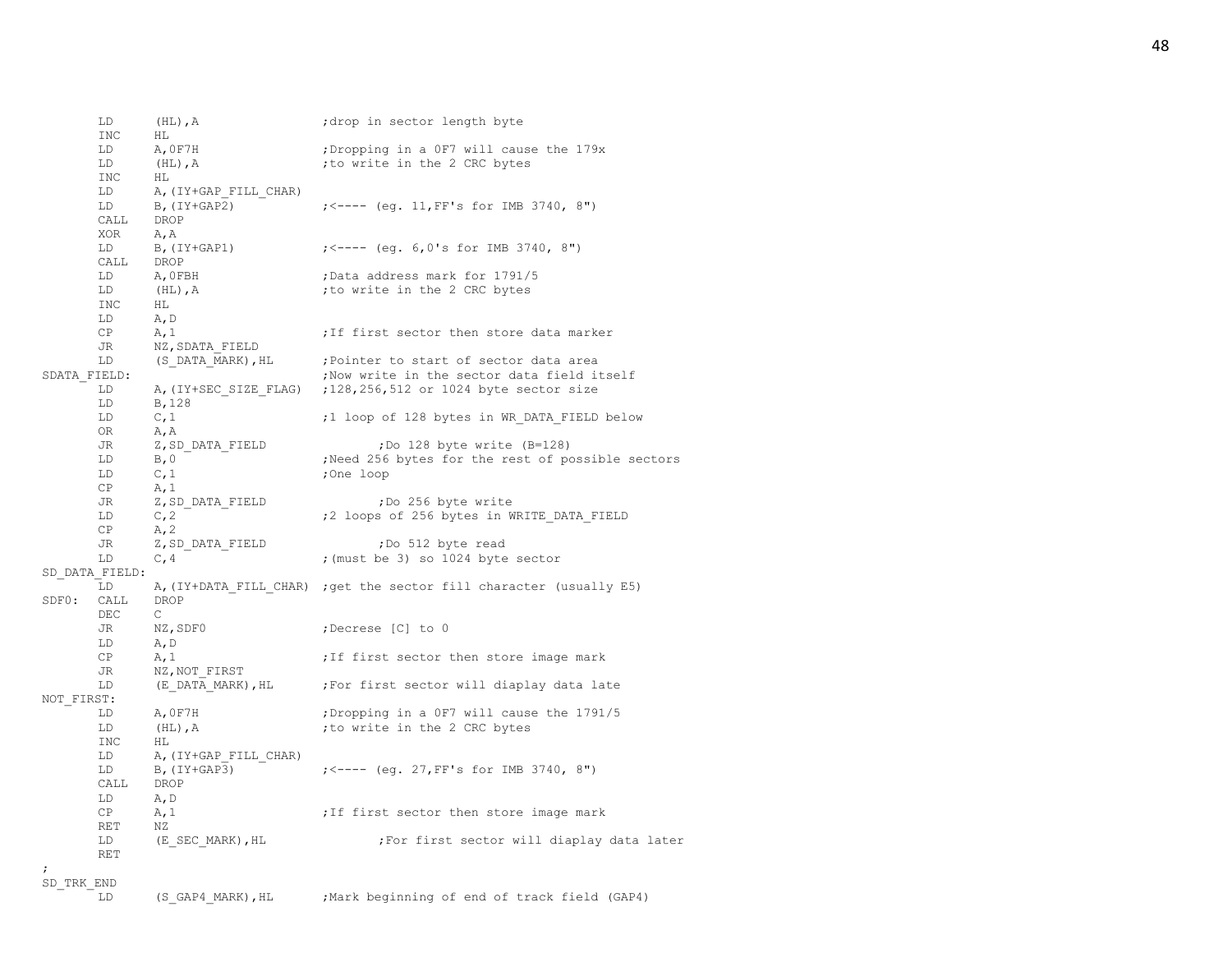|              | LD             | $(HL)$ , A            | ; drop in sector length byte                                        |
|--------------|----------------|-----------------------|---------------------------------------------------------------------|
|              | INC            | ΗL                    |                                                                     |
|              | LD             | A, OF7H               | ; Dropping in a OF7 will cause the 179x                             |
|              | LD             | $(HL)$ , A            | ; to write in the 2 CRC bytes                                       |
|              | INC            | ΗL                    |                                                                     |
|              | LD             | A, (IY+GAP FILL CHAR) |                                                                     |
|              | LD             | $B$ , $(IY+GAP2)$     | $\left(5 - - - \left(eq. 11, FF\right)s$ for IMB 3740, 8")          |
|              | CALL           | DROP                  |                                                                     |
|              | XOR            | A, A                  |                                                                     |
|              | LD             | B, (IY+GAP1)          | $\left(5 - - - - \right)$ (eq. 6,0's for IMB 3740, 8")              |
|              | CALL           | DROP                  |                                                                     |
|              | LD             | A,OFBH                | ;Data address mark for 1791/5                                       |
|              | LD             | $(HL)$ , $A$          | ; to write in the 2 CRC bytes                                       |
|              | INC            | HL                    |                                                                     |
|              | LD             | A, D                  |                                                                     |
|              | CP             | A, 1                  | ; If first sector then store data marker                            |
|              | JR             | NZ, SDATA FIELD       |                                                                     |
|              | LD             | (S DATA MARK), HL     | ; Pointer to start of sector data area                              |
| SDATA FIELD: |                |                       | ; Now write in the sector data field itself                         |
|              | LD             |                       | A, (IY+SEC SIZE FLAG) ; 128, 256, 512 or 1024 byte sector size      |
|              | LD             | B, 128                |                                                                     |
|              | LD             | C, 1                  | ;1 loop of 128 bytes in WR DATA FIELD below                         |
|              | 0R             | A, A                  |                                                                     |
|              | JR             | Z,SD DATA FIELD       | ;Do 128 byte write (B=128)                                          |
|              | LD             | B, 0                  | ; Need 256 bytes for the rest of possible sectors                   |
|              | LD             | C, 1                  | ;One loop                                                           |
|              | CP             | A, 1                  |                                                                     |
|              | JR             | Z, SD DATA FIELD      | ;Do 256 byte write                                                  |
|              | LD             | C, 2                  | ;2 loops of 256 bytes in WRITE DATA FIELD                           |
|              | CP             | A, 2                  |                                                                     |
|              | JR             | Z, SD DATA FIELD      | ;Do 512 byte read                                                   |
|              | LD             | C, 4                  | ; (must be 3) so 1024 byte sector                                   |
|              | SD DATA FIELD: |                       |                                                                     |
|              | LD             |                       | A, (IY+DATA FILL CHAR) ; get the sector fill character (usually E5) |
| SDFO:        | CALL           | DROP                  |                                                                     |
|              | DEC            | $\mathsf{C}$          |                                                                     |
|              | JR             | NZ,SDF0               | ;Decrese [C] to 0                                                   |
|              | LD             | A, D                  |                                                                     |
|              | CP             | A, 1                  | ; If first sector then store image mark                             |
|              | JR             | NZ, NOT FIRST         |                                                                     |
|              | LD             | (E DATA MARK), HL     | For first sector will diaplay data late                             |
| NOT FIRST:   |                |                       |                                                                     |
|              | LD             | A, OF7H               | ; Dropping in a OF7 will cause the 1791/5                           |
|              | LD             | $(HL)$ , $A$          | ; to write in the 2 CRC bytes                                       |
|              | <b>INC</b>     | HL                    |                                                                     |
|              | LD             | A, (IY+GAP FILL CHAR) |                                                                     |
|              | LD             | $B$ , $(IY+GAP3)$     | $\frac{1}{5}$ $\leftarrow$ ---- (eq. 27, FF's for IMB 3740, 8")     |
|              | CALL           | DROP                  |                                                                     |
|              | LD             | A, D                  |                                                                     |
|              | CP             | A, 1                  | ; If first sector then store image mark                             |
|              | RET            | ΝZ                    |                                                                     |
|              | LD             | (E SEC MARK), HL      | ;For first sector will diaplay data later                           |
|              | <b>RET</b>     |                       |                                                                     |
| $\ddot{ }$   |                |                       |                                                                     |

# $\begin{array}{c} \texttt{SD\_TRK\_END} \\ \texttt{LD} \end{array}$

(S\_GAP4\_MARK), HL ; Mark beginning of end of track field (GAP4)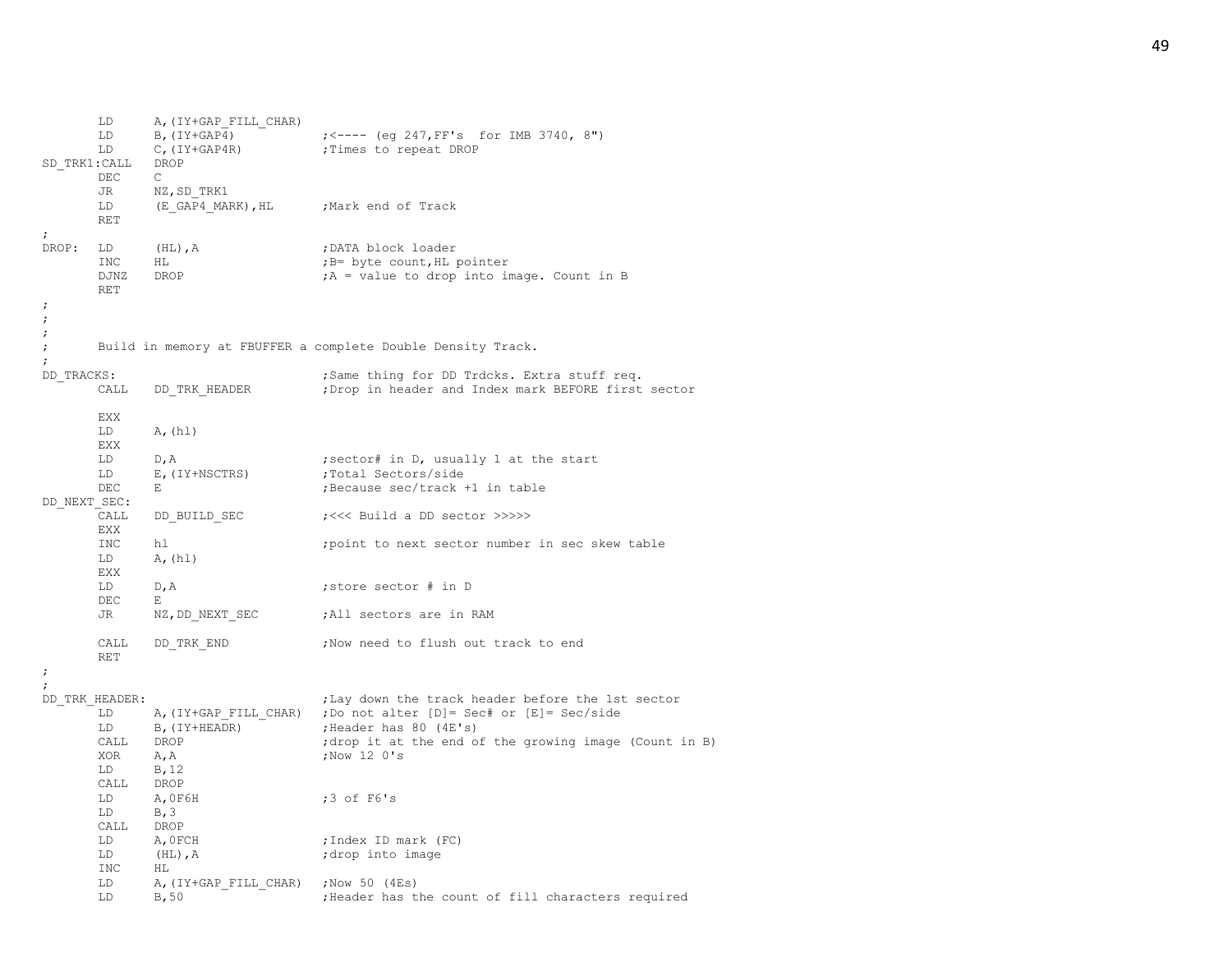```
LD A,(IY+GAP_FILL_CHAR)
      LD B, (IV+GAP<sup>4</sup>) - \qquad \qquad \qquad \qquad \qquad \qquad \qquad \qquad \qquad \qquad \qquad \qquad \qquad \qquad \qquad \qquad \qquad \qquad \qquad \qquad \qquad \qquad \qquad \qquad \qquad \qquad \qquad \qquad \qquad \qquad \qquad \qquad \qquadLD C, (IY+GAP4R) ; Times to repeat DROP
SD_TRK1:CALL DROP
      DEC C
      JR NZ,SD_TRK1
      LD (E_GAP4_MARK), HL ;Mark end of Track
      RET
;
DROP: LD (HL), A ;DATA block loader
      INC HL ;B= byte count, HL pointer
      DJNZ DROP ; A = value to drop into image. Count in B
      RET
;
;
;
; Build in memory at FBUFFER a complete Double Density Track.
;
DD TRACKS: \qquad \qquad ;Same thing for DD Trdcks. Extra stuff req.
      CALL DD_TRK_HEADER ;Drop in header and Index mark BEFORE first sector
      EXX
      LD A, (h1)EXX
      LD D, A contractor that is not in D, usually 1 at the start
      LD E, (IY+NSCTRS) ;Total Sectors/side
      DEC E ;Because sec/track +1 in table
DD_NEXT_SEC:
      CALL DD_BUILD_SEC ;<<< Build a DD_sector >>>>>
      EXX
      INC hl ;point to next sector number in sec skew table
      LD A, (h1)EXX
      LD D,A ;store sector # in D
      DEC E
      JR NZ, DD_NEXT_SEC ;All sectors are in RAM
      CALL DD_TRK_END ;Now need to flush out track to end
      RET
;
;
DD_TRK_HEADER: \qquad \qquad ;Lay down the track header before the 1st sector
      LD A, (IY+GAP FILL CHAR) ; Do not alter [D]= Sec# or [E]= Sec/side
      LD B, (IY+HEADR) ; Header has 80 (4E's)
      CALL DROP ;drop it at the end of the growing image (Count in B)
      XOR A, A ;Now 12 0's
      LD B,12
      CALL DROP
      LD A,0F6H ;3 of F6's
      LD B.3CALL DROP
      LD A, OFCH ;Index ID mark (FC)
      LD (HL), A ;drop into image
      INC HL
      LD A, (IY+GAP FILL CHAR) ;Now 50 (4Es)
      LD B,50 b, Beader has the count of fill characters required
```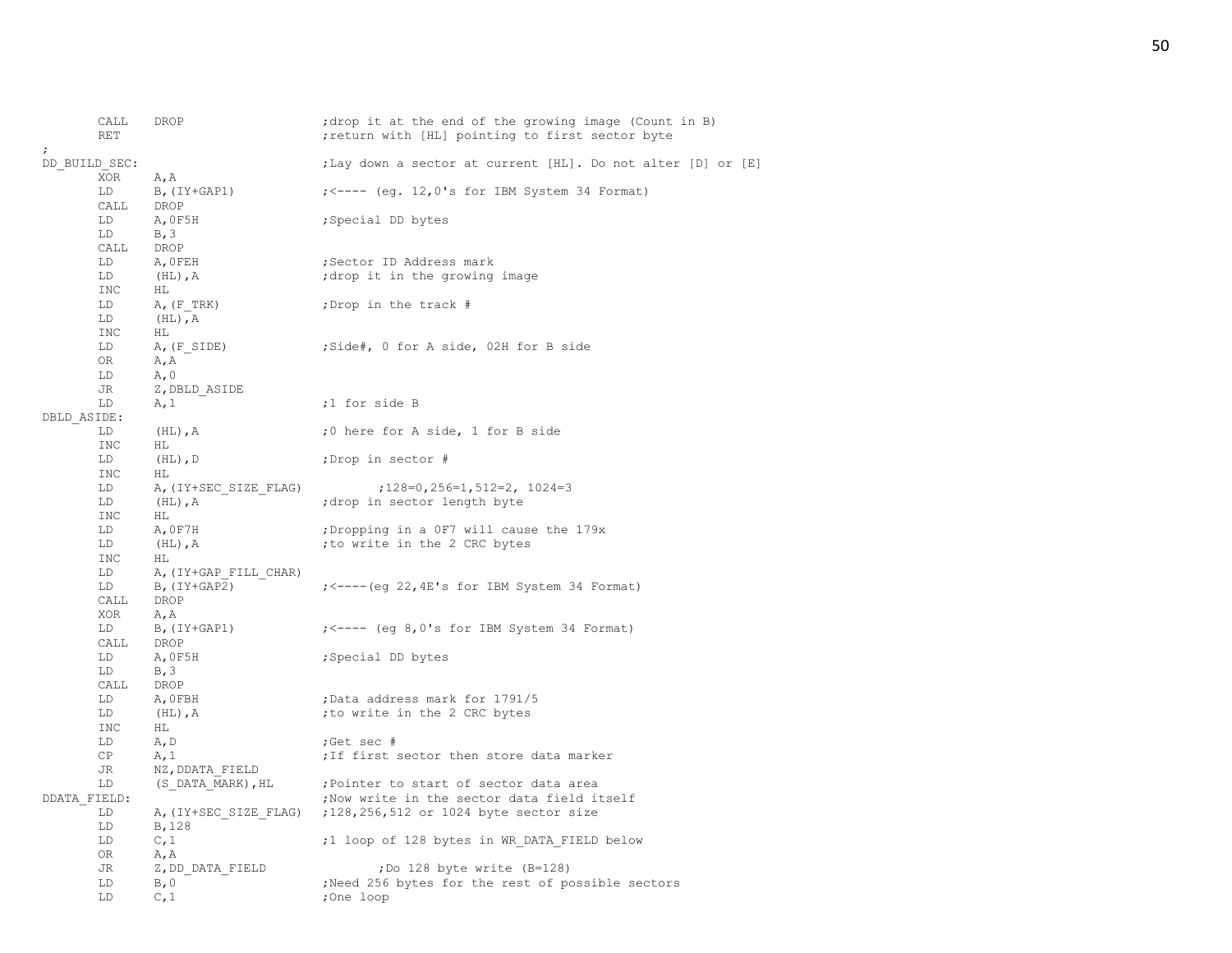|              | CALL<br><b>RET</b> | DROP                     | ; drop it at the end of the growing image (Count in B)<br>; return with [HL] pointing to first sector byte |
|--------------|--------------------|--------------------------|------------------------------------------------------------------------------------------------------------|
|              | DD BUILD SEC:      |                          | ; Lay down a sector at current [HL]. Do not alter [D] or [E]                                               |
|              | <b>XOR</b><br>LD   | A, A<br>$B$ , (IY+GAP1)  | $\left(5 - - - - \right)$ (eq. 12,0's for IBM System 34 Format)                                            |
|              | CALL               | DROP                     |                                                                                                            |
|              | LD.                | A, OF5H                  | ; Special DD bytes                                                                                         |
|              | LD                 | B, 3                     |                                                                                                            |
|              | CALL               | DROP                     |                                                                                                            |
|              | LD                 | A, OFEH                  | ;Sector ID Address mark                                                                                    |
|              | LD                 | $(HL)$ , $A$             | drop it in the growing image                                                                               |
|              | <b>INC</b>         | HL                       |                                                                                                            |
|              | LD                 | $A$ , $(F$ TRK)          | ;Drop in the track #                                                                                       |
|              | LD                 | $(HL)$ , $A$             |                                                                                                            |
|              | <b>INC</b>         | HL                       |                                                                                                            |
|              | LD<br>0R           | A, (F SIDE)<br>A, A      | ;Side#, 0 for A side, 02H for B side                                                                       |
|              | LD                 | A, 0                     |                                                                                                            |
|              | JR                 | Z, DBLD ASIDE            |                                                                                                            |
|              | LD                 | A, 1                     | ;1 for side B                                                                                              |
| DBLD ASIDE:  |                    |                          |                                                                                                            |
|              | LD                 | $(HL)$ , A               | ;0 here for A side, 1 for B side                                                                           |
|              | INC                | ΗL                       |                                                                                                            |
|              | LD                 | $(HL)$ , D               | ;Drop in sector #                                                                                          |
|              | INC                | HL.                      |                                                                                                            |
|              | LD                 | A, (IY+SEC SIZE FLAG)    | $;128=0,256=1,512=2,1024=3$                                                                                |
|              | LD                 | $(HL)$ , A               | ; drop in sector length byte                                                                               |
|              | <b>INC</b><br>LD   | HL<br>A, OF7H            | ; Dropping in a OF7 will cause the 179x                                                                    |
|              | LD                 | $(HL)$ , $A$             | ; to write in the 2 CRC bytes                                                                              |
|              | INC                | HL.                      |                                                                                                            |
|              | LD                 | A, (IY+GAP FILL CHAR)    |                                                                                                            |
|              | LD                 | $B$ , $(IY+GAP2)$        | $\frac{1}{5}$ /---- (eq 22, 4E's for IBM System 34 Format)                                                 |
|              | CALL               | DROP                     |                                                                                                            |
|              | XOR                | A, A                     |                                                                                                            |
|              | LD                 | B, (IY+GAP1)             | $\left(2.5 - - - \right)$ (eq 8,0's for IBM System 34 Format)                                              |
|              | CALL               | DROP                     |                                                                                                            |
|              | LD                 | A, OF5H                  | ; Special DD bytes                                                                                         |
|              | LD<br>CALL         | B, 3<br>DROP             |                                                                                                            |
|              | LD                 | A, OFBH                  | ; Data address mark for 1791/5                                                                             |
|              | LD                 | $(HL)$ , $A$             | ; to write in the 2 CRC bytes                                                                              |
|              | INC                | HL.                      |                                                                                                            |
|              | LD                 | A, D                     | ;Get sec #                                                                                                 |
|              | CP                 | A, 1                     | ; If first sector then store data marker                                                                   |
|              | JR                 | NZ, DDATA FIELD          |                                                                                                            |
|              | LD                 | (S DATA MARK), HL        | ; Pointer to start of sector data area                                                                     |
| DDATA FIELD: |                    |                          | ; Now write in the sector data field itself                                                                |
|              | LD                 |                          | A, (IY+SEC SIZE FLAG) ; 128, 256, 512 or 1024 byte sector size                                             |
|              | LD                 | B, 128                   |                                                                                                            |
|              | LD                 | C, 1                     | ;1 loop of 128 bytes in WR DATA FIELD below                                                                |
|              | OR.<br>JR          | A, A<br>Z, DD DATA FIELD | ;Do 128 byte write (B=128)                                                                                 |
|              | LD                 | B, 0                     | Need 256 bytes for the rest of possible sectors                                                            |
|              | LD                 | C, 1                     | ;One loop                                                                                                  |
|              |                    |                          |                                                                                                            |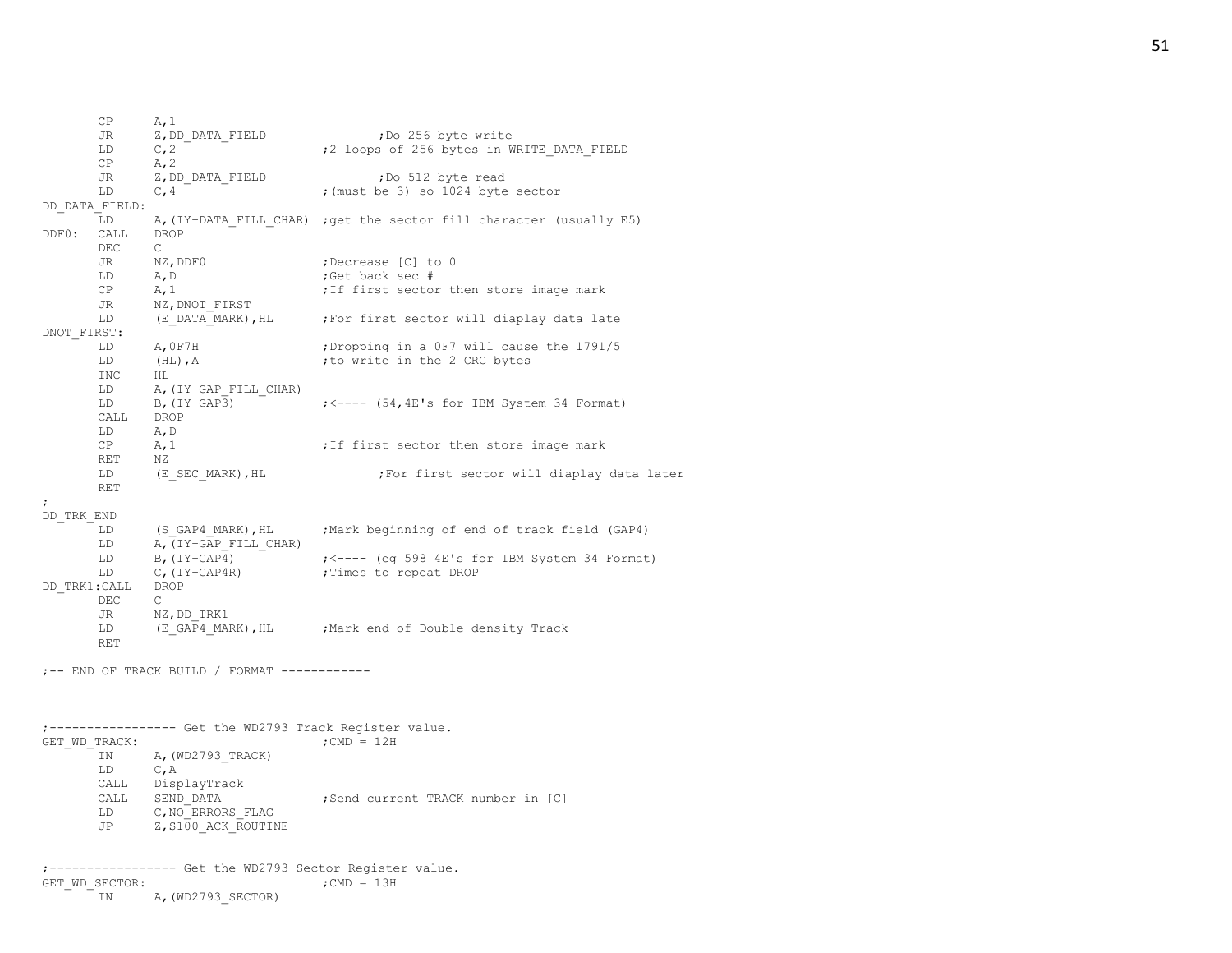JR Z, DD DATA FIELD ;Do 256 byte write LD C,2  $\qquad$  ;2 loops of 256 bytes in WRITE DATA FIELD CP  $A, 2$ JR Z, DD DATA FIELD ;Do 512 byte read LD  $C, 4$   $\overline{\phantom{a}}$   $\overline{\phantom{a}}$  ; (must be 3) so 1024 byte sector DD\_DATA\_FIELD: LD A, (IY+DATA FILL CHAR) ;get the sector fill character (usually E5) DDF0: CALL DROP DEC C JR NZ, DDF0 ;Decrease [C] to 0 LD A, D ;Get back sec #  $CP$   $A,1$  ;If first sector then store image mark JR NZ, DNOT\_FIRST LD (E\_DATA<sup>\_MARK</sup>), HL ; For first sector will diaplay data late DNOT\_FIRST: LD A, 0F7H ;Dropping in a 0F7 will cause the 1791/5<br>
LD (HL), A ;to write in the 2 CRC bytes LD (HL), A ;to write in the 2 CRC bytes INC HL LD A, (IY+GAP FILL CHAR) LD B, (IY+GAP3) ; <---- (54,4E's for IBM System 34 Format) CALL DROP LD A,D  $CP$   $A,1$  ;If first sector then store image mark RET NZ LD (E\_SEC\_MARK), HL ;For first sector will diaplay data later RET ; DD\_TRK\_END LD (S\_GAP4\_MARK),HL ;Mark beginning of end of track field (GAP4) LD A, (IY+GAP FILL CHAR) LD B,  $(IV+GAP<sup>4</sup>)$  ; <---- (eq 598 4E's for IBM System 34 Format) LD C, (IY+GAP4R) ; Times to repeat DROP DD\_TRK1:CALL DROP DEC  $\cap$ JR NZ,DD\_TRK1 LD (E\_GAP4\_MARK), HL ; Mark end of Double density Track RET ;-- END OF TRACK BUILD / FORMAT ------------ ;----------------- Get the WD2793 Track Register value. GET WD TRACK:  $;$  ;CMD = 12H IN A, (WD2793 TRACK) LD C,A CALL DisplayTrack CALL SEND DATA  $;$ Send current TRACK number in [C] LD C, NO ERRORS FLAG JP Z, S100 ACK ROUTINE ;----------------- Get the WD2793 Sector Register value. GET WD SECTOR:  $;$  ;CMD = 13H

IN A, (WD2793 SECTOR)

 $CP$   $A, 1$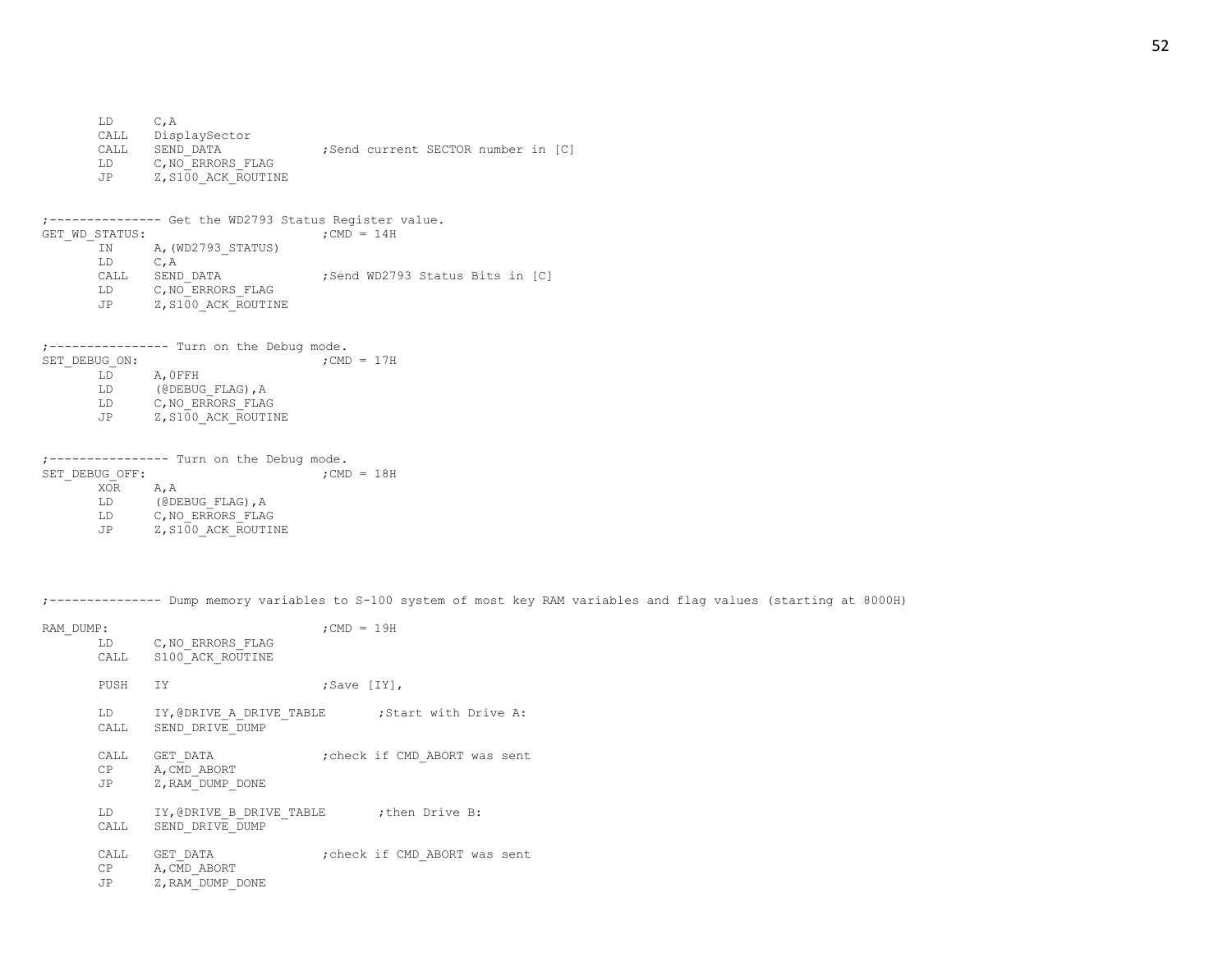LD C,A CALL DisplaySector CALL SEND DATA  $;$ Send current SECTOR number in [C] LD C, NO ERRORS FLAG JP Z, S100 ACK ROUTINE ;--------------- Get the WD2793 Status Register value. GET WD STATUS:  $;$  ;CMD = 14H IN A, (WD2793 STATUS) LD C,A CALL SEND DATA ;Send WD2793 Status Bits in [C] LD C, NO ERRORS FLAG JP Z, S100 ACK ROUTINE  $j$ ---------------- Turn on the Debug mode.<br>SET DEBUG ON:  $j$ CMD = 17H SET DEBUG ON: LD A,0FFH LD (@DEBUG\_FLAG), A LD C, NO ERRORS FLAG JP Z, S100 ACK ROUTINE ;---------------- Turn on the Debug mode. SET DEBUG OFF:  $;$  ;CMD = 18H XOR A,A LD (@DEBUG\_FLAG), A<br>LD C, NO ERRORS FLAG C, NO ERRORS FLAG JP Z, S100 ACK ROUTINE

;--------------- Dump memory variables to S-100 system of most key RAM variables and flag values (starting at 8000H)

| RAM DUMP: |          | LD C, NO ERRORS FLAG<br>CALL S100 ACK ROUTINE                        | $:$ CMD = 19H     |                               |
|-----------|----------|----------------------------------------------------------------------|-------------------|-------------------------------|
|           | PUSH IY  |                                                                      | $;$ Save $[1Y]$ , |                               |
|           | CALL     | LD IY, @DRIVE A DRIVE TABLE : Start with Drive A:<br>SEND DRIVE DUMP |                   |                               |
|           | JP       | CALL GET DATA<br>CP A, CMD ABORT<br>Z, RAM DUMP DONE                 |                   | ; check if CMD ABORT was sent |
|           | CALL     | LD IY, @DRIVE B DRIVE TABLE ; then Drive B:<br>SEND DRIVE DUMP       |                   |                               |
|           | CP<br>JP | CALL GET DATA<br>A, CMD ABORT<br>Z, RAM DUMP DONE                    |                   | ; check if CMD ABORT was sent |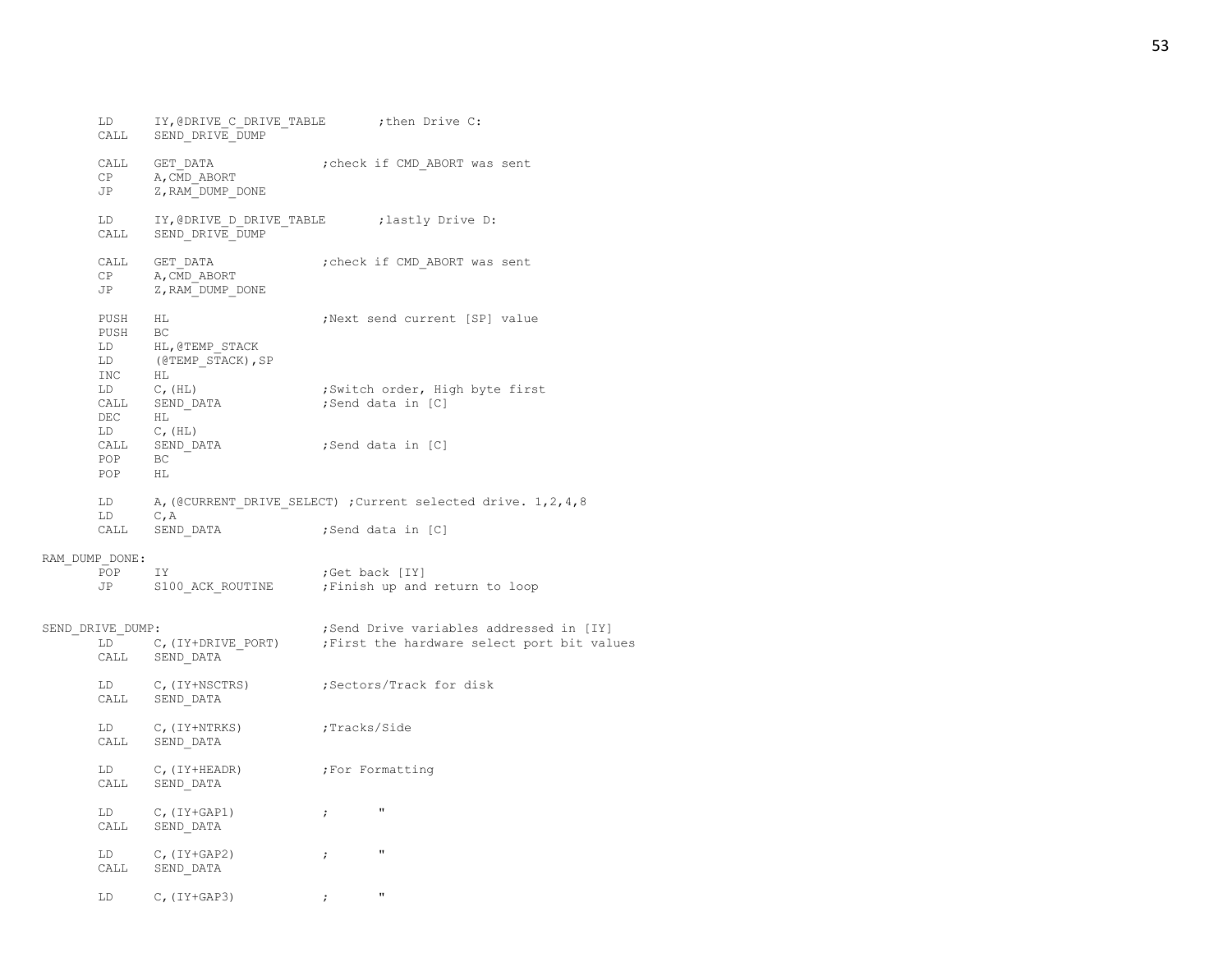| LD<br>CALL                                | IY, @DRIVE C DRIVE TABLE : then Drive C:<br>SEND_DRIVE DUMP                               |                |                                                                                        |
|-------------------------------------------|-------------------------------------------------------------------------------------------|----------------|----------------------------------------------------------------------------------------|
| CALL<br>CP<br>JP                          | GET DATA<br>A, CMD ABORT<br>Z, RAM DUMP DONE                                              |                | ; check if CMD ABORT was sent                                                          |
| LD<br>CALL                                | IY, @DRIVE D DRIVE TABLE : lastly Drive D:<br>SEND DRIVE DUMP                             |                |                                                                                        |
| CALL<br>CP<br>JP                          | GET DATA<br>A, CMD ABORT<br>Z, RAM DUMP DONE                                              |                | ; check if CMD ABORT was sent                                                          |
| PUSH<br>PUSH<br>LD<br>LD<br>INC           | HL<br>BC<br>HL, @TEMP STACK<br>(@TEMP STACK), SP<br>HL                                    |                | ; Next send current [SP] value                                                         |
| $LD \t C, (HL)$<br>DEC<br>$LD \t C, (HL)$ | CALL SEND_DATA<br>HL                                                                      |                | ;Switch order, High byte first<br>;Send data in [C]                                    |
| POP                                       | $\begin{tabular}{ll} \tt{CALL} & \tt{SEND\_DATA} \\ \tt POP & \tt BC \end{tabular}$<br>HL |                | ;Send data in [C]                                                                      |
| LD<br>LD<br>CALL                          | $C$ , A<br>SEND DATA                                                                      |                | A, (@CURRENT DRIVE SELECT) ; Current selected drive. 1, 2, 4, 8<br>;Send data in [C]   |
| RAM DUMP DONE:<br>POP<br>JP               | IY<br>S100 ACK ROUTINE                                                                    | ;Get back [IY] | ; Finish up and return to loop                                                         |
| SEND DRIVE DUMP:<br>LD<br>CALL            | C, (IY+DRIVE PORT)<br>SEND DATA                                                           |                | ;Send Drive variables addressed in [IY]<br>; First the hardware select port bit values |
| LD<br>CALL                                | C, (IY+NSCTRS)<br>SEND DATA                                                               |                | ;Sectors/Track for disk                                                                |
| LD<br>CALL                                | $C$ , (IY+NTRKS)<br>SEND DATA                                                             | ;Tracks/Side   |                                                                                        |
| LD<br>CALL                                | $C$ , (IY+HEADR)<br>SEND DATA                                                             |                | ;For Formatting                                                                        |
| LD<br>CALL                                | $C$ , $(IY+GAP1)$<br>SEND DATA                                                            | $\ddot{ }$     | $\pmb{\mathsf{H}}$                                                                     |
| LD<br>CALL                                | $C$ , $(IY+GAP2)$<br>SEND DATA                                                            | $\ddot{ }$     | $\pmb{\mathsf{H}}$                                                                     |
| LD                                        | $C$ , $(IY+GAP3)$                                                                         | $\ddot{ }$     | $\mathbf{u}$                                                                           |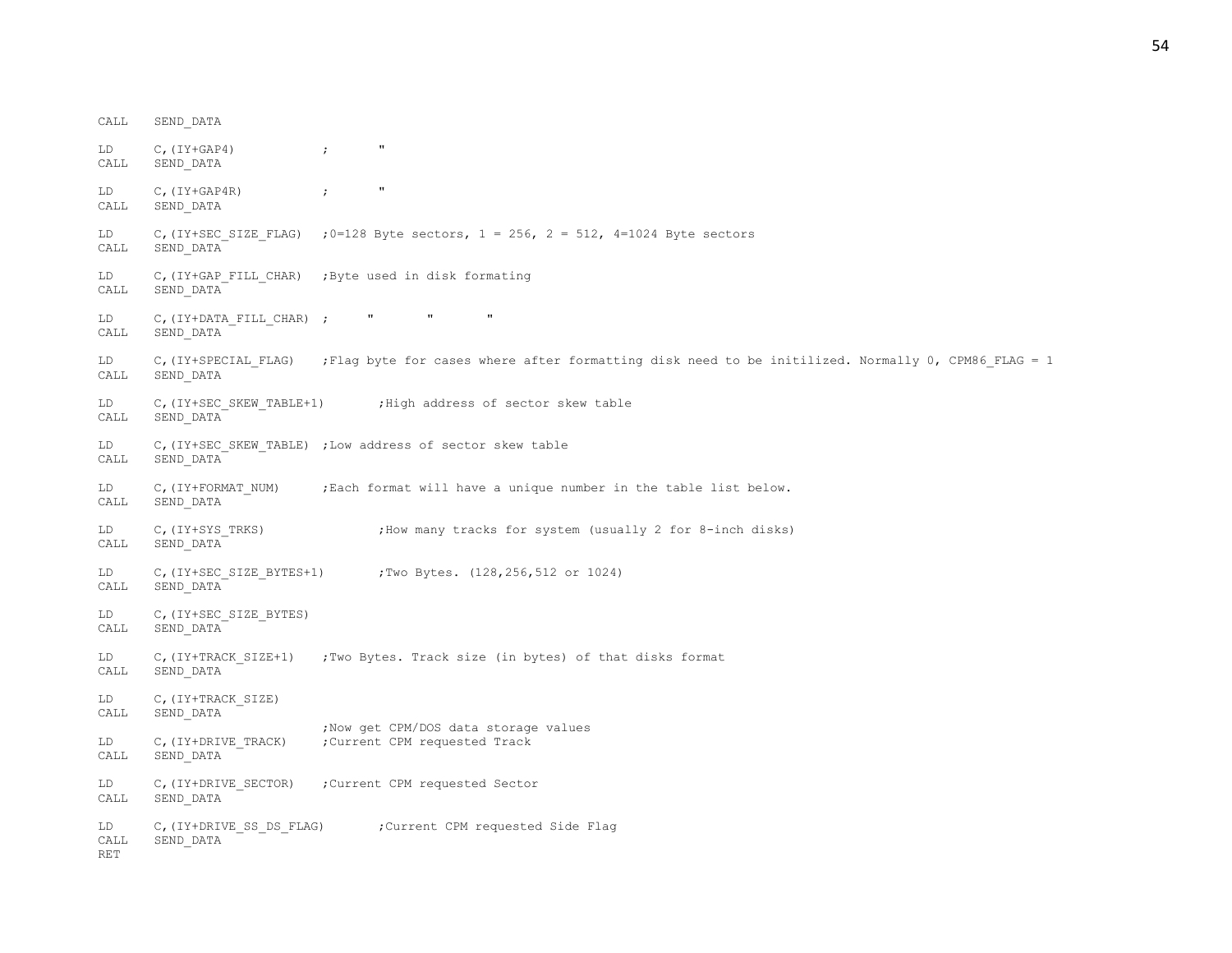CALL SEND\_DATA LD  $C$ ,  $(IY+GAP4)$  ; " CALL SEND\_DATA LD C, (IY+GAP4R) ; " CALL SEND\_DATA LD C, (IY+SEC SIZE FLAG) ;0=128 Byte sectors, 1 = 256, 2 = 512, 4=1024 Byte sectors CALL SEND\_DATA LD C,(IY+GAP\_FILL\_CHAR) ;Byte used in disk formating CALL SEND\_DATA LD C, (IY+DATA\_FILL\_CHAR) ; " " " " CALL SEND\_DATA LD C,(IY+SPECIAL FLAG) ;Flag byte for cases where after formatting disk need to be initilized. Normally 0, CPM86 FLAG = 1 CALL SEND\_DATA LD C, (IY+SEC SKEW TABLE+1) ; High address of sector skew table CALL SEND\_DATA LD C, (IY+SEC SKEW TABLE) ;Low address of sector skew table CALL SEND\_DATA LD C, (IY+FORMAT\_NUM) ;Each format will have a unique number in the table list below. CALL SEND\_DATA LD C, (IY+SYS TRKS) ;How many tracks for system (usually 2 for 8-inch disks) CALL SEND\_DATA LD C,(IY+SEC\_SIZE\_BYTES+1) ;Two Bytes. (128,256,512 or 1024) CALL SEND\_DATA LD C, (IY+SEC SIZE BYTES) CALL SEND\_DATA LD C,(IY+TRACK\_SIZE+1) ;Two Bytes. Track size (in bytes) of that disks format CALL SEND\_DATA LD C, (IY+TRACK SIZE) CALL SEND\_DATA ;Now get CPM/DOS data storage values LD C,(IY+DRIVE TRACK) ;Current CPM requested Track CALL SEND\_DATA LD C, (IY+DRIVE SECTOR) ;Current CPM requested Sector CALL SEND\_DATA LD C, (IY+DRIVE SS DS FLAG) ; Current CPM requested Side Flag CALL SEND\_DATA RET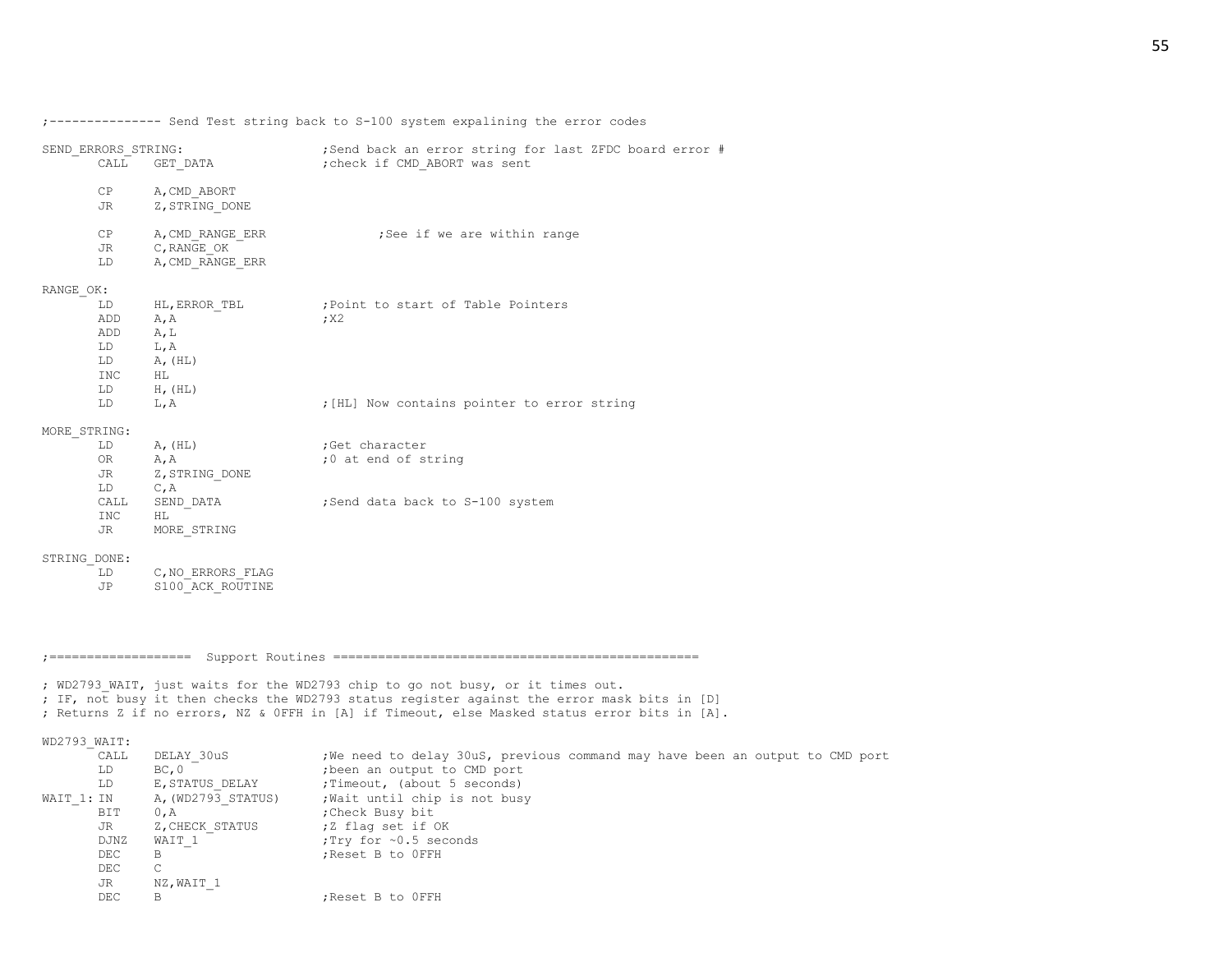;--------------- Send Test string back to S-100 system expalining the error codes

| SEND ERRORS STRING:<br>CALL              | GET DATA                                                                       | ;Send back an error string for last ZFDC board error #<br>; check if CMD ABORT was sent |
|------------------------------------------|--------------------------------------------------------------------------------|-----------------------------------------------------------------------------------------|
| CP<br><b>JR</b>                          | A, CMD ABORT<br>Z, STRING DONE                                                 |                                                                                         |
| CP<br>JR<br>LD                           | A, CMD RANGE ERR<br>C, RANGE OK<br>A, CMD RANGE ERR                            | ;See if we are within range                                                             |
| RANGE OK:                                |                                                                                |                                                                                         |
| LD.<br>ADD<br>ADD<br>LD<br>INC           | HL, ERROR TBL<br>A, A<br>A, L<br>L, A<br>$LD \tA, (HL)$<br>HL HL<br>LD H, (HL) | ; Point to start of Table Pointers<br>; X2                                              |
| LD                                       | L, A                                                                           | ; [HL] Now contains pointer to error string                                             |
| MORE STRING:<br>LD.<br>OR<br>JR DE<br>LD | $A$ , $(HL)$<br>A, A<br>Z, STRING DONE<br>C, A                                 | Get character;<br>;0 at end of string                                                   |
| CALL<br>INC<br>JR                        | SEND DATA<br>HL.<br>MORE STRING                                                | ;Send data back to S-100 system                                                         |
| STRING DONE:                             |                                                                                |                                                                                         |
| LD<br>JP                                 | C, NO ERRORS FLAG<br>S100 ACK ROUTINE                                          |                                                                                         |

;=================== Support Routines =================================================

; WD2793 WAIT, just waits for the WD2793 chip to go not busy, or it times out. ; IF, not busy it then checks the WD2793 status register against the error mask bits in [D] ; Returns Z if no errors, NZ & 0FFH in [A] if Timeout, else Masked status error bits in [A].

## WD2793\_WAIT:

|            | CALL | DELAY 30uS         | ; We need to delay 30uS, previous command may have been an output to CMD port |
|------------|------|--------------------|-------------------------------------------------------------------------------|
|            | LD   | BC, 0              | ; been an output to CMD port                                                  |
|            | LD   | E, STATUS DELAY    | ; Timeout, (about 5 seconds)                                                  |
| WAIT 1: IN |      | A, (WD2793 STATUS) | ; Wait until chip is not busy                                                 |
|            | BIT. | 0, A               | Check Busy bit,                                                               |
|            | JR   | Z, CHECK STATUS    | ;Z flag set if OK                                                             |
|            | DJNZ | WAIT 1             | :Try for ~0.5 seconds                                                         |
|            | DEC  | В                  | ; Reset B to OFFH                                                             |
|            | DEC. | C                  |                                                                               |
|            | JR   | NZ, WAIT 1         |                                                                               |
|            | DEC  | B                  | :Reset B to OFFH                                                              |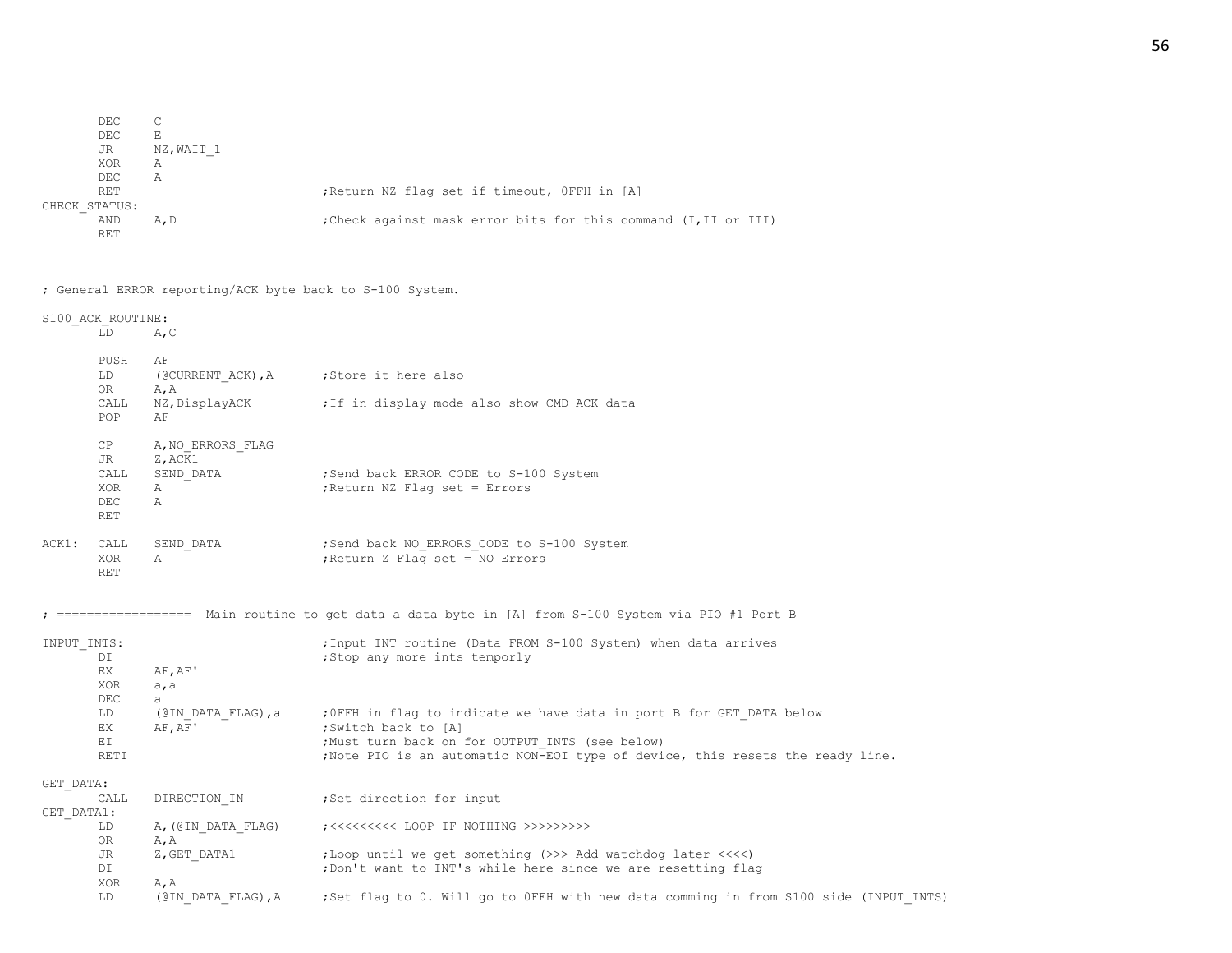| DEC           |            |                                                                 |  |  |  |
|---------------|------------|-----------------------------------------------------------------|--|--|--|
| DEC           | F.         |                                                                 |  |  |  |
| JR            | NZ, WAIT 1 |                                                                 |  |  |  |
| XOR           | Α          |                                                                 |  |  |  |
| DEC           | Α          |                                                                 |  |  |  |
| RET           |            | Return NZ flag set if timeout, OFFH in [A]                      |  |  |  |
| CHECK STATUS: |            |                                                                 |  |  |  |
| AND           | A, D       | ; Check against mask error bits for this command (I, II or III) |  |  |  |
| RET           |            |                                                                 |  |  |  |
|               |            |                                                                 |  |  |  |

; General ERROR reporting/ACK byte back to S-100 System.

S100\_ACK\_ROUTINE: LD A,C PUSH AF LD (@CURRENT ACK), A ; Store it here also OR A,A CALL NZ, DisplayACK ;If in display mode also show CMD ACK data POP AF CP A, NO ERRORS FLAG JR Z, ACK1 CALL SEND DATA ;Send back ERROR CODE to S-100 System XOR A 7 (2008); Return NZ Flag set = Errors DEC A RET ACK1: CALL SEND DATA ;Send back NO ERRORS CODE to S-100 System XOR A ;Return Z Flag set = NO Errors RET ; ================== Main routine to get data a data byte in [A] from S-100 System via PIO #1 Port B INPUT INTS:  $\qquad \qquad$  ;Input INT routine (Data FROM S-100 System) when data arrives DI **interval in the set of the set of the set of the set of the set of the set of the set of the set of the set of the set of the set of the set of the set of the set of the set of the set of the set of the set of the set** EX AF,AF' XOR a,a DEC a LD (@IN\_DATA\_FLAG),a ;0FFH in flag to indicate we have data in port B for GET\_DATA below EX AF, AF' ; Switch back to [A] EI  $;$ Must turn back on for OUTPUT INTS (see below) RETI ;Note PIO is an automatic NON-EOI type of device, this resets the ready line. GET\_DATA: CALL DIRECTION IN ;Set direction for input GET\_DATA1: LD A,(@IN\_DATA\_FLAG) ;<<<<<<<<< LOOP IF NOTHING >>>>>>>>> OR A,A JR Z,GET\_DATA1 ;Loop until we get something (>>> Add watchdog later <<<<) DI ;Don't want to INT's while here since we are resetting flag XOR A,A LD (@IN\_DATA\_FLAG),A ;Set flag to 0. Will go to 0FFH with new data comming in from S100 side (INPUT\_INTS)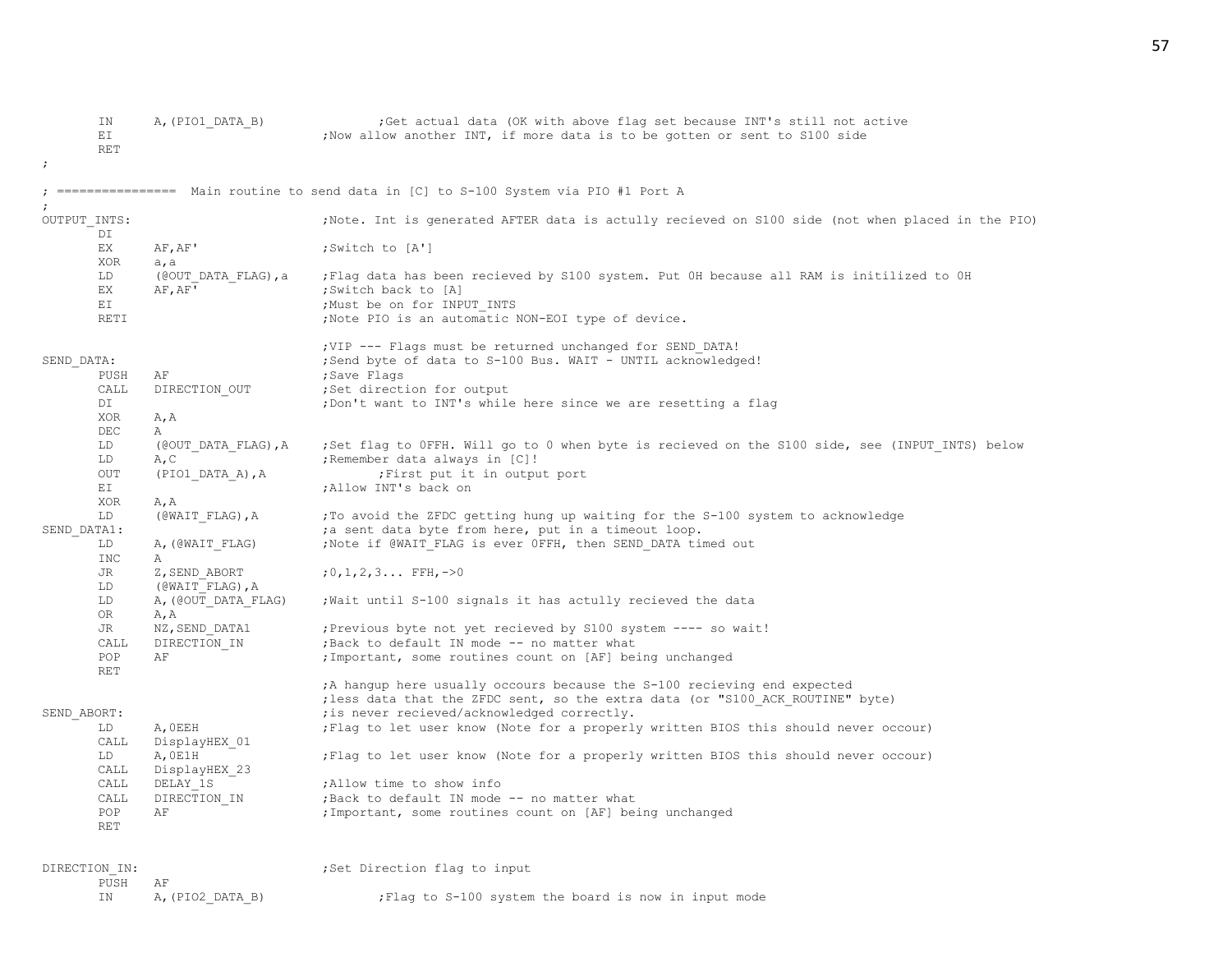| ΙN<br>ΕI<br><b>RET</b> | A, (PIO1 DATA B)     | Get actual data (OK with above flag set because INT's still not active<br>; Now allow another INT, if more data is to be gotten or sent to S100 side     |
|------------------------|----------------------|----------------------------------------------------------------------------------------------------------------------------------------------------------|
|                        |                      | ================ Main routine to send data in [C] to S-100 System via PIO #1 Port A                                                                      |
| OUTPUT INTS:<br>DI     |                      | Note. Int is generated AFTER data is actully recieved on S100 side (not when placed in the PIO);                                                         |
| EX                     | AF, AF'              | ;Switch to [A']                                                                                                                                          |
| XOR                    | a, a                 |                                                                                                                                                          |
| LD                     | (@OUT DATA FLAG), a  | Flag data has been recieved by S100 system. Put OH because all RAM is initilized to OH;                                                                  |
| EX                     | AF, AF'              | ;Switch back to [A]                                                                                                                                      |
| ΕI                     |                      | ;Must be on for INPUT INTS                                                                                                                               |
| RETI                   |                      | ; Note PIO is an automatic NON-EOI type of device.                                                                                                       |
| SEND DATA:             |                      | ; VIP --- Flags must be returned unchanged for SEND DATA!<br>; Send byte of data to S-100 Bus. WAIT - UNTIL acknowledged!                                |
| PUSH                   | ΑF                   | ;Save Flags                                                                                                                                              |
| CALL                   | DIRECTION OUT        | ;Set direction for output                                                                                                                                |
| DI<br>XOR              | A, A                 | ; Don't want to INT's while here since we are resetting a flag                                                                                           |
| DEC                    | Α                    |                                                                                                                                                          |
| LD                     | (@OUT DATA FLAG), A  | Set flag to OFFH. Will go to 0 when byte is recieved on the S100 side, see (INPUT INTS) below;                                                           |
| LD                     | A, C                 | ; Remember data always in [C]!                                                                                                                           |
| OUT                    | $(PIO1$ DATA A), A   | First put it in output port,                                                                                                                             |
| ΕI                     |                      | ; Allow INT's back on                                                                                                                                    |
| XOR                    | A, A                 |                                                                                                                                                          |
| LD                     | (@WAIT FLAG), A      | ; To avoid the ZFDC getting hung up waiting for the S-100 system to acknowledge                                                                          |
| SEND DATA1:            |                      | ; a sent data byte from here, put in a timeout loop.                                                                                                     |
| LD<br>INC              | A, (@WAIT FLAG)<br>Α | ; Note if @WAIT_FLAG is ever OFFH, then SEND_DATA timed out                                                                                              |
| JR                     | Z, SEND ABORT        | $;0,1,2,3$ FFH, ->0                                                                                                                                      |
| LD                     | (@WAIT FLAG), A      |                                                                                                                                                          |
| LD                     | A, (@OUT_DATA_FLAG)  | ; Wait until S-100 signals it has actully recieved the data                                                                                              |
| 0R                     | A, A                 |                                                                                                                                                          |
| JR                     | NZ, SEND DATA1       | ; Previous byte not yet recieved by S100 system ---- so wait!                                                                                            |
| CALL                   | DIRECTION IN         | ; Back to default IN mode -- no matter what                                                                                                              |
| POP                    | ΑF                   | ; Important, some routines count on [AF] being unchanged                                                                                                 |
| RET                    |                      | A hangup here usually occours because the S-100 recieving end expected<br>; less data that the ZFDC sent, so the extra data (or "S100 ACK ROUTINE" byte) |
| SEND ABORT:            |                      | ; is never recieved/acknowledged correctly.                                                                                                              |
| LD                     | A, OEEH              | ; Flag to let user know (Note for a properly written BIOS this should never occour)                                                                      |
| CALL                   | DisplayHEX 01        |                                                                                                                                                          |
| LD                     | A, OE1H              | ; Flag to let user know (Note for a properly written BIOS this should never occour)                                                                      |
| CALL                   | DisplayHEX 23        |                                                                                                                                                          |
| CALL                   | DELAY 1S             | ; Allow time to show info                                                                                                                                |
| CALL                   | DIRECTION IN         | ; Back to default IN mode -- no matter what                                                                                                              |
| POP<br>RET             | ΑF                   | ; Important, some routines count on [AF] being unchanged                                                                                                 |
| DIRECTION IN:          |                      | ;Set Direction flag to input                                                                                                                             |
| PUSH                   | ΑF                   |                                                                                                                                                          |
| ΙN                     | A, (PIO2 DATA B)     | Flag to S-100 system the board is now in input mode                                                                                                      |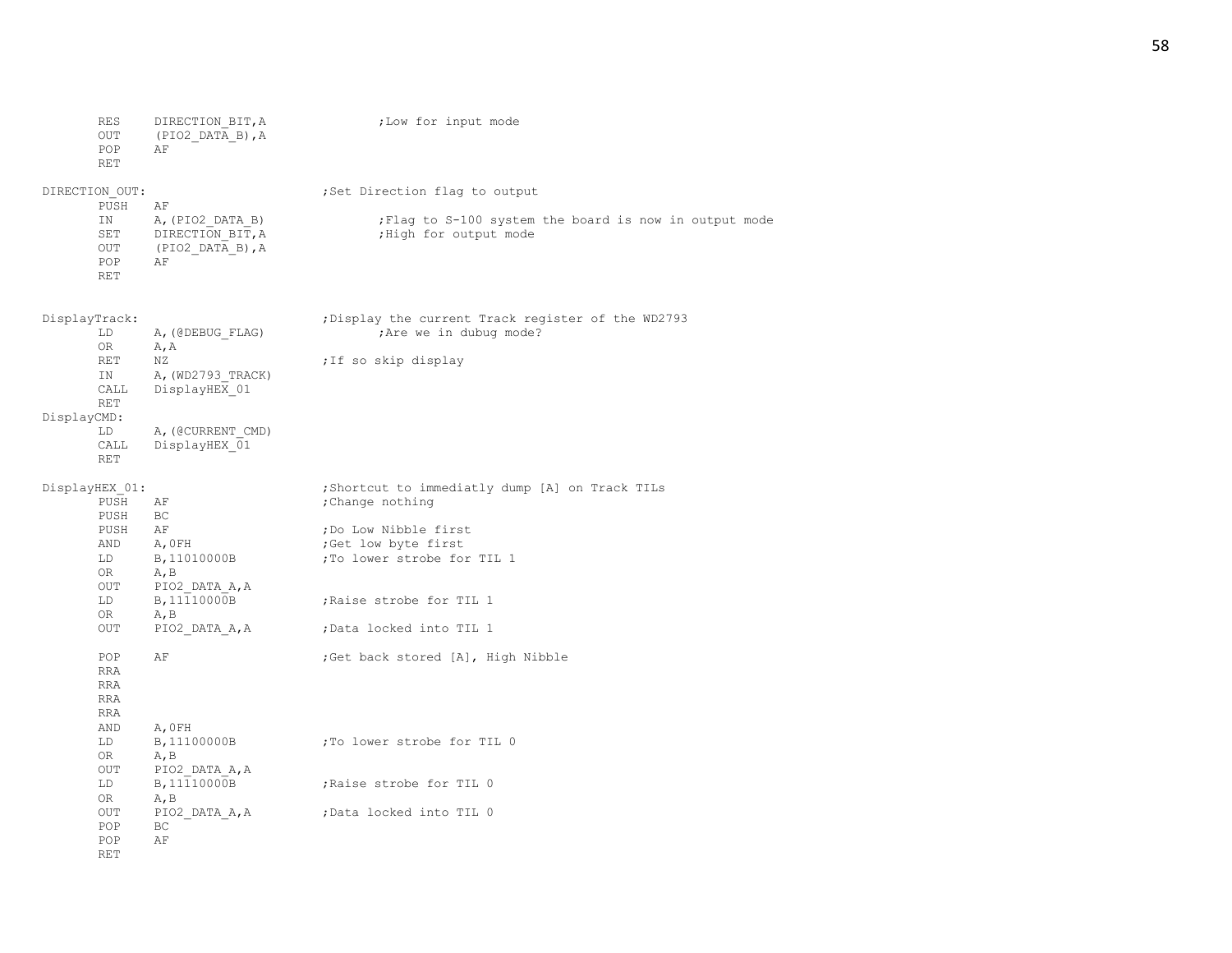| RES<br>OUT<br>POP<br>RET               | DIRECTION BIT, A<br>(PIO2 DATA B), A<br>AF                        | ;Low for input mode                                                              |
|----------------------------------------|-------------------------------------------------------------------|----------------------------------------------------------------------------------|
| DIRECTION OUT:<br>PUSH                 | ΑF                                                                | ;Set Direction flag to output                                                    |
| ΙN<br>SET<br>OUT<br>POP<br>RET         | A, (PIO2 DATA B)<br>DIRECTION BIT, A<br>$(PIO2_DATA_B)$ , A<br>ΑF | ; Flag to S-100 system the board is now in output mode<br>; High for output mode |
| DisplayTrack:<br>LD<br>OR              | A, (@DEBUG FLAG)<br>A, A                                          | ; Display the current Track register of the WD2793<br>; Are we in dubug mode?    |
| RET<br>ΙN<br>CALL<br><b>RET</b>        | ΝZ<br>A, (WD2793 TRACK)<br>DisplayHEX 01                          | ; If so skip display                                                             |
| DisplayCMD:<br>LD<br>CALL<br>RET       | A, (@CURRENT CMD)<br>DisplayHEX 01                                |                                                                                  |
| DisplayHEX 01:<br>PUSH                 | ΑF<br>BC                                                          | ; Shortcut to immediatly dump [A] on Track TILs<br>; Change nothing              |
| PUSH<br>PUSH<br>AND<br>LD<br>OR        | ΑF<br>A, OFH<br>B, 11010000B<br>A, B                              | ;Do Low Nibble first<br>;Get low byte first<br>;To lower strobe for TIL 1        |
| OUT<br>LD<br>0R                        | PIO2 DATA A, A<br>B, 11110000B<br>A, B                            | ; Raise strobe for TIL 1                                                         |
| OUT                                    | PIO2 DATA A, A                                                    | ;Data locked into TIL 1                                                          |
| POP<br>RRA<br>RRA<br><b>RRA</b><br>RRA | AF                                                                | ; Get back stored [A], High Nibble                                               |
| AND<br>LD<br>OR<br>OUT                 | A, OFH<br>B, 11100000B<br>A, B<br>PIO2 DATA A, A                  | ;To lower strobe for TIL 0                                                       |
| LD<br>0R                               | B, 11110000B<br>A, B                                              | Raise strobe for TIL 0                                                           |
| OUT<br>POP<br>POP<br>RET               | PIO2 DATA A, A<br>ВC<br>AF                                        | ;Data locked into TIL 0                                                          |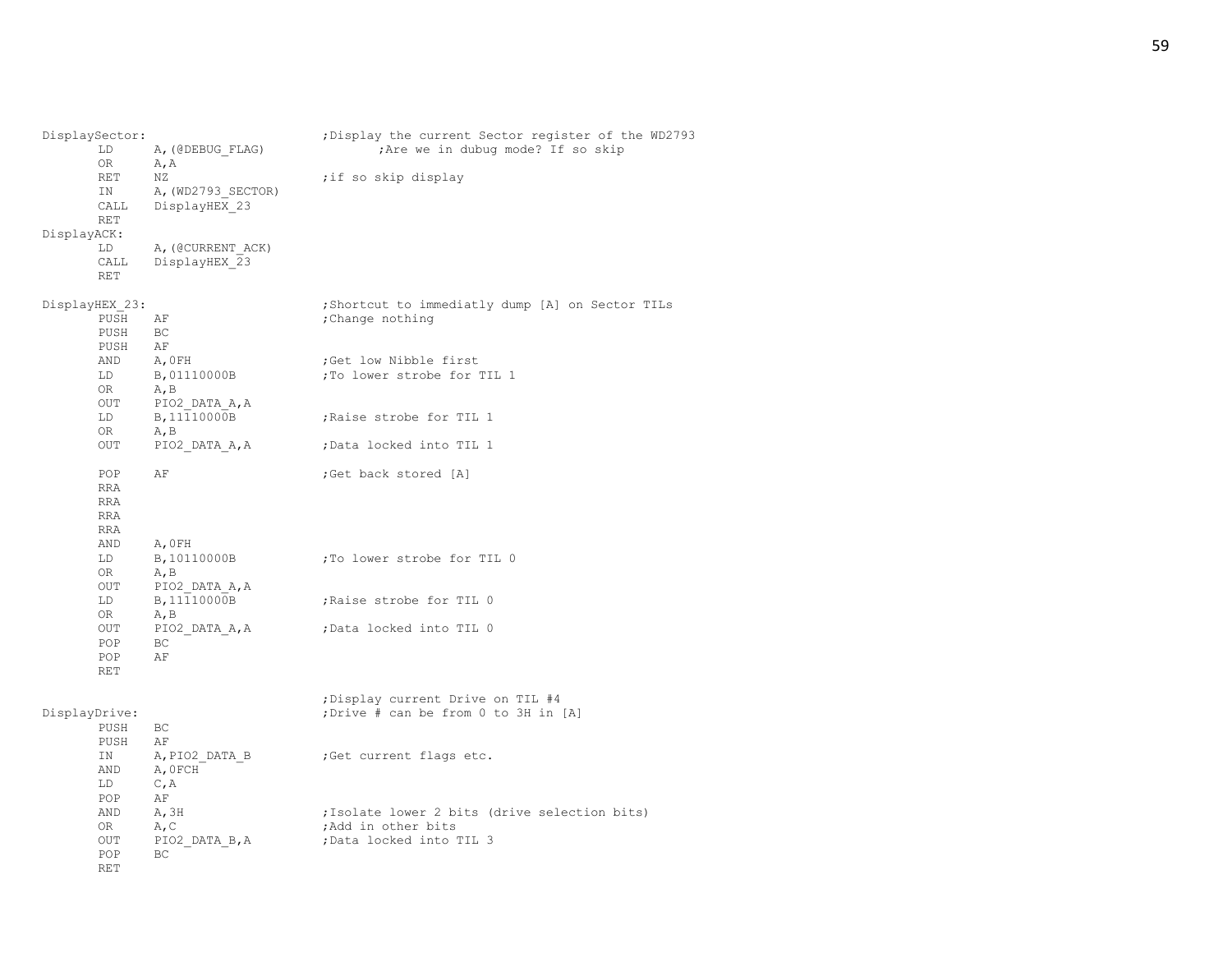| DisplaySector:<br>LD<br>ΟR<br><b>RET</b><br>ΙN<br>CALL<br>RET<br>DisplayACK:<br>LD<br>CALL<br>RET | A, (@DEBUG FLAG)<br>A, A<br>NZ<br>A, (WD2793 SECTOR)<br>DisplayHEX 23<br>A, (@CURRENT ACK)<br>DisplayHEX 23 | ; Display the current Sector register of the WD2793<br>; Are we in dubug mode? If so skip<br>; if so skip display                                        |
|---------------------------------------------------------------------------------------------------|-------------------------------------------------------------------------------------------------------------|----------------------------------------------------------------------------------------------------------------------------------------------------------|
| DisplayHEX_23:<br>PUSH<br>PUSH<br>PUSH<br>AND<br>LD<br>OR<br>OUT<br>LD                            | ΑF<br>ВC<br>ΑF<br>A, OFH<br>B,01110000B<br>$A$ , $B$<br>PIO2 DATA A, A<br>B, 11110000B                      | ; Shortcut to immediatly dump [A] on Sector TILs<br>; Change nothing<br>;Get low Nibble first<br>; To lower strobe for TIL 1<br>; Raise strobe for TIL 1 |
| 0R<br>OUT                                                                                         | A, B<br>PIO2 DATA A, A                                                                                      | ;Data locked into TIL 1                                                                                                                                  |
| POP<br><b>RRA</b><br><b>RRA</b><br><b>RRA</b><br><b>RRA</b><br>AND                                | ΑF<br>A, OFH                                                                                                | ;Get back stored [A]                                                                                                                                     |
| LD<br>OR<br>OUT                                                                                   | B, 10110000B<br>A, B<br>PIO2 DATA A, A                                                                      | To lower strobe for TIL 0                                                                                                                                |
| LD<br>OR                                                                                          | B, 11110000B<br>A, B                                                                                        | , Raise strobe for TIL 0                                                                                                                                 |
| OUT<br>POP<br>POP<br><b>RET</b>                                                                   | PIO2 DATA A, A<br>BC.<br>ΑF                                                                                 | Data locked into TIL 0;                                                                                                                                  |
| DisplayDrive:<br>PUSH<br>PUSH                                                                     | ВC<br>AF                                                                                                    | ; Display current Drive on TIL #4<br>; Drive # can be from 0 to 3H in [A]                                                                                |
| ΙN<br>AND<br>LD<br>POP                                                                            | A, PIO2 DATA B<br>A, OFCH<br>C, A<br>ΑF                                                                     | Get current flags etc.                                                                                                                                   |
| AND<br>OR<br>OUT<br>POP<br><b>RET</b>                                                             | A, 3H<br>A, C<br>PIO2 DATA B, A<br>BC.                                                                      | ; Isolate lower 2 bits (drive selection bits)<br>;Add in other bits<br>;Data locked into TIL 3                                                           |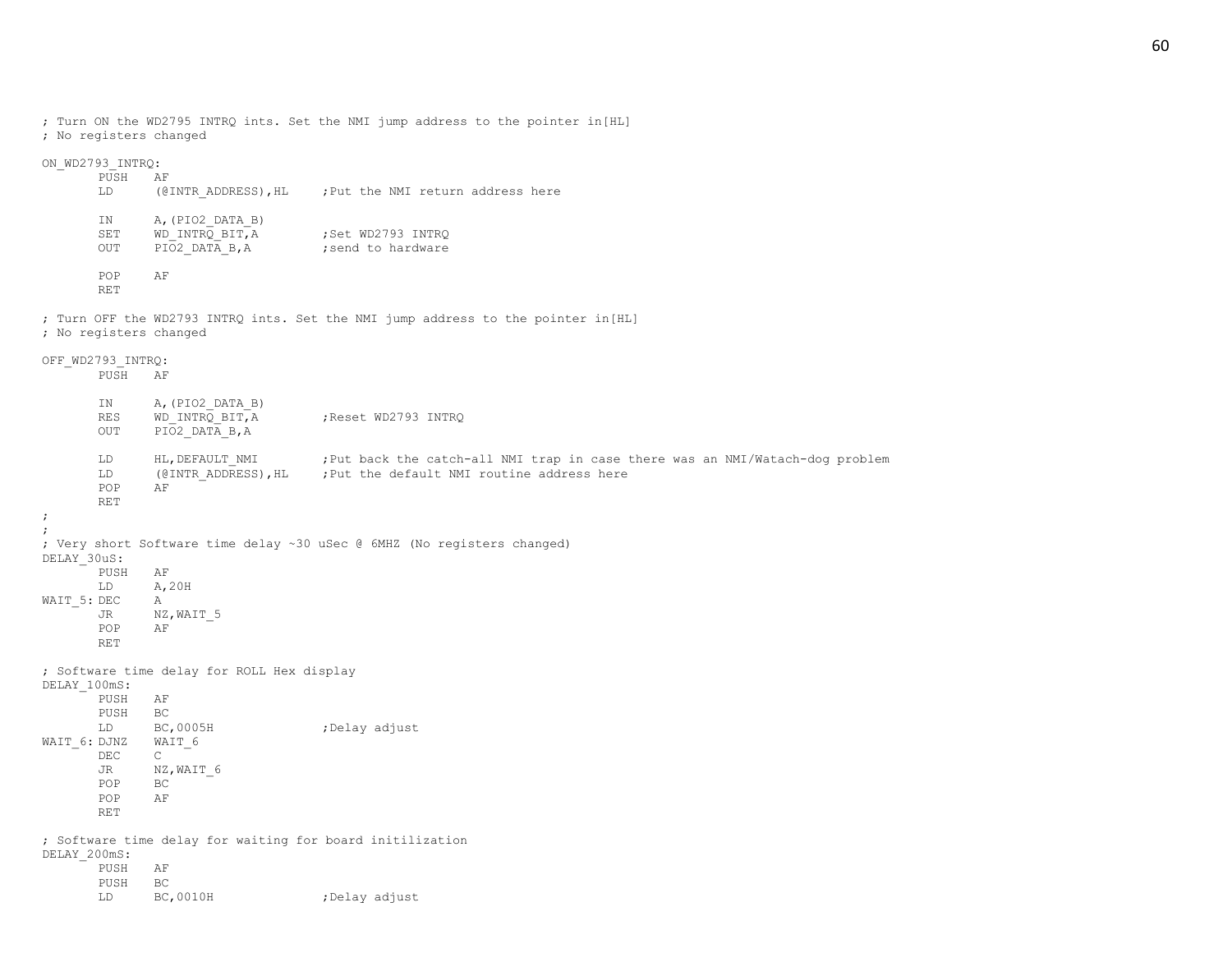; Turn ON the WD2795 INTRQ ints. Set the NMI jump address to the pointer in[HL] ; No registers changed

#### ON\_WD2793\_INTRQ:

| PUSH<br>LD       | ΑF<br>(@INTR ADDRESS), HL                             | : Put the NMI return address here      |
|------------------|-------------------------------------------------------|----------------------------------------|
| ΙN<br>SET<br>OUT | A, (PIO2 DATA B)<br>WD INTRQ BIT, A<br>PIO2 DATA B, A | ; Set WD2793 INTRO<br>send to hardware |
| POP<br>RET       | ΑF                                                    |                                        |

; Turn OFF the WD2793 INTRQ ints. Set the NMI jump address to the pointer in[HL] ; No registers changed

# OFF\_WD2793\_INTRQ:

| PUSH                                        | AF                                                        |                                                                                                                                                |
|---------------------------------------------|-----------------------------------------------------------|------------------------------------------------------------------------------------------------------------------------------------------------|
| IN<br>$\mathbb{RES}$<br><b>OUT</b>          | A, (PIO2 DATA B)<br>WD INTRQ BIT, A<br>PIO2 DATA B, A     | Reset WD2793 INTRQ                                                                                                                             |
| LD<br>LD<br>POP<br><b>RET</b><br>$\ddot{ }$ | HL, DEFAULT NMI<br>AF                                     | ;Put back the catch-all NMI trap in case there was an NMI/Watach-dog problem<br>(@INTR ADDRESS), HL ; Put the default NMI routine address here |
|                                             |                                                           |                                                                                                                                                |
| DELAY 30uS:                                 |                                                           | ; Very short Software time delay ~30 uSec @ 6MHZ (No registers changed)                                                                        |
| PUSH                                        | AF                                                        |                                                                                                                                                |
| LD                                          | A, 20H                                                    |                                                                                                                                                |
| WAIT_5: DEC                                 | Α                                                         |                                                                                                                                                |
| JR                                          | NZ, WAIT 5                                                |                                                                                                                                                |
| POP<br><b>RET</b>                           | AF                                                        |                                                                                                                                                |
|                                             | ; Software time delay for ROLL Hex display                |                                                                                                                                                |
| DELAY 100mS:                                |                                                           |                                                                                                                                                |
| PUSH                                        | ΑF                                                        |                                                                                                                                                |
| PUSH                                        | BC                                                        |                                                                                                                                                |
| LD                                          | BC,0005H                                                  | ;Delay adjust                                                                                                                                  |
| WAIT 6: DJNZ<br>$DEC$                       | WAIT 6<br>$\mathsf{C}$                                    |                                                                                                                                                |
| JR                                          | NZ, WAIT 6                                                |                                                                                                                                                |
| POP                                         | BC                                                        |                                                                                                                                                |
| POP                                         | ΑF                                                        |                                                                                                                                                |
| <b>RET</b>                                  |                                                           |                                                                                                                                                |
|                                             | ; Software time delay for waiting for board initilization |                                                                                                                                                |
| DELAY 200mS:                                |                                                           |                                                                                                                                                |
| PUSH<br>PUSH                                | AF<br>ВC                                                  |                                                                                                                                                |
| LD                                          | BC, 0010H                                                 | ; Delay adjust                                                                                                                                 |
|                                             |                                                           |                                                                                                                                                |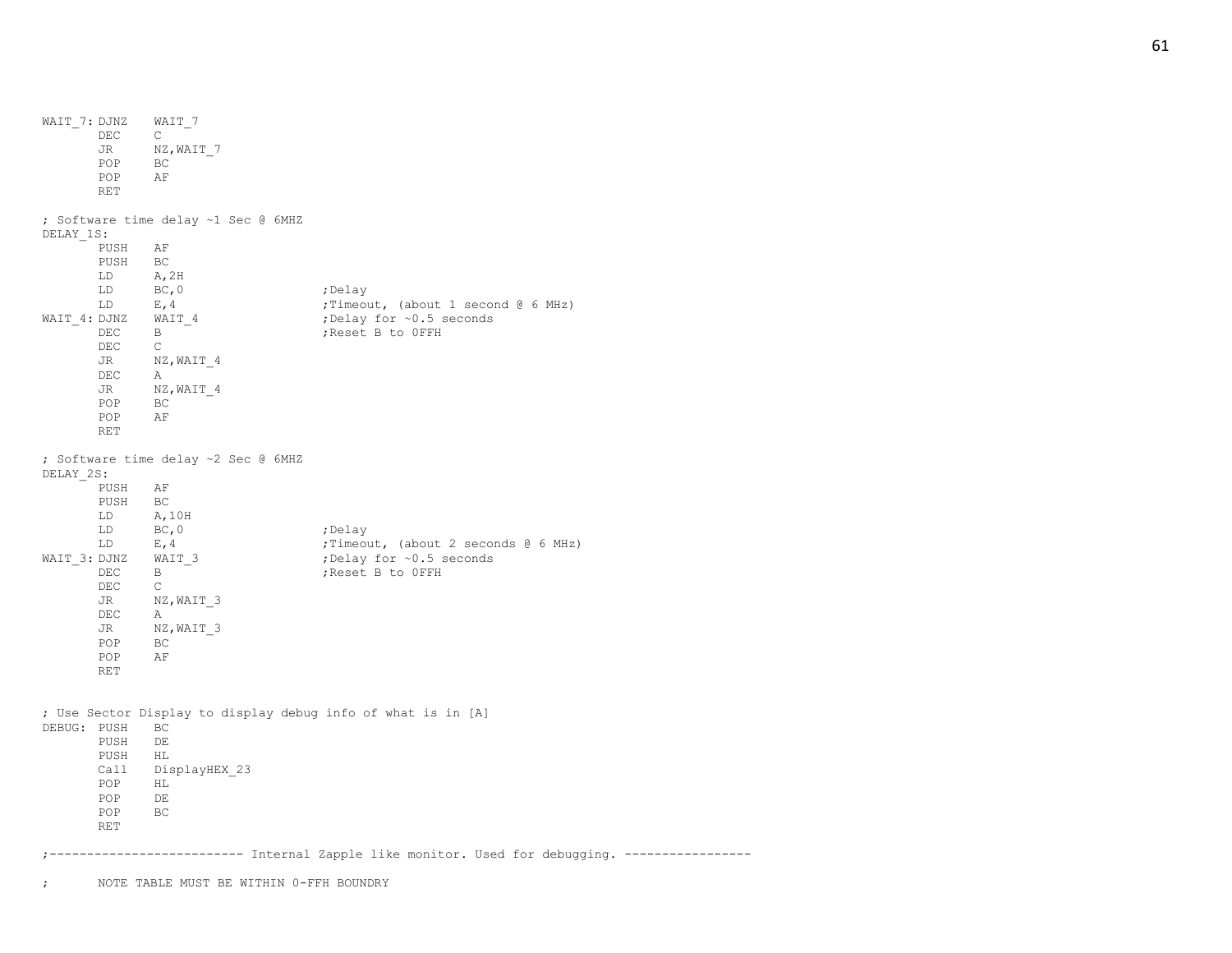WAIT 7: DJNZ WAIT 7 DEC C JR NZ, WAIT 7 POP BC POP AF RET ; Software time delay ~1 Sec @ 6MHZ DELAY\_1S: PUSH AF PUSH BC LD A,2H LD BC,0 ;Delay LD E,4 ; Timeout, (about 1 second @ 6 MHz)<br>WAIT 4: DJNZ WAIT 4 ; Delay for ~0.5 seconds ;Delay for ~0.5 seconds DEC B  $\overline{B}$  ; Reset B to OFFH  $$\tt{JR}$$  $\mathcal{C}$ NZ, WAIT 4 DEC A JR NZ, WAIT 4 POP BC POP AF RET ; Software time delay ~2 Sec @ 6MHZ DELAY\_2S: PUSH AF PUSH BC LD A,10H LD BC, 0 ;Delay  $LD$   $E, 4$  ;Timeout, (about 2 seconds  $E$  6 MHz) WAIT 3: DJNZ WAIT 3 ;Delay for ~0.5 seconds DEC B ;Reset B to OFFH DEC C JR NZ, WAIT 3 DEC A JR NZ, WAIT 3 POP BC POP AF RET ; Use Sector Display to display debug info of what is in [A] DEBUG: PUSH BC PUSH DE PUSH HL Call DisplayHEX\_23 POP HL POP DE<br>POP BC POP RET ;-------------------------- Internal Zapple like monitor. Used for debugging. ----------------- ; NOTE TABLE MUST BE WITHIN 0-FFH BOUNDRY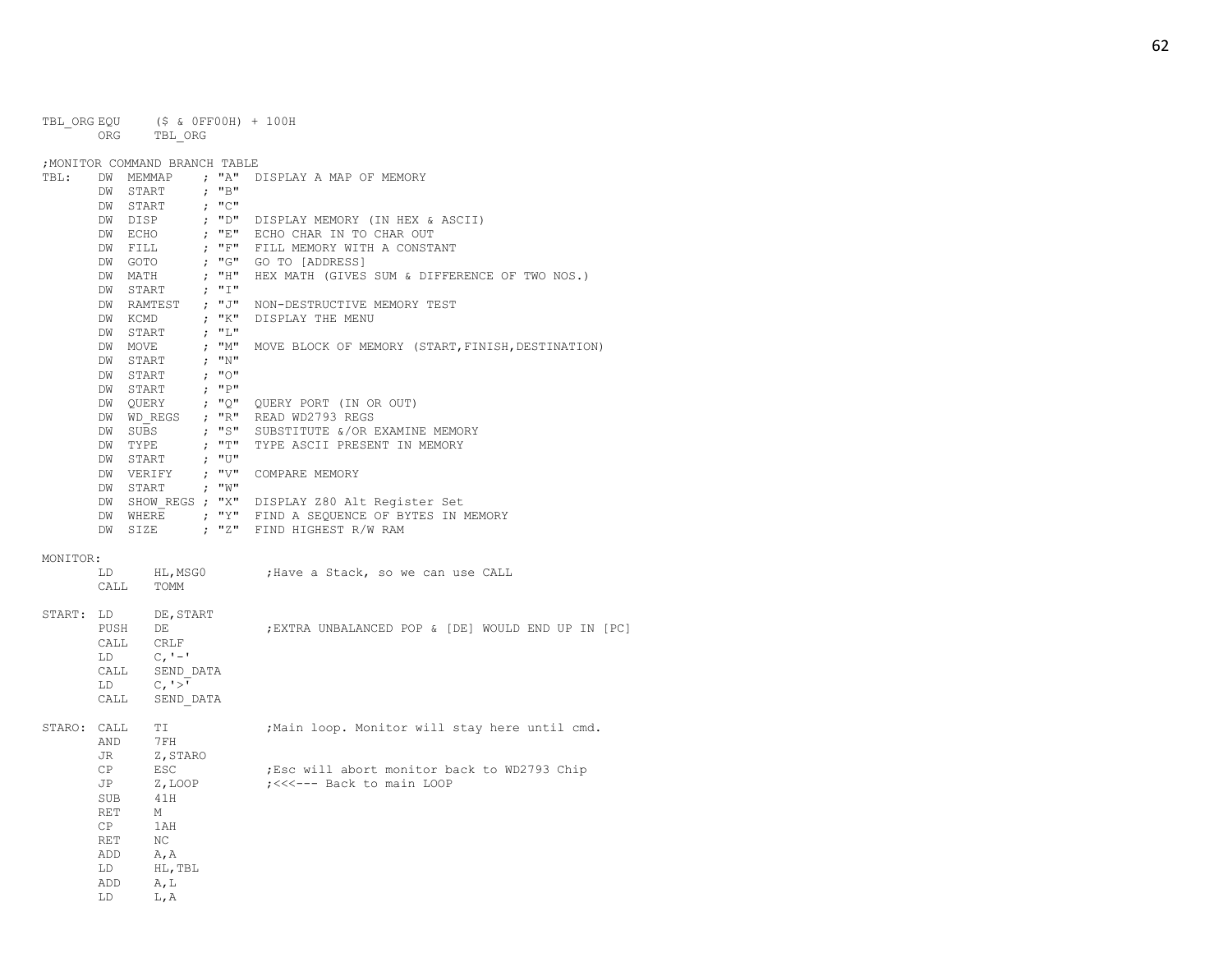|                           |         | TBL ORGEQU (\$ & OFFOOH) + 100H<br>ORG TBL ORG                                                                                                                                                                                                                       |                                                          |                                                                                                                                                                |
|---------------------------|---------|----------------------------------------------------------------------------------------------------------------------------------------------------------------------------------------------------------------------------------------------------------------------|----------------------------------------------------------|----------------------------------------------------------------------------------------------------------------------------------------------------------------|
|                           |         |                                                                                                                                                                                                                                                                      |                                                          |                                                                                                                                                                |
|                           |         | ; MONITOR COMMAND BRANCH TABLE                                                                                                                                                                                                                                       |                                                          |                                                                                                                                                                |
| TBL:                      |         | DW MEMMAP ; "A"<br>DW START                                                                                                                                                                                                                                          | ; "B"                                                    | DISPLAY A MAP OF MEMORY                                                                                                                                        |
|                           |         |                                                                                                                                                                                                                                                                      |                                                          |                                                                                                                                                                |
|                           |         |                                                                                                                                                                                                                                                                      |                                                          | DW START ; "C"<br>DW DISP ; "D" DISPLAY MEMORY (IN HEX & ASCII)<br>DW ECHO ; "E" ECHO CHAR IN TO CHAR OUT<br>"" FILL MEMORY WITH A CONSTANT                    |
|                           |         |                                                                                                                                                                                                                                                                      |                                                          |                                                                                                                                                                |
|                           |         |                                                                                                                                                                                                                                                                      |                                                          |                                                                                                                                                                |
|                           |         |                                                                                                                                                                                                                                                                      |                                                          |                                                                                                                                                                |
|                           |         |                                                                                                                                                                                                                                                                      |                                                          | DW GOTO ; "G" GO TO [ADDRESS]                                                                                                                                  |
|                           |         | DW MATH                                                                                                                                                                                                                                                              | , "H"<br>$\tau$ , $^{\rm m}$ I $^{\rm m}$                | HEX MATH (GIVES SUM & DIFFERENCE OF TWO NOS.)                                                                                                                  |
|                           |         | DW START                                                                                                                                                                                                                                                             |                                                          | DW RAMTEST ; "J" NON-DESTRUCTIVE MEMORY TEST                                                                                                                   |
|                           |         |                                                                                                                                                                                                                                                                      |                                                          | DISPLAY THE MENU                                                                                                                                               |
|                           |         | DW KCMD $; "K"$<br>DW START                                                                                                                                                                                                                                          | $\mathcal{G} = \{ \mathbf{I}^{\mathsf{T}} \mathbf{I} \}$ |                                                                                                                                                                |
|                           |         |                                                                                                                                                                                                                                                                      |                                                          |                                                                                                                                                                |
|                           |         | DW MOVE                                                                                                                                                                                                                                                              | ; " $M''$<br>; " $N''$                                   | MOVE BLOCK OF MEMORY (START, FINISH, DESTINATION)                                                                                                              |
|                           |         | DW START                                                                                                                                                                                                                                                             | ; "0"                                                    |                                                                                                                                                                |
|                           |         | DW START                                                                                                                                                                                                                                                             |                                                          |                                                                                                                                                                |
|                           |         |                                                                                                                                                                                                                                                                      |                                                          | $\begin{tabular}{lllllll} DW & \texttt{START} & & \texttt{; "P"} \\ DW & \texttt{QUERY} & & \texttt{; "Q"} & \texttt{QUERY PORT (IN OR OUT)} \\ \end{tabular}$ |
|                           |         |                                                                                                                                                                                                                                                                      |                                                          |                                                                                                                                                                |
|                           |         |                                                                                                                                                                                                                                                                      |                                                          | DW WD_REGS ; "R" READ WD2793 REGS                                                                                                                              |
|                           |         |                                                                                                                                                                                                                                                                      | $\mathfrak{z}$ = "T"                                     | DW SUBS $\qquad$ ; "S" SUBSTITUTE &/OR EXAMINE MEMORY                                                                                                          |
|                           | DW TYPE |                                                                                                                                                                                                                                                                      |                                                          | TYPE ASCII PRESENT IN MEMORY                                                                                                                                   |
|                           |         |                                                                                                                                                                                                                                                                      |                                                          | DW START ; "U"<br>DW VERIFY ; "V" COMPARE MEMORY<br>DW START ; "W"<br>NM START ; "W"                                                                           |
|                           |         |                                                                                                                                                                                                                                                                      |                                                          |                                                                                                                                                                |
|                           |         |                                                                                                                                                                                                                                                                      |                                                          |                                                                                                                                                                |
|                           |         |                                                                                                                                                                                                                                                                      |                                                          | DW SHOW REGS ; "X" DISPLAY Z80 Alt Register Set                                                                                                                |
|                           |         |                                                                                                                                                                                                                                                                      |                                                          | DW WHERE : "Y" FIND A SEQUENCE OF BYTES IN MEMORY                                                                                                              |
|                           |         |                                                                                                                                                                                                                                                                      |                                                          | DW SIZE ; "Z" FIND HIGHEST R/W RAM                                                                                                                             |
| MONTTOR:                  |         |                                                                                                                                                                                                                                                                      |                                                          |                                                                                                                                                                |
|                           |         | LD HL, MSG0                                                                                                                                                                                                                                                          |                                                          | ;Have a Stack, so we can use CALL                                                                                                                              |
|                           |         | $\verb CALL  = \verb TOMM $                                                                                                                                                                                                                                          |                                                          |                                                                                                                                                                |
|                           |         |                                                                                                                                                                                                                                                                      |                                                          |                                                                                                                                                                |
|                           |         | $\texttt{START:} \quad \texttt{LD} \qquad \quad \texttt{DE, START}$                                                                                                                                                                                                  |                                                          |                                                                                                                                                                |
|                           |         | PUSH DE                                                                                                                                                                                                                                                              |                                                          | ; EXTRA UNBALANCED POP & [DE] WOULD END UP IN [PC]                                                                                                             |
|                           |         |                                                                                                                                                                                                                                                                      |                                                          |                                                                                                                                                                |
|                           |         | $\begin{tabular}{ll} \multicolumn{2}{c}{\texttt{CALL}} & $\texttt{CRLF}$ \\ \multicolumn{2}{c}{\texttt{LD}} & $\texttt{C},\texttt{'}-!\textrm{ } \end{tabular}$                                                                                                      |                                                          |                                                                                                                                                                |
|                           |         |                                                                                                                                                                                                                                                                      |                                                          |                                                                                                                                                                |
|                           |         |                                                                                                                                                                                                                                                                      |                                                          |                                                                                                                                                                |
|                           |         | $\begin{tabular}{ll} \multicolumn{2}{c}{\texttt{CALL}} & \multicolumn{2}{c}{\texttt{SEND\_DATA}}\\ \multicolumn{2}{c}{\texttt{LD}} & \multicolumn{2}{c}{\texttt{C, '>}}\\ \multicolumn{2}{c}{\texttt{CALL}} & \multicolumn{2}{c}{\texttt{SEND\_DATA}} \end{tabular}$ |                                                          |                                                                                                                                                                |
| STARO: CALL TI<br>AND 7FH |         |                                                                                                                                                                                                                                                                      |                                                          | ; Main loop. Monitor will stay here until cmd.                                                                                                                 |
|                           |         |                                                                                                                                                                                                                                                                      |                                                          |                                                                                                                                                                |
|                           | JR      | Z, STARO                                                                                                                                                                                                                                                             |                                                          |                                                                                                                                                                |
|                           | CP      | ESC                                                                                                                                                                                                                                                                  |                                                          | ; Esc will abort monitor back to WD2793 Chip                                                                                                                   |
|                           | JP      | Z,LOOP                                                                                                                                                                                                                                                               |                                                          | ; <<<--- Back to main LOOP                                                                                                                                     |
|                           | SUB     | 41H                                                                                                                                                                                                                                                                  |                                                          |                                                                                                                                                                |
|                           | RET     | M                                                                                                                                                                                                                                                                    |                                                          |                                                                                                                                                                |
|                           | CP      | 1AH                                                                                                                                                                                                                                                                  |                                                          |                                                                                                                                                                |
|                           | RET     | NC                                                                                                                                                                                                                                                                   |                                                          |                                                                                                                                                                |
|                           | ADD     | <b>A</b> , A                                                                                                                                                                                                                                                         |                                                          |                                                                                                                                                                |
|                           | LD      | HL, TBL                                                                                                                                                                                                                                                              |                                                          |                                                                                                                                                                |
|                           | ADD     | A,L                                                                                                                                                                                                                                                                  |                                                          |                                                                                                                                                                |
|                           | LD.     | L, A                                                                                                                                                                                                                                                                 |                                                          |                                                                                                                                                                |
|                           |         |                                                                                                                                                                                                                                                                      |                                                          |                                                                                                                                                                |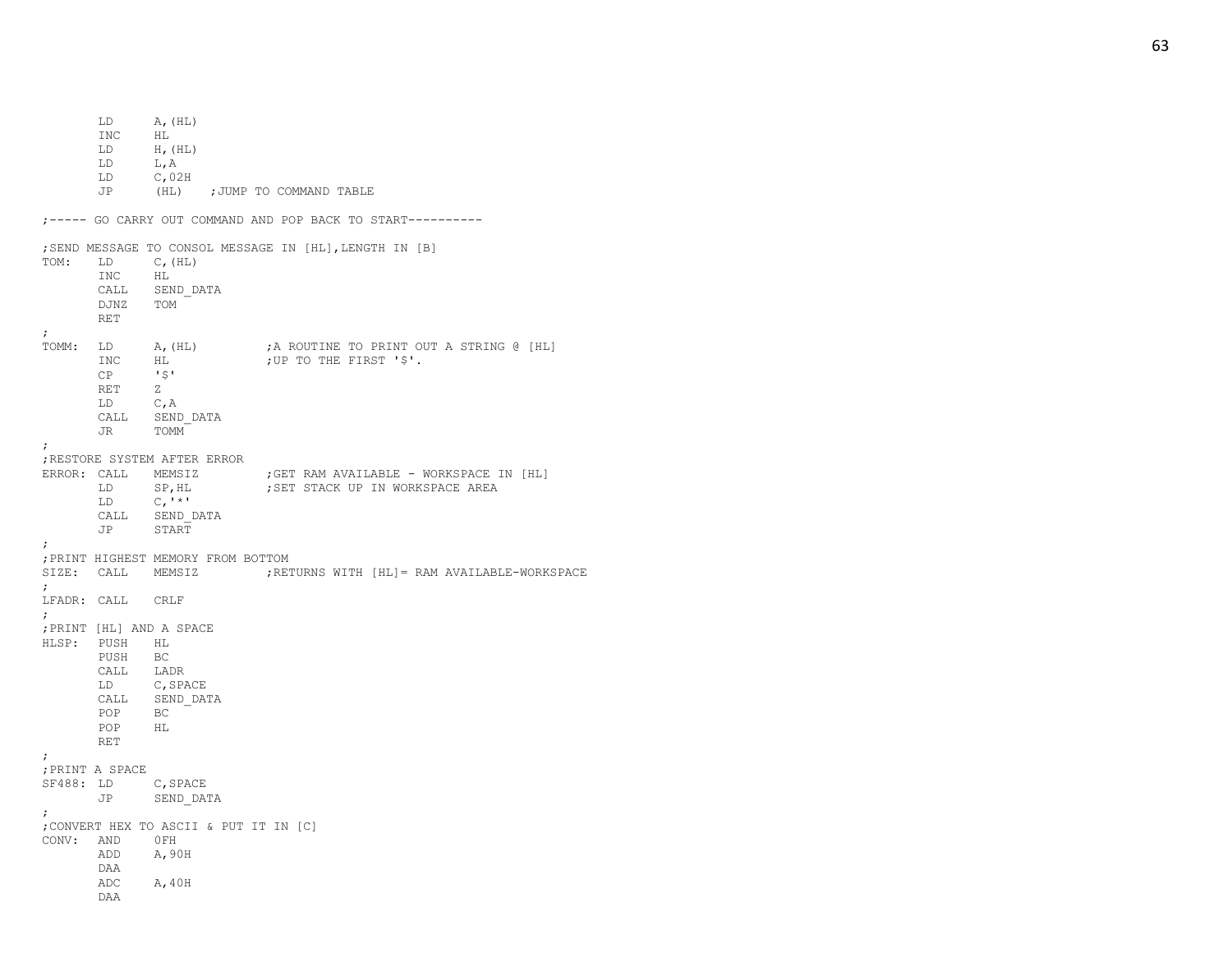LD A, (HL)<br>INC HL  $HL$ LD H,(HL) LD L,A LD C,02H JP (HL) ; JUMP TO COMMAND TABLE ;----- GO CARRY OUT COMMAND AND POP BACK TO START---------- ;SEND MESSAGE TO CONSOL MESSAGE IN [HL],LENGTH IN [B] TOM: LD C,(HL) INC HL CALL SEND\_DATA DJNZ TOM RET ; TOMM: LD A, (HL) ;A ROUTINE TO PRINT OUT A STRING @ [HL]<br>INC HL ; UP TO THE FIRST '\$'. HL ;UP TO THE FIRST '\$'. CP '\$' RET Z LD C,A CALL SEND\_DATA JR TOMM ; ;RESTORE SYSTEM AFTER ERROR ERROR: CALL MEMSIZ ;GET RAM AVAILABLE - WORKSPACE IN [HL] LD SP, HL ; SET STACK UP IN WORKSPACE AREA  $LD$   $C, '^{\star}$ ' CALL SEND\_DATA JP START ; ;PRINT HIGHEST MEMORY FROM BOTTOM SIZE: CALL MEMSIZ MEMSIZ ;RETURNS WITH [HL]= RAM AVAILABLE-WORKSPACE ; LFADR: CALL CRLF ; ;PRINT [HL] AND A SPACE HLSP: PUSH HL PUSH BC CALL LADR LD C,SPACE CALL SEND\_DATA POP BC POP HL RET ; ;PRINT A SPACE SF488: LD C,SPACE JP SEND\_DATA ; ;CONVERT HEX TO ASCII & PUT IT IN [C] CONV: AND 0FH ADD A,90H DAA ADC A,40H DAA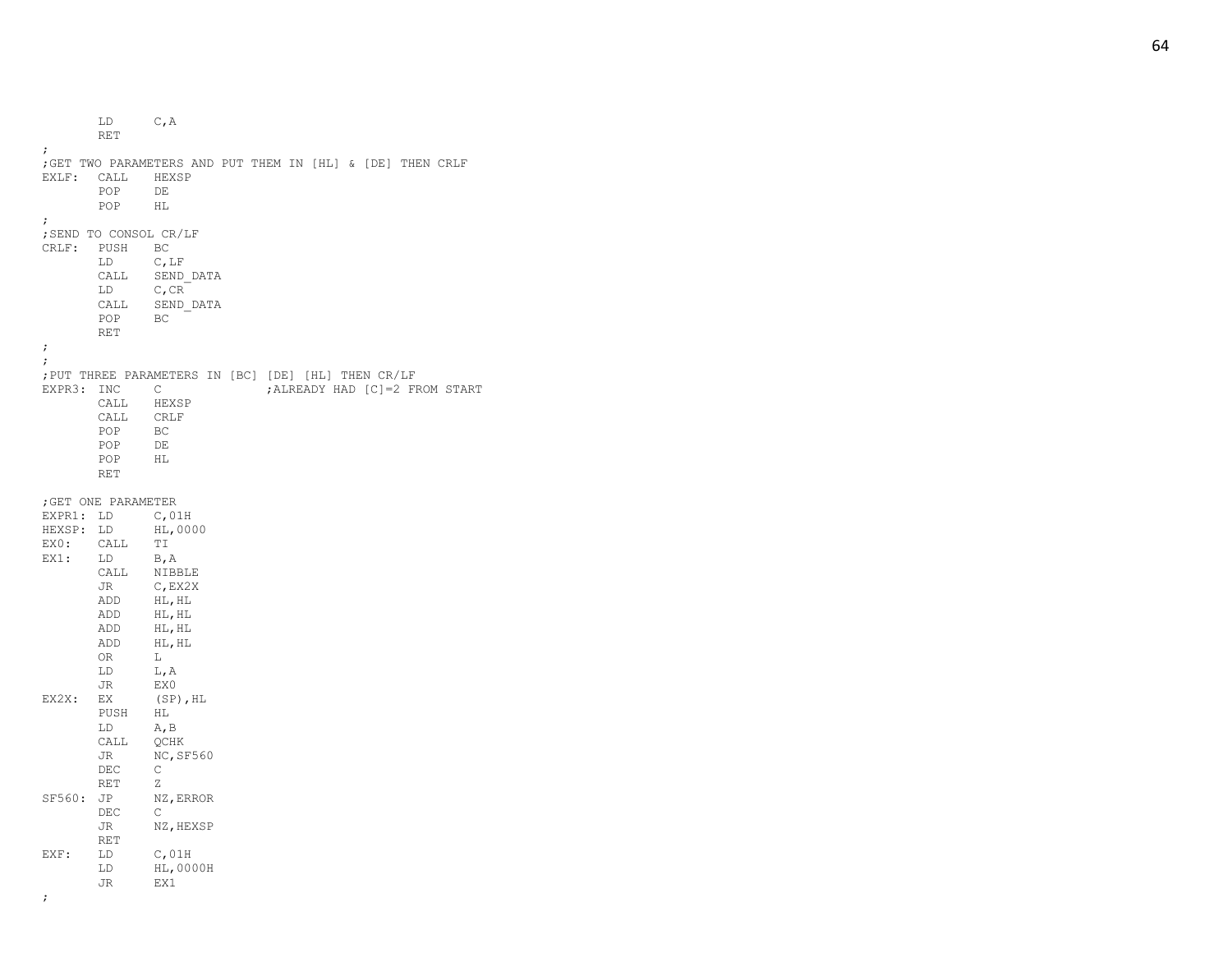LD C,A RET ; ;GET TWO PARAMETERS AND PUT THEM IN [HL] & [DE] THEN CRLF EXLF: CALL HEXSP POP DE POP HL ; ;SEND TO CONSOL CR/LF CRLF: PUSH BC LD C,LF CALL SEND\_DATA LD C,CR CALL SEND\_DATA  $POP$ RET ;; ;PUT THREE PARAMETERS IN [BC] [DE] [HL] THEN CR/LF EXPR3: INC C ; ALREADY HAD [C]=2 FROM START CALL HEXSP CALL CRLF POP BC POP DE  $POP$ RET ;GET ONE PARAMETER<br>EXPR1: LD C,01H EXPR1: LD HEXSP: LD HL,0000 EX0: CALL TI EX1: LD B, A CALL NIBBLE JR C,EX2X ADD HL,HL ADD HL,HL ADD HL,HL ADD HL,HL OR  $\mathbb L$ LD L,A JR EX0 EX2X: EX (SP), HL PUSH HL LD A,B CALL QCHK JR NC, SF560 DEC C RET Z SF560: JP NZ, ERROR DEC  $\mathbb{C}$ JR NZ,HEXSP RET EXF: LD C, 01H LD HL,0000H JR EX1 ;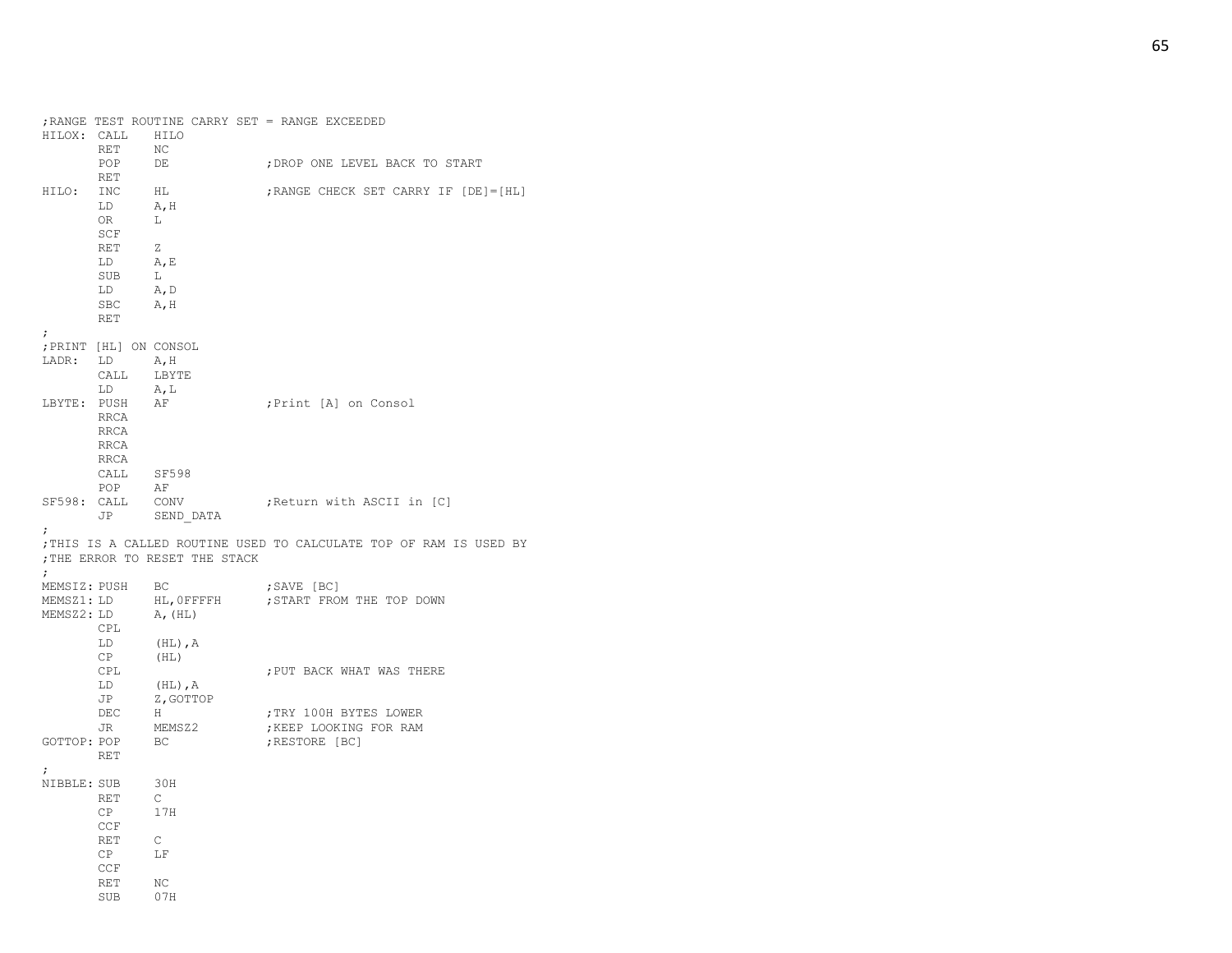|                           | HILOX: CALL<br>RET                                                                                                                                                                                                                                               | HILO<br>NC                                                    | ; RANGE TEST ROUTINE CARRY SET = RANGE EXCEEDED                    |
|---------------------------|------------------------------------------------------------------------------------------------------------------------------------------------------------------------------------------------------------------------------------------------------------------|---------------------------------------------------------------|--------------------------------------------------------------------|
|                           | POP<br>RET                                                                                                                                                                                                                                                       | DE                                                            | ; DROP ONE LEVEL BACK TO START                                     |
| HILO:<br>$\ddot{ }$       | INC<br>LD<br>OR<br>SCF<br>RET<br>LD<br>SUB<br>LD<br>SBC A, H<br><b>RET</b>                                                                                                                                                                                       | HL<br>A, H<br>$-L$<br>Z<br>A, E<br>L<br>A, D                  | ; RANGE CHECK SET CARRY IF [DE] = [HL]                             |
| LADR: LD                  | ; PRINT [HL] ON CONSOL<br>CALL<br>LD and the set of the set of the set of the set of the set of the set of the set of the set of the set of the set of the set of the set of the set of the set of the set of the set of the set of the set of the set of the se | A, H<br>LBYTE<br>A, L                                         |                                                                    |
|                           | LBYTE: PUSH AF<br>RRCA<br>RRCA<br>RRCA<br>RRCA                                                                                                                                                                                                                   |                                                               | ;Print [A] on Consol                                               |
|                           | CALL<br>POP                                                                                                                                                                                                                                                      | SF598<br>AF                                                   |                                                                    |
| SF598: CALL               |                                                                                                                                                                                                                                                                  | CONV<br>JP SEND DATA                                          | Return with ASCII in [C]                                           |
| $\ddot{ }$                |                                                                                                                                                                                                                                                                  | ; THE ERROR TO RESET THE STACK                                | ; THIS IS A CALLED ROUTINE USED TO CALCULATE TOP OF RAM IS USED BY |
|                           |                                                                                                                                                                                                                                                                  |                                                               |                                                                    |
| $\ddot{ }$                | MEMSIZ: PUSH BC                                                                                                                                                                                                                                                  |                                                               | ;SAVE [BC]                                                         |
| MEMSZ1: LD                | $MEMSZ2: LD$ $A, (HL)$                                                                                                                                                                                                                                           | HL, OFFFFH                                                    | START FROM THE TOP DOWN;                                           |
|                           | CPL<br>LD                                                                                                                                                                                                                                                        | $(HL)$ , $A$                                                  |                                                                    |
|                           | CP<br>CPL<br>LD<br>JP                                                                                                                                                                                                                                            | (HL)<br>$(HL)$ , A                                            | ; PUT BACK WHAT WAS THERE                                          |
|                           | DEC<br>JR                                                                                                                                                                                                                                                        | Z, GOTTOP<br>H<br>MEMSZ2                                      | TRY 100H BYTES LOWER<br>; KEEP LOOKING FOR RAM                     |
| GOTTOP: POP               | RET                                                                                                                                                                                                                                                              | BC                                                            | ; RESTORE [BC]                                                     |
| $\ddot{ }$<br>NIBBLE: SUB | RET<br>CP<br>CCF<br>RET<br>CP<br>CCF<br>RET<br>SUB                                                                                                                                                                                                               | 30H<br>$\mathbb{C}$<br>17H<br>$\mathbb{C}$<br>LF<br>NC<br>07H |                                                                    |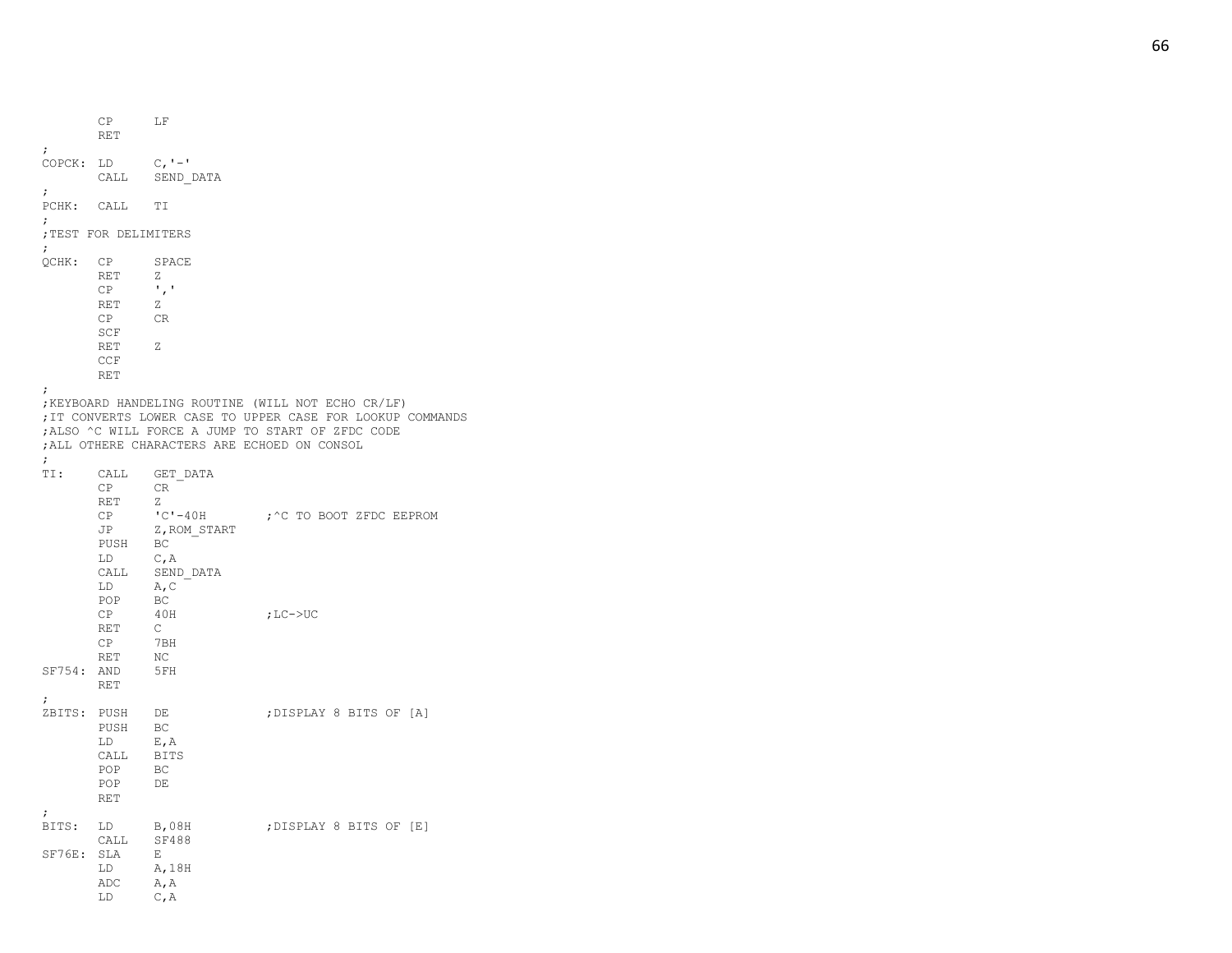CP LF RET ; COPCK: LD - ' CALL SEND\_DATA ; PCHK: CALL TI ; ;TEST FOR DELIMITERS ; QCHK: CP SPACE RET Z CP  $\qquad \qquad$ RET Z CR SCF RET Z CCF RET ; ;KEYBOARD HANDELING ROUTINE (WILL NOT ECHO CR/LF) ;IT CONVERTS LOWER CASE TO UPPER CASE FOR LOOKUP COMMANDS ;ALSO ^C WILL FORCE A JUMP TO START OF ZFDC CODE ;ALL OTHERE CHARACTERS ARE ECHOED ON CONSOL ; TI: CALL GET\_DATA<br>CP CR  $CP$ RET Z  $C - 40H$ -40H ;^C TO BOOT ZFDC EEPROM JP Z, ROM START PUSH BC LD C,A CALL SEND\_DATA LD A,C POP BC CP 40H  $;$  LC- $>$ UC RET C CP 7BH RET NC SF754: AND 5FH RET ; ZBITS: PUSH D E ;DISPLAY 8 BITS OF [A] PUSH BC LD E,A CALL BITS POP BC POP DE RET ; BITS: LD B, 08H ; DISPLAY 8 BITS OF [E] CALL SF488 SF76E: SLA E LD A,18H ADC A,A LD C,A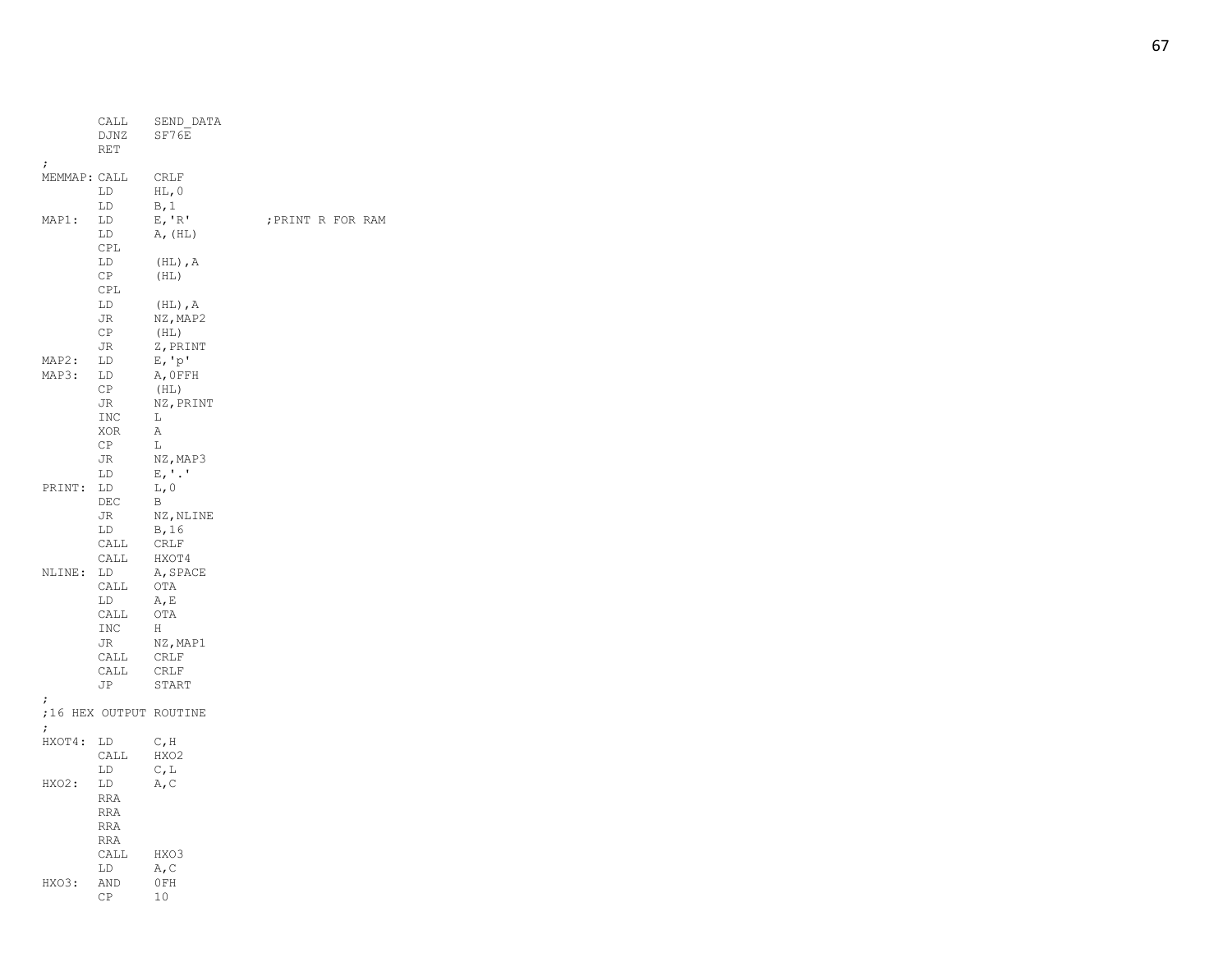|              | CALL<br>DJNZ<br>RET | SEND DATA<br>SF76E         |           |
|--------------|---------------------|----------------------------|-----------|
| ;            |                     |                            |           |
| MEMMAP: CALL |                     | <b>CRLF</b>                |           |
|              | LD                  | $HL$ , 0                   |           |
|              | LD                  | B, 1                       |           |
| MAP1:        | LD                  | E, 'R'                     | ; PRINT R |
|              | LD                  | A, (HL)                    |           |
|              |                     |                            |           |
|              | CPL                 |                            |           |
|              | LD                  | $(\hbox{HL})$ , $\hbox{A}$ |           |
|              | CP.                 | (HL)                       |           |
|              | CPL                 |                            |           |
|              | LD                  | $(HL)$ , $A$               |           |
|              | JR                  | NZ, MAP2                   |           |
|              | СP                  | (HL)                       |           |
|              | JR                  | Z, PRINT                   |           |
|              |                     |                            |           |
| MAP2:        | LD                  | $E, 'p'$                   |           |
| MAP3:        | LD                  | A, OFFH                    |           |
|              | СP                  | (HL)                       |           |
|              | JR                  | NZ, PRINT                  |           |
|              | <b>INC</b>          | L                          |           |
|              | XOR                 | Α                          |           |
|              | СP                  | L                          |           |
|              | JR                  | NZ, MAP3                   |           |
|              |                     |                            |           |
|              | LD                  | $E, '$ .'                  |           |
| PRINT:       | LD                  | L, 0                       |           |
|              | $\rm DEC$           | В                          |           |
|              | JR                  | NZ, NLINE                  |           |
|              | LD                  | B, 16                      |           |
|              | CALL                | <b>CRLF</b>                |           |
|              | CALL                | HXOT4                      |           |
| NLINE:       | LD                  | A, SPACE                   |           |
|              | CALL                | OTA                        |           |
|              |                     |                            |           |
|              | LD                  | A, E                       |           |
|              | CALL                | OTA                        |           |
|              | INC                 | Н                          |           |
|              | JR                  | NZ, MAP1                   |           |
|              | CALL                | CRLF                       |           |
|              | CALL                | <b>CRLF</b>                |           |
|              | JP                  | START                      |           |
|              |                     |                            |           |
| ;            |                     | ;16 HEX OUTPUT ROUTINE     |           |
|              |                     |                            |           |
| ;            |                     |                            |           |
| HXOT4:       | LD                  | $C$ , $H$                  |           |
|              | CALL                | HXO2                       |           |
|              | LD                  | C, L                       |           |
| HXO2:        | LD                  | A, C                       |           |
|              | <b>RRA</b>          |                            |           |
|              | <b>RRA</b>          |                            |           |
|              | <b>RRA</b>          |                            |           |
|              |                     |                            |           |
|              | <b>RRA</b>          |                            |           |
|              | CALL                | HXO3                       |           |
|              | LD                  | A, C                       |           |
| HXO3:        | AND                 | 0FH                        |           |
|              | СP                  | 10                         |           |
|              |                     |                            |           |

FOR RAM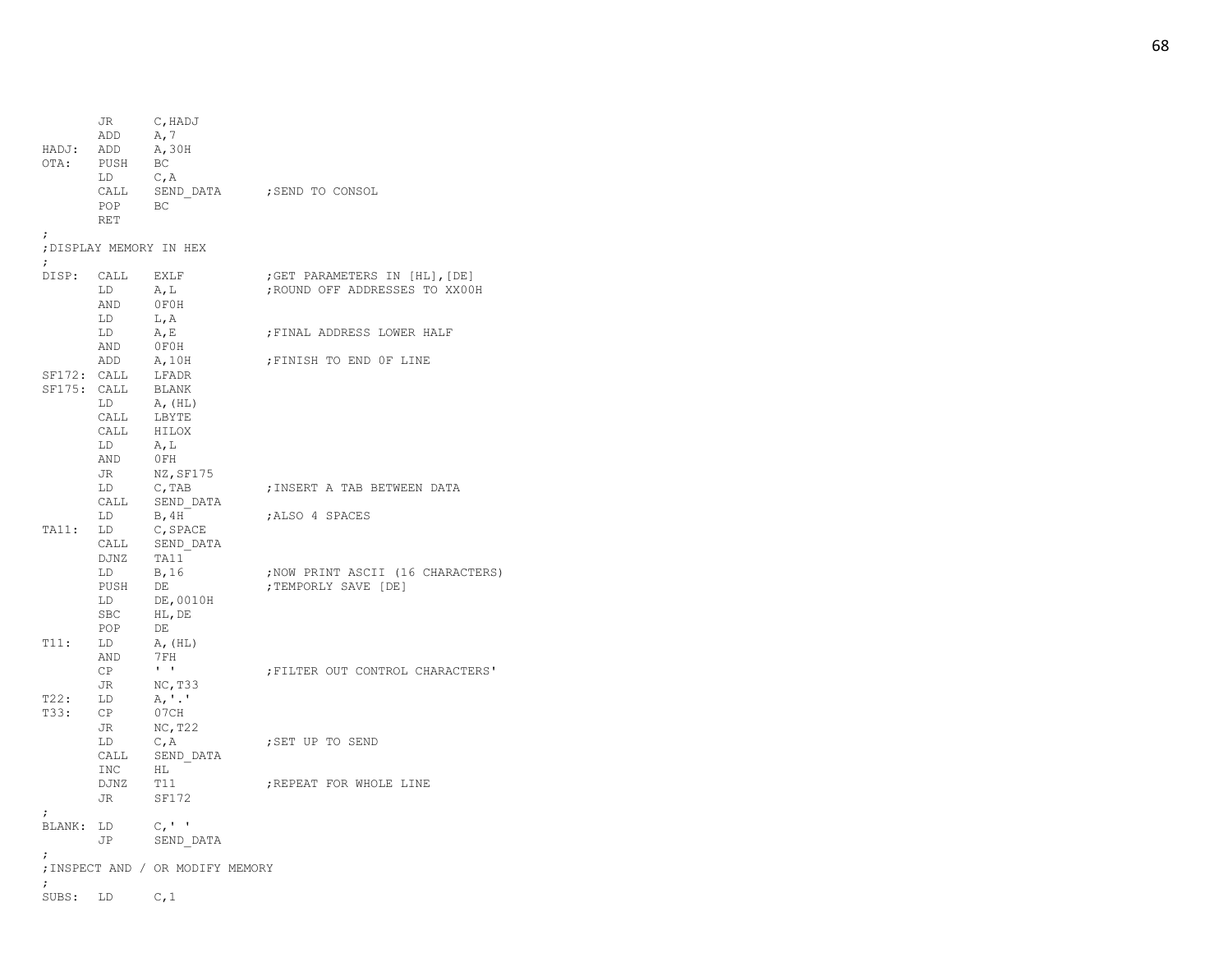| HADJ:<br>OTA:                 | JR<br>ADD<br>ADD<br>PUSH<br>LD<br>CALL<br>POP<br>RET | C, HADJ<br>A, 7<br>A, 30H<br>BC<br>C, A<br>BC                            | SEND DATA ; SEND TO CONSOL                                      |
|-------------------------------|------------------------------------------------------|--------------------------------------------------------------------------|-----------------------------------------------------------------|
| $\ddot{ }$                    |                                                      | ; DISPLAY MEMORY IN HEX                                                  |                                                                 |
| $\ddot{\phantom{0}}$<br>DISP: | CALL<br>LD<br>AND<br>LD                              | EXLF<br>A, L<br>OFOH<br>L, A                                             | ;GET PARAMETERS IN [HL], [DE]<br>; ROUND OFF ADDRESSES TO XX00H |
|                               | LD<br>AND<br>ADD                                     | A, E<br>OFOH<br>A,10H                                                    | ; FINAL ADDRESS LOWER HALF<br>; FINISH TO END OF LINE           |
| SF172: CALL<br>SF175: CALL    | LD<br>CALL<br>CALL<br>LD<br>AND<br>JR                | LFADR<br>BLANK<br>A, (HL)<br>LBYTE<br>HILOX<br>A, L<br>0FH<br>NZ,SF175   |                                                                 |
|                               | LD<br>CALL<br>LD                                     | $C$ , TAB<br>SEND DATA<br>B, 4H                                          | ; INSERT A TAB BETWEEN DATA<br>ALSO 4 SPACES                    |
| TA11:                         | LD<br>CALL<br>DJNZ<br>LD<br>PUSH<br>LD<br>SBC<br>POP | C, SPACE<br>SEND DATA<br>TA11<br>B, 16<br>DE<br>DE,0010H<br>HL, DE<br>DE | ; NOW PRINT ASCII (16 CHARACTERS)<br>; TEMPORLY SAVE [DE]       |
| T11:                          | LD<br>AND<br>CP                                      | A, (HL)<br>7 F H<br>$\mathbf{I}=\mathbf{I}$                              | FILTER OUT CONTROL CHARACTERS'                                  |
| T22:<br>T33:                  | JR<br>LD<br>CP<br>JR                                 | NC, T33<br>A, '.'<br>07CH<br>NC, T22                                     |                                                                 |
|                               | LD<br>CALL<br>INC                                    | C, A<br>SEND DATA<br>HL                                                  | SET UP TO SEND;                                                 |
|                               | DJNZ<br>JR                                           | T11<br><b>SF172</b>                                                      | ; REPEAT FOR WHOLE LINE                                         |
| ÷<br>BLANK: LD                | JP                                                   | $C_{I}$ '<br>SEND DATA                                                   |                                                                 |
| ;<br>$\ddot{ }$               |                                                      | ; INSPECT AND / OR MODIFY MEMORY                                         |                                                                 |
| SUBS: LD                      |                                                      | C, 1                                                                     |                                                                 |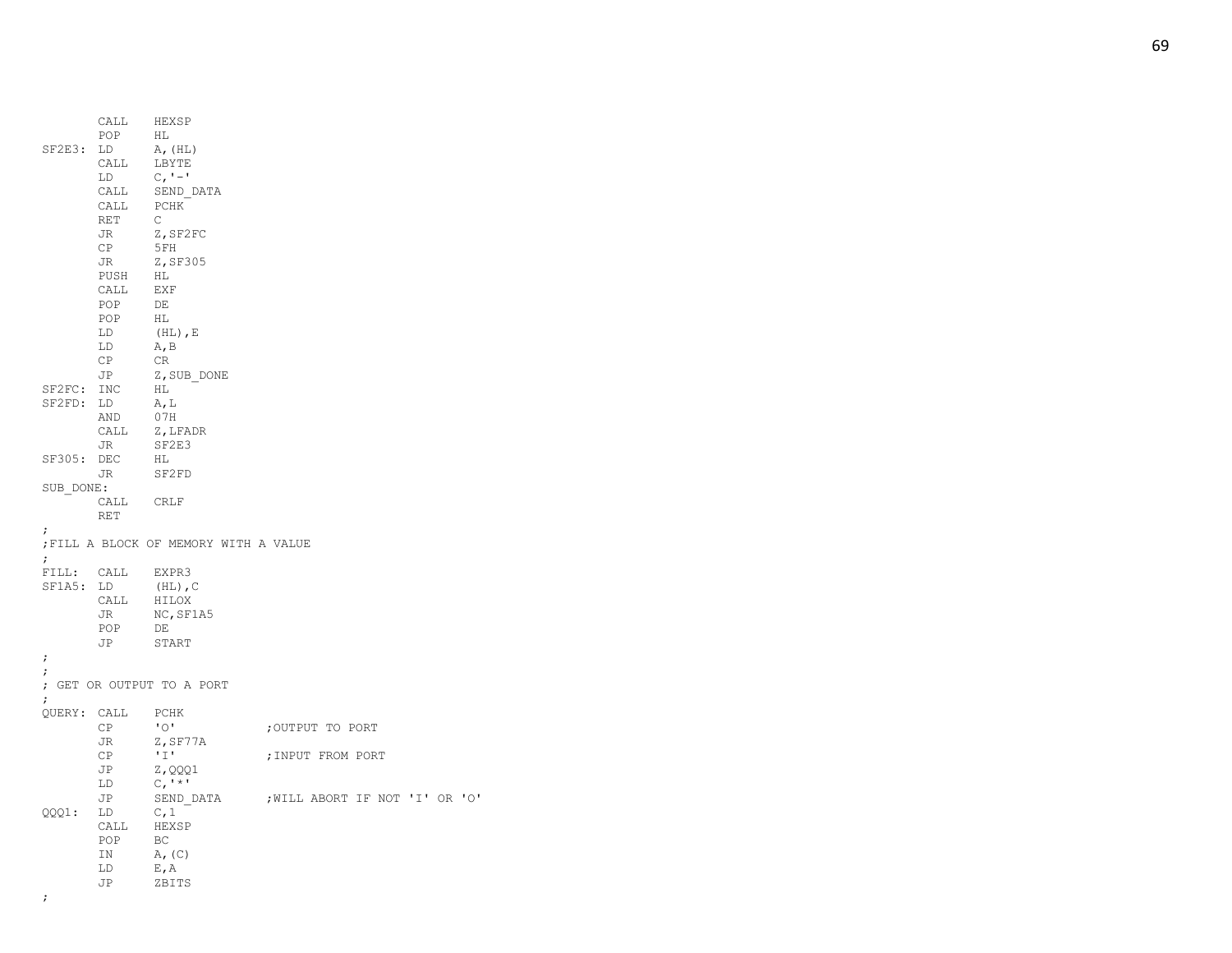|             | POP              | CALL HEXSP<br>HL                    |                                |
|-------------|------------------|-------------------------------------|--------------------------------|
| SF2E3:      | LD<br>CALL       | A, (HL)<br>LBYTE                    |                                |
|             | LD               | $C_{I}$ ' – '                       |                                |
|             | CALL             | SEND DATA                           |                                |
|             | CALL             | PCHK                                |                                |
|             | RET              | $\mathsf{C}$                        |                                |
|             | JR               | Z,SF2FC                             |                                |
|             | СP               | 5FH<br>Z, SF305                     |                                |
|             | JR<br>PUSH       | HL                                  |                                |
|             | CALL             | EXF                                 |                                |
|             | POP              | DE                                  |                                |
|             | POP              | HL                                  |                                |
|             | LD               | $(HL)$ , E                          |                                |
|             | LD               | A, B                                |                                |
|             | CP               | CR                                  |                                |
|             | JP               | Z, SUB DONE                         |                                |
| SF2FC: INC  |                  | HL                                  |                                |
| SF2FD:      | LD<br>AND        | A, L<br>07H                         |                                |
|             |                  | CALL Z, LFADR                       |                                |
|             | JR               | SF2E3                               |                                |
| SF305: DEC  |                  | HL                                  |                                |
|             | JR               | SF2FD                               |                                |
| SUB DONE:   |                  |                                     |                                |
|             | CALL CRLF        |                                     |                                |
|             | RET              |                                     |                                |
| ÷           |                  | FILL A BLOCK OF MEMORY WITH A VALUE |                                |
| $\ddot{ }$  | FILL: CALL EXPR3 |                                     |                                |
| SF1A5: LD   |                  | $(HL)$ , C                          |                                |
|             | CALL HILOX       |                                     |                                |
|             | JR               | NC, SF1A5                           |                                |
|             | POP              | DE                                  |                                |
|             | JP               | START                               |                                |
| $\ddot{ }$  |                  |                                     |                                |
| ;           |                  | ; GET OR OUTPUT TO A PORT           |                                |
| $\ddot{ }$  |                  |                                     |                                |
| QUERY: CALL | CP               | PCHK<br>$"$ $\circ$                 | ;OUTPUT TO PORT                |
|             | JR               | Z,SF77A                             |                                |
|             | <b>CP</b>        | T                                   | ; INPUT FROM PORT              |
|             | JP               | Z, QQQ1                             |                                |
|             | LD               | $C,$ '*'                            |                                |
|             | JP               | SEND DATA                           | ; WILL ABORT IF NOT 'I' OR 'O' |
| QQQ1:       | LD               | C, 1                                |                                |
|             | CALL             | HEXSP                               |                                |
|             | POP              | BC                                  |                                |
|             | ΙN               | A, (C)                              |                                |
|             | LD               | E, A                                |                                |
|             | JP               | ZBITS                               |                                |
| ;           |                  |                                     |                                |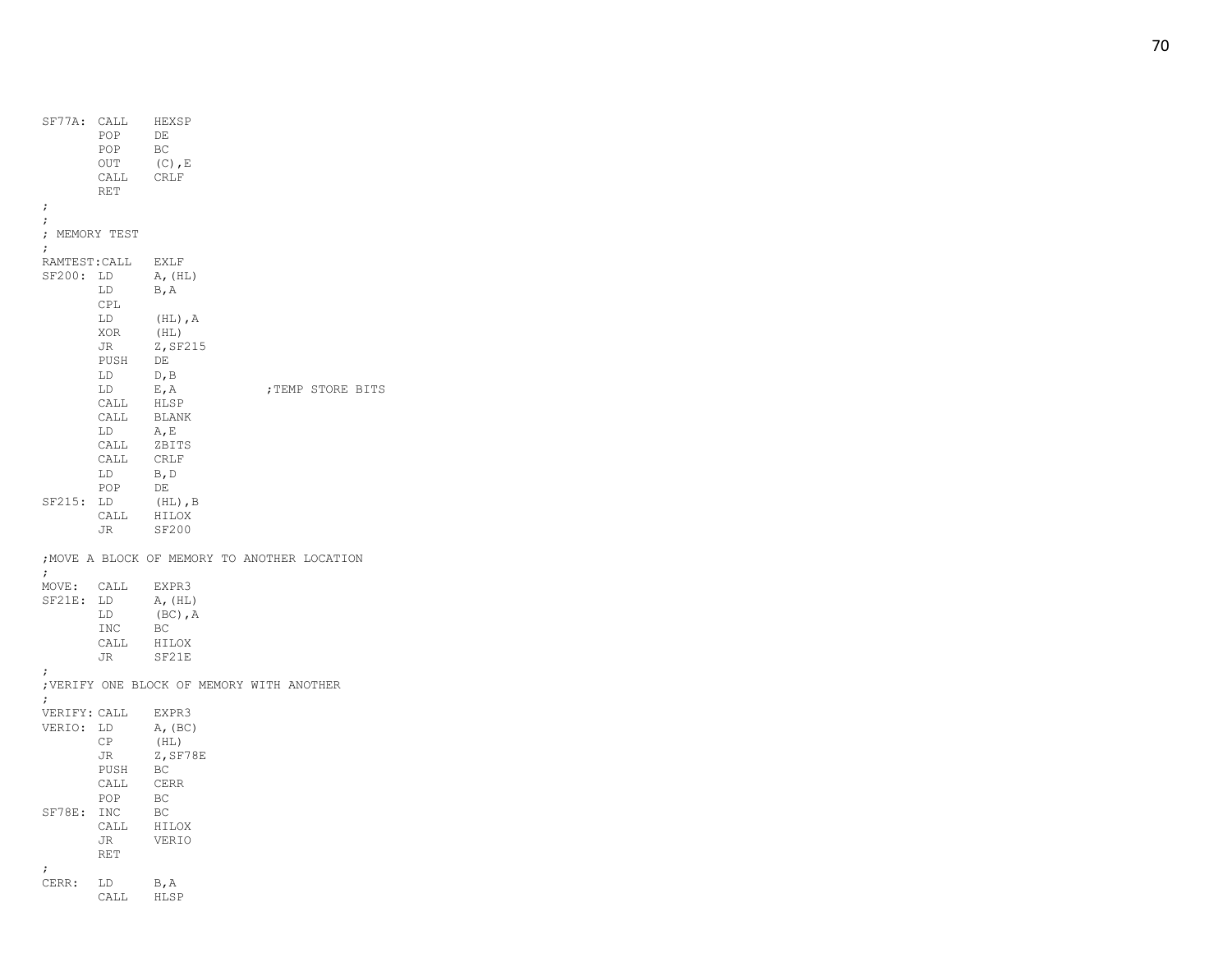| SF77A: CALL     | POP<br>POP<br>OUT<br>CALL | HEXSP<br>DE<br>BC<br>$(C)$ , $E$<br>CRLF |                                              |
|-----------------|---------------------------|------------------------------------------|----------------------------------------------|
| ;               | RET                       |                                          |                                              |
| ;               |                           |                                          |                                              |
|                 | ; MEMORY TEST             |                                          |                                              |
| ÷               |                           |                                          |                                              |
| RAMTEST: CALL   |                           | EXLF                                     |                                              |
| SF200: LD       |                           | A, (HL)                                  |                                              |
|                 | LD<br>CPL                 | B, A                                     |                                              |
|                 | LD                        | $(HL)$ , $A$                             |                                              |
|                 | XOR                       | (HL)                                     |                                              |
|                 | JR                        | Z, SF215                                 |                                              |
|                 | PUSH                      | DE                                       |                                              |
|                 | LD.                       | D, B                                     |                                              |
|                 | LD                        | $E$ , $A$                                | ; TEMP STORE BITS                            |
|                 | CALL<br>CALL              | HLSP<br>BLANK                            |                                              |
|                 | LD                        | A, E                                     |                                              |
|                 | CALL                      | ZBITS                                    |                                              |
|                 | CALL                      | <b>CRLF</b>                              |                                              |
|                 | LD                        | B, D                                     |                                              |
|                 | POP                       | DE                                       |                                              |
| SF215:          | LD                        | $(HL)$ , B                               |                                              |
|                 | CALL                      | HILOX                                    |                                              |
|                 | JR                        | SF200                                    |                                              |
| $\ddot{ }$      |                           |                                          | ; MOVE A BLOCK OF MEMORY TO ANOTHER LOCATION |
| MOVE: CALL      |                           | EXPR3                                    |                                              |
| $SF21E$ :       | LD                        | A, (HL)                                  |                                              |
|                 | LD                        | $(BC)$ , $A$                             |                                              |
|                 | INC                       | BC                                       |                                              |
|                 | CALL                      | HILOX                                    |                                              |
|                 | JR                        | SF21E                                    |                                              |
| ;<br>$\ddot{ }$ |                           |                                          | ; VERIFY ONE BLOCK OF MEMORY WITH ANOTHER    |
| VERIFY: CALL    |                           | EXPR3                                    |                                              |
| VERIO:          | LD                        | A, (BC)                                  |                                              |
|                 | CP                        | (HL)                                     |                                              |
|                 | JR                        | $Z$ , SF78E                              |                                              |
|                 | PUSH                      | BC                                       |                                              |
|                 | CALL                      | CERR                                     |                                              |
| SF78E:          | POP                       | BC                                       |                                              |
|                 | INC<br>CALL               | BC<br>HILOX                              |                                              |
|                 | JR                        | VERIO                                    |                                              |
|                 | <b>RET</b>                |                                          |                                              |
| ;               |                           |                                          |                                              |
| CERR:           | LD                        | B, A                                     |                                              |
|                 | CALL                      | HLSP                                     |                                              |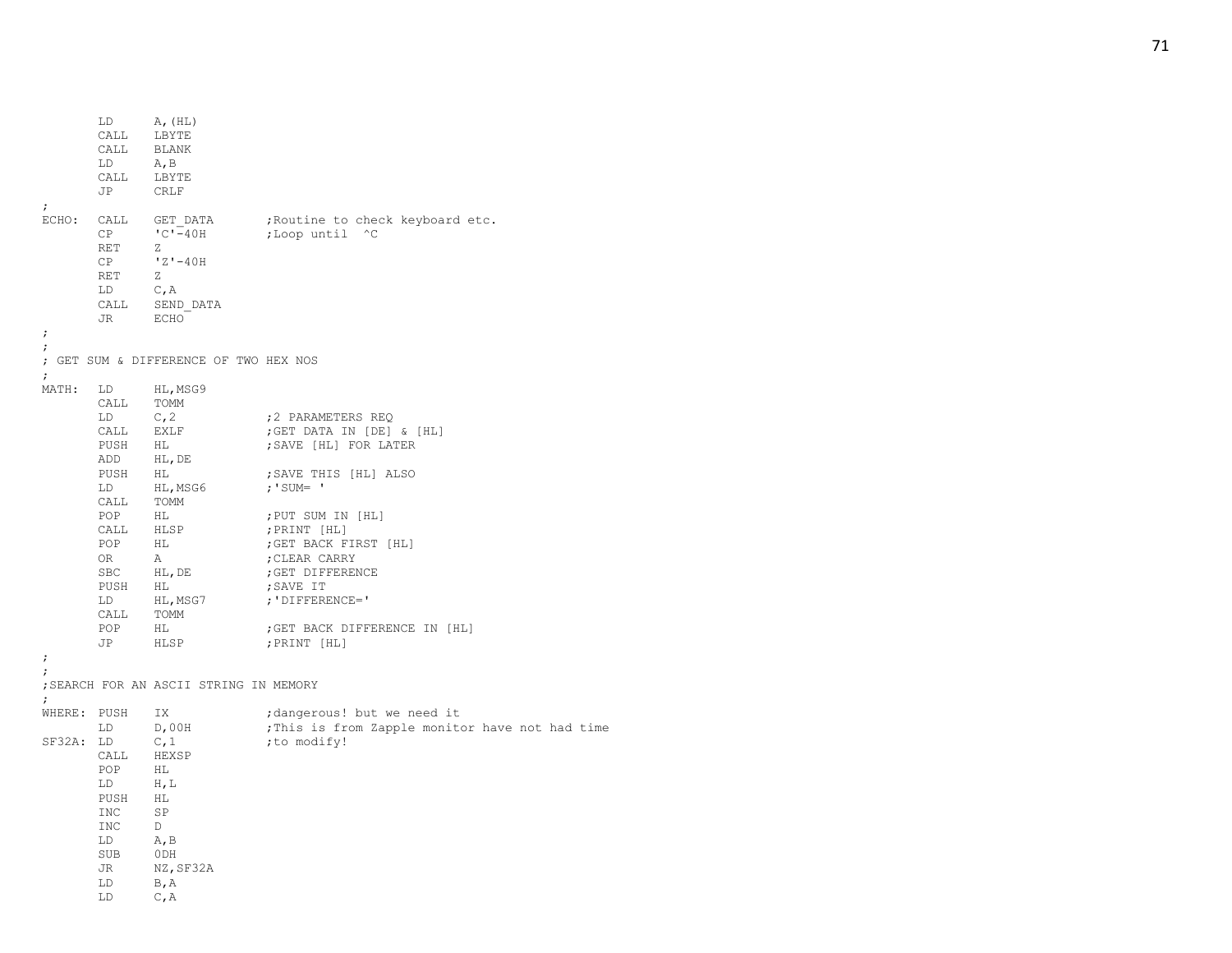LD A, (HL)<br>CALL LBYTE LBYTE CALL BLANK LD A, B<br>CALL LBY'. LBYTE JP CRLF ; ECHO: CALL GET DATA ; Routine to check keyboard etc.  $CP$   $\qquad \qquad \text{C'} - 40H$ ; Loop until ^C RET Z CP 'Z' -40H RET Z LD C,A CALL SEND\_DATA<br>JR ECHO ECHO<sup>-</sup> ;; ; GET SUM & DIFFERENCE OF TWO HEX NOS ; MATH: LD HL,MSG9 CALL TOMM LD C, 2 ; 2 PARAMETERS REQ CALL EXLF ; GET DATA IN [DE] & [HL] PUSH HL ; SAVE [HL] FOR LATER ADD HL,DE PUSH HL ; SAVE THIS [HL] ALSO LD HL,MSG6 ;'SUM= ' CALL TOMM HL ; PUT SUM IN [HL] CALL HLSP ; PRINT [HL] POP HL ; GET BACK FIRST [HL] OR A ; CLEAR CARRY SBC HL, DE ; GET DIFFERENCE PUSH HL ; SAVE IT LD HL, MSG7 ;'DIFFERENCE=' CALL TOMM POP HL ; GET BACK DIFFERENCE IN [HL] JP HLSP ;PRINT [HL] ;; ;SEARCH FOR AN ASCII STRING IN MEMORY ; WHERE: PUSH IX ;dangerous! but we need it LD D,00H ; This is from Zapple monitor have not had time SF32A: LD  $C, 1$  ; to modify! CALL HEXSP POP HL LD H,L PUSH HL<br>INC SP  $\tt INC$ INC D LD A,B SUB 0DH JR NZ,SF32A LD B,A LD C,A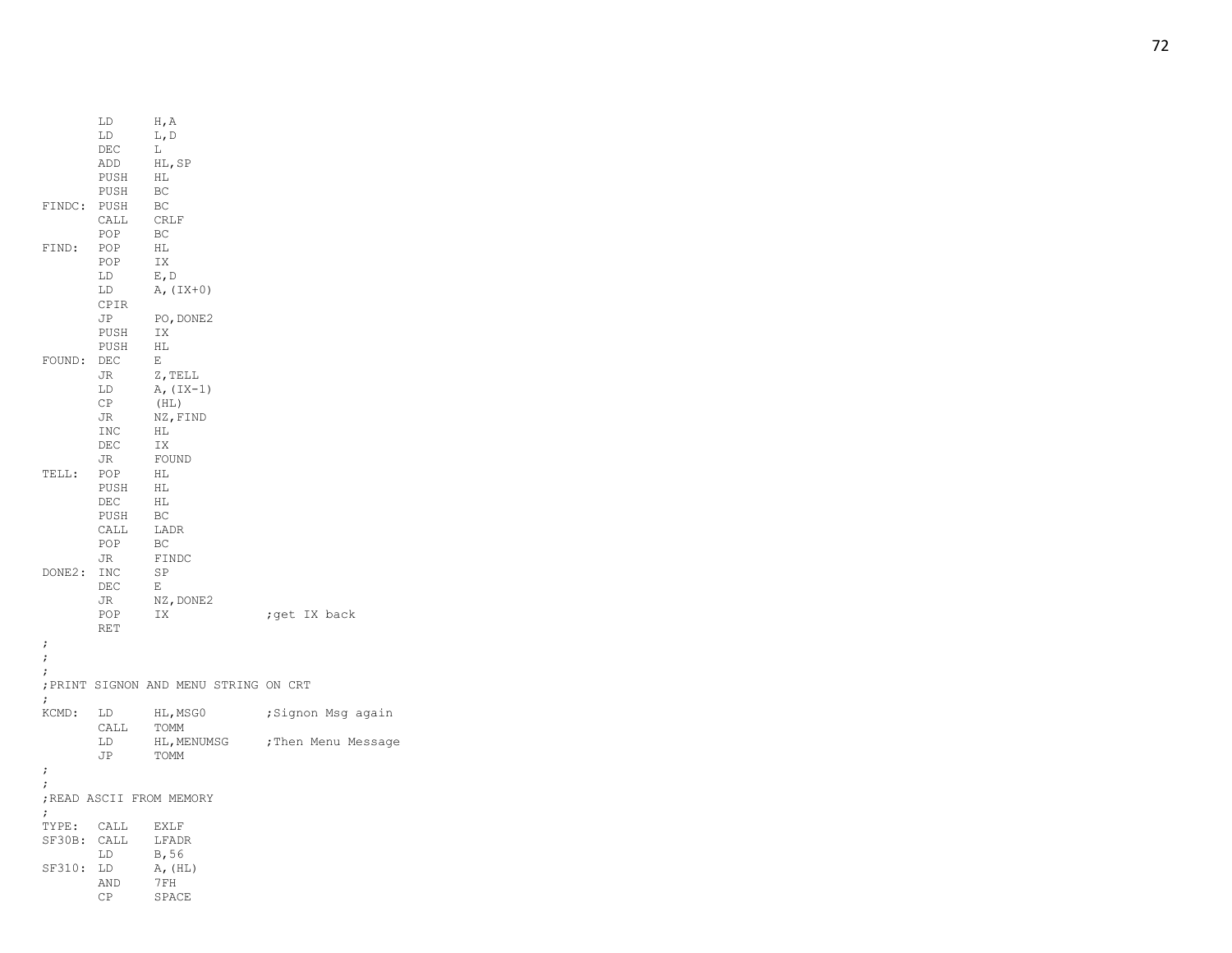|                           | LD<br>LD<br>DEC<br>ADD<br>PUSH              | H, A<br>L, D<br>L<br>HL, SP<br>HL                                           |                                          |
|---------------------------|---------------------------------------------|-----------------------------------------------------------------------------|------------------------------------------|
| FINDC:                    | PUSH<br>PUSH<br>CALL<br>POP                 | BC<br>BC<br>CRLF<br>BC                                                      |                                          |
| FIND:                     | POP<br>POP<br>LD<br>LD<br>CPIR              | HL<br>IX<br>$E$ , $D$<br>$A, (IX+0)$                                        |                                          |
| FOUND:                    | JP<br>PUSH<br>PUSH<br>DEC<br>JR             | PO, DONE2<br>IX<br>HL<br>Е<br>Z, TELL                                       |                                          |
|                           | LD<br>CP<br>JR<br><b>INC</b><br>DEC<br>JR   | $A, (IX-1)$<br>(HL)<br>NZ, FIND<br>ΗL<br>IX<br>FOUND                        |                                          |
| TELL:                     | POP<br>PUSH<br>DEC<br>PUSH<br>CALL<br>POP   | HL<br>HL<br>$\mathop{\rm HL}\nolimits$<br>BC<br>LADR<br>$\operatorname{BC}$ |                                          |
| DONE2:                    | JR<br>INC<br>DEC<br>JR<br>POP<br><b>RET</b> | FINDC<br>SP<br>Ε<br>$\texttt{NZ}$ , $\texttt{DONE2}$<br>IX                  | ; get IX back                            |
| ;<br>$\ddot{\phantom{0}}$ |                                             |                                                                             |                                          |
| $\ddot{ }$<br>$\ddot{ }$  |                                             | ; PRINT SIGNON AND MENU STRING ON CRT                                       |                                          |
| KCMD:                     | LD<br>CALL<br>LD                            | HL, MSG0<br>TOMM<br>HL, MENUMSG                                             | ;Signon Msg again<br>; Then Menu Message |
| ;                         | JP                                          | TOMM                                                                        |                                          |
| $\ddot{\phantom{0}}$      |                                             |                                                                             |                                          |
| $\ddot{ }$                |                                             | ; READ ASCII FROM MEMORY                                                    |                                          |
| TYPE:                     | CALL                                        | <b>EXLF</b>                                                                 |                                          |
| SF30B:                    | CALL<br>LD                                  | LFADR<br>B,56                                                               |                                          |
| SF310:                    | LD                                          | A, (HL)                                                                     |                                          |
|                           | AND<br>CP                                   | 7FH<br>SPACE                                                                |                                          |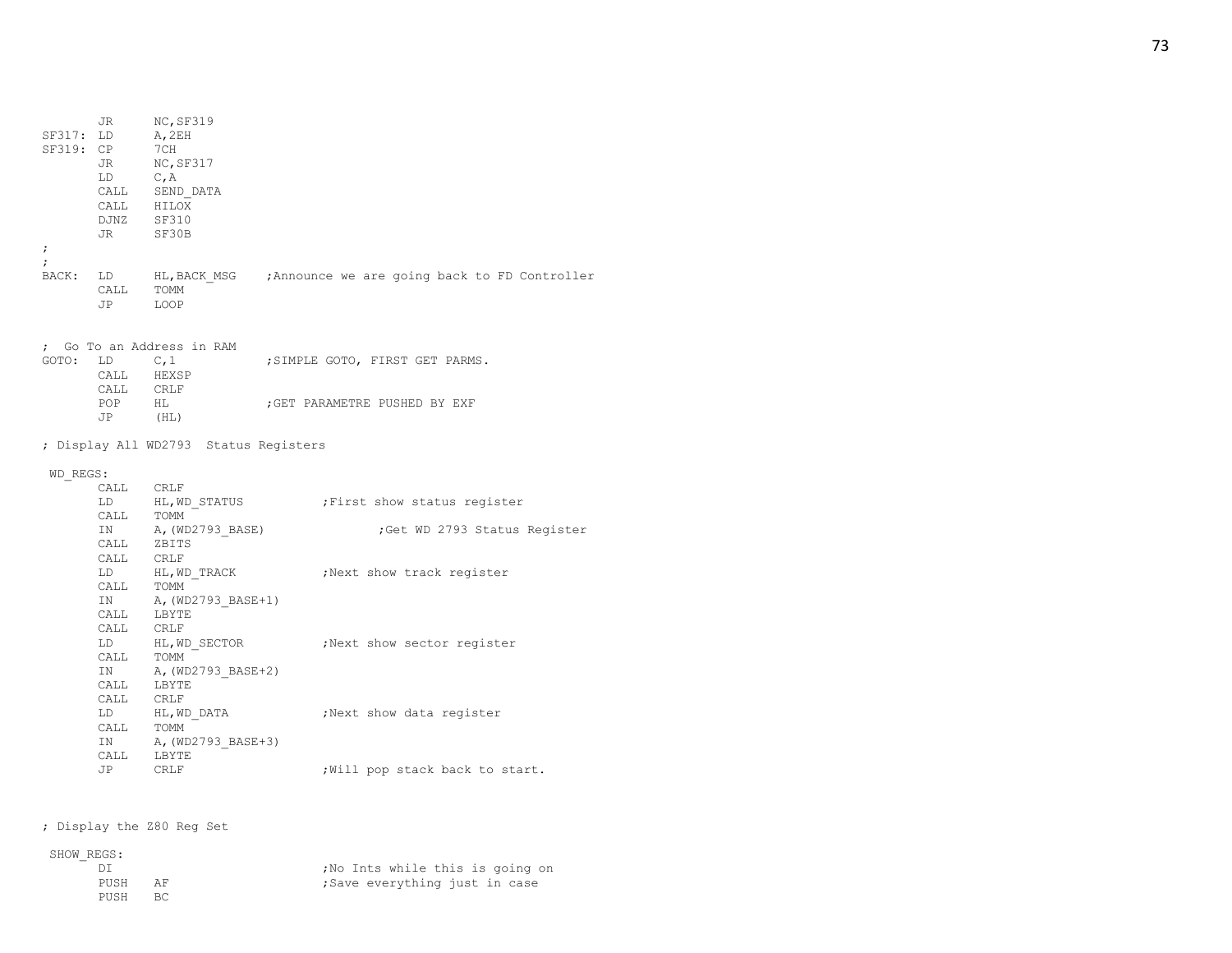| SF317: LD<br>SF319: CP | JR<br>JR<br>LD<br>DJNZ SF310<br>JR SF30B                                      | NC, SF319<br>A, 2EH<br>7CH<br>NC,SF317<br>C,A<br>CALL SEND_DATA<br>CALL HILOX |  |                                                                     |  |
|------------------------|-------------------------------------------------------------------------------|-------------------------------------------------------------------------------|--|---------------------------------------------------------------------|--|
| $\ddot{ }$             |                                                                               |                                                                               |  |                                                                     |  |
| $\ddot{ }$             | CALL TOMM<br>JP                                                               | LOOP                                                                          |  | BACK: LD HL, BACK MSG ; Announce we are going back to FD Controller |  |
|                        |                                                                               |                                                                               |  |                                                                     |  |
|                        | $\verb CALL  = \verb CRLF $                                                   | ; Go To an Address in RAM<br>GOTO: LD C,1<br>CALL HEXSP                       |  | ; SIMPLE GOTO, FIRST GET PARMS.                                     |  |
|                        | POP<br>JP                                                                     | HL<br>(HL)                                                                    |  | GET PARAMETRE PUSHED BY EXF,                                        |  |
|                        |                                                                               | ; Display All WD2793 Status Registers                                         |  |                                                                     |  |
|                        |                                                                               |                                                                               |  |                                                                     |  |
| WD REGS:               |                                                                               |                                                                               |  |                                                                     |  |
|                        | CALL CRLF                                                                     |                                                                               |  | ; First show status register                                        |  |
|                        |                                                                               | LD HL, WD_STATUS<br>CALL TOMM                                                 |  |                                                                     |  |
|                        |                                                                               | IN A, (WD2793_BASE)<br>CALL ZBITS                                             |  | ;Get WD 2793 Status Register                                        |  |
|                        |                                                                               |                                                                               |  |                                                                     |  |
|                        |                                                                               | CALL CRLF<br>LD HL, WD_TRACK                                                  |  |                                                                     |  |
|                        | CALL TOMM                                                                     |                                                                               |  | Next show track register,                                           |  |
|                        | IN                                                                            |                                                                               |  |                                                                     |  |
|                        | CALL                                                                          | A, (WD2793_BASE+1)<br>L LBYTE                                                 |  |                                                                     |  |
|                        |                                                                               |                                                                               |  |                                                                     |  |
|                        |                                                                               |                                                                               |  | CALL CRLF<br>LD HL,WD_SECTOR ;Next show sector register             |  |
|                        | $\begin{minipage}{.4\linewidth} \hspace*{1.2cm} \texttt{TOMM} \end{minipage}$ |                                                                               |  |                                                                     |  |
|                        | IN                                                                            | A,(WD2793 BASE+2)                                                             |  |                                                                     |  |
|                        | CALL LBYTE                                                                    |                                                                               |  |                                                                     |  |
|                        |                                                                               | CALL CRLF<br>LD HL, WD_DATA                                                   |  | Next show data register,                                            |  |
|                        |                                                                               |                                                                               |  |                                                                     |  |
|                        |                                                                               |                                                                               |  |                                                                     |  |
|                        |                                                                               |                                                                               |  |                                                                     |  |
|                        | CALL LBYTE                                                                    | CALL TOMM<br>IN A, (WD2793_BASE+3)                                            |  |                                                                     |  |

; Display the Z80 Reg Set

## SHOW\_REGS:

| .    |      |                                  |
|------|------|----------------------------------|
| D. 1 |      | ; No Ints while this is going on |
| PUSH | AF.  | ;Save everything just in case    |
| PUSH | – BC |                                  |
|      |      |                                  |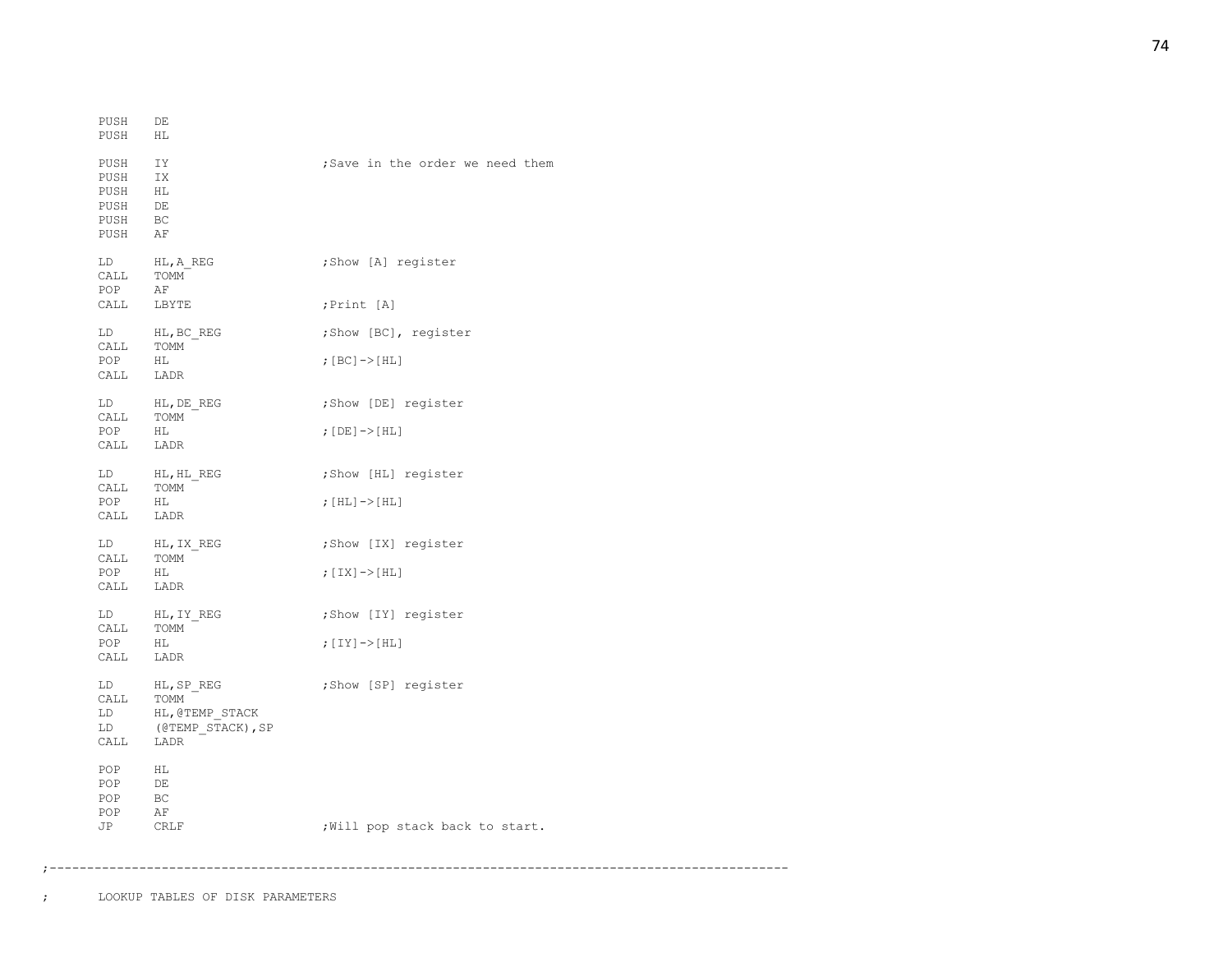| PUSH<br>PUSH                                 | DE<br>НL                                                   |                                  |
|----------------------------------------------|------------------------------------------------------------|----------------------------------|
| PUSH<br>PUSH<br>PUSH<br>PUSH<br>PUSH<br>PUSH | IY<br>IX<br>НL<br>DE<br>BC<br>ΑF                           | ; Save in the order we need them |
| LD<br>CALL<br>POP                            | HL, A REG<br>TOMM<br>AF                                    | ;Show [A] register               |
| CALL LBYTE                                   |                                                            | ; Print [A]                      |
| LD                                           | HL, BC REG                                                 | ;Show [BC], register             |
| CALL<br>POP<br>CALL LADR                     | TOMM<br>НL                                                 | ; [BC] -> [HL]                   |
| CALL                                         | LD HL, DE REG<br>TOMM                                      | ;Show [DE] register              |
| POP<br>CALL                                  | HL<br>LADR                                                 | ; $[DE]$ -> $[HL]$               |
| CALL                                         | LD HL, HL REG<br>TOMM                                      | ;Show [HL] register              |
| POP<br>CALL                                  | HL<br>LADR                                                 | ; $[HL]$ -> $[HL]$               |
| LD<br>CALL                                   | HL, IX REG<br>TOMM                                         | ;Show [IX] register              |
| POP<br>CALL LADR                             | HL                                                         | ; [IX] -> [HL]                   |
| CALL                                         | LD HL, IY REG<br>TOMM                                      | ;Show [IY] register              |
| POP<br>CALL                                  | HL<br>LADR                                                 | ; $[IV]$ -> $[HL]$               |
| LD<br>CALL<br>LD<br>LD<br>CALL LADR          | HL, SP REG<br>TOMM<br>HL, @TEMP_STACK<br>(@TEMP STACK), SP | ;Show [SP] register              |
| POP<br>POP<br>POP<br>POP                     | ΗL<br>DE<br>ВC<br>AF                                       |                                  |
| JP                                           | <b>CRLF</b>                                                | Will pop stack back to start.    |

;---------------------------------------------------------------------------------------------------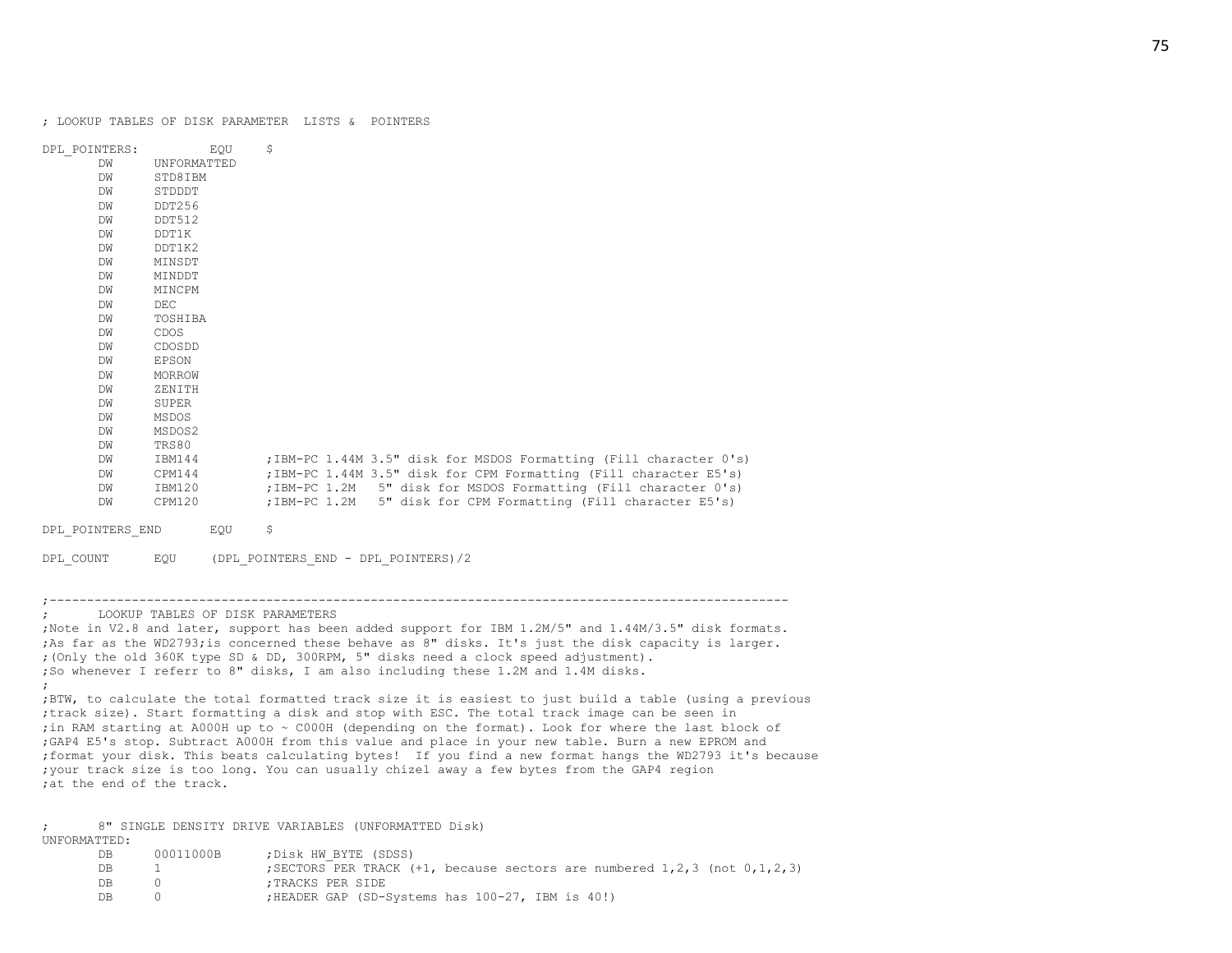| DPL POINTERS:    |             | EOU | \$                                                                 |
|------------------|-------------|-----|--------------------------------------------------------------------|
| DW               | UNFORMATTED |     |                                                                    |
| DW               | STD8IBM     |     |                                                                    |
| DW               | STDDDT      |     |                                                                    |
| DW               | DDT256      |     |                                                                    |
| DW               | DDT512      |     |                                                                    |
| DW               | DDT1K       |     |                                                                    |
| DW               | DDT1K2      |     |                                                                    |
| DW               | MINSDT      |     |                                                                    |
| DW               | MINDDT      |     |                                                                    |
| DW               | MINCPM      |     |                                                                    |
| DW               | $DEC$       |     |                                                                    |
| DW               | TOSHIBA     |     |                                                                    |
| DW               | CDOS        |     |                                                                    |
| DW               | CDOSDD      |     |                                                                    |
| DW               | EPSON       |     |                                                                    |
| DW               | MORROW      |     |                                                                    |
| DW               | ZENITH      |     |                                                                    |
| DW               | SUPER       |     |                                                                    |
| DW               | MSDOS       |     |                                                                    |
| DW               | MSDOS2      |     |                                                                    |
| DW               | TRS80       |     |                                                                    |
| DW               | IBM144      |     | ; IBM-PC 1.44M 3.5" disk for MSDOS Formatting (Fill character 0's) |
| DW               | CPM144      |     | ; IBM-PC 1.44M 3.5" disk for CPM Formatting (Fill character E5's)  |
| DW               | IBM120      |     | ; IBM-PC 1.2M 5" disk for MSDOS Formatting (Fill character 0's)    |
| DW               | CPM120      |     | ; IBM-PC 1.2M 5" disk for CPM Formatting (Fill character E5's)     |
| DPL POINTERS END |             | EQU | \$                                                                 |
| DPL COUNT        | EQU         |     | (DPL_POINTERS_END - DPL_POINTERS) /2                               |

;---------------------------------------------------------------------------------------------------

;Note in V2.8 and later, support has been added support for IBM 1.2M/5" and 1.44M/3.5" disk formats. ;As far as the WD2793;is concerned these behave as 8" disks. It's just the disk capacity is larger. ;(Only the old 360K type SD & DD, 300RPM, 5" disks need a clock speed adjustment). ;So whenever I referr to 8" disks, I am also including these 1.2M and 1.4M disks. ; ;BTW, to calculate the total formatted track size it is easiest to just build a table (using a previous ;track size). Start formatting a disk and stop with ESC. The total track image can be seen in ;in RAM starting at A000H up to ~ C000H (depending on the format). Look for where the last block of ;GAP4 E5's stop. Subtract A000H from this value and place in your new table. Burn a new EPROM and ;format your disk. This beats calculating bytes! If you find a new format hangs the WD2793 it's because ;your track size is too long. You can usually chizel away a few bytes from the GAP4 region ;at the end of the track.

; 8" SINGLE DENSITY DRIVE VARIABLES (UNFORMATTED Disk) UNFORMATTED:

; LOOKUP TABLES OF DISK PARAMETERS

| DВ  | 00011000B | Disk HW BYTE (SDSS);                                                                    |
|-----|-----------|-----------------------------------------------------------------------------------------|
| DB. |           | ; SECTORS PER TRACK $(+1)$ , because sectors are numbered $1, 2, 3$ (not $0, 1, 2, 3$ ) |
| DB. |           | :TRACKS PER SIDE                                                                        |
| DB. |           | ;HEADER GAP (SD-Systems has 100-27, IBM is 40!)                                         |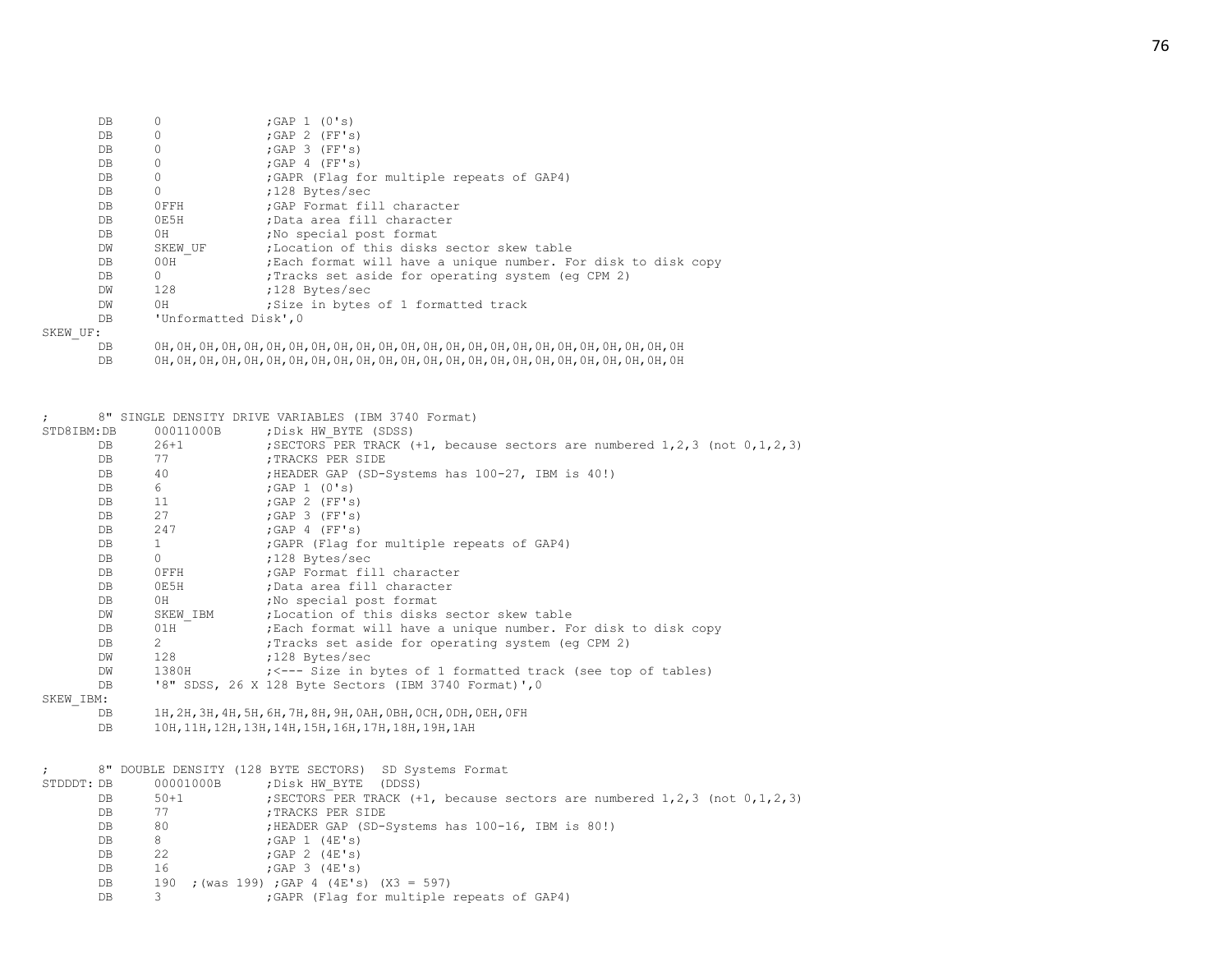| DB        |                       | ;GAP $1$ (0's)                                                 |
|-----------|-----------------------|----------------------------------------------------------------|
| DB        | 0                     | : GAP 2 (FF's)                                                 |
| DB        | $\Omega$              | : GAP 3 (FF's)                                                 |
| DB        | 0                     | $;$ GAP 4 (FF's)                                               |
| DB        | $\Omega$              | ; GAPR (Flag for multiple repeats of GAP4)                     |
| DB        | $\Omega$              | ;128 Bytes/sec                                                 |
| DB        | OFFH                  | : GAP Format fill character                                    |
| DB        | OE5H                  | :Data area fill character                                      |
| DB.       | 0H                    | No special post format                                         |
| DW        | SKEW UF               | :Location of this disks sector skew table                      |
| DB.       | 00H                   | ; Each format will have a unique number. For disk to disk copy |
| DB        | $\Omega$              | (eq CPM 2); Tracks set aside for operating system (eq CPM 2)   |
| DW        | 128                   | ;128 Bytes/sec                                                 |
| <b>DM</b> | 0H                    | Size in bytes of 1 formatted track                             |
| DB        | 'Unformatted Disk', 0 |                                                                |
| IIF:      |                       |                                                                |

SKEW\_UF:

| DB |  |
|----|--|
| DB |  |

DB 0H,0H,0H,0H,0H,0H,0H,0H,0H,0H,0H,0H,0H,0H,0H,0H,0H,0H,0H,0H,0H,0H,0H,0H

|            |     |                                | 8" SINGLE DENSITY DRIVE VARIABLES (IBM 3740 Format)                                   |
|------------|-----|--------------------------------|---------------------------------------------------------------------------------------|
| STD8IBM:DB |     | 00011000B                      | ; Disk HW BYTE (SDSS)                                                                 |
|            | DB. | $26 + 1$                       | ; SECTORS PER TRACK $(+1,$ because sectors are numbered $1, 2, 3$ (not $0, 1, 2, 3$ ) |
|            | DB  | 77                             | ; TRACKS PER SIDE                                                                     |
|            | DB  | 40                             | ; HEADER GAP (SD-Systems has 100-27, IBM is 40!)                                      |
|            | DB  | 6                              | ;GAP $1$ (0's)                                                                        |
|            | DB  | 11                             | $;$ GAP 2 (FF's)                                                                      |
|            | DB  | 27                             | ; GAP 3 (FF's)                                                                        |
|            | DB  | 247                            | $;$ GAP 4 (FF's)                                                                      |
|            | DB  | $\mathbf{1}$                   | ; GAPR (Flag for multiple repeats of GAP4)                                            |
|            | DB  | $\Omega$                       | ;128 Bytes/sec                                                                        |
|            | DB  | OFFH                           | ; GAP Format fill character                                                           |
|            | DB  | 0E5H                           | ;Data area fill character                                                             |
|            | DB  | 0H                             | ; No special post format                                                              |
|            | DW  | SKEW IBM                       | ;Location of this disks sector skew table                                             |
|            | DB  | 01H                            | ; Each format will have a unique number. For disk to disk copy                        |
|            | DB  | $2 \left( \frac{1}{2} \right)$ | ; Tracks set aside for operating system (eq CPM 2)                                    |
|            | DW  | 128                            | ;128 Bytes/sec                                                                        |
|            | DW  | 1380H                          | ; <--- Size in bytes of 1 formatted track (see top of tables)                         |
|            | DB  |                                | '8" SDSS, 26 X 128 Byte Sectors (IBM 3740 Format)', 0                                 |
| SKEW IBM:  |     |                                |                                                                                       |
|            | DB. |                                | 1Н, 2Н, 3Н, 4Н, 5Н, 6Н, 7Н, 8Н, 9Н, 0АН, 0ВН, 0СН, 0DН, 0ЕН, 0FН                      |
|            | DB  |                                | 10H, 11H, 12H, 13H, 14H, 15H, 16H, 17H, 18H, 19H, 1AH                                 |
|            |     |                                |                                                                                       |
|            |     |                                |                                                                                       |
|            |     |                                | 8" DOUBLE DENSITY (128 BYTE SECTORS) SD Systems Format                                |
| STDDDT: DB |     | 00001000B                      | ; Disk HW BYTE (DDSS)                                                                 |
|            | DB  | $50+1$                         | ; SECTORS PER TRACK $(+1,$ because sectors are numbered $1,2,3$ (not $0,1,2,3$ )      |
|            | DR. | 77                             | יידפ ביו פזחת ישר                                                                     |

| DΒ        | 77 | :TRACKS PER SIDE                                |
|-----------|----|-------------------------------------------------|
| DB        | 80 | HEADER GAP (SD-Systems has 100-16, IBM is 80!); |
| DB        | 8. | ;GAP $1$ (4E's)                                 |
| DB        | 22 | $;$ GAP 2 $(4E's)$                              |
| DB        | 16 | : GAP 3 (4E's)                                  |
| DB        |    | 190 ; (was 199) ; GAP 4 (4E's) (X3 = 597)       |
| <b>DB</b> |    | ; GAPR (Flag for multiple repeats of GAP4)      |

; GAPR (Flag for multiple repeats of GAP4)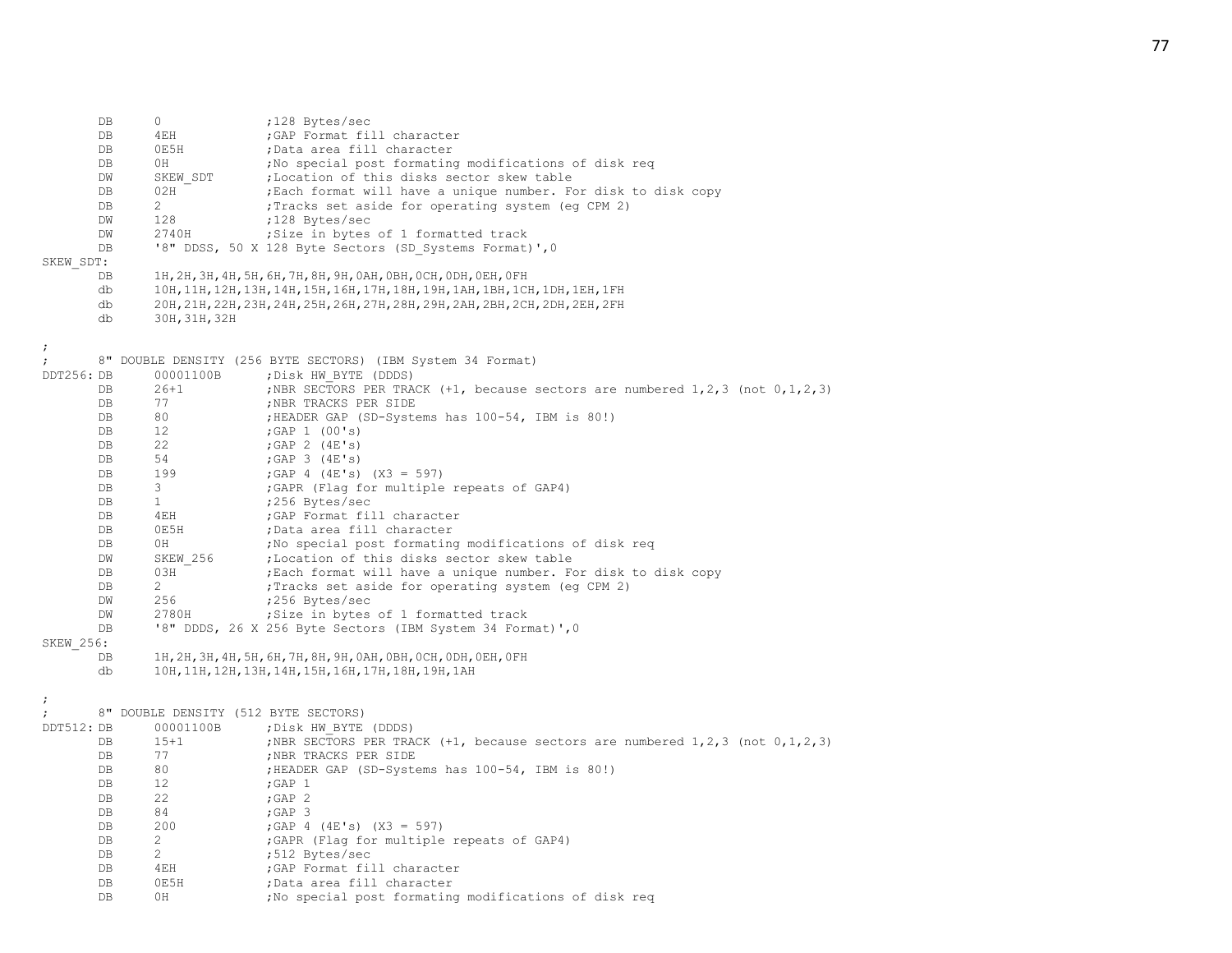DB 0 ;128 Bytes/sec DB 4EH ;GAP Format fill character DB 0E5H ;Data area fill character DB 0H ;No special post formating modifications of disk req DW SKEW SDT ;Location of this disks sector skew table DB 02H  $\overline{)}$  ; Each format will have a unique number. For disk to disk copy DB 2 : Tracks set aside for operating system (eg CPM 2) DW 128 ;128 Bytes/sec DW 2740H ; Size in bytes of 1 formatted track DB '8" DDSS, 50 X 128 Byte Sectors (SD Systems Format)',0 SKEW\_SDT: DB 1H,2H,3H,4H,5H,6H,7H,8H,9H,0AH,0BH,0CH,0DH,0EH,0FH db 10H,11H,12H,13H,14H,15H,16H,17H,18H,19H,1AH,1BH,1CH,1DH,1EH,1FH db 20H,21H,22H,23H,24H,25H,26H,27H,28H,29H,2AH,2BH,2CH,2DH,2EH,2FH db 30H,31H,32H ; 8" DOUBLE DENSITY (256 BYTE SECTORS) (IBM System 34 Format) DDT256: DB 00001100B ; Disk HW\_BYTE (DDDS) DB 26+1 ;NBR SECTORS PER TRACK (+1, because sectors are numbered 1,2,3 (not 0,1,2,3) DB 77 ;NBR TRACKS PER SIDE DB 80 ;HEADER GAP (SD-Systems has 100-54, IBM is 80!) DB 12 ; GAP 1 (00's) DB 22 ; GAP 2 (4E's) DB 54 ;GAP 3 (4E's) DB 199 ;GAP 4 (4E's) (X3 = 597) DB 3 3 GAPR (Flag for multiple repeats of GAP4) DB 1 :256 Bytes/sec DB 4EH ;GAP Format fill character DB 0E5H ;Data area fill character DB 0H ;No special post formating modifications of disk req DW SKEW 256 ;Location of this disks sector skew table DB 03H ; Each format will have a unique number. For disk to disk copy DB 2 : Tracks set aside for operating system (eq CPM 2) DW 256 ;256 Bytes/sec DW 2780H ;Size in bytes of 1 formatted track DB '8" DDDS, 26 X 256 Byte Sectors (IBM System 34 Format)', 0 SKEW\_256: DB 1H,2H,3H,4H,5H,6H,7H,8H,9H,0AH,0BH,0CH,0DH,0EH,0FH db 10H,11H,12H,13H,14H,15H,16H,17H,18H,19H,1AH ; ; 8" DOUBLE DENSITY (512 BYTE SECTORS) DDT512: DB 00001100B ; Disk HW\_BYTE (DDDS) DB 15+1 ;NBR SECTORS PER TRACK (+1, because sectors are numbered 1,2,3 (not 0,1,2,3) DB 77 ;NBR TRACKS PER SIDE DB 80 ;HEADER GAP (SD-Systems has 100-54, IBM is 80!) DB 12 ; GAP 1 DB 22 ; GAP 2 DB 84 ;GAP 3 DB  $200$  ;GAP 4 (4E's) (X3 = 597) DB 2 : GAPR (Flag for multiple repeats of GAP4) DB 2 :512 Bytes/sec DB 4EH ;GAP Format fill character DB 0E5H ;Data area fill character

DB 0H ;No special post formating modifications of disk req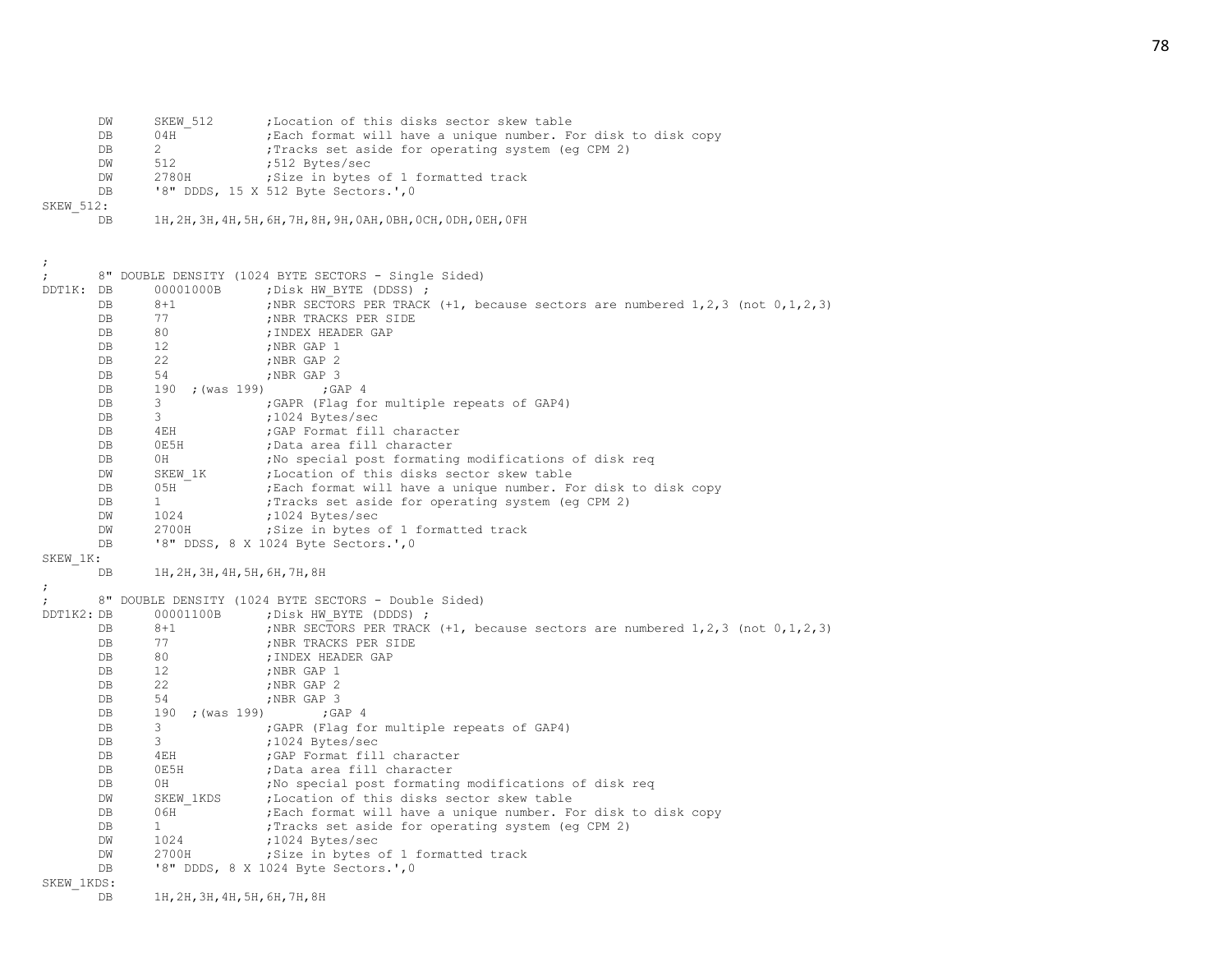DW SKEW\_512 ;Location of this disks sector skew table<br>DB 04H :Each format will have a unique number. F DB 04H <sup>-</sup> ;Each format will have a unique number. For disk to disk copy DB 2 ; Tracks set aside for operating system (eq CPM 2) DW 512 ;512 Bytes/sec<br>DW 2780H :Size in bytes DW 2780H ;Size in bytes of 1 formatted track DB '8" DDDS, 15 X 512 Byte Sectors.',0 SKEW\_512: DB 1H,2H,3H,4H,5H,6H,7H,8H,9H,0AH,0BH,0CH,0DH,0EH,0FH ; ; 8" DOUBLE DENSITY (1024 BYTE SECTORS - Single Sided) DDT1K: DB 00001000B ;Disk HW BYTE (DDSS) ; DB 8+1 ;NBR SECTORS PER TRACK (+1, because sectors are numbered 1,2,3 (not 0,1,2,3) DB 77 ;NBR TRACKS PER SIDE DB 80 ;INDEX HEADER GAP DB 12 ;NBR GAP 1<br>DB 22 :NBR GAP 2 DB 22 ;NBR GAP 2 DB 54 ;NBR GAP 3 DB 190 ; (was 199) ; GAP 4 DB 3 6 6APR (Flag for multiple repeats of GAP4) DB 3 ;1024 Bytes/sec DB 4EH ;GAP Format fill character DB 0E5H ;Data area fill character DB 0H ;No special post formating modifications of disk req DW SKEW 1K ; Location of this disks sector skew table DB 05H ; Each format will have a unique number. For disk to disk copy DB 1 : Tracks set aside for operating system (eq CPM 2) DW 1024 ;1024 Bytes/sec DW 2700H ;Size in bytes of 1 formatted track DB '8" DDSS, 8 X 1024 Byte Sectors.',0 SKEW\_1K: DB 1H,2H,3H,4H,5H,6H,7H,8H ; ; 8" DOUBLE DENSITY (1024 BYTE SECTORS - Double Sided) DDT1K2: DB 00001100B ; Disk HW BYTE (DDDS) ; DB 8+1 ;NBR SECTORS PER TRACK (+1, because sectors are numbered 1,2,3 (not 0,1,2,3) DB 77 ;NBR TRACKS PER SIDE DB 80 ;INDEX HEADER GAP DB 12 :NBR GAP 1 DB 22 :NBR GAP 2 DB 54 :NBR GAP 3 DB 190 ; (was 199) ; GAP 4 DB 3 3 ;GAPR (Flag for multiple repeats of GAP4) DB 3 ;1024 Bytes/sec DB 4EH ;GAP Format fill character DB 0E5H ;Data area fill character DB 0H ;No special post formating modifications of disk req DW SKEW 1KDS ;Location of this disks sector skew table DB 06H ;Each format will have a unique number. For disk to disk copy DB 1  $\blacksquare$  Tracks set aside for operating system (eq CPM 2) DW 1024 ;1024 Bytes/sec DW 2700H ;Size in bytes of 1 formatted track DB '8" DDDS, 8 X 1024 Byte Sectors.',0 SKEW\_1KDS: DB 1H,2H,3H,4H,5H,6H,7H,8H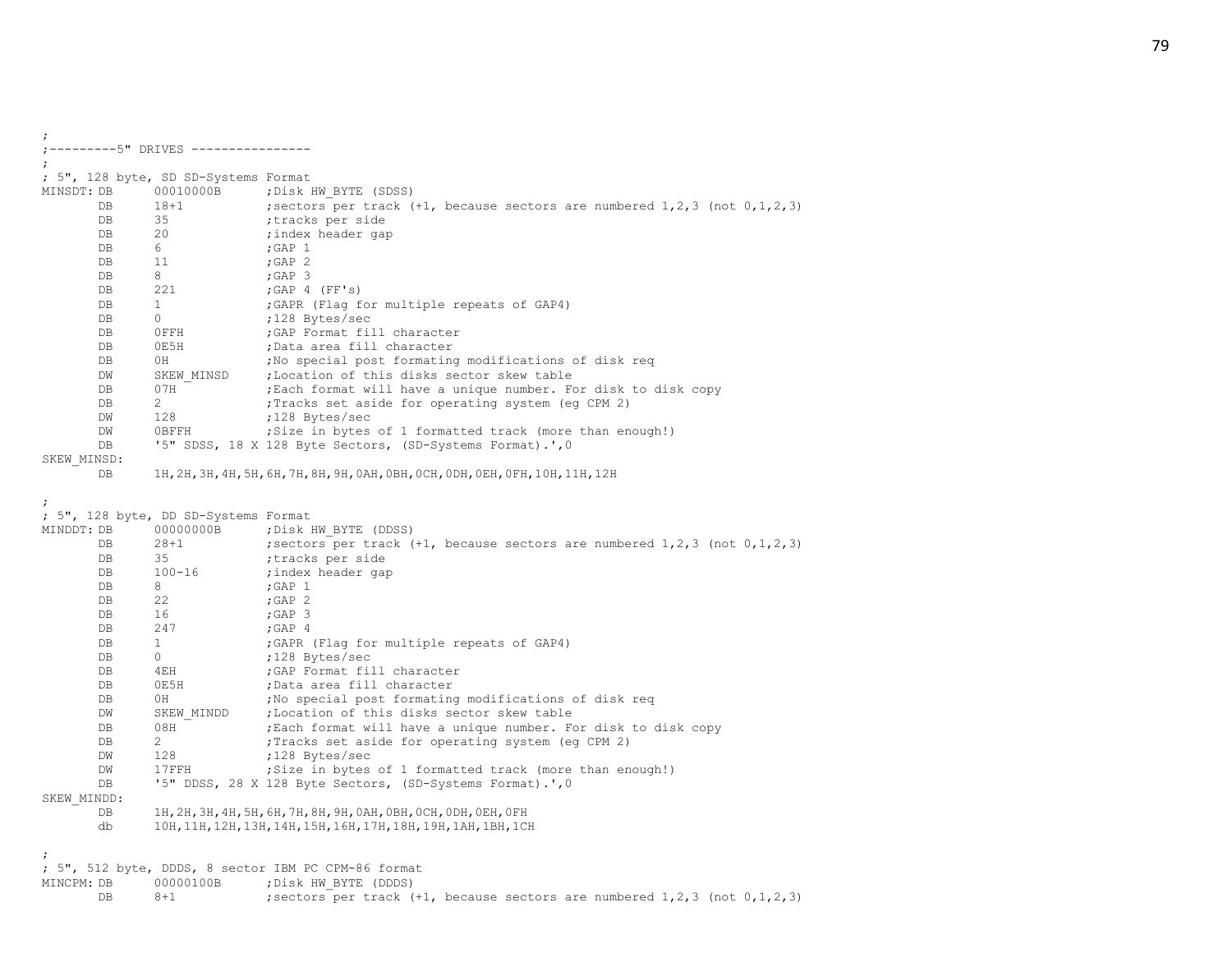|                                 | ; 5", 128 byte, SD SD-Systems Format |                                                                                       |
|---------------------------------|--------------------------------------|---------------------------------------------------------------------------------------|
| MINSDT: DB                      | 00010000B                            | ; Disk HW BYTE (SDSS)                                                                 |
| DB                              | $18 + 1$                             | ; sectors per track $(+1)$ , because sectors are numbered $1,2,3$ (not $0,1,2,3$ )    |
| DB                              | 35                                   | tracks per side                                                                       |
| DB                              | 20                                   | ;index header gap                                                                     |
| DB                              | 6                                    | ; GAP $1$                                                                             |
| DB                              | 11                                   | ; GAP $2$                                                                             |
| DB                              | 8                                    | $;$ GAP 3                                                                             |
| DB                              | 221                                  | ; GAP $4$ (FF's)                                                                      |
| DB                              | $\mathbf{1}$                         | ; GAPR (Flag for multiple repeats of GAP4)                                            |
| DB                              | 0                                    | ;128 Bytes/sec                                                                        |
| DB                              | OFFH                                 | ; GAP Format fill character                                                           |
| DB                              | 0E5H                                 | ;Data area fill character                                                             |
| DB                              | 0H                                   | ; No special post formating modifications of disk reg                                 |
| DW                              | SKEW MINSD                           | ;Location of this disks sector skew table                                             |
| DB                              | 07H                                  | ; Each format will have a unique number. For disk to disk copy                        |
| DB                              | $\overline{2}$                       | Tracks set aside for operating system (eg CPM 2);                                     |
| DW                              | 128                                  | ;128 Bytes/sec                                                                        |
| DW                              | 0BFFH                                | ; Size in bytes of 1 formatted track (more than enough!)                              |
| DB                              |                                      | '5" SDSS, 18 X 128 Byte Sectors, (SD-Systems Format).', 0                             |
| SKEW MINSD:                     |                                      |                                                                                       |
| DB                              |                                      | 1Н, 2Н, 3Н, 4Н, 5Н, 6Н, 7Н, 8Н, 9Н, 0АН, 0ВН, 0СН, 0DН, 0ЕН, 0FН, 10Н, 11Н, 12Н       |
|                                 | ; 5", 128 byte, DD SD-Systems Format |                                                                                       |
|                                 | 00000000B                            | ; Disk HW BYTE (DDSS)                                                                 |
| DB                              | $28 + 1$                             | ; sectors per track $(+1,$ because sectors are numbered $1, 2, 3$ (not $0, 1, 2, 3$ ) |
| DB                              | 35                                   | ;tracks per side                                                                      |
| DB                              | $100 - 16$                           | ;index header gap                                                                     |
| DB                              | 8                                    | ; GAP $1$                                                                             |
| DB                              | 22                                   | $;$ GAP $2$                                                                           |
| DB                              | 16                                   | $;$ GAP $3$                                                                           |
| DB                              | 247                                  | $;$ GAP $4$                                                                           |
| DB                              | $\mathbf{1}$                         | ; GAPR (Flag for multiple repeats of GAP4)                                            |
| DB                              | 0                                    | ;128 Bytes/sec                                                                        |
| DB                              | 4EH                                  | ; GAP Format fill character                                                           |
| DB                              | 0E5H                                 | ;Data area fill character                                                             |
| DB                              | 0H                                   | ; No special post formating modifications of disk reg                                 |
| DW                              | SKEW MINDD                           | ;Location of this disks sector skew table                                             |
| DB                              | 08H                                  | ; Each format will have a unique number. For disk to disk copy                        |
| DB                              | $\overline{2}$                       | ; Tracks set aside for operating system (eq CPM 2)                                    |
| DW                              | 128                                  | ;128 Bytes/sec                                                                        |
| DW                              | 17FFH                                | ; Size in bytes of 1 formatted track (more than enough!)                              |
| DB                              |                                      | '5" DDSS, 28 X 128 Byte Sectors, (SD-Systems Format).', 0                             |
|                                 |                                      |                                                                                       |
| DB                              |                                      | 1Н, 2Н, 3Н, 4Н, 5Н, 6Н, 7Н, 8Н, 9Н, 0АН, 0ВН, 0СН, 0DН, 0ЕН, 0FН                      |
| MINDDT: DB<br>SKEW MINDD:<br>db |                                      | 10H, 11H, 12H, 13H, 14H, 15H, 16H, 17H, 18H, 19H, 1AH, 1BH, 1CH                       |

DB 8+1 ; sectors per track (+1, because sectors are numbered 1,2,3 (not 0,1,2,3)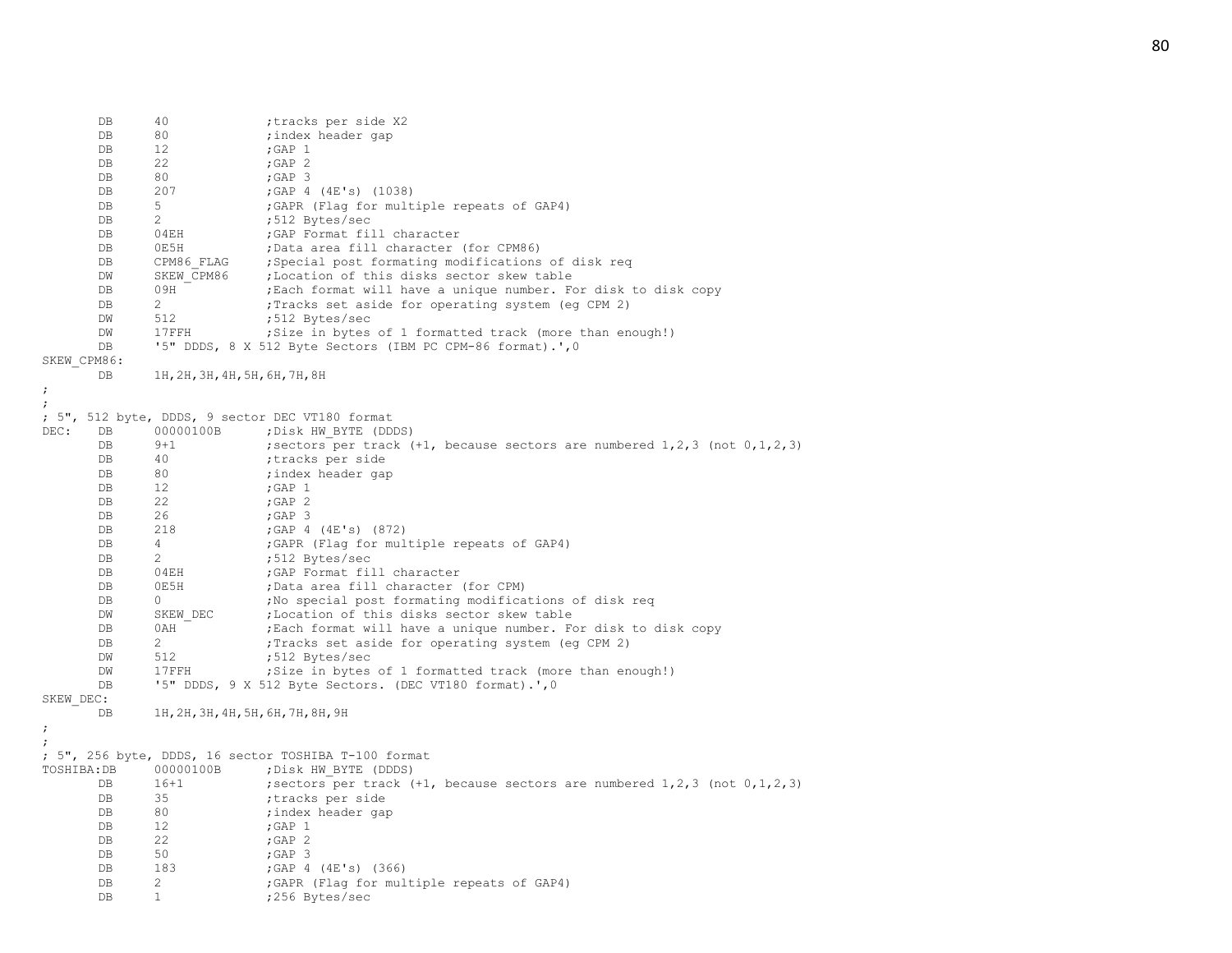DB 40 ; tracks per side X2<br>DB 80 ; index header gap DB 80 ;index header gap DB 12 ; GAP 1 DB 22 ; GAP 2 DB 80 ;GAP 3 DB 207 ;GAP 4 (4E's) (1038) DB 5 ;GAPR (Flag for multiple repeats of GAP4) DB 2 ;512 Bytes/sec DB 04EH ;GAP Format fill character DB 0E5H ;Data area fill character (for CPM86) DB CPM86 FLAG ; Special post formating modifications of disk req DW SKEW CPM86 ;Location of this disks sector skew table DB 09H ; Each format will have a unique number. For disk to disk copy DB 2 : Tracks set aside for operating system (eg CPM 2)<br>DW 512 :512 Bytes/sec DW 512 ;512 Bytes/sec DW 17FFH ;Size in bytes of 1 formatted track (more than enough!) DB '5" DDDS, 8 X 512 Byte Sectors (IBM PC CPM-86 format).', 0 SKEW\_CPM86: DB 1H,2H,3H,4H,5H,6H,7H,8H ; ; ; 5", 512 byte, DDDS, 9 sector DEC VT180 format DEC: DB 00000100B ;Disk HW\_BYTE (DDDS) DB 9+1 ; sectors per track (+1, because sectors are numbered 1, 2, 3 (not 0, 1, 2, 3) DB 40 ;tracks per side DB 80 ; index header gap<br>
DB 12 ; GAP 1 DB 12 ; GAP 1 DB 22 ;GAP 2 DB 26 : GAP 3 DB 218 ;GAP 4 (4E's) (872) DB 4 ;GAPR (Flag for multiple repeats of GAP4) DB 2 ;512 Bytes/sec DB 04EH ;GAP Format fill character DB 0E5H ;Data area fill character (for CPM) DB 0  $\blacksquare$  , No special post formating modifications of disk req DW SKEW DEC ; Location of this disks sector skew table DB 0AH ; Each format will have a unique number. For disk to disk copy DB 2 ; Tracks set aside for operating system (eq CPM 2) DW 512 ;512 Bytes/sec DW 17FFH ;Size in bytes of 1 formatted track (more than enough!) DB '5" DDDS, 9 X 512 Byte Sectors. (DEC VT180 format).',0 SKEW\_DEC: DB 1H,2H,3H,4H,5H,6H,7H,8H,9H ; ; ; 5", 256 byte, DDDS, 16 sector TOSHIBA T-100 format TOSHIBA:DB 00000100B ;Disk HW\_BYTE (DDDS) DB 16+1 ; sectors per track (+1, because sectors are numbered 1, 2, 3 (not 0, 1, 2, 3) DB 35 ;tracks per side DB 80 ;index header gap DB 12 ; GAP 1<br>DB 22 : GAP 2 DB 22 ; GAP 2 DB 50 ;GAP 3 DB 183 ;GAP 4 (4E's) (366) DB 2 : GAPR (Flag for multiple repeats of GAP4) DB 1 ;256 Bytes/sec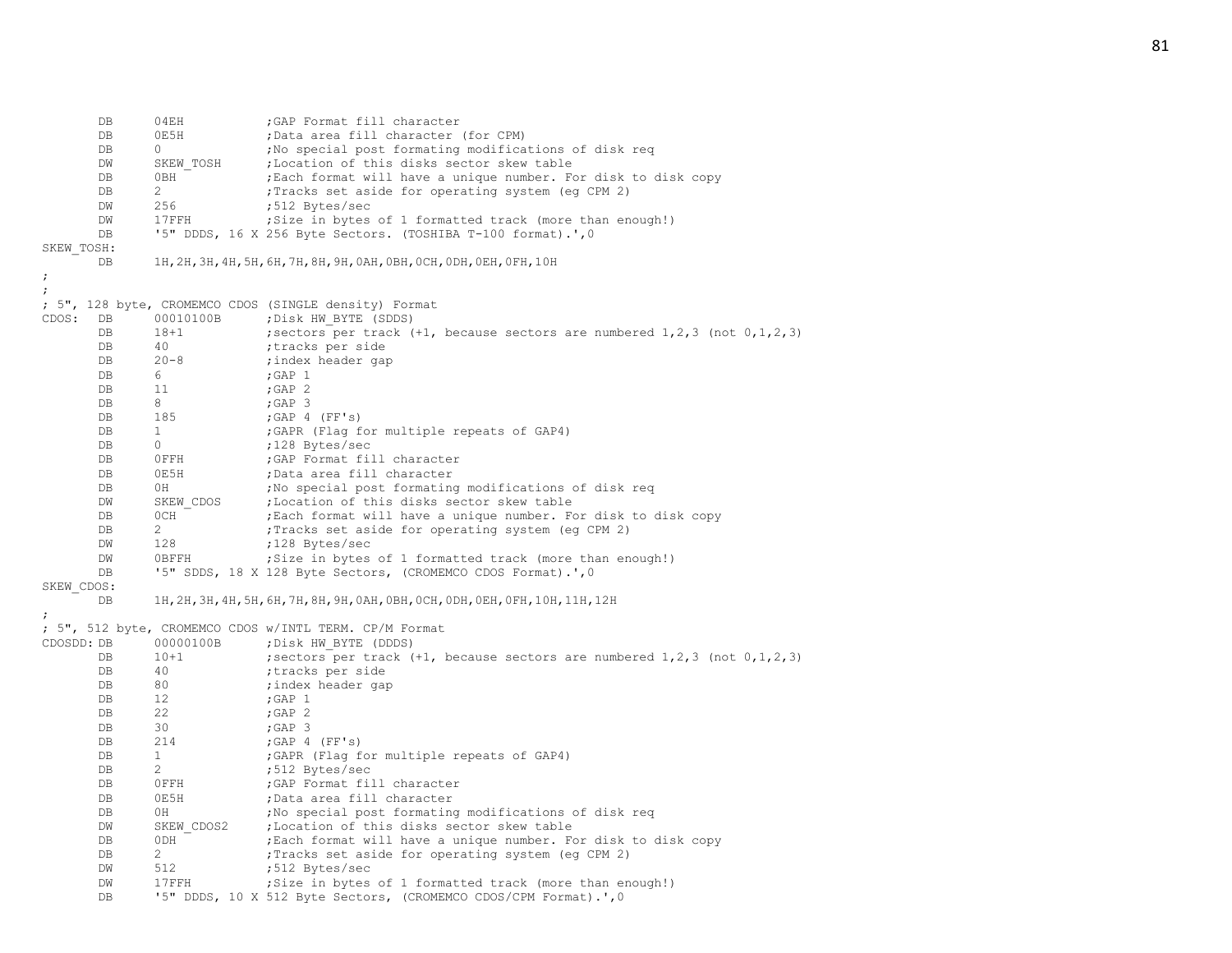|            | DB<br>DB  | 04EH<br>0E5H        | ; GAP Format fill character<br>;Data area fill character (for CPM)                                     |
|------------|-----------|---------------------|--------------------------------------------------------------------------------------------------------|
|            | DB        | $\circ$             | ; No special post formating modifications of disk reg                                                  |
|            | DW        | SKEW TOSH           | ;Location of this disks sector skew table                                                              |
|            | DB        | 0BH                 | ; Each format will have a unique number. For disk to disk copy                                         |
|            | DB        | $\overline{2}$      | ; Tracks set aside for operating system (eg CPM 2)                                                     |
|            | DW        | 256                 | ;512 Bytes/sec                                                                                         |
|            | DW        | 17FFH               | ; Size in bytes of 1 formatted track (more than enough!)                                               |
|            | DB        |                     | '5" DDDS, 16 X 256 Byte Sectors. (TOSHIBA T-100 format).', 0                                           |
| SKEW TOSH: |           |                     |                                                                                                        |
|            | DB        |                     | 1Н, 2Н, 3Н, 4Н, 5Н, 6Н, 7Н, 8Н, 9Н, 0АН, 0ВН, 0СН, 0DН, 0ЕН, 0 FН, 10Н                                 |
| ÷          |           |                     |                                                                                                        |
| ;          |           |                     | ; 5", 128 byte, CROMEMCO CDOS (SINGLE density) Format                                                  |
| CDOS:      | DB        | 00010100B           | ; Disk HW BYTE (SDDS)                                                                                  |
|            | DB        | $18 + 1$            | ; sectors per track $(+1)$ , because sectors are numbered $1, 2, 3$ (not $0, 1, 2, 3$ )                |
|            | DB        | 40                  | ;tracks per side                                                                                       |
|            | DB        | $20 - 8$            | ; index header gap                                                                                     |
|            | DB        | 6                   | ; GAP $1$                                                                                              |
|            | DB        | 11                  | ; GAP $2$                                                                                              |
|            | DB        | 8                   | ; GAP $3$                                                                                              |
|            | DB        | 185                 | ; GAP 4 (FF's)                                                                                         |
|            | DB        | $\mathbf{1}$        | ; GAPR (Flag for multiple repeats of GAP4)                                                             |
|            | DB        | $\circ$             | ;128 Bytes/sec                                                                                         |
|            | DB        | OFFH                | ; GAP Format fill character                                                                            |
|            | DB        | 0E5H                | ;Data area fill character                                                                              |
|            | DB        | 0H                  | ; No special post formating modifications of disk req                                                  |
|            | DW        | SKEW CDOS           | ;Location of this disks sector skew table                                                              |
|            | DB        | OCH                 | ; Each format will have a unique number. For disk to disk copy                                         |
|            | DB        | $\overline{2}$      | ; Tracks set aside for operating system (eg CPM 2)                                                     |
|            | DW        | 128                 | ;128 Bytes/sec                                                                                         |
|            | DW        | OBFFH               | ; Size in bytes of 1 formatted track (more than enough!)                                               |
|            | DB        |                     | '5" SDDS, 18 X 128 Byte Sectors, (CROMEMCO CDOS Format).', 0                                           |
| SKEW CDOS: |           |                     |                                                                                                        |
|            | DB        |                     | 1Н, 2Н, 3Н, 4Н, 5Н, 6Н, 7Н, 8Н, 9Н, 0АН, 0ВН, 0СН, 0DН, 0ЕН, 0FН, 10Н, 11Н, 12Н                        |
|            |           |                     |                                                                                                        |
|            |           |                     | ; 5", 512 byte, CROMEMCO CDOS w/INTL TERM. CP/M Format                                                 |
| CDOSDD: DB | <b>DB</b> | 00000100B<br>$10+1$ | ; Disk HW BYTE (DDDS)                                                                                  |
|            | DB        | 40                  | ; sectors per track $(+1)$ , because sectors are numbered $1,2,3$ (not $0,1,2,3$ )<br>;tracks per side |
|            | DB        | 80                  | ; index header gap                                                                                     |
|            | DB        | 12                  | ; GAP $1$                                                                                              |
|            | DB        | 22                  | ; GAP $2$                                                                                              |
|            | DB        | 30                  | $;$ GAP 3                                                                                              |
|            | DB        | 214                 | $;$ GAP 4 (FF's)                                                                                       |
|            | DB        | $\mathbf{1}$        | ; GAPR (Flag for multiple repeats of GAP4)                                                             |
|            | DB        | 2                   | ;512 Bytes/sec                                                                                         |
|            | DB        | OFFH                | ; GAP Format fill character                                                                            |
|            | DB        | 0E5H                | ;Data area fill character                                                                              |
|            | DB        | 0H                  | ; No special post formating modifications of disk req                                                  |
|            | DW        | SKEW CDOS2          | ;Location of this disks sector skew table                                                              |
|            | DB        | 0DH                 | ; Each format will have a unique number. For disk to disk copy                                         |
|            | DB        | 2                   | ; Tracks set aside for operating system (eq CPM 2)                                                     |
|            | DW        | 512                 | ;512 Bytes/sec                                                                                         |
|            | DW        | 17FFH               | ; Size in bytes of 1 formatted track (more than enough!)                                               |
|            | DB        |                     | '5" DDDS, 10 X 512 Byte Sectors, (CROMEMCO CDOS/CPM Format).', 0                                       |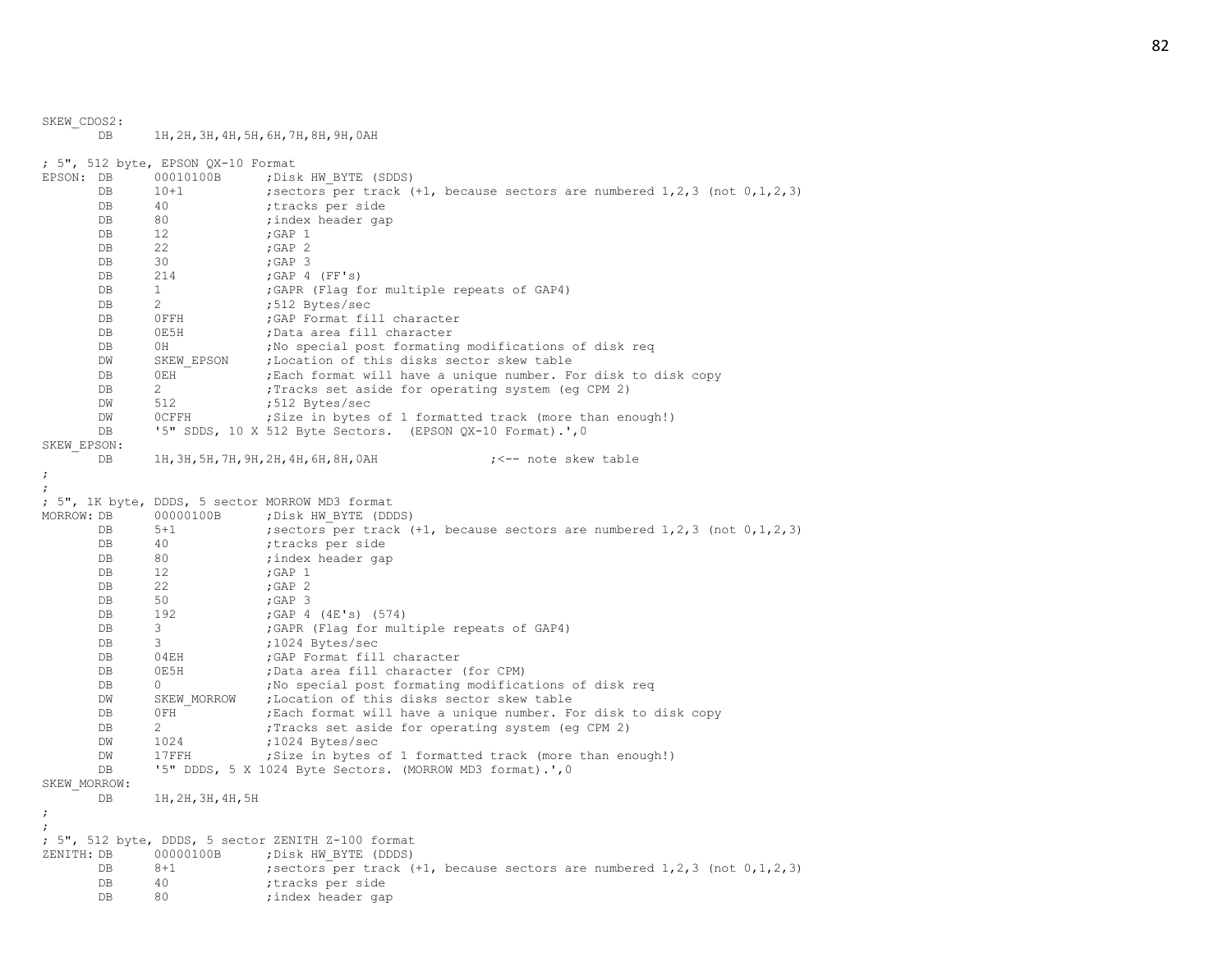SKEW\_CDOS2: DB 1H,2H,3H,4H,5H,6H,7H,8H,9H,0AH ; 5", 512 byte, EPSON QX-10 Format EPSON: DB 00010100B ; Disk HW BYTE (SDDS) DB 10+1 ; sectors per track (+1, because sectors are numbered 1,2,3 (not 0,1,2,3) DB 40 ;tracks per side DB 80 ;index header gap DB 12 ; GAP 1 DB 22 ; GAP 2 DB 30 ;GAP 3 DB 214 ;GAP 4 (FF's) DB 1 :GAPR (Flag for multiple repeats of GAP4) DB 2 ;512 Bytes/sec DB 0FFH ;GAP Format fill character DB 0E5H ;Data area fill character DB 0H ;No special post formating modifications of disk req DW SKEW EPSON ; Location of this disks sector skew table DB 0EH  $^-$  ; Each format will have a unique number. For disk to disk copy DB 2 ; Tracks set aside for operating system (eq CPM 2) DW 512 ;512 Bytes/sec DW 0CFFH ; Size in bytes of 1 formatted track (more than enough!) DB '5" SDDS, 10 X 512 Byte Sectors. (EPSON QX-10 Format).', 0 SKEW\_EPSON: DB 1H, 3H, 5H, 7H, 9H, 2H, 4H, 6H, 8H, 0AH ; <-- note skew table ; ; ; 5", 1K byte, DDDS, 5 sector MORROW MD3 format MORROW: DB 00000100B ; Disk HW\_BYTE (DDDS) DB 5+1 ; sectors per track (+1, because sectors are numbered 1, 2, 3 (not 0, 1, 2, 3) DB 40 ;tracks per side DB 80 ;index header gap DB 12 ; GAP 1 DB 22 ; GAP 2 DB 50 ;GAP 3 DB 192 ;GAP 4 (4E's) (574) DB 3 6APR (Flag for multiple repeats of GAP4) DB 3 ;1024 Bytes/sec DB 04EH ;GAP Format fill character<br>DB 0E5H :Data area fill character DB 0E5H ;Data area fill character (for CPM) DB 0  $\blacksquare$  , No special post formating modifications of disk req DW SKEW MORROW ; Location of this disks sector skew table DB 0FH ; Each format will have a unique number. For disk to disk copy DB 2 ; Tracks set aside for operating system (eq CPM 2) DW 1024 ;1024 Bytes/sec DW 17FFH ;Size in bytes of 1 formatted track (more than enough!) DB '5" DDDS, 5 X 1024 Byte Sectors. (MORROW MD3 format).', 0 SKEW\_MORROW: DB 1H,2H,3H,4H,5H ; ; ; 5", 512 byte, DDDS, 5 sector ZENITH Z-100 format ZENITH: DB 00000100B ; Disk HW\_BYTE (DDDS) DB 8+1 ; sectors per track (+1, because sectors are numbered 1,2,3 (not 0,1,2,3) DB 40 ;tracks per side DB 80 ;index header gap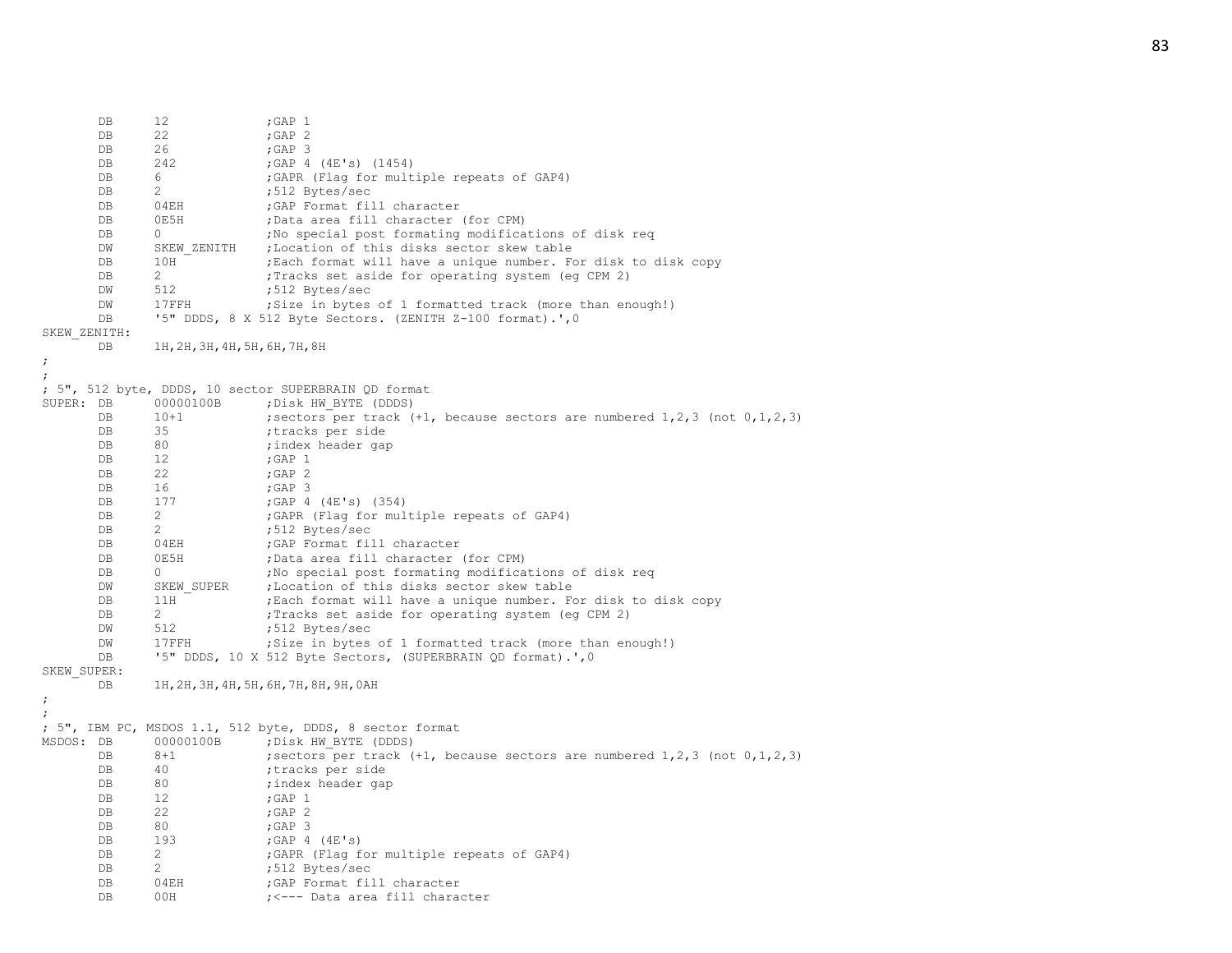|              | DB       | 12                             | ; GAP $1$                                                                               |
|--------------|----------|--------------------------------|-----------------------------------------------------------------------------------------|
|              | DB       | 22                             | ; GAP $2$                                                                               |
|              | DB       | 26                             | ;GAP 3                                                                                  |
|              | DB       | 242                            | ;GAP 4 (4E's) (1454)                                                                    |
|              | DB       | 6                              | ; GAPR (Flag for multiple repeats of GAP4)                                              |
|              | DB       | 2                              | ;512 Bytes/sec                                                                          |
|              | DB       | 04EH                           | ; GAP Format fill character                                                             |
|              | DB       | 0E5H                           | ;Data area fill character (for CPM)                                                     |
|              | DB       | $\Omega$                       | ; No special post formating modifications of disk req                                   |
|              | DW       | SKEW ZENITH                    | ; Location of this disks sector skew table                                              |
|              | DB       | 10H                            | ; Each format will have a unique number. For disk to disk copy                          |
|              |          | 2                              |                                                                                         |
|              | DB       |                                | ; Tracks set aside for operating system (eq CPM 2)                                      |
|              | DM       | 512                            | ;512 Bytes/sec                                                                          |
|              | DW       | $17$ FFH                       | ; Size in bytes of 1 formatted track (more than enough!)                                |
|              | DB       |                                | '5" DDDS, 8 X 512 Byte Sectors. (ZENITH Z-100 format).', 0                              |
| SKEW ZENITH: |          |                                |                                                                                         |
|              | DB       | 1Н, 2Н, 3Н, 4Н, 5Н, 6Н, 7Н, 8Н |                                                                                         |
|              |          |                                |                                                                                         |
|              |          |                                |                                                                                         |
|              |          |                                | ; 5", 512 byte, DDDS, 10 sector SUPERBRAIN QD format                                    |
| SUPER: DB    |          | 00000100B                      | ; Disk HW BYTE (DDDS)                                                                   |
|              | DB       | $10+1$                         | ; sectors per track $(+1)$ , because sectors are numbered $1, 2, 3$ (not $0, 1, 2, 3$ ) |
|              | DB       | 35                             | tracks per side                                                                         |
|              | DB       | 80                             | ; index header gap                                                                      |
|              | DB       | 12                             | ; GAP $1$                                                                               |
|              | DB       | 22                             | $;$ GAP $2$                                                                             |
|              | DB       | 16                             | $;$ GAP 3                                                                               |
|              | DB       | 177                            | ;GAP 4 (4E's) (354)                                                                     |
|              | DB       | 2                              | ; GAPR (Flag for multiple repeats of GAP4)                                              |
|              | DB       | 2                              | ;512 Bytes/sec                                                                          |
|              | DB       | 04EH                           | ; GAP Format fill character                                                             |
|              | DB       | 0E5H                           | ;Data area fill character (for CPM)                                                     |
|              | DB       | $\Omega$                       | ; No special post formating modifications of disk req                                   |
|              | DM       | SKEW SUPER                     | ;Location of this disks sector skew table                                               |
|              | DB       | 11H                            | Each format will have a unique number. For disk to disk copy                            |
|              | DB       | 2                              | ; Tracks set aside for operating system (eg CPM 2)                                      |
|              | DM       | 512                            | ;512 Bytes/sec                                                                          |
|              | DW       | 17FFH                          | ; Size in bytes of 1 formatted track (more than enough!)                                |
|              | DB       |                                | '5" DDDS, 10 X 512 Byte Sectors, (SUPERBRAIN QD format).', 0                            |
| SKEW SUPER:  |          |                                |                                                                                         |
|              | DB       |                                | 1Н, 2Н, 3Н, 4Н, 5Н, 6Н, 7Н, 8Н, 9Н, 0АН                                                 |
| ÷            |          |                                |                                                                                         |
|              |          |                                |                                                                                         |
|              |          |                                | ; 5", IBM PC, MSDOS 1.1, 512 byte, DDDS, 8 sector format                                |
| MSDOS: DB    |          | 00000100B                      | ; Disk HW BYTE (DDDS)                                                                   |
|              | DB       | $8 + 1$                        | ; sectors per track $(+1)$ , because sectors are numbered 1, 2, 3 (not $0, 1, 2, 3$ )   |
|              | DB       | 40                             | tracks per side;                                                                        |
|              | DB       | 80                             | ; index header gap                                                                      |
|              | DB       | 12                             | ; GAP $1$                                                                               |
|              | DB       | 22                             | ; GAP $2$                                                                               |
|              | DB       | 80                             | $;$ GAP 3                                                                               |
|              | DB       | 193                            | $;$ GAP 4 (4E's)                                                                        |
|              | DB       | 2                              | ; GAPR (Flag for multiple repeats of GAP4)                                              |
|              | DB       | 2                              |                                                                                         |
|              |          |                                | ;512 Bytes/sec<br>; GAP Format fill character                                           |
|              | DB<br>DB | 04EH<br>00H                    | ; <--- Data area fill character                                                         |
|              |          |                                |                                                                                         |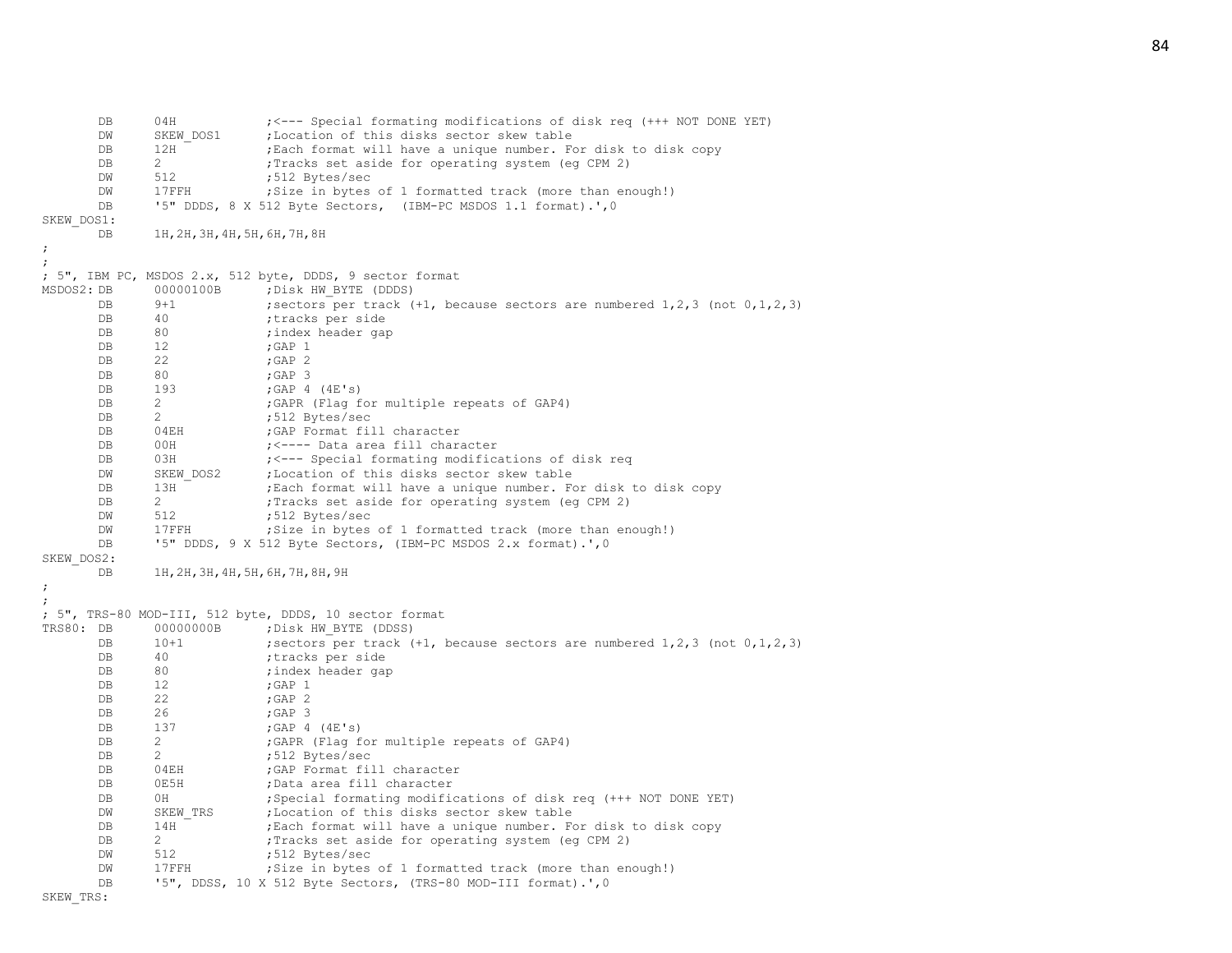DB 04H  $\gamma$  ; <--- Special formating modifications of disk req (+++ NOT DONE YET) DW SKEW DOS1 ; Location of this disks sector skew table DB 12H ;Each format will have a unique number. For disk to disk copy DB 2 ; Tracks set aside for operating system (eq CPM 2) DW 512 ;512 Bytes/sec DW 17FFH ;Size in bytes of 1 formatted track (more than enough!) DB '5" DDDS, 8 X 512 Byte Sectors, (IBM-PC MSDOS 1.1 format).',0 SKEW\_DOS1: DB 1H,2H,3H,4H,5H,6H,7H,8H ; ; ; 5", IBM PC, MSDOS 2.x, 512 byte, DDDS, 9 sector format MSDOS2: DB 00000100B ; Disk HW BYTE (DDDS) DB 9+1 ; sectors per track (+1, because sectors are numbered 1, 2, 3 (not 0, 1, 2, 3) DB 40 ;tracks per side DB 80 ;index header gap DB 12 ; GAP 1<br>DB 22 : GAP 2 DB 22 ;GAP 2 DB 80 ;GAP 3 DB 193 ; GAP 4 (4E's) DB 2 : GAPR (Flag for multiple repeats of GAP4) DB 2 ;512 Bytes/sec DB 04EH ;GAP Format fill character DB 00H ;<---- Data area fill character DB 03H ; <--- Special formating modifications of disk req DW SKEW DOS2 ; Location of this disks sector skew table DB 13H ; Each format will have a unique number. For disk to disk copy DB 2 : Tracks set aside for operating system (eq CPM 2) DW 512 ;512 Bytes/sec DW 17FFH ;Size in bytes of 1 formatted track (more than enough!) DB '5" DDDS, 9 X 512 Byte Sectors, (IBM-PC MSDOS 2.x format).',0 SKEW\_DOS2: DB 1H,2H,3H,4H,5H,6H,7H,8H,9H ; ; ; 5", TRS-80 MOD-III, 512 byte, DDDS, 10 sector format TRS80: DB 00000000B ; Disk HW BYTE (DDSS) DB 10+1 ; sectors per track (+1, because sectors are numbered 1, 2, 3 (not 0, 1, 2, 3) DB 40 ;tracks per side DB 80 ;index header gap DB 12 ;GAP 1 DB 22 ;GAP 2 DB 26 ; GAP 3 DB 137 ; GAP 4 (4E's) DB 2 : GAPR (Flag for multiple repeats of GAP4) DB 2 ;512 Bytes/sec DB 04EH ;GAP Format fill character DB 0E5H ;Data area fill character DB 0H ; Special formating modifications of disk req (+++ NOT DONE YET) DW SKEW TRS ;Location of this disks sector skew table DB 14H ; Each format will have a unique number. For disk to disk copy DB 2 ;Tracks set aside for operating system (eg CPM 2) DW 512 ;512 Bytes/sec DW 17FFH ;Size in bytes of 1 formatted track (more than enough!) DB '5", DDSS, 10 X 512 Byte Sectors, (TRS-80 MOD-III format).', 0 SKEW\_TRS: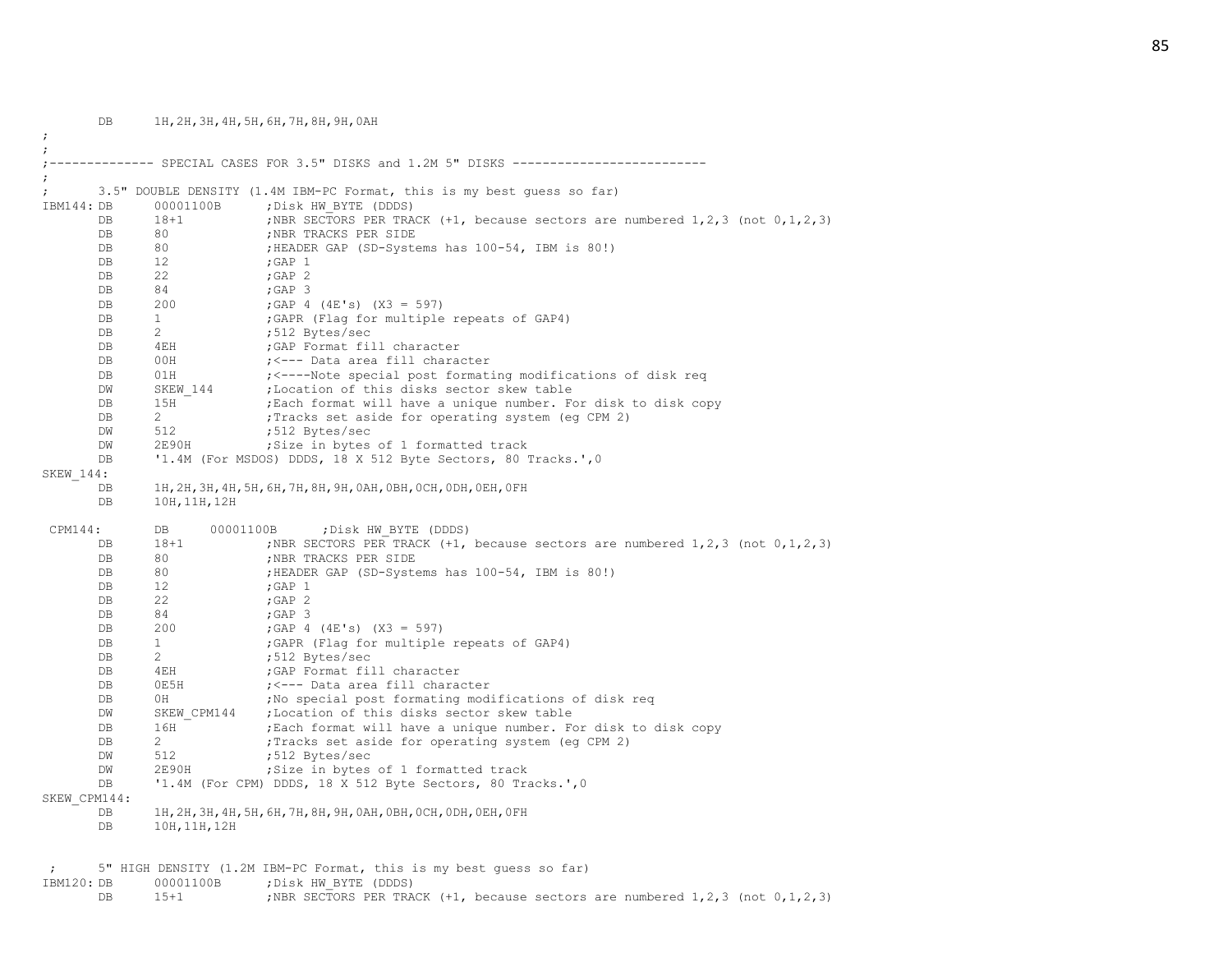DB 1H,2H,3H,4H,5H,6H,7H,8H,9H,0AH ; ; ;-------------- SPECIAL CASES FOR 3.5" DISKS and 1.2M 5" DISKS -------------------------- ; ; 3.5" DOUBLE DENSITY (1.4M IBM-PC Format, this is my best guess so far) IBM144: DB 00001100B ; Disk HW\_BYTE (DDDS) DB 18+1 ;NBR SECTORS PER TRACK (+1, because sectors are numbered 1,2,3 (not 0,1,2,3) DB 80 ;NBR TRACKS PER SIDE DB 80 ;HEADER GAP (SD-Systems has 100-54, IBM is 80!) DB 12 ; GAP 1 DB 22 ; GAP 2 DB 84 ;GAP 3 DB 200 ;GAP 4 (4E's) (X3 = 597) DB 1 :GAPR (Flag for multiple repeats of GAP4) DB 2 ;512 Bytes/sec DB 4EH ;GAP Format fill character DB 00H ;<--- Data area fill character DB 01H ; <----Note special post formating modifications of disk req DW SKEW 144 ; Location of this disks sector skew table DB 15H ; Each format will have a unique number. For disk to disk copy DB 2 ; Tracks set aside for operating system (eq CPM 2) DW 512 ;512 Bytes/sec DW 2E90H ;Size in bytes of 1 formatted track DB '1.4M (For MSDOS) DDDS, 18 X 512 Byte Sectors, 80 Tracks.', 0 SKEW\_144: DB 1H,2H,3H,4H,5H,6H,7H,8H,9H,0AH,0BH,0CH,0DH,0EH,0FH DB 10H,11H,12H CPM144: DB 00001100B ; Disk HW BYTE (DDDS) DB 18+1 ;NBR SECTORS PER TRACK (+1, because sectors are numbered 1,2,3 (not 0,1,2,3) DB 80 ;NBR TRACKS PER SIDE DB 80 ; HEADER GAP (SD-Systems has 100-54, IBM is 80!) DB 12 ; GAP 1 DB 22 ; GAP 2 DB 84 ; GAP 3 DB 200 ;GAP 4 (4E's) (X3 = 597) DB 1 :GAPR (Flag for multiple repeats of GAP4) DB 2 ;512 Bytes/sec DB 4EH ;GAP Format fill character DB 0E5H ;<--- Data area fill character DB 0H ;No special post formating modifications of disk req DW SKEW CPM144 ; Location of this disks sector skew table DB 16H ;Each format will have a unique number. For disk to disk copy DB 2 : Tracks set aside for operating system (eg CPM 2) DW 512 ;512 Bytes/sec DW 2E90H ;Size in bytes of 1 formatted track DB '1.4M (For CPM) DDDS, 18 X 512 Byte Sectors, 80 Tracks.', 0 SKEW\_CPM144: DB 1H,2H,3H,4H,5H,6H,7H,8H,9H,0AH,0BH,0CH,0DH,0EH,0FH DB 10H,11H,12H ; 5" HIGH DENSITY (1.2M IBM-PC Format, this is my best guess so far)

IBM120: DB 00001100B ; Disk HW\_BYTE (DDDS) DB 15+1 ;NBR SECTORS PER TRACK (+1, because sectors are numbered 1,2,3 (not 0,1,2,3)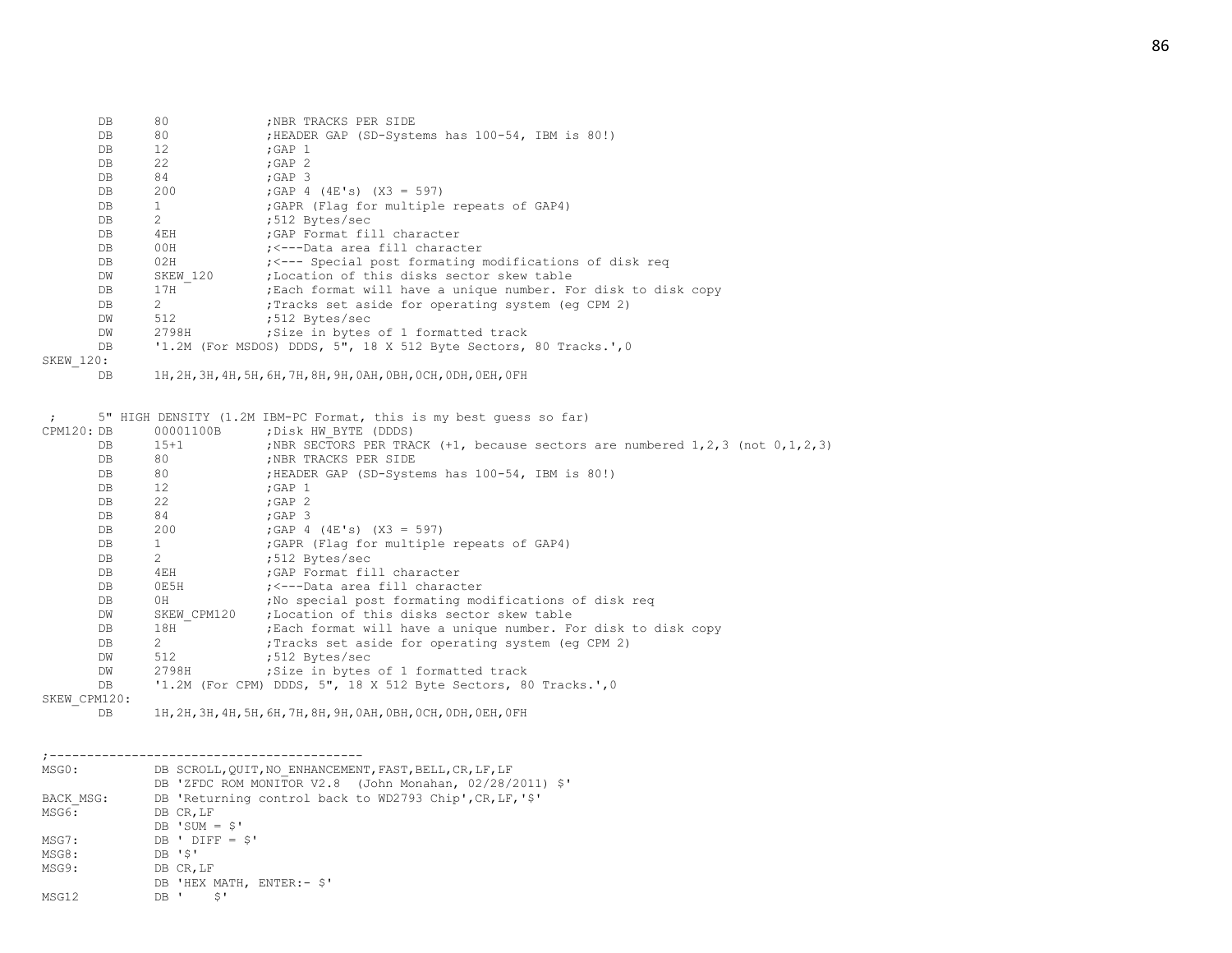| DB               | 80                             | ; NBR TRACKS PER SIDE                                             |
|------------------|--------------------------------|-------------------------------------------------------------------|
| DB               | 80                             | ; HEADER GAP (SD-Systems has 100-54, IBM is 80!)                  |
| DB               | 12                             | $;$ GAP $1$                                                       |
| DB               | 22                             | ;GAP $2$                                                          |
| DB               | 84                             | $;$ GAP 3                                                         |
| DB               | 200                            | ; GAP 4 (4E's) $(X3 = 597)$                                       |
| DB               | 1                              | ; GAPR (Flag for multiple repeats of GAP4)                        |
| DB               | $2^{\circ}$                    | :512 Bytes/sec                                                    |
| DB               | 4 E H                          | GAP Format fill character;                                        |
| DB               | 00H                            | ;<---Data area fill character                                     |
| DB               | 02H                            | ;<--- Special post formating modifications of disk reg            |
| DW               |                                | SKEW 120 : Location of this disks sector skew table               |
| DB               | 17H                            | ; Each format will have a unique number. For disk to disk copy    |
| DB               | $2 \left( \frac{1}{2} \right)$ | ; Tracks set aside for operating system (eq CPM 2)                |
| DW               | 512                            | ;512 Bytes/sec                                                    |
| DW               | 2798H                          | Size in bytes of 1 formatted track                                |
| DB               |                                | '1.2M (For MSDOS) DDDS, 5", 18 X 512 Byte Sectors, 80 Tracks.', 0 |
| <b>SKEW 120:</b> |                                |                                                                   |
| DB               |                                | 1H, 2H, 3H, 4H, 5H, 6H, 7H, 8H, 9H, 0AH, 0BH, 0CH, 0DH, 0EH, 0FH  |
|                  |                                |                                                                   |
|                  |                                |                                                                   |
|                  |                                | 5" HIGH DENSITY (1 2M IRM-PC Format this is my best quess so far) |

|              |               | 5" HIGH DENSITY (I.ZM IBM-PC FORMAT, this is my best quess so far)                        |
|--------------|---------------|-------------------------------------------------------------------------------------------|
| CPM120: DB   | 00001100B     | ; Disk HW BYTE (DDDS)                                                                     |
| DB           | $15 + 1$      | ; NBR SECTORS PER TRACK $(+1,$ because sectors are numbered $1, 2, 3$ (not $0, 1, 2, 3$ ) |
| DB           | 80            | ; NBR TRACKS PER SIDE                                                                     |
| DB           | 80            | ; HEADER GAP (SD-Systems has 100-54, IBM is 80!)                                          |
| DB           | 12            | $;$ GAP $1$                                                                               |
| DB           | 22            | $;$ GAP $2$                                                                               |
| DB           | 84            | $;$ GAP $\,$ 3                                                                            |
| DB           | 200           | ; GAP 4 $(4E's)$ $(X3 = 597)$                                                             |
| DB           |               | ; GAPR (Flag for multiple repeats of GAP4)                                                |
| DB           | $\mathcal{L}$ | ;512 Bytes/sec                                                                            |
| DB           | 4EH           | ; GAP Format fill character                                                               |
| DB           | 0E5H          | ; <---Data area fill character                                                            |
| DB           | 0H            | ; No special post formating modifications of disk reg                                     |
| DW           | SKEW CPM120   | :Location of this disks sector skew table                                                 |
| DB           | 18H           | ; Each format will have a unique number. For disk to disk copy                            |
| DB           | $2^{\circ}$   | Tracks set aside for operating system (eq CPM 2)                                          |
| DW           | 512           | ;512 Bytes/sec                                                                            |
| DW           | 2798H         | Size in bytes of 1 formatted track                                                        |
| DB           |               | '1.2M (For CPM) DDDS, 5", 18 X 512 Byte Sectors, 80 Tracks.', 0                           |
| SKEW CPM120: |               |                                                                                           |
|              |               | as on on an en en om me on on open open over open open open                               |

DB 1H,2H,3H,4H,5H,6H,7H,8H,9H,0AH,0BH,0CH,0DH,0EH,0FH

| MSG0:             | DB SCROLL, QUIT, NO ENHANCEMENT, FAST, BELL, CR, LF, LF<br>DB 'ZFDC ROM MONITOR V2.8 (John Monahan, 02/28/2011) \$' |
|-------------------|---------------------------------------------------------------------------------------------------------------------|
| BACK MSG:         | DB 'Returning control back to WD2793 Chip', CR, LF, '\$'                                                            |
| MSG6:             | DB CR, LF                                                                                                           |
|                   | $DB$ 'SUM = \$'                                                                                                     |
| MSG7:             | $DB'$ DIFF = $$'$                                                                                                   |
| MSG8:             | DB 'S'                                                                                                              |
| MSG9:             | DB CR, LF                                                                                                           |
|                   | DB 'HEX MATH, ENTER:- \$'                                                                                           |
| MSG <sub>12</sub> | Ŝ'<br>DB '                                                                                                          |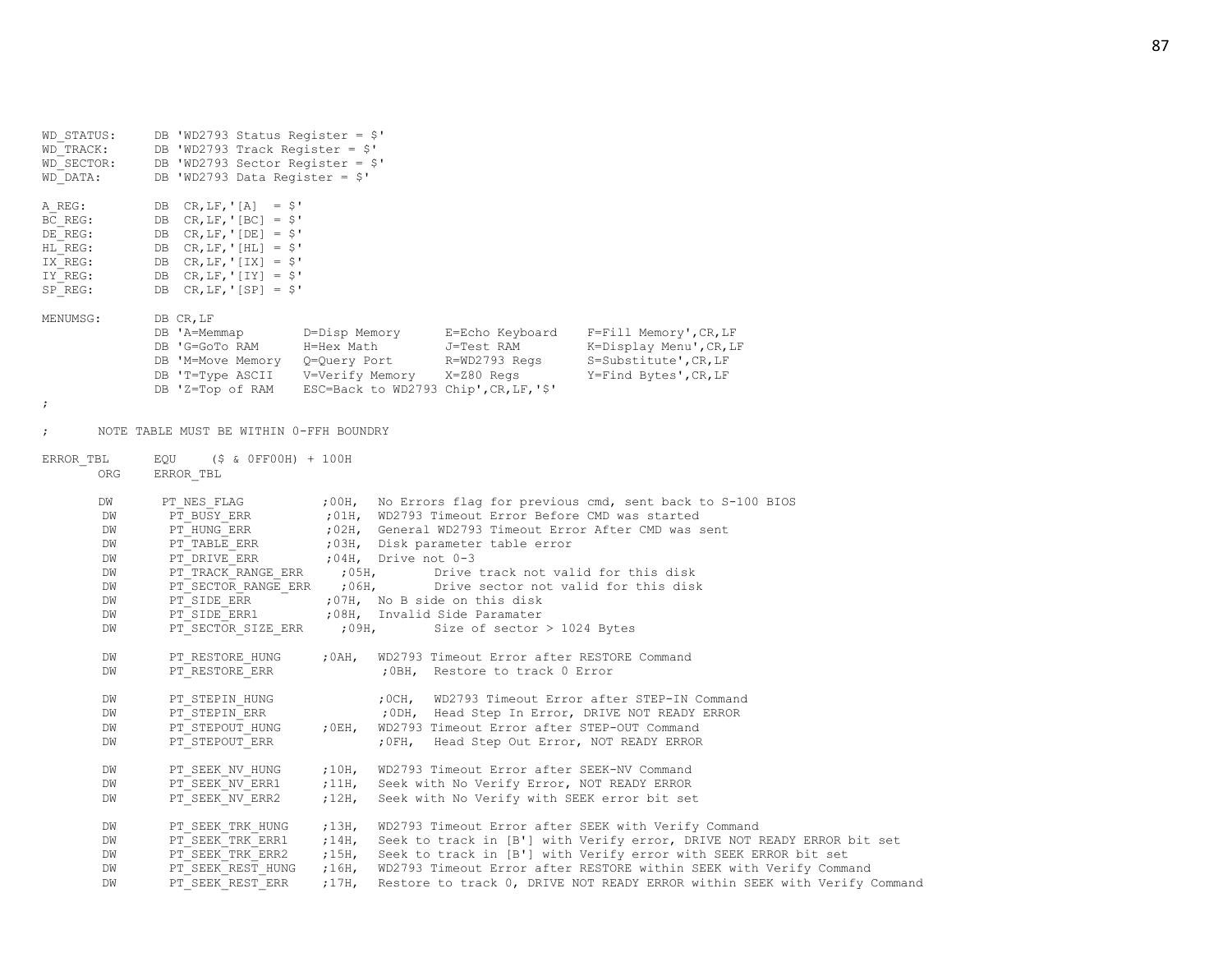| WD STATUS:<br>WD TRACK:<br>WD SECTOR:<br>WD DATA:                        | DB 'WD2793 Status Register = $$'$<br>DB 'WD2793 Track Register = $$'$<br>DB 'WD2793 Sector Register = $$'$<br>DB 'WD2793 Data Register = $$'$                                              |                                             |                     |                                                                                                                                                                                                                                                                        |                                                                                                                                                                                                                                                                                                                                                     |
|--------------------------------------------------------------------------|--------------------------------------------------------------------------------------------------------------------------------------------------------------------------------------------|---------------------------------------------|---------------------|------------------------------------------------------------------------------------------------------------------------------------------------------------------------------------------------------------------------------------------------------------------------|-----------------------------------------------------------------------------------------------------------------------------------------------------------------------------------------------------------------------------------------------------------------------------------------------------------------------------------------------------|
| A REG:<br>BC REG:<br>DE REG:<br>HL REG:<br>IX REG:<br>IY REG:<br>SP REG: | DB $CR, LF, ' [A] = $'$<br>DB $CR, LF, '[BC] = $'$<br>DB $CR, LF, '[DE] = $'$<br>DB $CR, LF, '[HL] = $'$<br>DB $CR, LF, '[IX] = $'$<br>DB $CR, LF, '[IY] = $'$<br>DB $CR, LF, ' [SP] = $'$ |                                             |                     |                                                                                                                                                                                                                                                                        |                                                                                                                                                                                                                                                                                                                                                     |
| MENUMSG:<br>ï.                                                           | DB CR, LF<br>DB 'A=Memmap<br>DB 'G=GoTo RAM<br>DB 'M=Move Memory<br>DB 'T=Type ASCII<br>DB 'Z=Top of RAM                                                                                   | D=Disp Memory<br>H=Hex Math<br>Q=Query Port | V=Verify Memory     | E=Echo Keyboard<br>J=Test RAM<br>R=WD2793 Regs<br>X=Z80 Regs<br>ESC=Back to WD2793 Chip', CR, LF, '\$'                                                                                                                                                                 | $F = F111$ Memory', CR, LF<br>K=Display Menu', CR, LF<br>$S = Substitute', CR, LF$<br>Y=Find Bytes', CR, LF                                                                                                                                                                                                                                         |
| $\ddot{ }$                                                               | NOTE TABLE MUST BE WITHIN 0-FFH BOUNDRY                                                                                                                                                    |                                             |                     |                                                                                                                                                                                                                                                                        |                                                                                                                                                                                                                                                                                                                                                     |
| ERROR TBL<br>ORG                                                         | EQU<br>(\$ & OFFOOH) + 100H<br>ERROR TBL                                                                                                                                                   |                                             |                     |                                                                                                                                                                                                                                                                        |                                                                                                                                                                                                                                                                                                                                                     |
| DW<br>DW<br>DM<br>DM<br>DM<br>DM<br>DM<br>DM<br>DW<br>DM                 | PT NES FLAG<br>PT BUSY ERR<br>PT HUNG ERR<br>PT TABLE ERR<br>PT DRIVE ERR<br>PT TRACK RANGE ERR<br>PT SECTOR RANGE ERR<br>PT SIDE_ERR<br>PT SIDE ERR1<br>PT SECTOR_SIZE_ERR                | ;00H,<br>;05H,<br>,06H,<br>;09H,            | ;04H, Drive not 0-3 | ; 01H, WD2793 Timeout Error Before CMD was started<br>;03H, Disk parameter table error<br>Drive track not valid for this disk<br>Drive sector not valid for this disk<br>;07H, No B side on this disk<br>;08H, Invalid Side Paramater<br>Size of sector $>$ 1024 Bytes | No Errors flag for previous cmd, sent back to S-100 BIOS<br>;02H, General WD2793 Timeout Error After CMD was sent                                                                                                                                                                                                                                   |
| DW<br>DM                                                                 | PT RESTORE HUNG<br>PT RESTORE ERR                                                                                                                                                          | ;0AH,                                       |                     | WD2793 Timeout Error after RESTORE Command<br>; OBH, Restore to track 0 Error                                                                                                                                                                                          |                                                                                                                                                                                                                                                                                                                                                     |
| DW<br>DW<br>DW<br>DM                                                     | PT STEPIN HUNG<br>PT STEPIN ERR<br>PT STEPOUT HUNG<br>PT STEPOUT ERR                                                                                                                       | , 0EH,                                      | ;0CH,               | WD2793 Timeout Error after STEP-OUT Command<br>; OFH, Head Step Out Error, NOT READY ERROR                                                                                                                                                                             | WD2793 Timeout Error after STEP-IN Command<br>; ODH, Head Step In Error, DRIVE NOT READY ERROR                                                                                                                                                                                                                                                      |
| DM<br>DW<br>DW                                                           | PT SEEK NV HUNG<br>PT SEEK NV ERR1<br>PT SEEK NV ERR2                                                                                                                                      | ,10H,<br>,11H,<br>;12H,                     |                     | WD2793 Timeout Error after SEEK-NV Command<br>Seek with No Verify Error, NOT READY ERROR<br>Seek with No Verify with SEEK error bit set                                                                                                                                |                                                                                                                                                                                                                                                                                                                                                     |
| DW<br>DM<br>DM<br>DW<br>DM                                               | PT SEEK TRK HUNG<br>PT SEEK TRK ERR1<br>PT SEEK TRK ERR2<br>PT SEEK REST HUNG<br>PT SEEK REST ERR                                                                                          | ,13H,<br>;14H,<br>;15H,<br>;16H,<br>;17H,   |                     |                                                                                                                                                                                                                                                                        | WD2793 Timeout Error after SEEK with Verify Command<br>Seek to track in [B'] with Verify error, DRIVE NOT READY ERROR bit set<br>Seek to track in [B'] with Verify error with SEEK ERROR bit set<br>WD2793 Timeout Error after RESTORE within SEEK with Verify Command<br>Restore to track 0, DRIVE NOT READY ERROR within SEEK with Verify Command |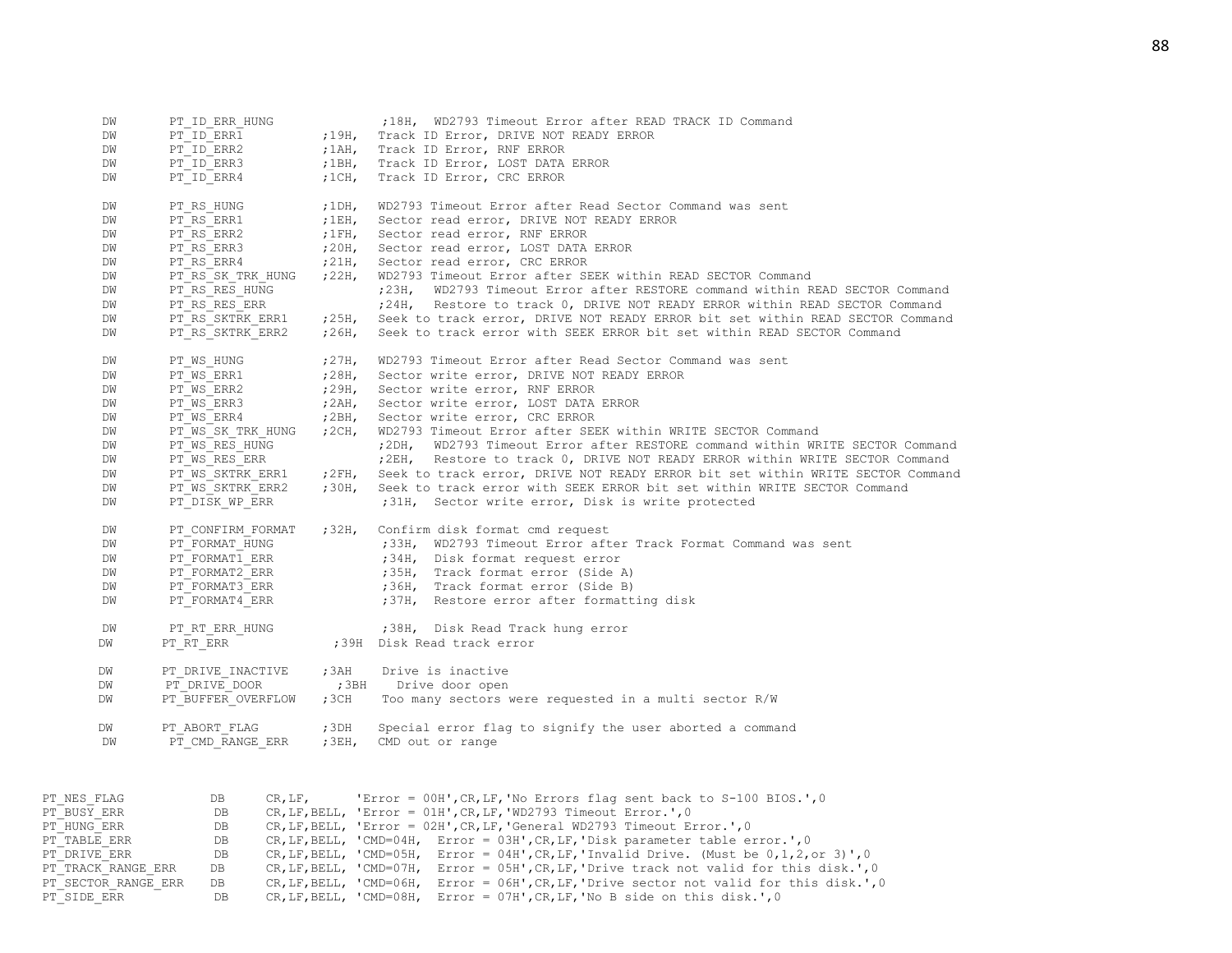| PT ID ERR2<br>Track ID Error, RNF ERROR<br>DW<br>; $1AH$ ,<br>PT ID ERR3<br>; $1BH$ ,<br>Track ID Error, LOST DATA ERROR<br>DW<br>PT ID ERR4<br>$;1CH$ ,<br>Track ID Error, CRC ERROR<br>DW<br>WD2793 Timeout Error after Read Sector Command was sent<br>DW<br>PT RS HUNG<br>$;1$ DH,<br>PT RS ERR1<br>;1EH,<br>Sector read error, DRIVE NOT READY ERROR<br>DW<br>PT RS ERR2<br>; $1FH$ ,<br>Sector read error, RNF ERROR<br>DW<br>PT RS ERR3<br>;20H, Sector read error, LOST DATA ERROR<br>DW<br>PT RS ERR4<br>$721H$ ,<br>Sector read error, CRC ERROR<br>DW<br>WD2793 Timeout Error after SEEK within READ SECTOR Command<br>PT RS SK TRK HUNG<br>$22H$ ,<br>DW<br>DW<br>PT RS RES HUNG<br>;23H,<br>DW<br>PT RS RES ERR<br>PT RS SKTRK ERR1<br>DW<br>$25H$ ,<br>PT RS SKTRK ERR2<br>Seek to track error with SEEK ERROR bit set within READ SECTOR Command<br>;26H,<br>DW<br>PT WS HUNG<br>,27H,<br>WD2793 Timeout Error after Read Sector Command was sent<br>DW<br>PT WS ERR1<br>DW<br>,28H,<br>Sector write error, DRIVE NOT READY ERROR<br>PT WS ERR2<br>;29H, Sector write error, RNF ERROR<br>DW<br>DW<br>PT WS ERR3<br>;2AH,<br>Sector write error, LOST DATA ERROR<br>PT WS ERR4<br>; $2BH$ ,<br>Sector write error, CRC ERROR<br>DW<br>WD2793 Timeout Error after SEEK within WRITE SECTOR Command<br>DW<br>PT WS SK TRK HUNG<br>; $2CH$ ,<br>WD2793 Timeout Error after RESTORE command within WRITE SECTOR Command<br>PT WS RES HUNG<br>;2DH,<br>DW<br>PT WS RES ERR<br>; $2EH$<br>Restore to track 0, DRIVE NOT READY ERROR within WRITE SECTOR Command<br>DW<br>PT WS SKTRK ERR1<br>Seek to track error, DRIVE NOT READY ERROR bit set within WRITE SECTOR Command<br>$72FH$ ,<br>DW<br>PT WS SKTRK ERR2<br>;30H,<br>Seek to track error with SEEK ERROR bit set within WRITE SECTOR Command<br>DW<br>PT DISK WP ERR<br>;31H, Sector write error, Disk is write protected<br>DW<br>;32H,<br>Confirm disk format cmd request<br>DW<br>PT CONFIRM FORMAT<br>PT FORMAT HUNG<br>;33H, WD2793 Timeout Error after Track Format Command was sent<br>DW<br>PT FORMAT1 ERR<br>;34H, Disk format request error<br>DW<br>PT FORMAT2 ERR<br>;35H, Track format error (Side A)<br>DW<br>PT FORMAT3 ERR<br>DW<br>;36H, Track format error (Side B)<br>PT FORMAT4 ERR<br>;37H, Restore error after formatting disk<br>DW<br>;38H, Disk Read Track hung error<br>DM<br>PT RT ERR HUNG<br>;39H Disk Read track error<br>DW<br>PT RT ERR<br>, 3AH<br>Drive is inactive<br>DW<br>PT DRIVE INACTIVE<br>PT DRIVE DOOR<br>; 3BH<br>DW<br>Drive door open<br>PT BUFFER OVERFLOW<br>, 3CH<br>Too many sectors were requested in a multi sector R/W<br>DW<br>PT ABORT FLAG<br>$;3$ DH<br>Special error flag to signify the user aborted a command<br>DW<br>PT CMD RANGE ERR<br>; $3EH$<br>CMD out or range<br>DW<br>PT NES FLAG<br>'Error = 00H', CR, LF, 'No Errors flag sent back to S-100 BIOS.', 0<br>DB<br>CR, LF,<br>PT BUSY ERR<br>DB<br>CR, LF, BELL, 'Error = 01H', CR, LF, 'WD2793 Timeout Error.', 0 | DW | PT ID ERR HUNG |       | ;18H, WD2793 Timeout Error after READ TRACK ID Command                        |
|-----------------------------------------------------------------------------------------------------------------------------------------------------------------------------------------------------------------------------------------------------------------------------------------------------------------------------------------------------------------------------------------------------------------------------------------------------------------------------------------------------------------------------------------------------------------------------------------------------------------------------------------------------------------------------------------------------------------------------------------------------------------------------------------------------------------------------------------------------------------------------------------------------------------------------------------------------------------------------------------------------------------------------------------------------------------------------------------------------------------------------------------------------------------------------------------------------------------------------------------------------------------------------------------------------------------------------------------------------------------------------------------------------------------------------------------------------------------------------------------------------------------------------------------------------------------------------------------------------------------------------------------------------------------------------------------------------------------------------------------------------------------------------------------------------------------------------------------------------------------------------------------------------------------------------------------------------------------------------------------------------------------------------------------------------------------------------------------------------------------------------------------------------------------------------------------------------------------------------------------------------------------------------------------------------------------------------------------------------------------------------------------------------------------------------------------------------------------------------------------------------------------------------------------------------------------------------------------------------------------------------------------------------------------------------------------------------------------------------------------------------------------------------------------------------------------------------------------------------------------------------------------------------------------------------------------------------------------------------------------------------------|----|----------------|-------|-------------------------------------------------------------------------------|
|                                                                                                                                                                                                                                                                                                                                                                                                                                                                                                                                                                                                                                                                                                                                                                                                                                                                                                                                                                                                                                                                                                                                                                                                                                                                                                                                                                                                                                                                                                                                                                                                                                                                                                                                                                                                                                                                                                                                                                                                                                                                                                                                                                                                                                                                                                                                                                                                                                                                                                                                                                                                                                                                                                                                                                                                                                                                                                                                                                                                           | DW | PT ID ERR1     | ;19H, | Track ID Error, DRIVE NOT READY ERROR                                         |
|                                                                                                                                                                                                                                                                                                                                                                                                                                                                                                                                                                                                                                                                                                                                                                                                                                                                                                                                                                                                                                                                                                                                                                                                                                                                                                                                                                                                                                                                                                                                                                                                                                                                                                                                                                                                                                                                                                                                                                                                                                                                                                                                                                                                                                                                                                                                                                                                                                                                                                                                                                                                                                                                                                                                                                                                                                                                                                                                                                                                           |    |                |       |                                                                               |
|                                                                                                                                                                                                                                                                                                                                                                                                                                                                                                                                                                                                                                                                                                                                                                                                                                                                                                                                                                                                                                                                                                                                                                                                                                                                                                                                                                                                                                                                                                                                                                                                                                                                                                                                                                                                                                                                                                                                                                                                                                                                                                                                                                                                                                                                                                                                                                                                                                                                                                                                                                                                                                                                                                                                                                                                                                                                                                                                                                                                           |    |                |       |                                                                               |
|                                                                                                                                                                                                                                                                                                                                                                                                                                                                                                                                                                                                                                                                                                                                                                                                                                                                                                                                                                                                                                                                                                                                                                                                                                                                                                                                                                                                                                                                                                                                                                                                                                                                                                                                                                                                                                                                                                                                                                                                                                                                                                                                                                                                                                                                                                                                                                                                                                                                                                                                                                                                                                                                                                                                                                                                                                                                                                                                                                                                           |    |                |       |                                                                               |
|                                                                                                                                                                                                                                                                                                                                                                                                                                                                                                                                                                                                                                                                                                                                                                                                                                                                                                                                                                                                                                                                                                                                                                                                                                                                                                                                                                                                                                                                                                                                                                                                                                                                                                                                                                                                                                                                                                                                                                                                                                                                                                                                                                                                                                                                                                                                                                                                                                                                                                                                                                                                                                                                                                                                                                                                                                                                                                                                                                                                           |    |                |       |                                                                               |
|                                                                                                                                                                                                                                                                                                                                                                                                                                                                                                                                                                                                                                                                                                                                                                                                                                                                                                                                                                                                                                                                                                                                                                                                                                                                                                                                                                                                                                                                                                                                                                                                                                                                                                                                                                                                                                                                                                                                                                                                                                                                                                                                                                                                                                                                                                                                                                                                                                                                                                                                                                                                                                                                                                                                                                                                                                                                                                                                                                                                           |    |                |       |                                                                               |
|                                                                                                                                                                                                                                                                                                                                                                                                                                                                                                                                                                                                                                                                                                                                                                                                                                                                                                                                                                                                                                                                                                                                                                                                                                                                                                                                                                                                                                                                                                                                                                                                                                                                                                                                                                                                                                                                                                                                                                                                                                                                                                                                                                                                                                                                                                                                                                                                                                                                                                                                                                                                                                                                                                                                                                                                                                                                                                                                                                                                           |    |                |       |                                                                               |
|                                                                                                                                                                                                                                                                                                                                                                                                                                                                                                                                                                                                                                                                                                                                                                                                                                                                                                                                                                                                                                                                                                                                                                                                                                                                                                                                                                                                                                                                                                                                                                                                                                                                                                                                                                                                                                                                                                                                                                                                                                                                                                                                                                                                                                                                                                                                                                                                                                                                                                                                                                                                                                                                                                                                                                                                                                                                                                                                                                                                           |    |                |       |                                                                               |
|                                                                                                                                                                                                                                                                                                                                                                                                                                                                                                                                                                                                                                                                                                                                                                                                                                                                                                                                                                                                                                                                                                                                                                                                                                                                                                                                                                                                                                                                                                                                                                                                                                                                                                                                                                                                                                                                                                                                                                                                                                                                                                                                                                                                                                                                                                                                                                                                                                                                                                                                                                                                                                                                                                                                                                                                                                                                                                                                                                                                           |    |                |       |                                                                               |
|                                                                                                                                                                                                                                                                                                                                                                                                                                                                                                                                                                                                                                                                                                                                                                                                                                                                                                                                                                                                                                                                                                                                                                                                                                                                                                                                                                                                                                                                                                                                                                                                                                                                                                                                                                                                                                                                                                                                                                                                                                                                                                                                                                                                                                                                                                                                                                                                                                                                                                                                                                                                                                                                                                                                                                                                                                                                                                                                                                                                           |    |                |       |                                                                               |
|                                                                                                                                                                                                                                                                                                                                                                                                                                                                                                                                                                                                                                                                                                                                                                                                                                                                                                                                                                                                                                                                                                                                                                                                                                                                                                                                                                                                                                                                                                                                                                                                                                                                                                                                                                                                                                                                                                                                                                                                                                                                                                                                                                                                                                                                                                                                                                                                                                                                                                                                                                                                                                                                                                                                                                                                                                                                                                                                                                                                           |    |                |       | WD2793 Timeout Error after RESTORE command within READ SECTOR Command         |
|                                                                                                                                                                                                                                                                                                                                                                                                                                                                                                                                                                                                                                                                                                                                                                                                                                                                                                                                                                                                                                                                                                                                                                                                                                                                                                                                                                                                                                                                                                                                                                                                                                                                                                                                                                                                                                                                                                                                                                                                                                                                                                                                                                                                                                                                                                                                                                                                                                                                                                                                                                                                                                                                                                                                                                                                                                                                                                                                                                                                           |    |                |       | ; 24H, Restore to track 0, DRIVE NOT READY ERROR within READ SECTOR Command   |
|                                                                                                                                                                                                                                                                                                                                                                                                                                                                                                                                                                                                                                                                                                                                                                                                                                                                                                                                                                                                                                                                                                                                                                                                                                                                                                                                                                                                                                                                                                                                                                                                                                                                                                                                                                                                                                                                                                                                                                                                                                                                                                                                                                                                                                                                                                                                                                                                                                                                                                                                                                                                                                                                                                                                                                                                                                                                                                                                                                                                           |    |                |       | Seek to track error, DRIVE NOT READY ERROR bit set within READ SECTOR Command |
|                                                                                                                                                                                                                                                                                                                                                                                                                                                                                                                                                                                                                                                                                                                                                                                                                                                                                                                                                                                                                                                                                                                                                                                                                                                                                                                                                                                                                                                                                                                                                                                                                                                                                                                                                                                                                                                                                                                                                                                                                                                                                                                                                                                                                                                                                                                                                                                                                                                                                                                                                                                                                                                                                                                                                                                                                                                                                                                                                                                                           |    |                |       |                                                                               |
|                                                                                                                                                                                                                                                                                                                                                                                                                                                                                                                                                                                                                                                                                                                                                                                                                                                                                                                                                                                                                                                                                                                                                                                                                                                                                                                                                                                                                                                                                                                                                                                                                                                                                                                                                                                                                                                                                                                                                                                                                                                                                                                                                                                                                                                                                                                                                                                                                                                                                                                                                                                                                                                                                                                                                                                                                                                                                                                                                                                                           |    |                |       |                                                                               |
|                                                                                                                                                                                                                                                                                                                                                                                                                                                                                                                                                                                                                                                                                                                                                                                                                                                                                                                                                                                                                                                                                                                                                                                                                                                                                                                                                                                                                                                                                                                                                                                                                                                                                                                                                                                                                                                                                                                                                                                                                                                                                                                                                                                                                                                                                                                                                                                                                                                                                                                                                                                                                                                                                                                                                                                                                                                                                                                                                                                                           |    |                |       |                                                                               |
|                                                                                                                                                                                                                                                                                                                                                                                                                                                                                                                                                                                                                                                                                                                                                                                                                                                                                                                                                                                                                                                                                                                                                                                                                                                                                                                                                                                                                                                                                                                                                                                                                                                                                                                                                                                                                                                                                                                                                                                                                                                                                                                                                                                                                                                                                                                                                                                                                                                                                                                                                                                                                                                                                                                                                                                                                                                                                                                                                                                                           |    |                |       |                                                                               |
|                                                                                                                                                                                                                                                                                                                                                                                                                                                                                                                                                                                                                                                                                                                                                                                                                                                                                                                                                                                                                                                                                                                                                                                                                                                                                                                                                                                                                                                                                                                                                                                                                                                                                                                                                                                                                                                                                                                                                                                                                                                                                                                                                                                                                                                                                                                                                                                                                                                                                                                                                                                                                                                                                                                                                                                                                                                                                                                                                                                                           |    |                |       |                                                                               |
|                                                                                                                                                                                                                                                                                                                                                                                                                                                                                                                                                                                                                                                                                                                                                                                                                                                                                                                                                                                                                                                                                                                                                                                                                                                                                                                                                                                                                                                                                                                                                                                                                                                                                                                                                                                                                                                                                                                                                                                                                                                                                                                                                                                                                                                                                                                                                                                                                                                                                                                                                                                                                                                                                                                                                                                                                                                                                                                                                                                                           |    |                |       |                                                                               |
|                                                                                                                                                                                                                                                                                                                                                                                                                                                                                                                                                                                                                                                                                                                                                                                                                                                                                                                                                                                                                                                                                                                                                                                                                                                                                                                                                                                                                                                                                                                                                                                                                                                                                                                                                                                                                                                                                                                                                                                                                                                                                                                                                                                                                                                                                                                                                                                                                                                                                                                                                                                                                                                                                                                                                                                                                                                                                                                                                                                                           |    |                |       |                                                                               |
|                                                                                                                                                                                                                                                                                                                                                                                                                                                                                                                                                                                                                                                                                                                                                                                                                                                                                                                                                                                                                                                                                                                                                                                                                                                                                                                                                                                                                                                                                                                                                                                                                                                                                                                                                                                                                                                                                                                                                                                                                                                                                                                                                                                                                                                                                                                                                                                                                                                                                                                                                                                                                                                                                                                                                                                                                                                                                                                                                                                                           |    |                |       |                                                                               |
|                                                                                                                                                                                                                                                                                                                                                                                                                                                                                                                                                                                                                                                                                                                                                                                                                                                                                                                                                                                                                                                                                                                                                                                                                                                                                                                                                                                                                                                                                                                                                                                                                                                                                                                                                                                                                                                                                                                                                                                                                                                                                                                                                                                                                                                                                                                                                                                                                                                                                                                                                                                                                                                                                                                                                                                                                                                                                                                                                                                                           |    |                |       |                                                                               |
|                                                                                                                                                                                                                                                                                                                                                                                                                                                                                                                                                                                                                                                                                                                                                                                                                                                                                                                                                                                                                                                                                                                                                                                                                                                                                                                                                                                                                                                                                                                                                                                                                                                                                                                                                                                                                                                                                                                                                                                                                                                                                                                                                                                                                                                                                                                                                                                                                                                                                                                                                                                                                                                                                                                                                                                                                                                                                                                                                                                                           |    |                |       |                                                                               |
|                                                                                                                                                                                                                                                                                                                                                                                                                                                                                                                                                                                                                                                                                                                                                                                                                                                                                                                                                                                                                                                                                                                                                                                                                                                                                                                                                                                                                                                                                                                                                                                                                                                                                                                                                                                                                                                                                                                                                                                                                                                                                                                                                                                                                                                                                                                                                                                                                                                                                                                                                                                                                                                                                                                                                                                                                                                                                                                                                                                                           |    |                |       |                                                                               |
|                                                                                                                                                                                                                                                                                                                                                                                                                                                                                                                                                                                                                                                                                                                                                                                                                                                                                                                                                                                                                                                                                                                                                                                                                                                                                                                                                                                                                                                                                                                                                                                                                                                                                                                                                                                                                                                                                                                                                                                                                                                                                                                                                                                                                                                                                                                                                                                                                                                                                                                                                                                                                                                                                                                                                                                                                                                                                                                                                                                                           |    |                |       |                                                                               |
|                                                                                                                                                                                                                                                                                                                                                                                                                                                                                                                                                                                                                                                                                                                                                                                                                                                                                                                                                                                                                                                                                                                                                                                                                                                                                                                                                                                                                                                                                                                                                                                                                                                                                                                                                                                                                                                                                                                                                                                                                                                                                                                                                                                                                                                                                                                                                                                                                                                                                                                                                                                                                                                                                                                                                                                                                                                                                                                                                                                                           |    |                |       |                                                                               |
|                                                                                                                                                                                                                                                                                                                                                                                                                                                                                                                                                                                                                                                                                                                                                                                                                                                                                                                                                                                                                                                                                                                                                                                                                                                                                                                                                                                                                                                                                                                                                                                                                                                                                                                                                                                                                                                                                                                                                                                                                                                                                                                                                                                                                                                                                                                                                                                                                                                                                                                                                                                                                                                                                                                                                                                                                                                                                                                                                                                                           |    |                |       |                                                                               |
|                                                                                                                                                                                                                                                                                                                                                                                                                                                                                                                                                                                                                                                                                                                                                                                                                                                                                                                                                                                                                                                                                                                                                                                                                                                                                                                                                                                                                                                                                                                                                                                                                                                                                                                                                                                                                                                                                                                                                                                                                                                                                                                                                                                                                                                                                                                                                                                                                                                                                                                                                                                                                                                                                                                                                                                                                                                                                                                                                                                                           |    |                |       |                                                                               |
|                                                                                                                                                                                                                                                                                                                                                                                                                                                                                                                                                                                                                                                                                                                                                                                                                                                                                                                                                                                                                                                                                                                                                                                                                                                                                                                                                                                                                                                                                                                                                                                                                                                                                                                                                                                                                                                                                                                                                                                                                                                                                                                                                                                                                                                                                                                                                                                                                                                                                                                                                                                                                                                                                                                                                                                                                                                                                                                                                                                                           |    |                |       |                                                                               |
|                                                                                                                                                                                                                                                                                                                                                                                                                                                                                                                                                                                                                                                                                                                                                                                                                                                                                                                                                                                                                                                                                                                                                                                                                                                                                                                                                                                                                                                                                                                                                                                                                                                                                                                                                                                                                                                                                                                                                                                                                                                                                                                                                                                                                                                                                                                                                                                                                                                                                                                                                                                                                                                                                                                                                                                                                                                                                                                                                                                                           |    |                |       |                                                                               |
|                                                                                                                                                                                                                                                                                                                                                                                                                                                                                                                                                                                                                                                                                                                                                                                                                                                                                                                                                                                                                                                                                                                                                                                                                                                                                                                                                                                                                                                                                                                                                                                                                                                                                                                                                                                                                                                                                                                                                                                                                                                                                                                                                                                                                                                                                                                                                                                                                                                                                                                                                                                                                                                                                                                                                                                                                                                                                                                                                                                                           |    |                |       |                                                                               |
|                                                                                                                                                                                                                                                                                                                                                                                                                                                                                                                                                                                                                                                                                                                                                                                                                                                                                                                                                                                                                                                                                                                                                                                                                                                                                                                                                                                                                                                                                                                                                                                                                                                                                                                                                                                                                                                                                                                                                                                                                                                                                                                                                                                                                                                                                                                                                                                                                                                                                                                                                                                                                                                                                                                                                                                                                                                                                                                                                                                                           |    |                |       |                                                                               |
|                                                                                                                                                                                                                                                                                                                                                                                                                                                                                                                                                                                                                                                                                                                                                                                                                                                                                                                                                                                                                                                                                                                                                                                                                                                                                                                                                                                                                                                                                                                                                                                                                                                                                                                                                                                                                                                                                                                                                                                                                                                                                                                                                                                                                                                                                                                                                                                                                                                                                                                                                                                                                                                                                                                                                                                                                                                                                                                                                                                                           |    |                |       |                                                                               |
|                                                                                                                                                                                                                                                                                                                                                                                                                                                                                                                                                                                                                                                                                                                                                                                                                                                                                                                                                                                                                                                                                                                                                                                                                                                                                                                                                                                                                                                                                                                                                                                                                                                                                                                                                                                                                                                                                                                                                                                                                                                                                                                                                                                                                                                                                                                                                                                                                                                                                                                                                                                                                                                                                                                                                                                                                                                                                                                                                                                                           |    |                |       |                                                                               |
|                                                                                                                                                                                                                                                                                                                                                                                                                                                                                                                                                                                                                                                                                                                                                                                                                                                                                                                                                                                                                                                                                                                                                                                                                                                                                                                                                                                                                                                                                                                                                                                                                                                                                                                                                                                                                                                                                                                                                                                                                                                                                                                                                                                                                                                                                                                                                                                                                                                                                                                                                                                                                                                                                                                                                                                                                                                                                                                                                                                                           |    |                |       |                                                                               |
|                                                                                                                                                                                                                                                                                                                                                                                                                                                                                                                                                                                                                                                                                                                                                                                                                                                                                                                                                                                                                                                                                                                                                                                                                                                                                                                                                                                                                                                                                                                                                                                                                                                                                                                                                                                                                                                                                                                                                                                                                                                                                                                                                                                                                                                                                                                                                                                                                                                                                                                                                                                                                                                                                                                                                                                                                                                                                                                                                                                                           |    |                |       |                                                                               |
|                                                                                                                                                                                                                                                                                                                                                                                                                                                                                                                                                                                                                                                                                                                                                                                                                                                                                                                                                                                                                                                                                                                                                                                                                                                                                                                                                                                                                                                                                                                                                                                                                                                                                                                                                                                                                                                                                                                                                                                                                                                                                                                                                                                                                                                                                                                                                                                                                                                                                                                                                                                                                                                                                                                                                                                                                                                                                                                                                                                                           |    |                |       |                                                                               |
|                                                                                                                                                                                                                                                                                                                                                                                                                                                                                                                                                                                                                                                                                                                                                                                                                                                                                                                                                                                                                                                                                                                                                                                                                                                                                                                                                                                                                                                                                                                                                                                                                                                                                                                                                                                                                                                                                                                                                                                                                                                                                                                                                                                                                                                                                                                                                                                                                                                                                                                                                                                                                                                                                                                                                                                                                                                                                                                                                                                                           |    |                |       |                                                                               |
|                                                                                                                                                                                                                                                                                                                                                                                                                                                                                                                                                                                                                                                                                                                                                                                                                                                                                                                                                                                                                                                                                                                                                                                                                                                                                                                                                                                                                                                                                                                                                                                                                                                                                                                                                                                                                                                                                                                                                                                                                                                                                                                                                                                                                                                                                                                                                                                                                                                                                                                                                                                                                                                                                                                                                                                                                                                                                                                                                                                                           |    |                |       |                                                                               |
| PT HUNG ERR<br>CR, LF, BELL, 'Error = 02H', CR, LF, 'General WD2793 Timeout Error.', 0<br>DB                                                                                                                                                                                                                                                                                                                                                                                                                                                                                                                                                                                                                                                                                                                                                                                                                                                                                                                                                                                                                                                                                                                                                                                                                                                                                                                                                                                                                                                                                                                                                                                                                                                                                                                                                                                                                                                                                                                                                                                                                                                                                                                                                                                                                                                                                                                                                                                                                                                                                                                                                                                                                                                                                                                                                                                                                                                                                                              |    |                |       |                                                                               |

| PT HUNG ERR |                     |     |  | CR,LF,BELL, 'Error = 02H',CR,LF,'General WD2793 Timeout Error.',0                            |
|-------------|---------------------|-----|--|----------------------------------------------------------------------------------------------|
|             | PT TABLE ERR        | DB. |  | $CR, LF, BELL, 'CMD=04H, Error = 03H', CR, LF, 'Disk parameter table error.'$ , 0            |
|             | PT DRIVE ERR        | DB. |  | CR, LF, BELL, 'CMD=05H, Error = 04H', CR, LF, 'Invalid Drive. (Must be $0, 1, 2$ , or 3)', 0 |
|             | PT TRACK RANGE ERR  | DB  |  | CR, LF, BELL, 'CMD=07H, Error = 05H', CR, LF, 'Drive track not valid for this disk.', 0      |
|             | PT SECTOR RANGE ERR | DB. |  | CR, LF, BELL, 'CMD=06H, Error = 06H', CR, LF, 'Drive sector not valid for this disk.', 0     |
| PT SIDE ERR |                     | DB. |  | $CR, LF, BELLL$ , 'CMD=08H, Error = 07H', $CR, LF$ , 'No B side on this disk.', 0            |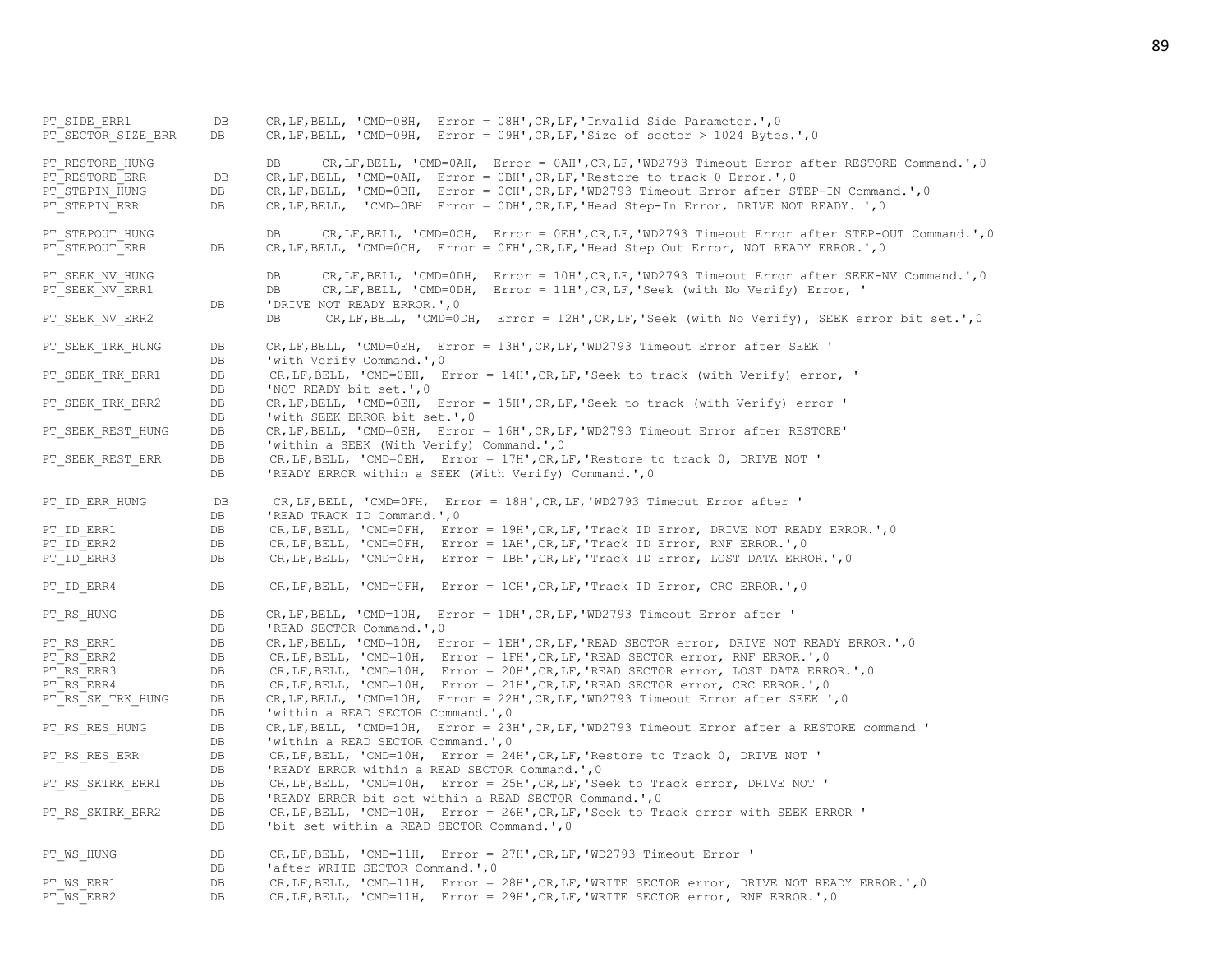PT\_SIDE\_ERR1 DB CR,LF,BELL, 'CMD=08H, Error = 08H',CR,LF,'Invalid Side Parameter.',0 PT\_SECTOR\_SIZE\_ERR DB CR,LF,BELL, 'CMD=09H, Error = 09H',CR,LF,'Size of sector > 1024 Bytes.',0 PT\_RESTORE\_HUNG  $DB$  DB CR,LF,BELL, 'CMD=0AH, Error = 0AH',CR,LF,'WD2793 Timeout Error after RESTORE Command.',0 PT\_RESTORE\_ERR DB CR,LF,BELL, 'CMD=0AH, Error = 0BH', CR,LF, 'Restore to track 0 Error.',0 PT\_STEPIN\_HUNG DB CR,LF,BELL, 'CMD=0BH, Error = 0CH',CR,LF,'WD2793 Timeout Error after STEP-IN Command.',0 PT\_STEPIN\_ERR DB CR,LF,BELL, 'CMD=0BH Error = 0DH',CR,LF,'Head Step-In Error, DRIVE NOT READY. ',0 PT\_STEPOUT\_HUNG  $DB$  DB CR, LF, BELL, 'CMD=0CH, Error = 0EH',CR, LF,'WD2793 Timeout Error after STEP-OUT Command.',0 PT\_STEPOUT\_ERR DB CR, LF, BELL, 'CMD=0CH, Error = 0FH', CR, LF, 'Head Step Out Error, NOT READY ERROR.', 0 PT\_SEEK\_NV\_HUNG  $DB$  DB CR,LF,BELL, 'CMD=0DH, Error = 10H',CR,LF,'WD2793 Timeout Error after SEEK-NV Command.',0 PT\_SEEK\_NV\_ERR1 DB CR,LF,BELL, 'CMD=0DH, Error = 11H',CR,LF,'Seek (with No Verify) Error, ' DB 'DRIVE NOT READY ERROR.', 0 PT\_SEEK\_NV\_ERR2 DB CR,LF,BELL, 'CMD=0DH, Error = 12H',CR,LF,'Seek (with No Verify), SEEK error bit set.',0 PT\_SEEK\_TRK\_HUNG DB CR,LF,BELL, 'CMD=0EH, Error = 13H',CR,LF,'WD2793 Timeout Error after SEEK ' DB 'with Verify Command.', 0 PT\_SEEK\_TRK\_ERR1 DB CR,LF,BELL, 'CMD=0EH, Error = 14H',CR,LF,'Seek to track (with Verify) error, ' DB 'NOT READY bit set.', 0 PT\_SEEK\_TRK\_ERR2 DB CR, LF, BELL, 'CMD=0EH, Error = 15H', CR, LF, 'Seek to track (with Verify) error ' DB 'with SEEK ERROR bit set.', 0 PT\_SEEK\_REST\_HUNG DB CR,LF,BELL, 'CMD=0EH, Error = 16H',CR,LF,'WD2793 Timeout Error after RESTORE' DB 'within a SEEK (With Verify) Command.', 0 PT\_SEEK\_REST\_ERR DB CR,LF,BELL, 'CMD=0EH, Error = 17H', CR,LF, 'Restore to track 0, DRIVE NOT ' DB 'READY ERROR within a SEEK (With Verify) Command.', 0 PT\_ID\_ERR\_HUNG DB CR,LF,BELL, 'CMD=0FH, Error = 18H',CR,LF,'WD2793 Timeout Error after ' DB 'READ TRACK ID Command.', 0 PT\_ID\_ERR1 DB CR,LF,BELL, 'CMD=0FH, Error = 19H',CR,LF,'Track ID\_Error, DRIVE NOT READY\_ERROR.',0 PT\_ID\_ERR2 DB CR, LF, BELL, 'CMD=0FH, Error = 1AH', CR, LF, 'Track ID Error, RNF ERROR.', 0 PT\_ID\_ERR3 DB CR,LF,BELL, 'CMD=0FH, Error = 1BH', CR,LF, 'Track ID Error, LOST DATA ERROR.', 0 PT\_ID\_ERR4 DB CR,LF,BELL, 'CMD=0FH, Error = 1CH',CR,LF,'Track ID\_Error, CRC ERROR.',0 PT\_RS\_HUNG DB CR, LF, BELL, 'CMD=10H, Error = 1DH',CR, LF, 'WD2793 Timeout Error after ' DB 'READ SECTOR Command.', 0 PT\_RS\_ERR1 DB CR,LF,BELL, 'CMD=10H, Error = 1EH',CR,LF,'READ SECTOR error, DRIVE NOT READY ERROR.',0 PT\_RS\_ERR2 DB CR,LF,BELL, 'CMD=10H, Error = 1FH',CR,LF,'READ SECTOR error, RNF ERROR.',0 PT\_RS\_ERR3 DB CR, LF, BELL, 'CMD=10H, Error = 20H', CR, LF, 'READ SECTOR error, LOST DATA ERROR.', 0 PT\_RS\_ERR4 DB CR,LF,BELL, 'CMD=10H, Error = 21H',CR,LF, 'READ SECTOR error, CRC ERROR.',0 PT\_RS\_SK\_TRK\_HUNG DB CR, LF, BELL, 'CMD=10H, Error = 22H', CR, LF, 'WD2793 Timeout Error after SEEK ', 0 DB 'within a READ SECTOR Command.', 0 PT\_RS\_RES\_HUNG DB CR,LF,BELL, 'CMD=10H, Error = 23H',CR,LF,'WD2793 Timeout Error after a RESTORE command ' DB 'within a READ SECTOR Command.', 0 PT\_RS\_RES\_ERR DB CR,LF,BELL, 'CMD=10H, Error = 24H',CR,LF, 'Restore to Track 0, DRIVE NOT ' DB 'READY ERROR within a READ SECTOR Command.', 0 PT\_RS\_SKTRK\_ERR1 DB CR,LF,BELL, 'CMD=10H, Error = 25H',CR,LF,'Seek to Track error, DRIVE NOT ' DB 'READY ERROR bit set within a READ SECTOR Command.', 0 PT\_RS\_SKTRK\_ERR2 DB CR,LF,BELL, 'CMD=10H, Error = 26H',CR,LF, 'Seek to Track error with SEEK ERROR ' DB 'bit set within a READ SECTOR Command.'.0 PT\_WS\_HUNG DB CR,LF,BELL, 'CMD=11H, Error = 27H',CR,LF,'WD2793 Timeout Error ' DB 'after WRITE SECTOR Command.', 0 PT\_WS\_ERR1 DB CR,LF,BELL, 'CMD=11H, Error = 28H',CR,LF,'WRITE SECTOR error, DRIVE NOT READY ERROR.', 0 PT\_WS\_ERR2 DB CR,LF,BELL, 'CMD=11H, Error = 29H',CR,LF,'WRITE SECTOR error, RNF ERROR.',0